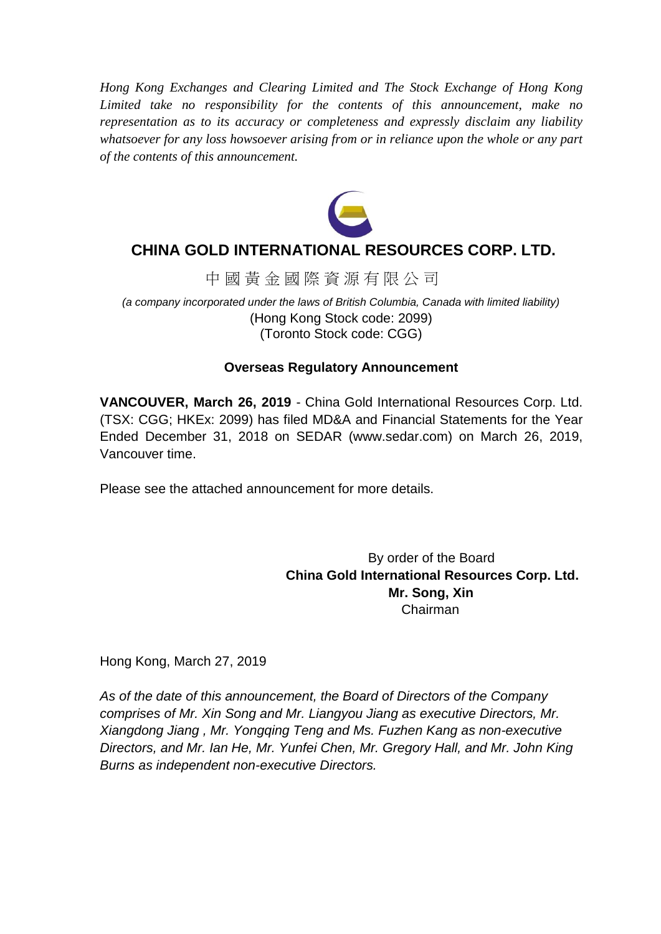*Hong Kong Exchanges and Clearing Limited and The Stock Exchange of Hong Kong Limited take no responsibility for the contents of this announcement, make no representation as to its accuracy or completeness and expressly disclaim any liability whatsoever for any loss howsoever arising from or in reliance upon the whole or any part of the contents of this announcement.*



# **CHINA GOLD INTERNATIONAL RESOURCES CORP. LTD.**

中 國 黃 金 國 際 資 源 有 限 公 司

*(a company incorporated under the laws of British Columbia, Canada with limited liability)* (Hong Kong Stock code: 2099) (Toronto Stock code: CGG)

# **Overseas Regulatory Announcement**

**VANCOUVER, March 26, 2019** - China Gold International Resources Corp. Ltd. (TSX: CGG; HKEx: 2099) has filed MD&A and Financial Statements for the Year Ended December 31, 2018 on SEDAR (www.sedar.com) on March 26, 2019, Vancouver time.

Please see the attached announcement for more details.

By order of the Board **China Gold International Resources Corp. Ltd. Mr. Song, Xin** Chairman

Hong Kong, March 27, 2019

*As of the date of this announcement, the Board of Directors of the Company comprises of Mr. Xin Song and Mr. Liangyou Jiang as executive Directors, Mr. Xiangdong Jiang , Mr. Yongqing Teng and Ms. Fuzhen Kang as non-executive Directors, and Mr. Ian He, Mr. Yunfei Chen, Mr. Gregory Hall, and Mr. John King Burns as independent non-executive Directors.*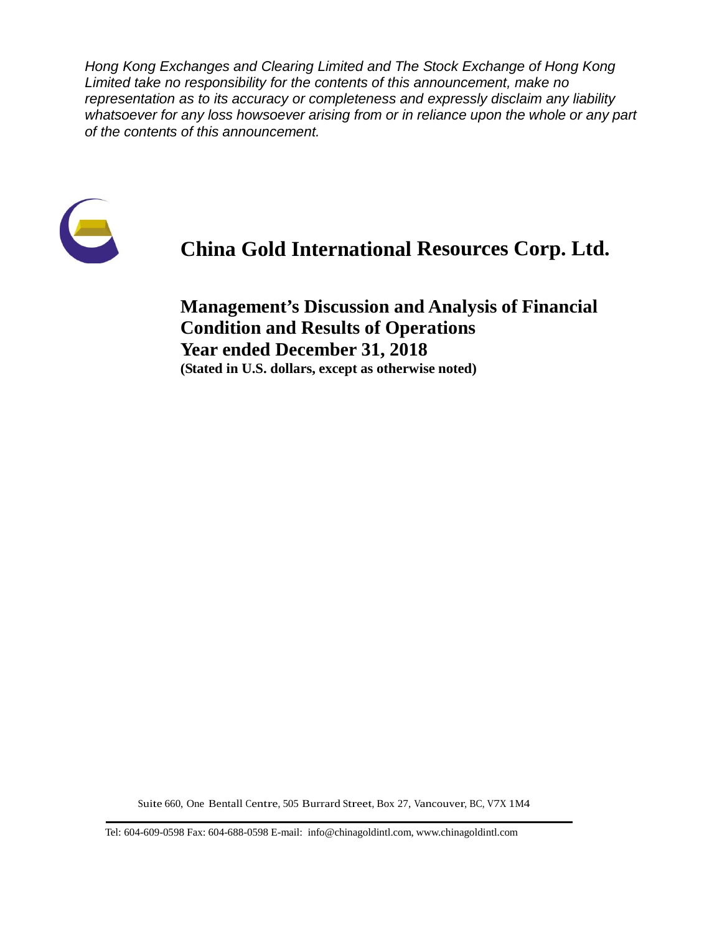*Hong Kong Exchanges and Clearing Limited and The Stock Exchange of Hong Kong Limited take no responsibility for the contents of this announcement, make no representation as to its accuracy or completeness and expressly disclaim any liability whatsoever for any loss howsoever arising from or in reliance upon the whole or any part of the contents of this announcement.*



# **China Gold International Resources Corp. Ltd.**

**Management's Discussion and Analysis of Financial Condition and Results of Operations Year ended December 31, 2018 (Stated in U.S. dollars, except as otherwise noted)**

Suite 660, One Bentall Centre, 505 Burrard Street, Box 27, Vancouver, BC, V7X 1M4

Tel: 604-609-0598 Fax: 604-688-0598 E-mail: info@chinagoldintl.com, [www.chinagoldintl.com](http://www.chinagoldintl.com/)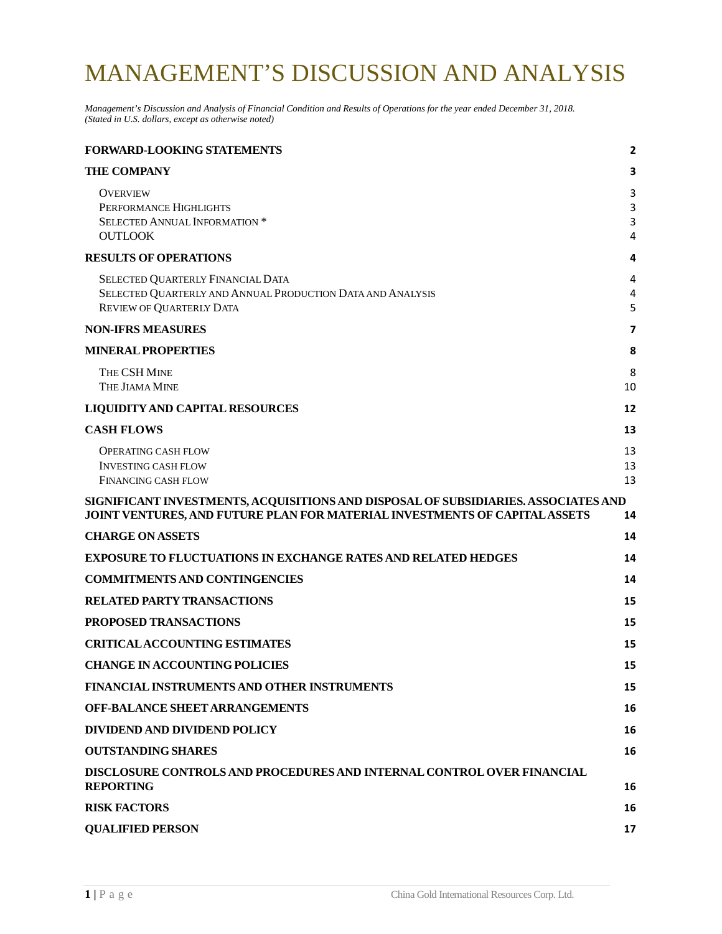# MANAGEMENT'S DISCUSSION AND ANALYSIS

*Management's Discussion and Analysis of Financial Condition and Results of Operations for the year ended December 31, 2018. (Stated in U.S. dollars, except as otherwise noted)*

| <b>FORWARD-LOOKING STATEMENTS</b>                                                                                                                                | $\overline{2}$   |
|------------------------------------------------------------------------------------------------------------------------------------------------------------------|------------------|
| <b>THE COMPANY</b>                                                                                                                                               | 3                |
| <b>OVERVIEW</b><br>PERFORMANCE HIGHLIGHTS<br>SELECTED ANNUAL INFORMATION *<br><b>OUTLOOK</b>                                                                     | 3<br>3<br>3<br>4 |
| <b>RESULTS OF OPERATIONS</b>                                                                                                                                     | 4                |
| SELECTED QUARTERLY FINANCIAL DATA<br>SELECTED QUARTERLY AND ANNUAL PRODUCTION DATA AND ANALYSIS<br><b>REVIEW OF QUARTERLY DATA</b>                               | 4<br>4<br>5      |
| <b>NON-IFRS MEASURES</b>                                                                                                                                         | 7                |
| <b>MINERAL PROPERTIES</b>                                                                                                                                        | 8                |
| THE CSH MINE<br>THE JIAMA MINE                                                                                                                                   | 8<br>10          |
| <b>LIQUIDITY AND CAPITAL RESOURCES</b>                                                                                                                           | 12               |
| <b>CASH FLOWS</b>                                                                                                                                                | 13               |
| <b>OPERATING CASH FLOW</b><br><b>INVESTING CASH FLOW</b><br><b>FINANCING CASH FLOW</b>                                                                           | 13<br>13<br>13   |
| SIGNIFICANT INVESTMENTS, ACQUISITIONS AND DISPOSAL OF SUBSIDIARIES. ASSOCIATES AND<br>JOINT VENTURES, AND FUTURE PLAN FOR MATERIAL INVESTMENTS OF CAPITAL ASSETS | 14               |
| <b>CHARGE ON ASSETS</b>                                                                                                                                          | 14               |
| <b>EXPOSURE TO FLUCTUATIONS IN EXCHANGE RATES AND RELATED HEDGES</b>                                                                                             | 14               |
| <b>COMMITMENTS AND CONTINGENCIES</b>                                                                                                                             | 14               |
| <b>RELATED PARTY TRANSACTIONS</b>                                                                                                                                | 15               |
| <b>PROPOSED TRANSACTIONS</b>                                                                                                                                     | 15               |
| <b>CRITICAL ACCOUNTING ESTIMATES</b>                                                                                                                             | 15               |
| <b>CHANGE IN ACCOUNTING POLICIES</b>                                                                                                                             | 15               |
| <b>FINANCIAL INSTRUMENTS AND OTHER INSTRUMENTS</b>                                                                                                               | 15               |
| <b>OFF-BALANCE SHEET ARRANGEMENTS</b>                                                                                                                            | 16               |
| DIVIDEND AND DIVIDEND POLICY                                                                                                                                     | 16               |
| <b>OUTSTANDING SHARES</b>                                                                                                                                        | 16               |
| DISCLOSURE CONTROLS AND PROCEDURES AND INTERNAL CONTROL OVER FINANCIAL<br><b>REPORTING</b>                                                                       | 16               |
| <b>RISK FACTORS</b>                                                                                                                                              | 16               |
| <b>QUALIFIED PERSON</b>                                                                                                                                          | 17               |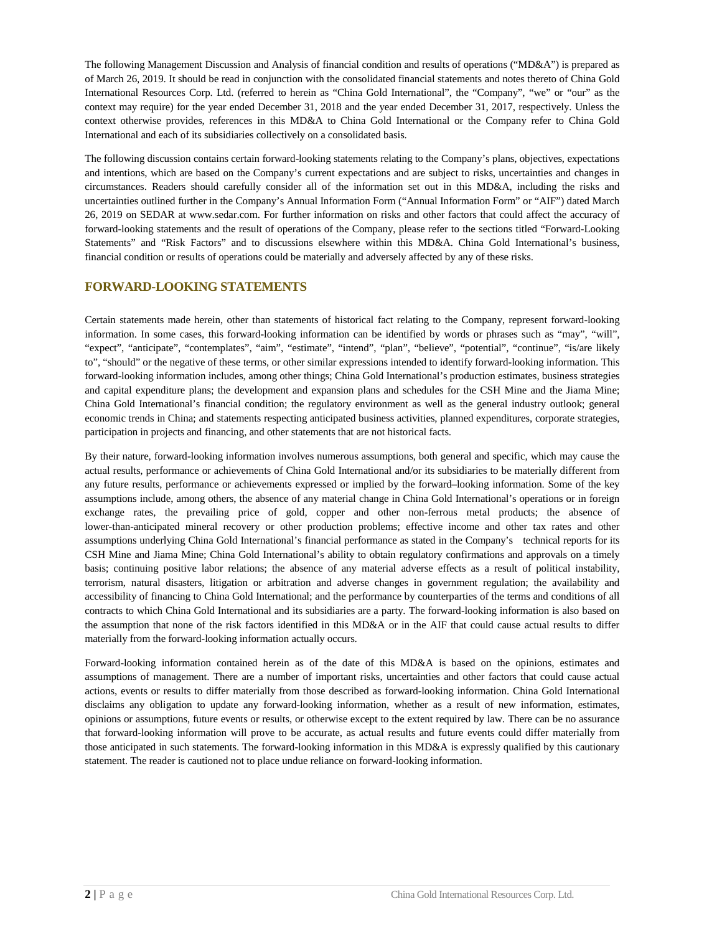The following Management Discussion and Analysis of financial condition and results of operations ("MD&A") is prepared as of March 26, 2019. It should be read in conjunction with the consolidated financial statements and notes thereto of China Gold International Resources Corp. Ltd. (referred to herein as "China Gold International", the "Company", "we" or "our" as the context may require) for the year ended December 31, 2018 and the year ended December 31, 2017, respectively. Unless the context otherwise provides, references in this MD&A to China Gold International or the Company refer to China Gold International and each of its subsidiaries collectively on a consolidated basis.

The following discussion contains certain forward-looking statements relating to the Company's plans, objectives, expectations and intentions, which are based on the Company's current expectations and are subject to risks, uncertainties and changes in circumstances. Readers should carefully consider all of the information set out in this MD&A, including the risks and uncertainties outlined further in the Company's Annual Information Form ("Annual Information Form" or "AIF") dated March 26, 2019 on SEDAR at www.sedar.com. For further information on risks and other factors that could affect the accuracy of forward-looking statements and the result of operations of the Company, please refer to the sections titled "Forward-Looking Statements" and "Risk Factors" and to discussions elsewhere within this MD&A. China Gold International's business, financial condition or results of operations could be materially and adversely affected by any of these risks.

#### <span id="page-3-0"></span>**FORWARD-LOOKING STATEMENTS**

Certain statements made herein, other than statements of historical fact relating to the Company, represent forward-looking information. In some cases, this forward-looking information can be identified by words or phrases such as "may", "will", "expect", "anticipate", "contemplates", "aim", "estimate", "intend", "plan", "believe", "potential", "continue", "is/are likely to", "should" or the negative of these terms, or other similar expressions intended to identify forward-looking information. This forward-looking information includes, among other things; China Gold International's production estimates, business strategies and capital expenditure plans; the development and expansion plans and schedules for the CSH Mine and the Jiama Mine; China Gold International's financial condition; the regulatory environment as well as the general industry outlook; general economic trends in China; and statements respecting anticipated business activities, planned expenditures, corporate strategies, participation in projects and financing, and other statements that are not historical facts.

By their nature, forward-looking information involves numerous assumptions, both general and specific, which may cause the actual results, performance or achievements of China Gold International and/or its subsidiaries to be materially different from any future results, performance or achievements expressed or implied by the forward–looking information. Some of the key assumptions include, among others, the absence of any material change in China Gold International's operations or in foreign exchange rates, the prevailing price of gold, copper and other non-ferrous metal products; the absence of lower-than-anticipated mineral recovery or other production problems; effective income and other tax rates and other assumptions underlying China Gold International's financial performance as stated in the Company's technical reports for its CSH Mine and Jiama Mine; China Gold International's ability to obtain regulatory confirmations and approvals on a timely basis; continuing positive labor relations; the absence of any material adverse effects as a result of political instability, terrorism, natural disasters, litigation or arbitration and adverse changes in government regulation; the availability and accessibility of financing to China Gold International; and the performance by counterparties of the terms and conditions of all contracts to which China Gold International and its subsidiaries are a party. The forward-looking information is also based on the assumption that none of the risk factors identified in this MD&A or in the AIF that could cause actual results to differ materially from the forward-looking information actually occurs.

Forward-looking information contained herein as of the date of this MD&A is based on the opinions, estimates and assumptions of management. There are a number of important risks, uncertainties and other factors that could cause actual actions, events or results to differ materially from those described as forward-looking information. China Gold International disclaims any obligation to update any forward-looking information, whether as a result of new information, estimates, opinions or assumptions, future events or results, or otherwise except to the extent required by law. There can be no assurance that forward-looking information will prove to be accurate, as actual results and future events could differ materially from those anticipated in such statements. The forward-looking information in this MD&A is expressly qualified by this cautionary statement. The reader is cautioned not to place undue reliance on forward-looking information.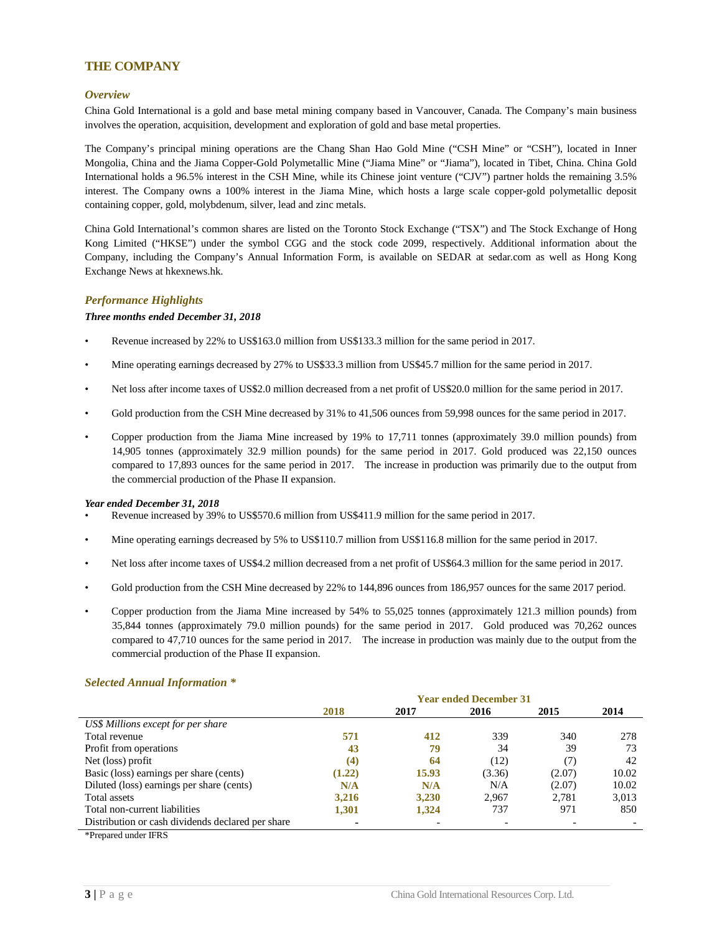### <span id="page-4-0"></span>**THE COMPANY**

#### <span id="page-4-1"></span>*Overview*

China Gold International is a gold and base metal mining company based in Vancouver, Canada. The Company's main business involves the operation, acquisition, development and exploration of gold and base metal properties.

The Company's principal mining operations are the Chang Shan Hao Gold Mine ("CSH Mine" or "CSH"), located in Inner Mongolia, China and the Jiama Copper-Gold Polymetallic Mine ("Jiama Mine" or "Jiama"), located in Tibet, China. China Gold International holds a 96.5% interest in the CSH Mine, while its Chinese joint venture ("CJV") partner holds the remaining 3.5% interest. The Company owns a 100% interest in the Jiama Mine, which hosts a large scale copper-gold polymetallic deposit containing copper, gold, molybdenum, silver, lead and zinc metals.

China Gold International's common shares are listed on the Toronto Stock Exchange ("TSX") and The Stock Exchange of Hong Kong Limited ("HKSE") under the symbol CGG and the stock code 2099, respectively. Additional information about the Company, including the Company's Annual Information Form, is available on SEDAR at sedar.com as well as Hong Kong Exchange News at hkexnews.hk.

#### <span id="page-4-2"></span>*Performance Highlights*

#### *Three months ended December 31, 2018*

- Revenue increased by 22% to US\$163.0 million from US\$133.3 million for the same period in 2017.
- Mine operating earnings decreased by 27% to US\$33.3 million from US\$45.7 million for the same period in 2017.
- Net loss after income taxes of US\$2.0 million decreased from a net profit of US\$20.0 million for the same period in 2017.
- Gold production from the CSH Mine decreased by 31% to 41,506 ounces from 59,998 ounces for the same period in 2017.
- Copper production from the Jiama Mine increased by 19% to 17,711 tonnes (approximately 39.0 million pounds) from 14,905 tonnes (approximately 32.9 million pounds) for the same period in 2017. Gold produced was 22,150 ounces compared to 17,893 ounces for the same period in 2017. The increase in production was primarily due to the output from the commercial production of the Phase II expansion.

#### *Year ended December 31, 2018*

- Revenue increased by 39% to US\$570.6 million from US\$411.9 million for the same period in 2017.
- Mine operating earnings decreased by 5% to US\$110.7 million from US\$116.8 million for the same period in 2017.
- Net loss after income taxes of US\$4.2 million decreased from a net profit of US\$64.3 million for the same period in 2017.
- Gold production from the CSH Mine decreased by 22% to 144,896 ounces from 186,957 ounces for the same 2017 period.
- Copper production from the Jiama Mine increased by 54% to 55,025 tonnes (approximately 121.3 million pounds) from 35,844 tonnes (approximately 79.0 million pounds) for the same period in 2017. Gold produced was 70,262 ounces compared to 47,710 ounces for the same period in 2017. The increase in production was mainly due to the output from the commercial production of the Phase II expansion.

#### <span id="page-4-3"></span>*Selected Annual Information \**

|                                                   | <b>Year ended December 31</b> |       |        |        |       |  |
|---------------------------------------------------|-------------------------------|-------|--------|--------|-------|--|
|                                                   | 2018                          | 2017  | 2016   | 2015   | 2014  |  |
| US\$ Millions except for per share                |                               |       |        |        |       |  |
| Total revenue                                     | 571                           | 412   | 339    | 340    | 278   |  |
| Profit from operations                            | 43                            | 79    | 34     | 39     | 73    |  |
| Net (loss) profit                                 | (4)                           | 64    | (12)   | (7)    | 42    |  |
| Basic (loss) earnings per share (cents)           | (1.22)                        | 15.93 | (3.36) | (2.07) | 10.02 |  |
| Diluted (loss) earnings per share (cents)         | N/A                           | N/A   | N/A    | (2.07) | 10.02 |  |
| Total assets                                      | 3,216                         | 3,230 | 2.967  | 2.781  | 3,013 |  |
| Total non-current liabilities                     | 1,301                         | 1,324 | 737    | 971    | 850   |  |
| Distribution or cash dividends declared per share | ٠                             |       |        |        |       |  |

\*Prepared under IFRS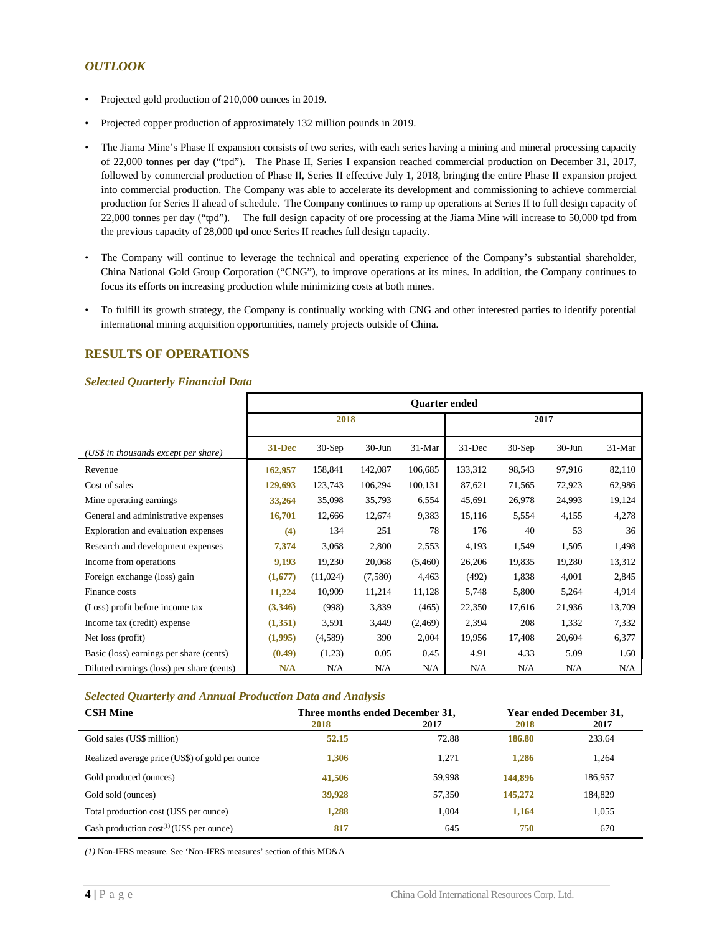### <span id="page-5-0"></span>*OUTLOOK*

- Projected gold production of 210,000 ounces in 2019.
- Projected copper production of approximately 132 million pounds in 2019.
- The Jiama Mine's Phase II expansion consists of two series, with each series having a mining and mineral processing capacity of 22,000 tonnes per day ("tpd"). The Phase II, Series I expansion reached commercial production on December 31, 2017, followed by commercial production of Phase II, Series II effective July 1, 2018, bringing the entire Phase II expansion project into commercial production. The Company was able to accelerate its development and commissioning to achieve commercial production for Series II ahead of schedule. The Company continues to ramp up operations at Series II to full design capacity of 22,000 tonnes per day ("tpd"). The full design capacity of ore processing at the Jiama Mine will increase to 50,000 tpd from the previous capacity of 28,000 tpd once Series II reaches full design capacity.
- The Company will continue to leverage the technical and operating experience of the Company's substantial shareholder, China National Gold Group Corporation ("CNG"), to improve operations at its mines. In addition, the Company continues to focus its efforts on increasing production while minimizing costs at both mines.
- To fulfill its growth strategy, the Company is continually working with CNG and other interested parties to identify potential international mining acquisition opportunities, namely projects outside of China.

### <span id="page-5-1"></span>**RESULTS OF OPERATIONS**

#### <span id="page-5-2"></span>*Selected Quarterly Financial Data*

|                                           | <b>Ouarter ended</b> |          |            |          |            |          |          |        |
|-------------------------------------------|----------------------|----------|------------|----------|------------|----------|----------|--------|
|                                           |                      | 2018     |            |          |            | 2017     |          |        |
| (US\$ in thousands except per share)      | <b>31-Dec</b>        | $30-Sep$ | $30 - Jun$ | 31-Mar   | $31 - Dec$ | $30-Sep$ | $30-Jun$ | 31-Mar |
| Revenue                                   | 162,957              | 158,841  | 142,087    | 106,685  | 133,312    | 98,543   | 97,916   | 82,110 |
| Cost of sales                             | 129,693              | 123,743  | 106,294    | 100,131  | 87,621     | 71,565   | 72,923   | 62,986 |
| Mine operating earnings.                  | 33,264               | 35,098   | 35,793     | 6,554    | 45,691     | 26,978   | 24,993   | 19,124 |
| General and administrative expenses       | 16,701               | 12,666   | 12,674     | 9,383    | 15,116     | 5,554    | 4,155    | 4,278  |
| Exploration and evaluation expenses       | (4)                  | 134      | 251        | 78       | 176        | 40       | 53       | 36     |
| Research and development expenses         | 7,374                | 3,068    | 2,800      | 2,553    | 4,193      | 1,549    | 1,505    | 1,498  |
| Income from operations                    | 9,193                | 19,230   | 20,068     | (5,460)  | 26,206     | 19,835   | 19,280   | 13,312 |
| Foreign exchange (loss) gain              | (1,677)              | (11,024) | (7,580)    | 4,463    | (492)      | 1,838    | 4,001    | 2,845  |
| Finance costs                             | 11,224               | 10,909   | 11,214     | 11,128   | 5,748      | 5,800    | 5,264    | 4,914  |
| (Loss) profit before income tax           | (3,346)              | (998)    | 3,839      | (465)    | 22,350     | 17,616   | 21,936   | 13,709 |
| Income tax (credit) expense               | (1,351)              | 3,591    | 3,449      | (2, 469) | 2,394      | 208      | 1,332    | 7,332  |
| Net loss (profit)                         | (1,995)              | (4,589)  | 390        | 2,004    | 19,956     | 17,408   | 20,604   | 6,377  |
| Basic (loss) earnings per share (cents)   | (0.49)               | (1.23)   | 0.05       | 0.45     | 4.91       | 4.33     | 5.09     | 1.60   |
| Diluted earnings (loss) per share (cents) | N/A                  | N/A      | N/A        | N/A      | N/A        | N/A      | N/A      | N/A    |

### <span id="page-5-3"></span>*Selected Quarterly and Annual Production Data and Analysis*

| <b>CSH Mine</b>                                 | Three months ended December 31, |        |         | Year ended December 31, |
|-------------------------------------------------|---------------------------------|--------|---------|-------------------------|
|                                                 | 2018                            | 2017   | 2018    | 2017                    |
| Gold sales (US\$ million)                       | 52.15                           | 72.88  | 186.80  | 233.64                  |
| Realized average price (US\$) of gold per ounce | 1,306                           | 1.271  | 1.286   | 1,264                   |
| Gold produced (ounces)                          | 41,506                          | 59,998 | 144,896 | 186,957                 |
| Gold sold (ounces)                              | 39,928                          | 57,350 | 145,272 | 184,829                 |
| Total production cost (US\$ per ounce)          | 1,288                           | 1.004  | 1,164   | 1,055                   |
| Cash production $cost^{(1)}$ (US\$ per ounce)   | 817                             | 645    | 750     | 670                     |

*(1)* Non-IFRS measure. See 'Non-IFRS measures' section of this MD&A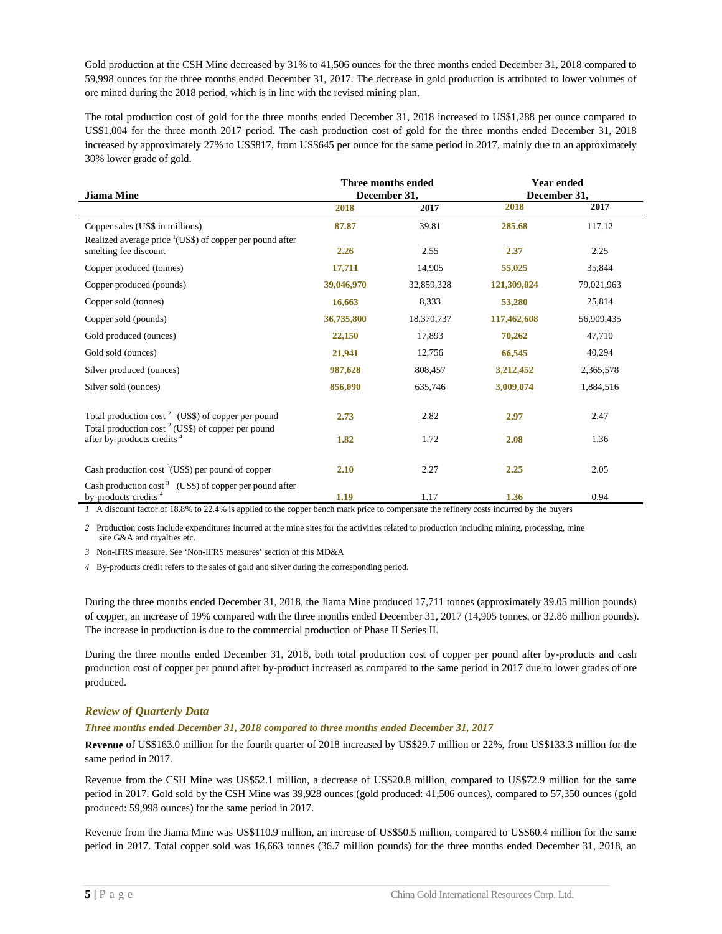Gold production at the CSH Mine decreased by 31% to 41,506 ounces for the three months ended December 31, 2018 compared to 59,998 ounces for the three months ended December 31, 2017. The decrease in gold production is attributed to lower volumes of ore mined during the 2018 period, which is in line with the revised mining plan.

The total production cost of gold for the three months ended December 31, 2018 increased to US\$1,288 per ounce compared to US\$1,004 for the three month 2017 period. The cash production cost of gold for the three months ended December 31, 2018 increased by approximately 27% to US\$817, from US\$645 per ounce for the same period in 2017, mainly due to an approximately 30% lower grade of gold.

| <b>Jiama</b> Mine                                                                                                     |            | Three months ended<br>December 31, |             | <b>Year ended</b><br>December 31, |
|-----------------------------------------------------------------------------------------------------------------------|------------|------------------------------------|-------------|-----------------------------------|
|                                                                                                                       | 2018       | 2017                               | 2018        | 2017                              |
| Copper sales (US\$ in millions)                                                                                       | 87.87      | 39.81                              | 285.68      | 117.12                            |
| Realized average price $\frac{1}{1}$ (US\$) of copper per pound after<br>smelting fee discount                        | 2.26       | 2.55                               | 2.37        | 2.25                              |
| Copper produced (tonnes)                                                                                              | 17,711     | 14,905                             | 55,025      | 35,844                            |
| Copper produced (pounds)                                                                                              | 39,046,970 | 32,859,328                         | 121,309,024 | 79,021,963                        |
| Copper sold (tonnes)                                                                                                  | 16,663     | 8,333                              | 53,280      | 25,814                            |
| Copper sold (pounds)                                                                                                  | 36,735,800 | 18,370,737                         | 117,462,608 | 56,909,435                        |
| Gold produced (ounces)                                                                                                | 22,150     | 17,893                             | 70,262      | 47,710                            |
| Gold sold (ounces)                                                                                                    | 21,941     | 12,756                             | 66,545      | 40,294                            |
| Silver produced (ounces)                                                                                              | 987,628    | 808,457                            | 3,212,452   | 2,365,578                         |
| Silver sold (ounces)                                                                                                  | 856,090    | 635,746                            | 3,009,074   | 1,884,516                         |
| Total production cost <sup>2</sup> (US\$) of copper per pound<br>Total production cost $2$ (US\$) of copper per pound | 2.73       | 2.82                               | 2.97        | 2.47                              |
| after by-products credits <sup>4</sup>                                                                                | 1.82       | 1.72                               | 2.08        | 1.36                              |
| Cash production cost ${}^{3}$ (US\$) per pound of copper                                                              | 2.10       | 2.27                               | 2.25        | 2.05                              |
| Cash production $\cos^3$ (US\$) of copper per pound after<br>by-products credits $4$                                  | 1.19       | 1.17                               | 1.36        | 0.94                              |

*1* A discount factor of 18.8% to 22.4% is applied to the copper bench mark price to compensate the refinery costs incurred by the buyers

*2* Production costs include expenditures incurred at the mine sites for the activities related to production including mining, processing, mine site G&A and royalties etc.

*3* Non-IFRS measure. See 'Non-IFRS measures' section of this MD&A

*4* By-products credit refers to the sales of gold and silver during the corresponding period.

During the three months ended December 31, 2018, the Jiama Mine produced 17,711 tonnes (approximately 39.05 million pounds) of copper, an increase of 19% compared with the three months ended December 31, 2017 (14,905 tonnes, or 32.86 million pounds). The increase in production is due to the commercial production of Phase II Series II.

During the three months ended December 31, 2018, both total production cost of copper per pound after by-products and cash production cost of copper per pound after by-product increased as compared to the same period in 2017 due to lower grades of ore produced.

#### <span id="page-6-0"></span>*Review of Quarterly Data*

#### *Three months ended December 31, 2018 compared to three months ended December 31, 2017*

**Revenue** of US\$163.0 million for the fourth quarter of 2018 increased by US\$29.7 million or 22%, from US\$133.3 million for the same period in 2017.

Revenue from the CSH Mine was US\$52.1 million, a decrease of US\$20.8 million, compared to US\$72.9 million for the same period in 2017. Gold sold by the CSH Mine was 39,928 ounces (gold produced: 41,506 ounces), compared to 57,350 ounces (gold produced: 59,998 ounces) for the same period in 2017.

Revenue from the Jiama Mine was US\$110.9 million, an increase of US\$50.5 million, compared to US\$60.4 million for the same period in 2017. Total copper sold was 16,663 tonnes (36.7 million pounds) for the three months ended December 31, 2018, an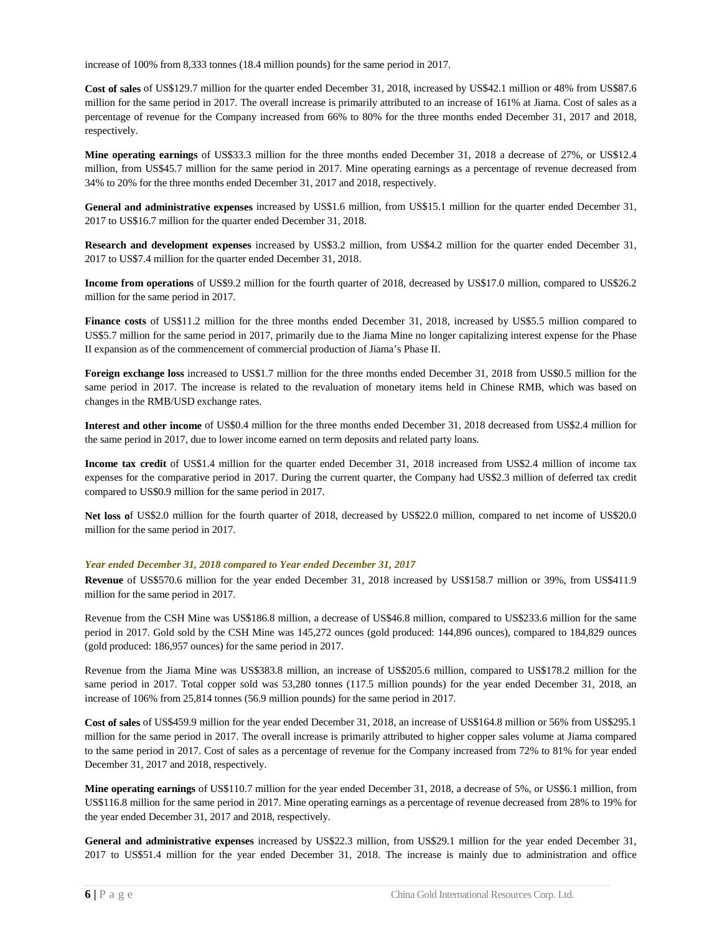increase of 100% from 8,333 tonnes (18.4 million pounds) for the same period in 2017.

**Cost of sales** of US\$129.7 million for the quarter ended December 31, 2018, increased by US\$42.1 million or 48% from US\$87.6 million for the same period in 2017. The overall increase is primarily attributed to an increase of 161% at Jiama. Cost of sales as a percentage of revenue for the Company increased from 66% to 80% for the three months ended December 31, 2017 and 2018, respectively.

**Mine operating earnings** of US\$33.3 million for the three months ended December 31, 2018 a decrease of 27%, or US\$12.4 million, from US\$45.7 million for the same period in 2017. Mine operating earnings as a percentage of revenue decreased from 34% to 20% for the three months ended December 31, 2017 and 2018, respectively.

**General and administrative expenses** increased by US\$1.6 million, from US\$15.1 million for the quarter ended December 31, 2017 to US\$16.7 million for the quarter ended December 31, 2018.

**Research and development expenses** increased by US\$3.2 million, from US\$4.2 million for the quarter ended December 31, 2017 to US\$7.4 million for the quarter ended December 31, 2018.

**Income from operations** of US\$9.2 million for the fourth quarter of 2018, decreased by US\$17.0 million, compared to US\$26.2 million for the same period in 2017.

**Finance costs** of US\$11.2 million for the three months ended December 31, 2018, increased by US\$5.5 million compared to US\$5.7 million for the same period in 2017, primarily due to the Jiama Mine no longer capitalizing interest expense for the Phase II expansion as of the commencement of commercial production of Jiama's Phase II.

**Foreign exchange loss** increased to US\$1.7 million for the three months ended December 31, 2018 from US\$0.5 million for the same period in 2017. The increase is related to the revaluation of monetary items held in Chinese RMB, which was based on changes in the RMB/USD exchange rates.

**Interest and other income** of US\$0.4 million for the three months ended December 31, 2018 decreased from US\$2.4 million for the same period in 2017, due to lower income earned on term deposits and related party loans.

**Income tax credit** of US\$1.4 million for the quarter ended December 31, 2018 increased from US\$2.4 million of income tax expenses for the comparative period in 2017. During the current quarter, the Company had US\$2.3 million of deferred tax credit compared to US\$0.9 million for the same period in 2017.

**Net loss o**f US\$2.0 million for the fourth quarter of 2018, decreased by US\$22.0 million, compared to net income of US\$20.0 million for the same period in 2017.

#### *Year ended December 31, 2018 compared to Year ended December 31, 2017*

**Revenue** of US\$570.6 million for the year ended December 31, 2018 increased by US\$158.7 million or 39%, from US\$411.9 million for the same period in 2017.

Revenue from the CSH Mine was US\$186.8 million, a decrease of US\$46.8 million, compared to US\$233.6 million for the same period in 2017. Gold sold by the CSH Mine was 145,272 ounces (gold produced: 144,896 ounces), compared to 184,829 ounces (gold produced: 186,957 ounces) for the same period in 2017.

Revenue from the Jiama Mine was US\$383.8 million, an increase of US\$205.6 million, compared to US\$178.2 million for the same period in 2017. Total copper sold was 53,280 tonnes (117.5 million pounds) for the year ended December 31, 2018, an increase of 106% from 25,814 tonnes (56.9 million pounds) for the same period in 2017.

**Cost of sales** of US\$459.9 million for the year ended December 31, 2018, an increase of US\$164.8 million or 56% from US\$295.1 million for the same period in 2017. The overall increase is primarily attributed to higher copper sales volume at Jiama compared to the same period in 2017. Cost of sales as a percentage of revenue for the Company increased from 72% to 81% for year ended December 31, 2017 and 2018, respectively.

**Mine operating earnings** of US\$110.7 million for the year ended December 31, 2018, a decrease of 5%, or US\$6.1 million, from US\$116.8 million for the same period in 2017. Mine operating earnings as a percentage of revenue decreased from 28% to 19% for the year ended December 31, 2017 and 2018, respectively.

**General and administrative expenses** increased by US\$22.3 million, from US\$29.1 million for the year ended December 31, 2017 to US\$51.4 million for the year ended December 31, 2018. The increase is mainly due to administration and office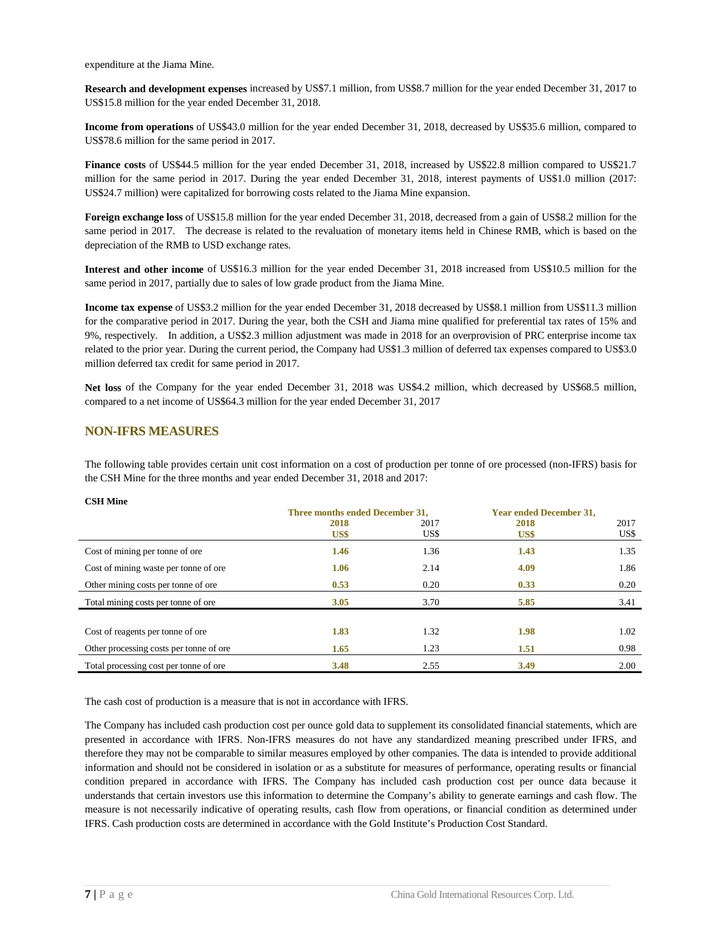expenditure at the Jiama Mine.

**Research and development expenses** increased by US\$7.1 million, from US\$8.7 million for the year ended December 31, 2017 to US\$15.8 million for the year ended December 31, 2018.

**Income from operations** of US\$43.0 million for the year ended December 31, 2018, decreased by US\$35.6 million, compared to US\$78.6 million for the same period in 2017.

**Finance costs** of US\$44.5 million for the year ended December 31, 2018, increased by US\$22.8 million compared to US\$21.7 million for the same period in 2017. During the year ended December 31, 2018, interest payments of US\$1.0 million (2017: US\$24.7 million) were capitalized for borrowing costs related to the Jiama Mine expansion.

**Foreign exchange loss** of US\$15.8 million for the year ended December 31, 2018, decreased from a gain of US\$8.2 million for the same period in 2017. The decrease is related to the revaluation of monetary items held in Chinese RMB, which is based on the depreciation of the RMB to USD exchange rates.

**Interest and other income** of US\$16.3 million for the year ended December 31, 2018 increased from US\$10.5 million for the same period in 2017, partially due to sales of low grade product from the Jiama Mine.

**Income tax expense** of US\$3.2 million for the year ended December 31, 2018 decreased by US\$8.1 million from US\$11.3 million for the comparative period in 2017. During the year, both the CSH and Jiama mine qualified for preferential tax rates of 15% and 9%, respectively. In addition, a US\$2.3 million adjustment was made in 2018 for an overprovision of PRC enterprise income tax related to the prior year. During the current period, the Company had US\$1.3 million of deferred tax expenses compared to US\$3.0 million deferred tax credit for same period in 2017.

**Net loss** of the Company for the year ended December 31, 2018 was US\$4.2 million, which decreased by US\$68.5 million, compared to a net income of US\$64.3 million for the year ended December 31, 2017

### <span id="page-8-0"></span>**NON-IFRS MEASURES**

**CSH Mine**

The following table provides certain unit cost information on a cost of production per tonne of ore processed (non-IFRS) basis for the CSH Mine for the three months and year ended December 31, 2018 and 2017:

| <b>CSH Mine</b>                         |                                 |      |                                |      |  |  |  |
|-----------------------------------------|---------------------------------|------|--------------------------------|------|--|--|--|
|                                         | Three months ended December 31, |      | <b>Year ended December 31,</b> |      |  |  |  |
|                                         | 2018                            | 2017 | 2018                           | 2017 |  |  |  |
|                                         | US\$                            | US\$ | US\$                           | US\$ |  |  |  |
| Cost of mining per tonne of ore         | 1.46                            | 1.36 | 1.43                           | 1.35 |  |  |  |
| Cost of mining waste per tonne of ore   | 1.06                            | 2.14 | 4.09                           | 1.86 |  |  |  |
| Other mining costs per tonne of ore.    | 0.53                            | 0.20 | 0.33                           | 0.20 |  |  |  |
| Total mining costs per tonne of ore.    | 3.05                            | 3.70 | 5.85                           | 3.41 |  |  |  |
|                                         |                                 |      |                                |      |  |  |  |
| Cost of reagents per tonne of ore       | 1.83                            | 1.32 | 1.98                           | 1.02 |  |  |  |
| Other processing costs per tonne of ore | 1.65                            | 1.23 | 1.51                           | 0.98 |  |  |  |
| Total processing cost per tonne of ore  | 3.48                            | 2.55 | 3.49                           | 2.00 |  |  |  |

The cash cost of production is a measure that is not in accordance with IFRS.

The Company has included cash production cost per ounce gold data to supplement its consolidated financial statements, which are presented in accordance with IFRS. Non-IFRS measures do not have any standardized meaning prescribed under IFRS, and therefore they may not be comparable to similar measures employed by other companies. The data is intended to provide additional information and should not be considered in isolation or as a substitute for measures of performance, operating results or financial condition prepared in accordance with IFRS. The Company has included cash production cost per ounce data because it understands that certain investors use this information to determine the Company's ability to generate earnings and cash flow. The measure is not necessarily indicative of operating results, cash flow from operations, or financial condition as determined under IFRS. Cash production costs are determined in accordance with the Gold Institute's Production Cost Standard.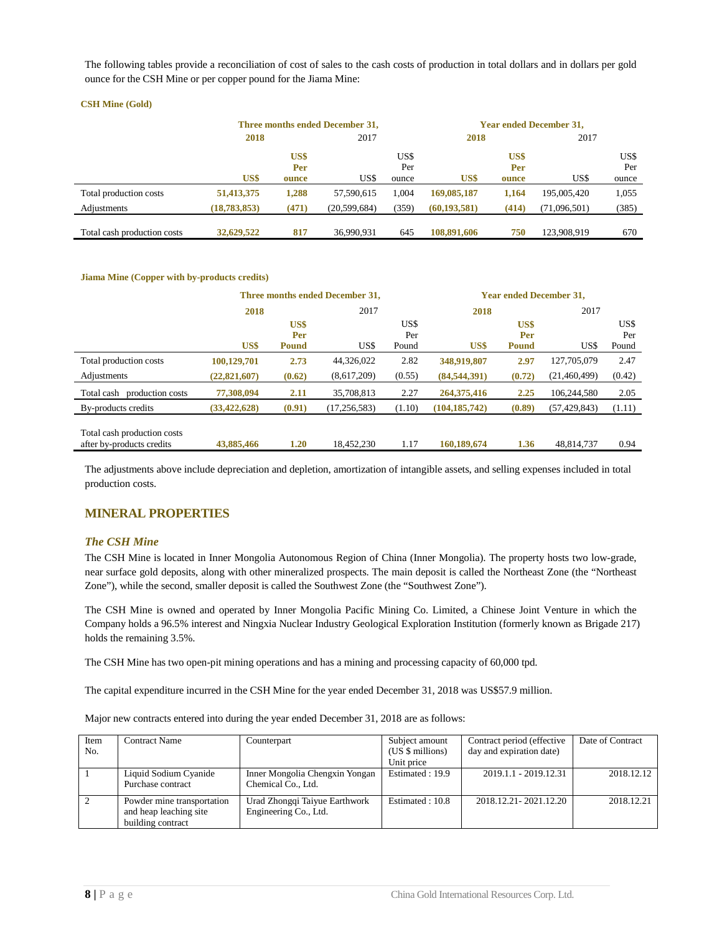The following tables provide a reconciliation of cost of sales to the cash costs of production in total dollars and in dollars per gold ounce for the CSH Mine or per copper pound for the Jiama Mine:

#### **CSH Mine (Gold)**

|                             | Three months ended December 31, |       |                |       | <b>Year ended December 31,</b> |       |              |       |
|-----------------------------|---------------------------------|-------|----------------|-------|--------------------------------|-------|--------------|-------|
|                             | 2018                            |       | 2017           |       | 2018                           |       | 2017         |       |
|                             |                                 | US\$  |                | US\$  |                                | US\$  |              | US\$  |
|                             |                                 | Per   |                | Per   |                                | Per   |              | Per   |
|                             | US\$                            | ounce | US\$           | ounce | US\$                           | ounce | US\$         | ounce |
| Total production costs      | 51,413,375                      | 1,288 | 57.590.615     | 1.004 | 169,085,187                    | 1.164 | 195,005,420  | 1,055 |
| Adjustments                 | (18, 783, 853)                  | (471) | (20, 599, 684) | (359) | (60, 193, 581)                 | (414) | (71,096,501) | (385) |
|                             |                                 |       |                |       |                                |       |              |       |
| Total cash production costs | 32,629,522                      | 817   | 36,990.931     | 645   | 108,891,606                    | 750   | 123,908,919  | 670   |

#### **Jiama Mine (Copper with by-products credits)**

|                                                          | Three months ended December 31, |              |              |        | <b>Year ended December 31.</b> |              |                |        |
|----------------------------------------------------------|---------------------------------|--------------|--------------|--------|--------------------------------|--------------|----------------|--------|
|                                                          | 2018                            |              | 2017         |        | 2018                           |              | 2017           |        |
|                                                          |                                 | US\$         |              | US\$   |                                | US\$         |                | US\$   |
|                                                          |                                 | Per          |              | Per    |                                | Per          |                | Per    |
|                                                          | US\$                            | <b>Pound</b> | US\$         | Pound  | US\$                           | <b>Pound</b> | US\$           | Pound  |
| Total production costs                                   | 100,129,701                     | 2.73         | 44,326,022   | 2.82   | 348,919,807                    | 2.97         | 127,705,079    | 2.47   |
| Adjustments                                              | (22, 821, 607)                  | (0.62)       | (8,617,209)  | (0.55) | (84,544,391)                   | (0.72)       | (21,460,499)   | (0.42) |
| production costs<br>Total cash                           | 77,308,094                      | 2.11         | 35,708,813   | 2.27   | 264,375,416                    | 2.25         | 106,244,580    | 2.05   |
| By-products credits                                      | (33, 422, 628)                  | (0.91)       | (17,256,583) | (1.10) | (104, 185, 742)                | (0.89)       | (57, 429, 843) | (1.11) |
| Total cash production costs<br>after by-products credits | 43,885,466                      | 1.20         | 18.452.230   | 1.17   | 160.189.674                    | 1.36         | 48.814.737     | 0.94   |

The adjustments above include depreciation and depletion, amortization of intangible assets, and selling expenses included in total production costs.

#### <span id="page-9-0"></span>**MINERAL PROPERTIES**

#### <span id="page-9-1"></span>*The CSH Mine*

The CSH Mine is located in Inner Mongolia Autonomous Region of China (Inner Mongolia). The property hosts two low-grade, near surface gold deposits, along with other mineralized prospects. The main deposit is called the Northeast Zone (the "Northeast Zone"), while the second, smaller deposit is called the Southwest Zone (the "Southwest Zone").

The CSH Mine is owned and operated by Inner Mongolia Pacific Mining Co. Limited, a Chinese Joint Venture in which the Company holds a 96.5% interest and Ningxia Nuclear Industry Geological Exploration Institution (formerly known as Brigade 217) holds the remaining 3.5%.

The CSH Mine has two open-pit mining operations and has a mining and processing capacity of 60,000 tpd.

The capital expenditure incurred in the CSH Mine for the year ended December 31, 2018 was US\$57.9 million.

Major new contracts entered into during the year ended December 31, 2018 are as follows:

| Item<br>No.    | <b>Contract Name</b>                                                      | Counterpart                                            | Subject amount<br>(US \$ millions)<br>Unit price | Contract period (effective<br>day and expiration date) | Date of Contract |
|----------------|---------------------------------------------------------------------------|--------------------------------------------------------|--------------------------------------------------|--------------------------------------------------------|------------------|
|                | Liquid Sodium Cyanide<br>Purchase contract                                | Inner Mongolia Chengxin Yongan<br>Chemical Co., Ltd.   | Estimated: 19.9                                  | 2019.1.1 - 2019.12.31                                  | 2018.12.12       |
| $\overline{2}$ | Powder mine transportation<br>and heap leaching site<br>building contract | Urad Zhongqi Taiyue Earthwork<br>Engineering Co., Ltd. | Estimated: 10.8                                  | 2018.12.21 - 2021.12.20                                | 2018.12.21       |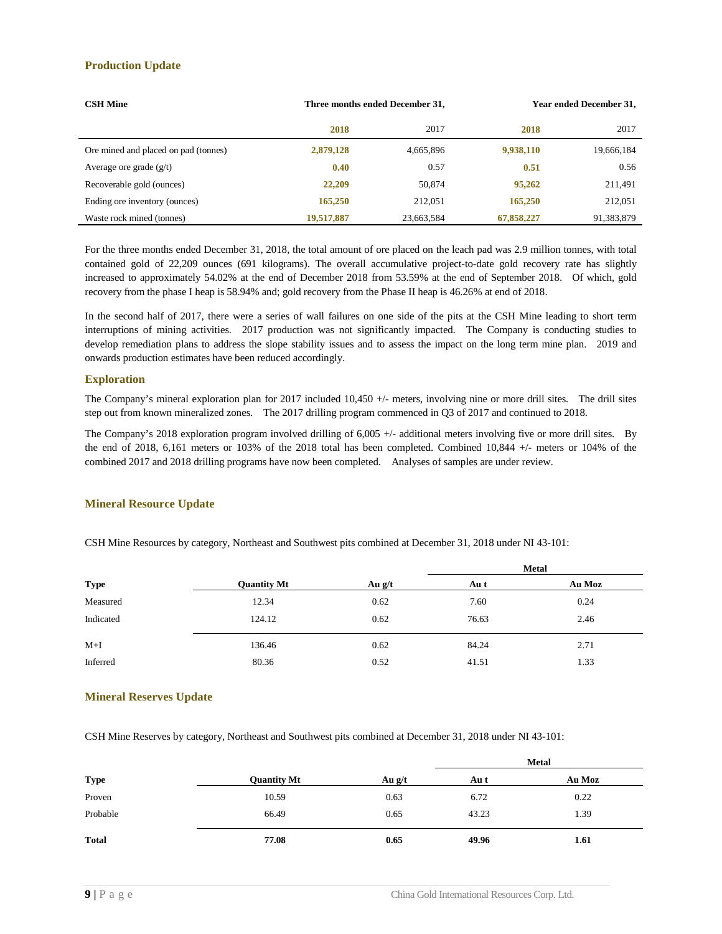#### **Production Update**

| <b>CSH Mine</b>                      |            | Three months ended December 31, |            | Year ended December 31, |
|--------------------------------------|------------|---------------------------------|------------|-------------------------|
|                                      | 2018       | 2017                            | 2018       | 2017                    |
| Ore mined and placed on pad (tonnes) | 2,879,128  | 4,665,896                       | 9,938,110  | 19,666,184              |
| Average ore grade $(g/t)$            | 0.40       | 0.57                            | 0.51       | 0.56                    |
| Recoverable gold (ounces)            | 22,209     | 50.874                          | 95,262     | 211,491                 |
| Ending ore inventory (ounces)        | 165,250    | 212,051                         | 165,250    | 212,051                 |
| Waste rock mined (tonnes)            | 19,517,887 | 23,663,584                      | 67,858,227 | 91,383,879              |

For the three months ended December 31, 2018, the total amount of ore placed on the leach pad was 2.9 million tonnes, with total contained gold of 22,209 ounces (691 kilograms). The overall accumulative project-to-date gold recovery rate has slightly increased to approximately 54.02% at the end of December 2018 from 53.59% at the end of September 2018. Of which, gold recovery from the phase I heap is 58.94% and; gold recovery from the Phase II heap is 46.26% at end of 2018.

In the second half of 2017, there were a series of wall failures on one side of the pits at the CSH Mine leading to short term interruptions of mining activities. 2017 production was not significantly impacted. The Company is conducting studies to develop remediation plans to address the slope stability issues and to assess the impact on the long term mine plan. 2019 and onwards production estimates have been reduced accordingly.

#### **Exploration**

The Company's mineral exploration plan for 2017 included 10,450 +/- meters, involving nine or more drill sites. The drill sites step out from known mineralized zones. The 2017 drilling program commenced in Q3 of 2017 and continued to 2018.

The Company's 2018 exploration program involved drilling of 6,005 +/- additional meters involving five or more drill sites. By the end of 2018, 6,161 meters or 103% of the 2018 total has been completed. Combined 10,844 +/- meters or 104% of the combined 2017 and 2018 drilling programs have now been completed. Analyses of samples are under review.

#### **Mineral Resource Update**

CSH Mine Resources by category, Northeast and Southwest pits combined at December 31, 2018 under NI 43-101:

|             |                    |          |       | <b>Metal</b> |
|-------------|--------------------|----------|-------|--------------|
| <b>Type</b> | <b>Quantity Mt</b> | Au $g/t$ | Au t  | Au Moz       |
| Measured    | 12.34              | 0.62     | 7.60  | 0.24         |
| Indicated   | 124.12             | 0.62     | 76.63 | 2.46         |
| $M+I$       | 136.46             | 0.62     | 84.24 | 2.71         |
| Inferred    | 80.36              | 0.52     | 41.51 | 1.33         |

#### **Mineral Reserves Update**

CSH Mine Reserves by category, Northeast and Southwest pits combined at December 31, 2018 under NI 43-101:

|              |                    |          |       | <b>Metal</b> |  |
|--------------|--------------------|----------|-------|--------------|--|
| <b>Type</b>  | <b>Quantity Mt</b> | Au $g/t$ | Au t  | Au Moz       |  |
| Proven       | 10.59              | 0.63     | 6.72  | 0.22         |  |
| Probable     | 66.49              | 0.65     | 43.23 | 1.39         |  |
| <b>Total</b> | 77.08              | 0.65     | 49.96 | 1.61         |  |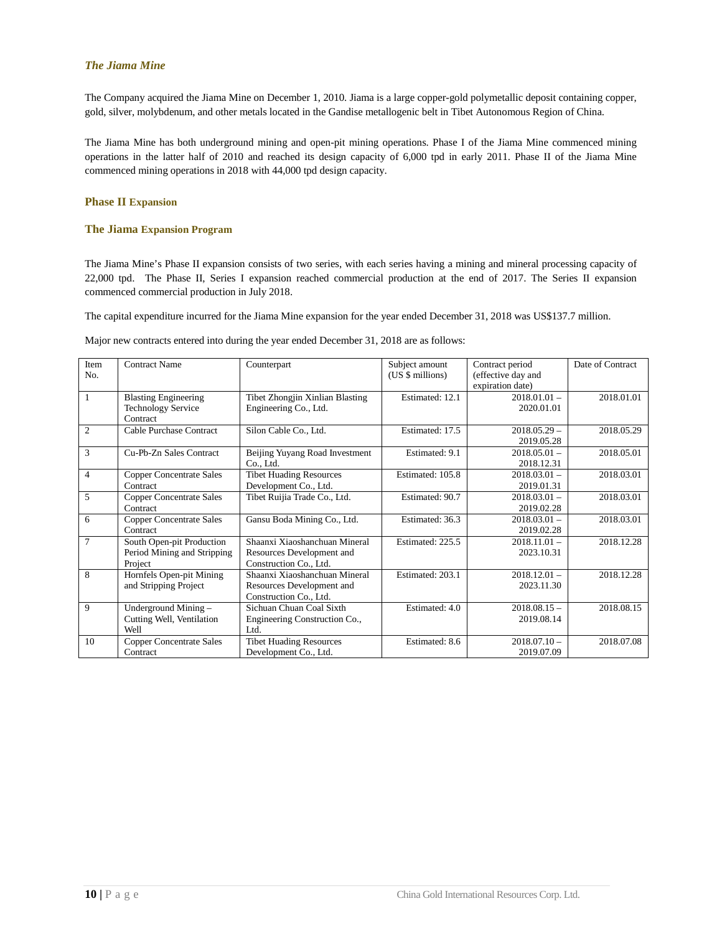#### <span id="page-11-0"></span>*The Jiama Mine*

The Company acquired the Jiama Mine on December 1, 2010. Jiama is a large copper-gold polymetallic deposit containing copper, gold, silver, molybdenum, and other metals located in the Gandise metallogenic belt in Tibet Autonomous Region of China.

The Jiama Mine has both underground mining and open-pit mining operations. Phase I of the Jiama Mine commenced mining operations in the latter half of 2010 and reached its design capacity of 6,000 tpd in early 2011. Phase II of the Jiama Mine commenced mining operations in 2018 with 44,000 tpd design capacity.

#### **Phase II Expansion**

#### **The Jiama Expansion Program**

The Jiama Mine's Phase II expansion consists of two series, with each series having a mining and mineral processing capacity of 22,000 tpd. The Phase II, Series I expansion reached commercial production at the end of 2017. The Series II expansion commenced commercial production in July 2018.

The capital expenditure incurred for the Jiama Mine expansion for the year ended December 31, 2018 was US\$137.7 million.

Major new contracts entered into during the year ended December 31, 2018 are as follows:

| Item           | <b>Contract Name</b>            | Counterpart                     | Subject amount   | Contract period    | Date of Contract |
|----------------|---------------------------------|---------------------------------|------------------|--------------------|------------------|
| No.            |                                 |                                 | (US \$ millions) | (effective day and |                  |
|                |                                 |                                 |                  | expiration date)   |                  |
| $\mathbf{1}$   | <b>Blasting Engineering</b>     | Tibet Zhongjin Xinlian Blasting | Estimated: 12.1  | $2018.01.01 -$     | 2018.01.01       |
|                | <b>Technology Service</b>       | Engineering Co., Ltd.           |                  | 2020.01.01         |                  |
|                | Contract                        |                                 |                  |                    |                  |
| $\overline{2}$ | Cable Purchase Contract         | Silon Cable Co., Ltd.           | Estimated: 17.5  | $2018.05.29 -$     | 2018.05.29       |
|                |                                 |                                 |                  | 2019.05.28         |                  |
| 3              | Cu-Pb-Zn Sales Contract         | Beijing Yuyang Road Investment  | Estimated: 9.1   | $2018.05.01 -$     | 2018.05.01       |
|                |                                 | Co., Ltd.                       |                  | 2018.12.31         |                  |
| $\overline{4}$ | <b>Copper Concentrate Sales</b> | <b>Tibet Huading Resources</b>  | Estimated: 105.8 | $2018.03.01 -$     | 2018.03.01       |
|                | Contract                        | Development Co., Ltd.           |                  | 2019.01.31         |                  |
| 5              | <b>Copper Concentrate Sales</b> | Tibet Ruijia Trade Co., Ltd.    | Estimated: 90.7  | $2018.03.01 -$     | 2018.03.01       |
|                | Contract                        |                                 |                  | 2019.02.28         |                  |
| 6              | <b>Copper Concentrate Sales</b> | Gansu Boda Mining Co., Ltd.     | Estimated: 36.3  | $2018.03.01 -$     | 2018.03.01       |
|                | Contract                        |                                 |                  | 2019.02.28         |                  |
| $\overline{7}$ | South Open-pit Production       | Shaanxi Xiaoshanchuan Mineral   | Estimated: 225.5 | $2018.11.01 -$     | 2018.12.28       |
|                | Period Mining and Stripping     | Resources Development and       |                  | 2023.10.31         |                  |
|                | Project                         | Construction Co., Ltd.          |                  |                    |                  |
| 8              | Hornfels Open-pit Mining        | Shaanxi Xiaoshanchuan Mineral   | Estimated: 203.1 | $2018.12.01 -$     | 2018.12.28       |
|                | and Stripping Project           | Resources Development and       |                  | 2023.11.30         |                  |
|                |                                 | Construction Co., Ltd.          |                  |                    |                  |
| 9              | Underground Mining -            | Sichuan Chuan Coal Sixth        | Estimated: 4.0   | $2018.08.15 -$     | 2018.08.15       |
|                | Cutting Well, Ventilation       | Engineering Construction Co.,   |                  | 2019.08.14         |                  |
|                | Well                            | Ltd.                            |                  |                    |                  |
| 10             | <b>Copper Concentrate Sales</b> | <b>Tibet Huading Resources</b>  | Estimated: 8.6   | $2018.07.10 -$     | 2018.07.08       |
|                | Contract                        | Development Co., Ltd.           |                  | 2019.07.09         |                  |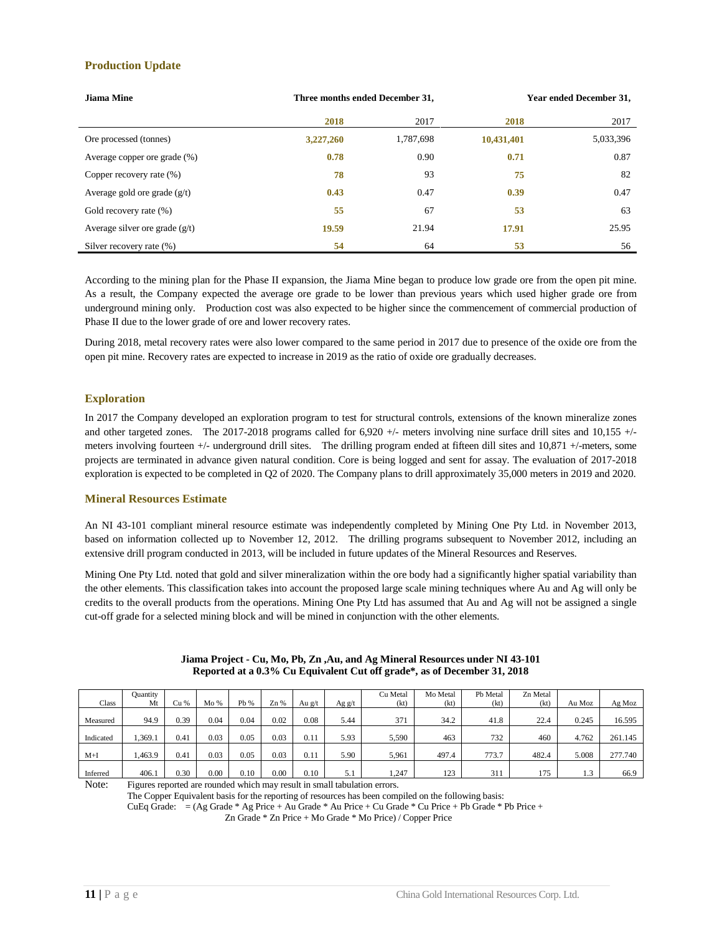#### **Production Update**

| Jiama Mine                       |           | Three months ended December 31, |            | Year ended December 31, |
|----------------------------------|-----------|---------------------------------|------------|-------------------------|
|                                  | 2018      | 2017                            | 2018       | 2017                    |
| Ore processed (tonnes)           | 3,227,260 | 1,787,698                       | 10,431,401 | 5,033,396               |
| Average copper ore grade (%)     | 0.78      | 0.90                            | 0.71       | 0.87                    |
| Copper recovery rate (%)         | 78        | 93                              | 75         | 82                      |
| Average gold ore grade $(g/t)$   | 0.43      | 0.47                            | 0.39       | 0.47                    |
| Gold recovery rate (%)           | 55        | 67                              | 53         | 63                      |
| Average silver ore grade $(g/t)$ | 19.59     | 21.94                           | 17.91      | 25.95                   |
| Silver recovery rate (%)         | 54        | 64                              | 53         | 56                      |

According to the mining plan for the Phase II expansion, the Jiama Mine began to produce low grade ore from the open pit mine. As a result, the Company expected the average ore grade to be lower than previous years which used higher grade ore from underground mining only. Production cost was also expected to be higher since the commencement of commercial production of Phase II due to the lower grade of ore and lower recovery rates.

During 2018, metal recovery rates were also lower compared to the same period in 2017 due to presence of the oxide ore from the open pit mine. Recovery rates are expected to increase in 2019 as the ratio of oxide ore gradually decreases.

#### **Exploration**

In 2017 the Company developed an exploration program to test for structural controls, extensions of the known mineralize zones and other targeted zones. The 2017-2018 programs called for 6,920 +/- meters involving nine surface drill sites and 10,155 +/ meters involving fourteen +/- underground drill sites. The drilling program ended at fifteen dill sites and 10,871 +/-meters, some projects are terminated in advance given natural condition. Core is being logged and sent for assay. The evaluation of 2017-2018 exploration is expected to be completed in Q2 of 2020. The Company plans to drill approximately 35,000 meters in 2019 and 2020.

#### **Mineral Resources Estimate**

An NI 43-101 compliant mineral resource estimate was independently completed by Mining One Pty Ltd. in November 2013, based on information collected up to November 12, 2012. The drilling programs subsequent to November 2012, including an extensive drill program conducted in 2013, will be included in future updates of the Mineral Resources and Reserves.

Mining One Pty Ltd. noted that gold and silver mineralization within the ore body had a significantly higher spatial variability than the other elements. This classification takes into account the proposed large scale mining techniques where Au and Ag will only be credits to the overall products from the operations. Mining One Pty Ltd has assumed that Au and Ag will not be assigned a single cut-off grade for a selected mining block and will be mined in conjunction with the other elements.

|           | Quantity |      |      |      |      |          |          | Cu Metal | Mo Metal | Pb Metal | Zn Metal |        |         |
|-----------|----------|------|------|------|------|----------|----------|----------|----------|----------|----------|--------|---------|
| Class     | Mt       | Cu % | Mo%  | Pb % | Zn % | Au $g/t$ | Ag $g/t$ | (kt)     | (kt)     | (kt)     | (kt)     | Au Moz | Ag Moz  |
|           |          |      |      |      |      |          |          |          |          |          |          |        |         |
| Measured  | 94.9     | 0.39 | 0.04 | 0.04 | 0.02 | 0.08     | 5.44     | 371      | 34.2     | 41.8     | 22.4     | 0.245  | 16.595  |
|           |          |      |      |      |      |          |          |          |          |          |          |        |         |
| Indicated | 1.369.1  | 0.41 | 0.03 | 0.05 | 0.03 | 0.11     | 5.93     | 5,590    | 463      | 732      | 460      | 4.762  | 261.145 |
|           |          |      |      |      |      |          |          |          |          |          |          |        |         |
| $M+I$     | 1,463.9  | 0.41 | 0.03 | 0.05 | 0.03 | 0.11     | 5.90     | 5,961    | 497.4    | 773.7    | 482.4    | 5.008  | 277.740 |
|           |          |      |      |      |      |          |          |          |          |          |          |        |         |
| Inferred  | 406.1    | 0.30 | 0.00 | 0.10 | 0.00 | 0.10     | 5.1      | .247     | 123      | 311      | 175      | 1.3    | 66.9    |

**Jiama Project - Cu, Mo, Pb, Zn ,Au, and Ag Mineral Resources under NI 43-101 Reported at a 0.3% Cu Equivalent Cut off grade\*, as of December 31, 2018**

Note: Figures reported are rounded which may result in small tabulation errors.

The Copper Equivalent basis for the reporting of resources has been compiled on the following basis:

CuEq Grade: = (Ag Grade \* Ag Price + Au Grade \* Au Price + Cu Grade \* Cu Price + Pb Grade \* Pb Price +

Zn Grade \* Zn Price + Mo Grade \* Mo Price) / Copper Price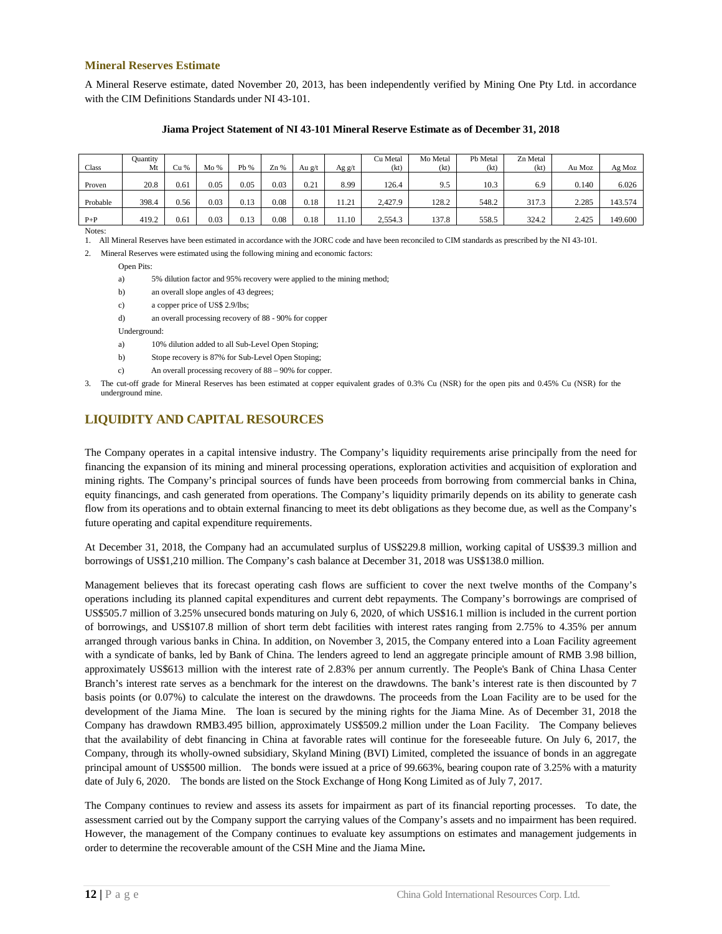#### **Mineral Reserves Estimate**

A Mineral Reserve estimate, dated November 20, 2013, has been independently verified by Mining One Pty Ltd. in accordance with the CIM Definitions Standards under NI 43-101.

| Class    | Quantity<br>Mt | Cu % | Mo%  | Pb % | Zn%  | Au g/t | Ag g/t | Cu Metal<br>(kt) | Mo Metal<br>(kt) | Pb Metal<br>(kt) | Zn Metal<br>(kt) | Au Moz | Ag Moz  |
|----------|----------------|------|------|------|------|--------|--------|------------------|------------------|------------------|------------------|--------|---------|
| Proven   | 20.8           | 0.61 | 0.05 | 0.05 | 0.03 | 0.21   | 8.99   | 126.4            | 9.5              | 10.3             | 6.9              | 0.140  | 6.026   |
| Probable | 398.4          | 0.56 | 0.03 | 0.13 | 0.08 | 0.18   | 11.21  | 2.427.9          | 128.2            | 548.2            | 317.3            | 2.285  | 143.574 |
| $P + P$  | 419.2          | 0.61 | 0.03 | 0.13 | 0.08 | 0.18   | 1.10   | 2,554.3          | 137.8            | 558.5            | 324.2            | 2.425  | 149.600 |

#### **Jiama Project Statement of NI 43-101 Mineral Reserve Estimate as of December 31, 2018**

1. All Mineral Reserves have been estimated in accordance with the JORC code and have been reconciled to CIM standards as prescribed by the NI 43-101.

2. Mineral Reserves were estimated using the following mining and economic factors:

Open Pits:

Notes:

a) 5% dilution factor and 95% recovery were applied to the mining method;

- b) an overall slope angles of 43 degrees;
- c) a copper price of US\$ 2.9/lbs;
- d) an overall processing recovery of 88 90% for copper

Underground:

- a) 10% dilution added to all Sub-Level Open Stoping;
- b) Stope recovery is 87% for Sub-Level Open Stoping;
- c) An overall processing recovery of 88 90% for copper.

3. The cut-off grade for Mineral Reserves has been estimated at copper equivalent grades of 0.3% Cu (NSR) for the open pits and 0.45% Cu (NSR) for the underground mine.

### <span id="page-13-0"></span>**LIQUIDITY AND CAPITAL RESOURCES**

The Company operates in a capital intensive industry. The Company's liquidity requirements arise principally from the need for financing the expansion of its mining and mineral processing operations, exploration activities and acquisition of exploration and mining rights. The Company's principal sources of funds have been proceeds from borrowing from commercial banks in China, equity financings, and cash generated from operations. The Company's liquidity primarily depends on its ability to generate cash flow from its operations and to obtain external financing to meet its debt obligations as they become due, as well as the Company's future operating and capital expenditure requirements.

At December 31, 2018, the Company had an accumulated surplus of US\$229.8 million, working capital of US\$39.3 million and borrowings of US\$1,210 million. The Company's cash balance at December 31, 2018 was US\$138.0 million.

Management believes that its forecast operating cash flows are sufficient to cover the next twelve months of the Company's operations including its planned capital expenditures and current debt repayments. The Company's borrowings are comprised of US\$505.7 million of 3.25% unsecured bonds maturing on July 6, 2020, of which US\$16.1 million is included in the current portion of borrowings, and US\$107.8 million of short term debt facilities with interest rates ranging from 2.75% to 4.35% per annum arranged through various banks in China. In addition, on November 3, 2015, the Company entered into a Loan Facility agreement with a syndicate of banks, led by Bank of China. The lenders agreed to lend an aggregate principle amount of RMB 3.98 billion, approximately US\$613 million with the interest rate of 2.83% per annum currently. The People's Bank of China Lhasa Center Branch's interest rate serves as a benchmark for the interest on the drawdowns. The bank's interest rate is then discounted by 7 basis points (or 0.07%) to calculate the interest on the drawdowns. The proceeds from the Loan Facility are to be used for the development of the Jiama Mine. The loan is secured by the mining rights for the Jiama Mine. As of December 31, 2018 the Company has drawdown RMB3.495 billion, approximately US\$509.2 million under the Loan Facility. The Company believes that the availability of debt financing in China at favorable rates will continue for the foreseeable future. On July 6, 2017, the Company, through its wholly-owned subsidiary, Skyland Mining (BVI) Limited, completed the issuance of bonds in an aggregate principal amount of US\$500 million. The bonds were issued at a price of 99.663%, bearing coupon rate of 3.25% with a maturity date of July 6, 2020. The bonds are listed on the Stock Exchange of Hong Kong Limited as of July 7, 2017.

The Company continues to review and assess its assets for impairment as part of its financial reporting processes. To date, the assessment carried out by the Company support the carrying values of the Company's assets and no impairment has been required. However, the management of the Company continues to evaluate key assumptions on estimates and management judgements in order to determine the recoverable amount of the CSH Mine and the Jiama Mine**.**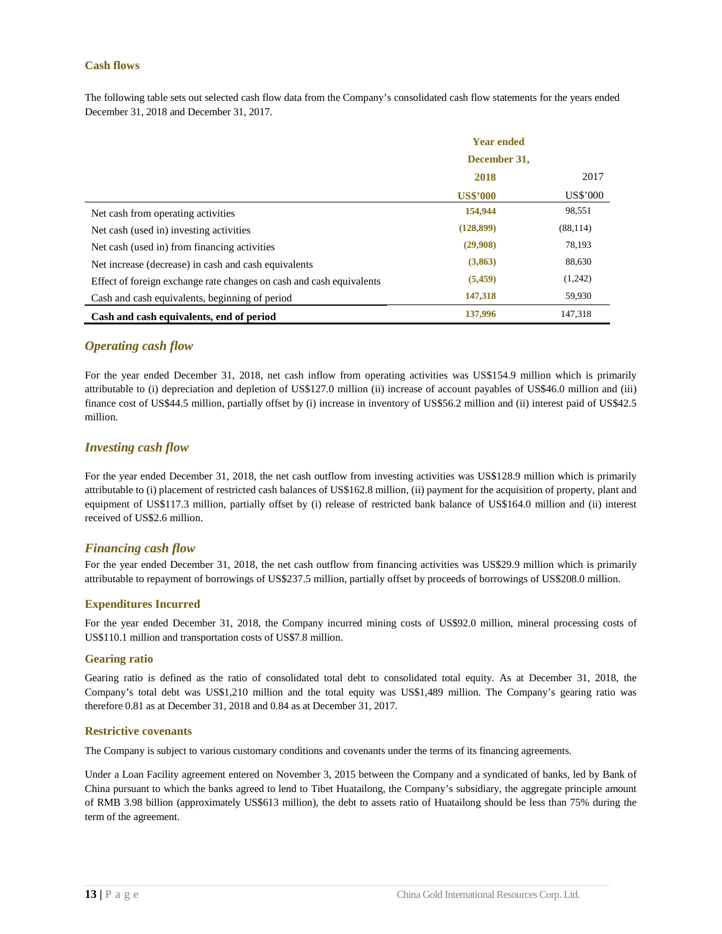#### <span id="page-14-0"></span>**Cash flows**

The following table sets out selected cash flow data from the Company's consolidated cash flow statements for the years ended December 31, 2018 and December 31, 2017.

|                                                                      | <b>Year ended</b> |           |  |  |
|----------------------------------------------------------------------|-------------------|-----------|--|--|
|                                                                      | December 31,      |           |  |  |
|                                                                      | 2018              | 2017      |  |  |
|                                                                      | <b>US\$'000</b>   | US\$'000  |  |  |
| Net cash from operating activities                                   | 154,944           | 98,551    |  |  |
| Net cash (used in) investing activities                              | (128, 899)        | (88, 114) |  |  |
| Net cash (used in) from financing activities                         | (29,908)          | 78,193    |  |  |
| Net increase (decrease) in cash and cash equivalents                 | (3,863)           | 88,630    |  |  |
| Effect of foreign exchange rate changes on cash and cash equivalents | (5,459)           | (1,242)   |  |  |
| Cash and cash equivalents, beginning of period                       | 147,318           | 59,930    |  |  |
| Cash and cash equivalents, end of period                             | 137,996           | 147,318   |  |  |

#### <span id="page-14-1"></span>*Operating cash flow*

For the year ended December 31, 2018, net cash inflow from operating activities was US\$154.9 million which is primarily attributable to (i) depreciation and depletion of US\$127.0 million (ii) increase of account payables of US\$46.0 million and (iii) finance cost of US\$44.5 million, partially offset by (i) increase in inventory of US\$56.2 million and (ii) interest paid of US\$42.5 million.

#### <span id="page-14-2"></span>*Investing cash flow*

For the year ended December 31, 2018, the net cash outflow from investing activities was US\$128.9 million which is primarily attributable to (i) placement of restricted cash balances of US\$162.8 million, (ii) payment for the acquisition of property, plant and equipment of US\$117.3 million, partially offset by (i) release of restricted bank balance of US\$164.0 million and (ii) interest received of US\$2.6 million.

#### <span id="page-14-3"></span>*Financing cash flow*

For the year ended December 31, 2018, the net cash outflow from financing activities was US\$29.9 million which is primarily attributable to repayment of borrowings of US\$237.5 million, partially offset by proceeds of borrowings of US\$208.0 million.

#### **Expenditures Incurred**

For the year ended December 31, 2018, the Company incurred mining costs of US\$92.0 million, mineral processing costs of US\$110.1 million and transportation costs of US\$7.8 million.

#### **Gearing ratio**

Gearing ratio is defined as the ratio of consolidated total debt to consolidated total equity. As at December 31, 2018, the Company's total debt was US\$1,210 million and the total equity was US\$1,489 million. The Company's gearing ratio was therefore 0.81 as at December 31, 2018 and 0.84 as at December 31, 2017.

#### **Restrictive covenants**

The Company is subject to various customary conditions and covenants under the terms of its financing agreements.

Under a Loan Facility agreement entered on November 3, 2015 between the Company and a syndicated of banks, led by Bank of China pursuant to which the banks agreed to lend to Tibet Huatailong, the Company's subsidiary, the aggregate principle amount of RMB 3.98 billion (approximately US\$613 million), the debt to assets ratio of Huatailong should be less than 75% during the term of the agreement.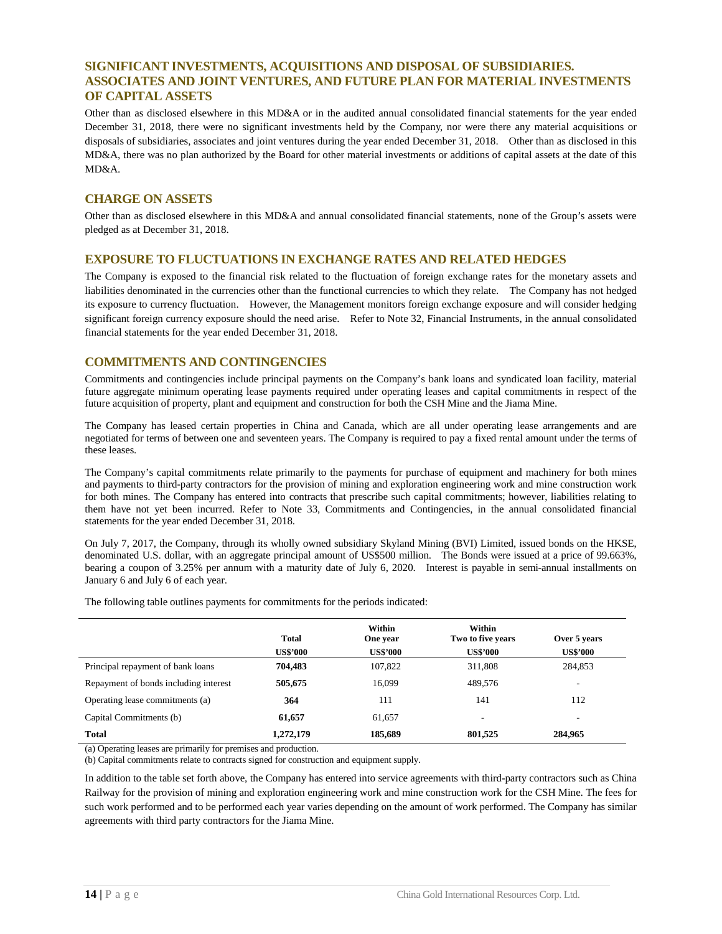#### <span id="page-15-0"></span>**SIGNIFICANT INVESTMENTS, ACQUISITIONS AND DISPOSAL OF SUBSIDIARIES. ASSOCIATES AND JOINT VENTURES, AND FUTURE PLAN FOR MATERIAL INVESTMENTS OF CAPITAL ASSETS**

Other than as disclosed elsewhere in this MD&A or in the audited annual consolidated financial statements for the year ended December 31, 2018, there were no significant investments held by the Company, nor were there any material acquisitions or disposals of subsidiaries, associates and joint ventures during the year ended December 31, 2018. Other than as disclosed in this MD&A, there was no plan authorized by the Board for other material investments or additions of capital assets at the date of this MD&A.

#### <span id="page-15-1"></span>**CHARGE ON ASSETS**

Other than as disclosed elsewhere in this MD&A and annual consolidated financial statements, none of the Group's assets were pledged as at December 31, 2018.

#### <span id="page-15-2"></span>**EXPOSURE TO FLUCTUATIONS IN EXCHANGE RATES AND RELATED HEDGES**

The Company is exposed to the financial risk related to the fluctuation of foreign exchange rates for the monetary assets and liabilities denominated in the currencies other than the functional currencies to which they relate. The Company has not hedged its exposure to currency fluctuation. However, the Management monitors foreign exchange exposure and will consider hedging significant foreign currency exposure should the need arise. Refer to Note 32, Financial Instruments, in the annual consolidated financial statements for the year ended December 31, 2018.

#### <span id="page-15-3"></span>**COMMITMENTS AND CONTINGENCIES**

Commitments and contingencies include principal payments on the Company's bank loans and syndicated loan facility, material future aggregate minimum operating lease payments required under operating leases and capital commitments in respect of the future acquisition of property, plant and equipment and construction for both the CSH Mine and the Jiama Mine.

The Company has leased certain properties in China and Canada, which are all under operating lease arrangements and are negotiated for terms of between one and seventeen years. The Company is required to pay a fixed rental amount under the terms of these leases.

The Company's capital commitments relate primarily to the payments for purchase of equipment and machinery for both mines and payments to third-party contractors for the provision of mining and exploration engineering work and mine construction work for both mines. The Company has entered into contracts that prescribe such capital commitments; however, liabilities relating to them have not yet been incurred. Refer to Note 33, Commitments and Contingencies, in the annual consolidated financial statements for the year ended December 31, 2018.

On July 7, 2017, the Company, through its wholly owned subsidiary Skyland Mining (BVI) Limited, issued bonds on the HKSE, denominated U.S. dollar, with an aggregate principal amount of US\$500 million. The Bonds were issued at a price of 99.663%, bearing a coupon of 3.25% per annum with a maturity date of July 6, 2020. Interest is payable in semi-annual installments on January 6 and July 6 of each year.

The following table outlines payments for commitments for the periods indicated:

|                                       | <b>Total</b><br><b>US\$'000</b> | Within<br>One year<br><b>US\$'000</b> | Within<br>Two to five years<br><b>US\$'000</b> | Over 5 years<br><b>US\$'000</b> |
|---------------------------------------|---------------------------------|---------------------------------------|------------------------------------------------|---------------------------------|
| Principal repayment of bank loans     | 704,483                         | 107,822                               | 311,808                                        | 284,853                         |
| Repayment of bonds including interest | 505,675                         | 16,099                                | 489.576                                        | $\overline{\phantom{a}}$        |
| Operating lease commitments (a)       | 364                             | 111                                   | 141                                            | 112                             |
| Capital Commitments (b)               | 61,657                          | 61,657                                | ۰                                              | -                               |
| <b>Total</b>                          | 1,272,179                       | 185,689                               | 801,525                                        | 284,965                         |

(a) Operating leases are primarily for premises and production.

(b) Capital commitments relate to contracts signed for construction and equipment supply.

In addition to the table set forth above, the Company has entered into service agreements with third-party contractors such as China Railway for the provision of mining and exploration engineering work and mine construction work for the CSH Mine. The fees for such work performed and to be performed each year varies depending on the amount of work performed. The Company has similar agreements with third party contractors for the Jiama Mine.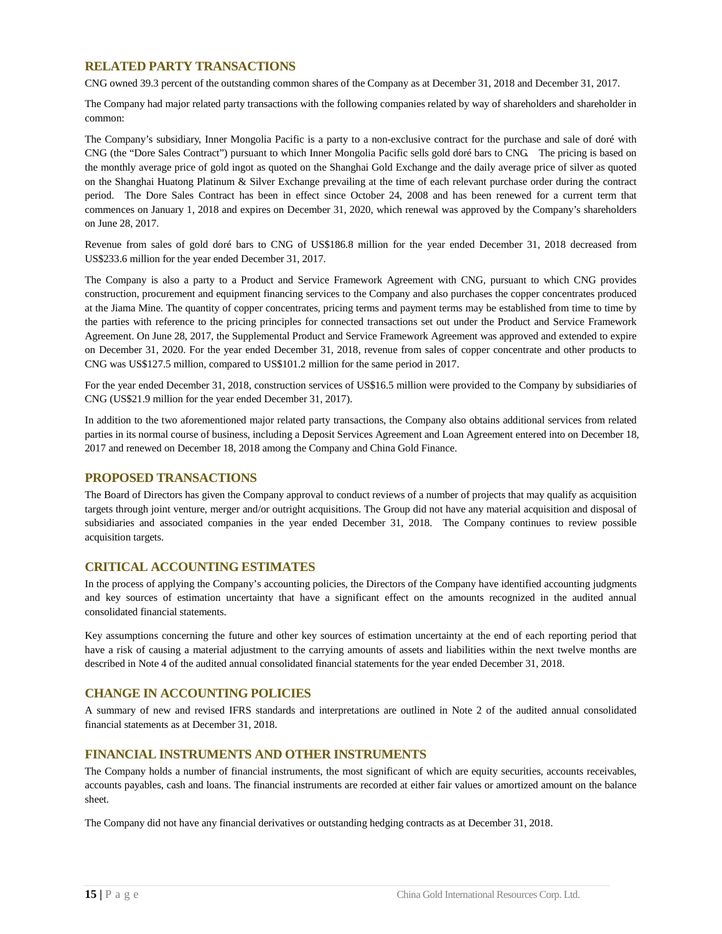#### <span id="page-16-0"></span>**RELATED PARTY TRANSACTIONS**

CNG owned 39.3 percent of the outstanding common shares of the Company as at December 31, 2018 and December 31, 2017.

The Company had major related party transactions with the following companies related by way of shareholders and shareholder in common:

The Company's subsidiary, Inner Mongolia Pacific is a party to a non-exclusive contract for the purchase and sale of doré with CNG (the "Dore Sales Contract") pursuant to which Inner Mongolia Pacific sells gold doré bars to CNG. The pricing is based on the monthly average price of gold ingot as quoted on the Shanghai Gold Exchange and the daily average price of silver as quoted on the Shanghai Huatong Platinum & Silver Exchange prevailing at the time of each relevant purchase order during the contract period. The Dore Sales Contract has been in effect since October 24, 2008 and has been renewed for a current term that commences on January 1, 2018 and expires on December 31, 2020, which renewal was approved by the Company's shareholders on June 28, 2017.

Revenue from sales of gold doré bars to CNG of US\$186.8 million for the year ended December 31, 2018 decreased from US\$233.6 million for the year ended December 31, 2017.

The Company is also a party to a Product and Service Framework Agreement with CNG, pursuant to which CNG provides construction, procurement and equipment financing services to the Company and also purchases the copper concentrates produced at the Jiama Mine. The quantity of copper concentrates, pricing terms and payment terms may be established from time to time by the parties with reference to the pricing principles for connected transactions set out under the Product and Service Framework Agreement. On June 28, 2017, the Supplemental Product and Service Framework Agreement was approved and extended to expire on December 31, 2020. For the year ended December 31, 2018, revenue from sales of copper concentrate and other products to CNG was US\$127.5 million, compared to US\$101.2 million for the same period in 2017.

For the year ended December 31, 2018, construction services of US\$16.5 million were provided to the Company by subsidiaries of CNG (US\$21.9 million for the year ended December 31, 2017).

In addition to the two aforementioned major related party transactions, the Company also obtains additional services from related parties in its normal course of business, including a Deposit Services Agreement and Loan Agreement entered into on December 18, 2017 and renewed on December 18, 2018 among the Company and China Gold Finance.

#### <span id="page-16-1"></span>**PROPOSED TRANSACTIONS**

The Board of Directors has given the Company approval to conduct reviews of a number of projects that may qualify as acquisition targets through joint venture, merger and/or outright acquisitions. The Group did not have any material acquisition and disposal of subsidiaries and associated companies in the year ended December 31, 2018. The Company continues to review possible acquisition targets.

#### <span id="page-16-2"></span>**CRITICAL ACCOUNTING ESTIMATES**

In the process of applying the Company's accounting policies, the Directors of the Company have identified accounting judgments and key sources of estimation uncertainty that have a significant effect on the amounts recognized in the audited annual consolidated financial statements.

Key assumptions concerning the future and other key sources of estimation uncertainty at the end of each reporting period that have a risk of causing a material adjustment to the carrying amounts of assets and liabilities within the next twelve months are described in Note 4 of the audited annual consolidated financial statements for the year ended December 31, 2018.

### <span id="page-16-3"></span>**CHANGE IN ACCOUNTING POLICIES**

A summary of new and revised IFRS standards and interpretations are outlined in Note 2 of the audited annual consolidated financial statements as at December 31, 2018.

#### <span id="page-16-4"></span>**FINANCIAL INSTRUMENTS AND OTHER INSTRUMENTS**

The Company holds a number of financial instruments, the most significant of which are equity securities, accounts receivables, accounts payables, cash and loans. The financial instruments are recorded at either fair values or amortized amount on the balance sheet.

The Company did not have any financial derivatives or outstanding hedging contracts as at December 31, 2018.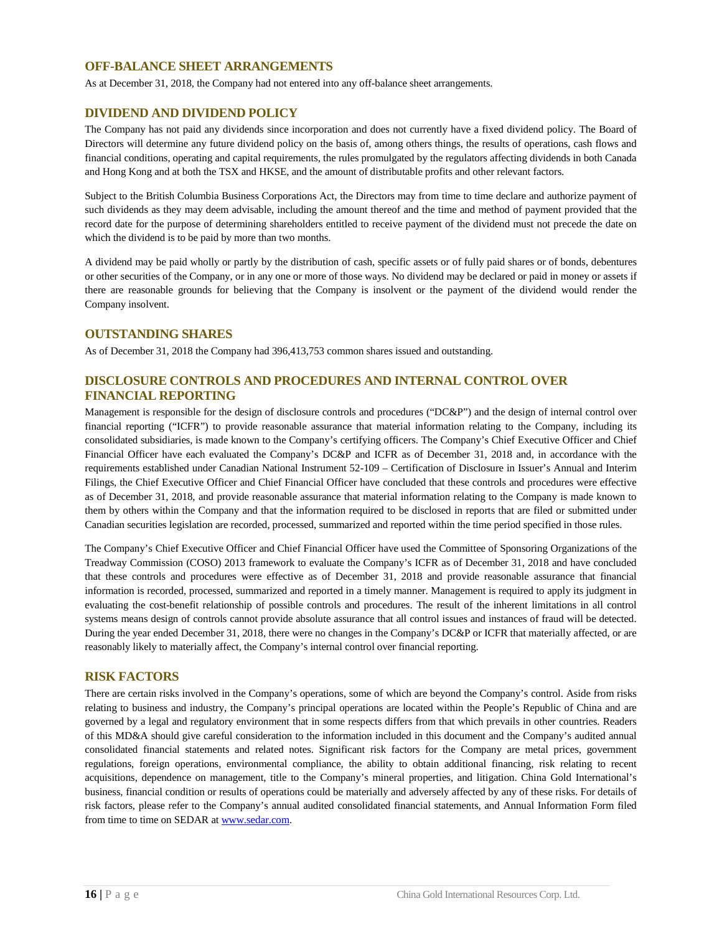#### <span id="page-17-0"></span>**OFF-BALANCE SHEET ARRANGEMENTS**

As at December 31, 2018, the Company had not entered into any off-balance sheet arrangements.

#### <span id="page-17-1"></span>**DIVIDEND AND DIVIDEND POLICY**

The Company has not paid any dividends since incorporation and does not currently have a fixed dividend policy. The Board of Directors will determine any future dividend policy on the basis of, among others things, the results of operations, cash flows and financial conditions, operating and capital requirements, the rules promulgated by the regulators affecting dividends in both Canada and Hong Kong and at both the TSX and HKSE, and the amount of distributable profits and other relevant factors.

Subject to the British Columbia Business Corporations Act, the Directors may from time to time declare and authorize payment of such dividends as they may deem advisable, including the amount thereof and the time and method of payment provided that the record date for the purpose of determining shareholders entitled to receive payment of the dividend must not precede the date on which the dividend is to be paid by more than two months.

A dividend may be paid wholly or partly by the distribution of cash, specific assets or of fully paid shares or of bonds, debentures or other securities of the Company, or in any one or more of those ways. No dividend may be declared or paid in money or assets if there are reasonable grounds for believing that the Company is insolvent or the payment of the dividend would render the Company insolvent.

#### <span id="page-17-2"></span>**OUTSTANDING SHARES**

As of December 31, 2018 the Company had 396,413,753 common shares issued and outstanding.

### <span id="page-17-3"></span>**DISCLOSURE CONTROLS AND PROCEDURES AND INTERNAL CONTROL OVER FINANCIAL REPORTING**

Management is responsible for the design of disclosure controls and procedures ("DC&P") and the design of internal control over financial reporting ("ICFR") to provide reasonable assurance that material information relating to the Company, including its consolidated subsidiaries, is made known to the Company's certifying officers. The Company's Chief Executive Officer and Chief Financial Officer have each evaluated the Company's DC&P and ICFR as of December 31, 2018 and, in accordance with the requirements established under Canadian National Instrument 52-109 – Certification of Disclosure in Issuer's Annual and Interim Filings, the Chief Executive Officer and Chief Financial Officer have concluded that these controls and procedures were effective as of December 31, 2018, and provide reasonable assurance that material information relating to the Company is made known to them by others within the Company and that the information required to be disclosed in reports that are filed or submitted under Canadian securities legislation are recorded, processed, summarized and reported within the time period specified in those rules.

The Company's Chief Executive Officer and Chief Financial Officer have used the Committee of Sponsoring Organizations of the Treadway Commission (COSO) 2013 framework to evaluate the Company's ICFR as of December 31, 2018 and have concluded that these controls and procedures were effective as of December 31, 2018 and provide reasonable assurance that financial information is recorded, processed, summarized and reported in a timely manner. Management is required to apply its judgment in evaluating the cost-benefit relationship of possible controls and procedures. The result of the inherent limitations in all control systems means design of controls cannot provide absolute assurance that all control issues and instances of fraud will be detected. During the year ended December 31, 2018, there were no changes in the Company's DC&P or ICFR that materially affected, or are reasonably likely to materially affect, the Company's internal control over financial reporting.

#### <span id="page-17-4"></span>**RISK FACTORS**

There are certain risks involved in the Company's operations, some of which are beyond the Company's control. Aside from risks relating to business and industry, the Company's principal operations are located within the People's Republic of China and are governed by a legal and regulatory environment that in some respects differs from that which prevails in other countries. Readers of this MD&A should give careful consideration to the information included in this document and the Company's audited annual consolidated financial statements and related notes. Significant risk factors for the Company are metal prices, government regulations, foreign operations, environmental compliance, the ability to obtain additional financing, risk relating to recent acquisitions, dependence on management, title to the Company's mineral properties, and litigation. China Gold International's business, financial condition or results of operations could be materially and adversely affected by any of these risks. For details of risk factors, please refer to the Company's annual audited consolidated financial statements, and Annual Information Form filed from time to time on SEDAR a[t www.sedar.com.](http://www.sedar.com/)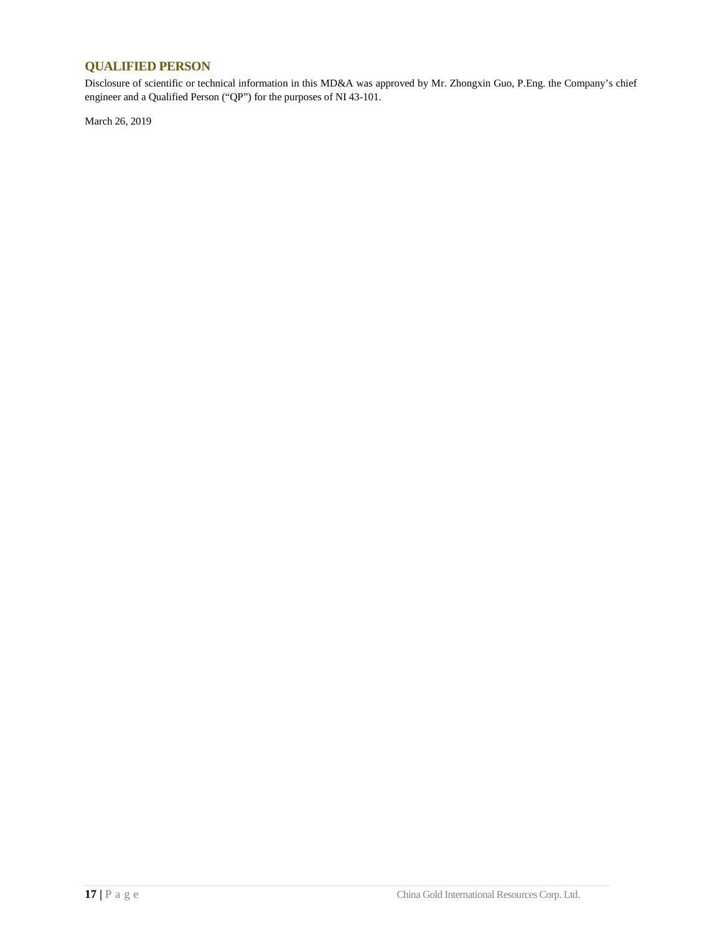### <span id="page-18-0"></span>**QUALIFIED PERSON**

Disclosure of scientific or technical information in this MD&A was approved by Mr. Zhongxin Guo, P.Eng. the Company's chief engineer and a Qualified Person ("QP") for the purposes of NI 43-101.

March 26, 2019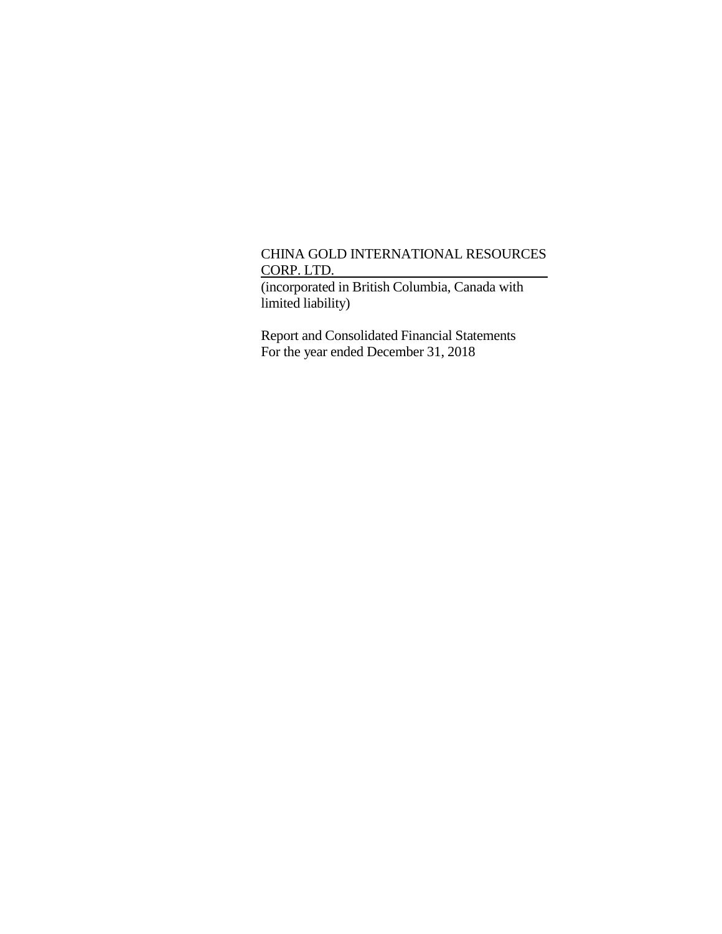(incorporated in British Columbia, Canada with limited liability)

Report and Consolidated Financial Statements For the year ended December 31, 2018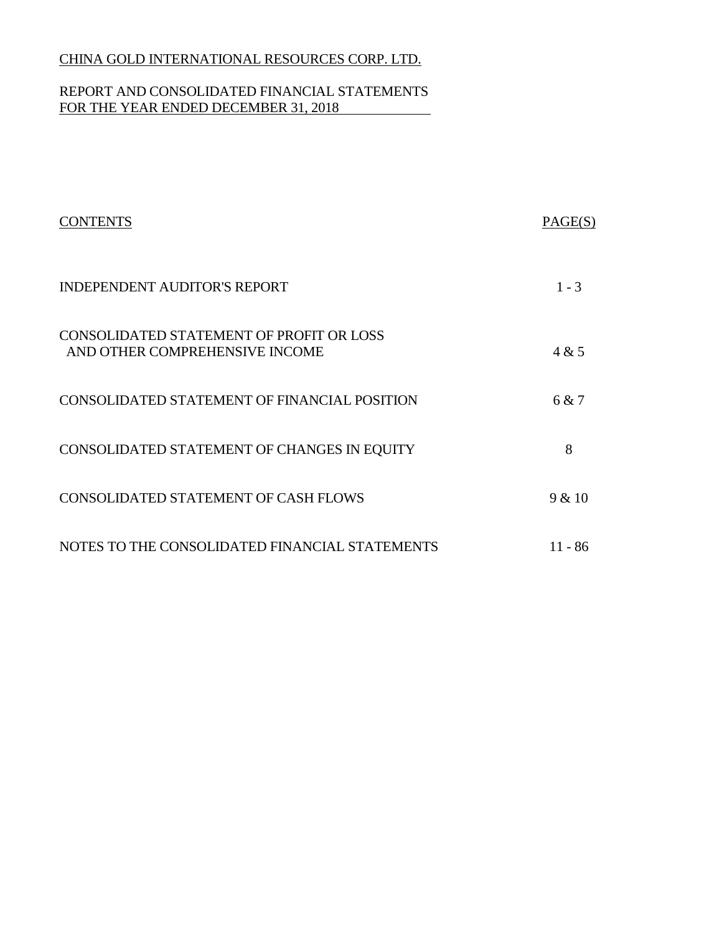### REPORT AND CONSOLIDATED FINANCIAL STATEMENTS FOR THE YEAR ENDED DECEMBER 31, 2018

| <b>CONTENTS</b>                                                            | PAGE(S) |
|----------------------------------------------------------------------------|---------|
| <b>INDEPENDENT AUDITOR'S REPORT</b>                                        | $1 - 3$ |
| CONSOLIDATED STATEMENT OF PROFIT OR LOSS<br>AND OTHER COMPREHENSIVE INCOME | 4 & 5   |
| CONSOLIDATED STATEMENT OF FINANCIAL POSITION                               | 6 & 7   |
| CONSOLIDATED STATEMENT OF CHANGES IN EQUITY                                | 8       |
| CONSOLIDATED STATEMENT OF CASH FLOWS                                       | 9 & 10  |
| NOTES TO THE CONSOLIDATED FINANCIAL STATEMENTS                             | 11 - 86 |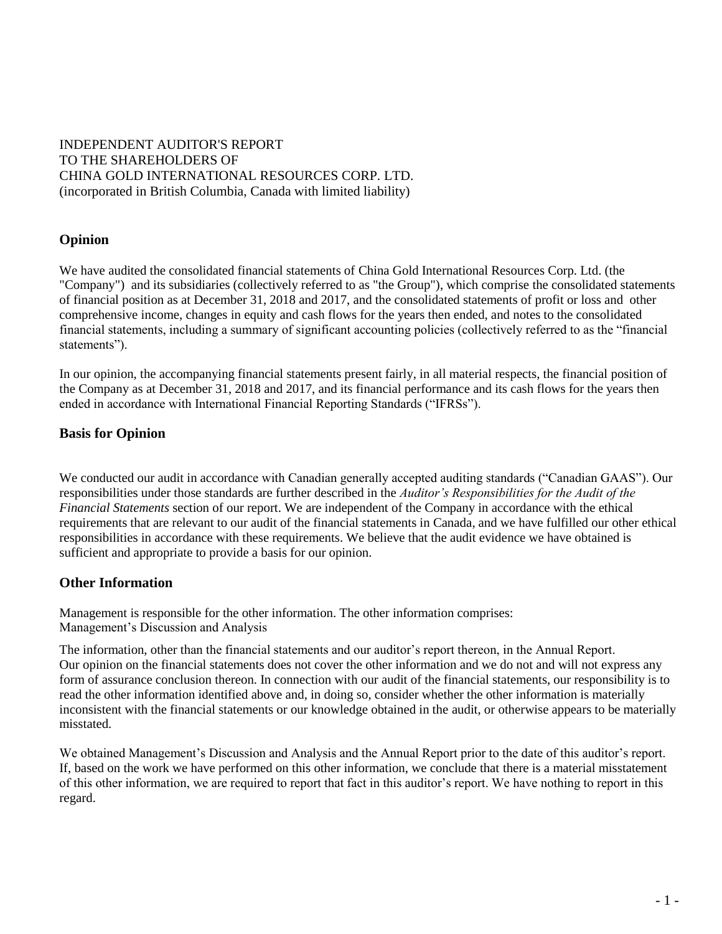### INDEPENDENT AUDITOR'S REPORT TO THE SHAREHOLDERS OF CHINA GOLD INTERNATIONAL RESOURCES CORP. LTD. (incorporated in British Columbia, Canada with limited liability)

### **Opinion**

We have audited the consolidated financial statements of China Gold International Resources Corp. Ltd. (the "Company") and its subsidiaries (collectively referred to as "the Group"), which comprise the consolidated statements of financial position as at December 31, 2018 and 2017, and the consolidated statements of profit or loss and other comprehensive income, changes in equity and cash flows for the years then ended, and notes to the consolidated financial statements, including a summary of significant accounting policies (collectively referred to as the "financial statements").

In our opinion, the accompanying financial statements present fairly, in all material respects, the financial position of the Company as at December 31, 2018 and 2017, and its financial performance and its cash flows for the years then ended in accordance with International Financial Reporting Standards ("IFRSs").

### **Basis for Opinion**

We conducted our audit in accordance with Canadian generally accepted auditing standards ("Canadian GAAS"). Our responsibilities under those standards are further described in the *Auditor's Responsibilities for the Audit of the Financial Statements* section of our report. We are independent of the Company in accordance with the ethical requirements that are relevant to our audit of the financial statements in Canada, and we have fulfilled our other ethical responsibilities in accordance with these requirements. We believe that the audit evidence we have obtained is sufficient and appropriate to provide a basis for our opinion.

### **Other Information**

Management is responsible for the other information. The other information comprises: Management's Discussion and Analysis

The information, other than the financial statements and our auditor's report thereon, in the Annual Report. Our opinion on the financial statements does not cover the other information and we do not and will not express any form of assurance conclusion thereon. In connection with our audit of the financial statements, our responsibility is to read the other information identified above and, in doing so, consider whether the other information is materially inconsistent with the financial statements or our knowledge obtained in the audit, or otherwise appears to be materially misstated.

We obtained Management's Discussion and Analysis and the Annual Report prior to the date of this auditor's report. If, based on the work we have performed on this other information, we conclude that there is a material misstatement of this other information, we are required to report that fact in this auditor's report. We have nothing to report in this regard.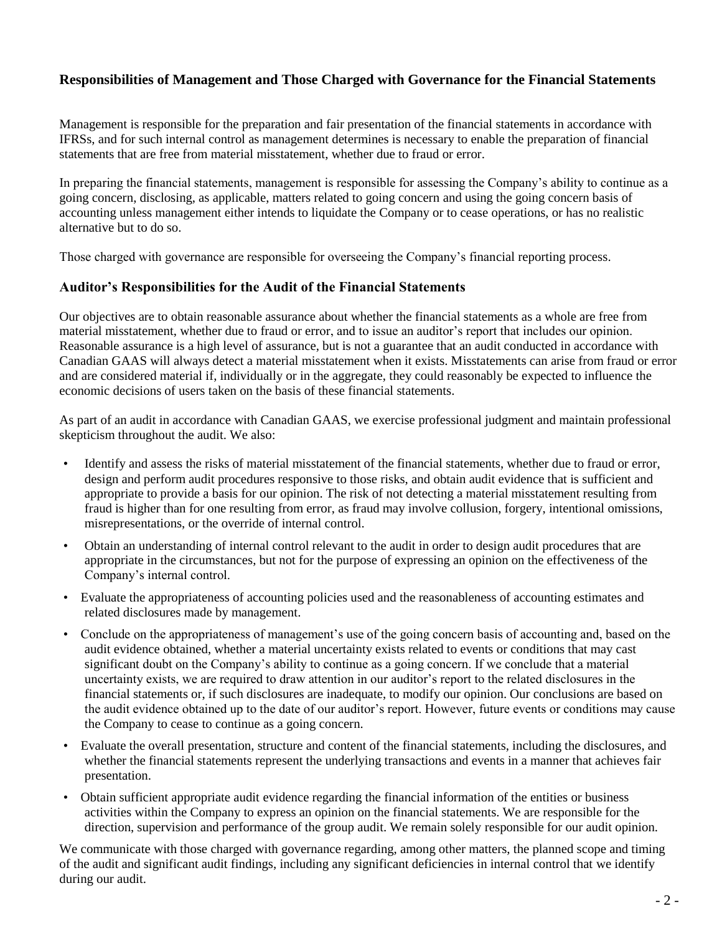# **Responsibilities of Management and Those Charged with Governance for the Financial Statements**

Management is responsible for the preparation and fair presentation of the financial statements in accordance with IFRSs, and for such internal control as management determines is necessary to enable the preparation of financial statements that are free from material misstatement, whether due to fraud or error.

In preparing the financial statements, management is responsible for assessing the Company's ability to continue as a going concern, disclosing, as applicable, matters related to going concern and using the going concern basis of accounting unless management either intends to liquidate the Company or to cease operations, or has no realistic alternative but to do so.

Those charged with governance are responsible for overseeing the Company's financial reporting process.

### **Auditor's Responsibilities for the Audit of the Financial Statements**

Our objectives are to obtain reasonable assurance about whether the financial statements as a whole are free from material misstatement, whether due to fraud or error, and to issue an auditor's report that includes our opinion. Reasonable assurance is a high level of assurance, but is not a guarantee that an audit conducted in accordance with Canadian GAAS will always detect a material misstatement when it exists. Misstatements can arise from fraud or error and are considered material if, individually or in the aggregate, they could reasonably be expected to influence the economic decisions of users taken on the basis of these financial statements.

As part of an audit in accordance with Canadian GAAS, we exercise professional judgment and maintain professional skepticism throughout the audit. We also:

- Identify and assess the risks of material misstatement of the financial statements, whether due to fraud or error, design and perform audit procedures responsive to those risks, and obtain audit evidence that is sufficient and appropriate to provide a basis for our opinion. The risk of not detecting a material misstatement resulting from fraud is higher than for one resulting from error, as fraud may involve collusion, forgery, intentional omissions, misrepresentations, or the override of internal control.
- Obtain an understanding of internal control relevant to the audit in order to design audit procedures that are appropriate in the circumstances, but not for the purpose of expressing an opinion on the effectiveness of the Company's internal control.
- Evaluate the appropriateness of accounting policies used and the reasonableness of accounting estimates and related disclosures made by management.
- Conclude on the appropriateness of management's use of the going concern basis of accounting and, based on the audit evidence obtained, whether a material uncertainty exists related to events or conditions that may cast significant doubt on the Company's ability to continue as a going concern. If we conclude that a material uncertainty exists, we are required to draw attention in our auditor's report to the related disclosures in the financial statements or, if such disclosures are inadequate, to modify our opinion. Our conclusions are based on the audit evidence obtained up to the date of our auditor's report. However, future events or conditions may cause the Company to cease to continue as a going concern.
- Evaluate the overall presentation, structure and content of the financial statements, including the disclosures, and whether the financial statements represent the underlying transactions and events in a manner that achieves fair presentation.
- Obtain sufficient appropriate audit evidence regarding the financial information of the entities or business activities within the Company to express an opinion on the financial statements. We are responsible for the direction, supervision and performance of the group audit. We remain solely responsible for our audit opinion.

We communicate with those charged with governance regarding, among other matters, the planned scope and timing of the audit and significant audit findings, including any significant deficiencies in internal control that we identify during our audit.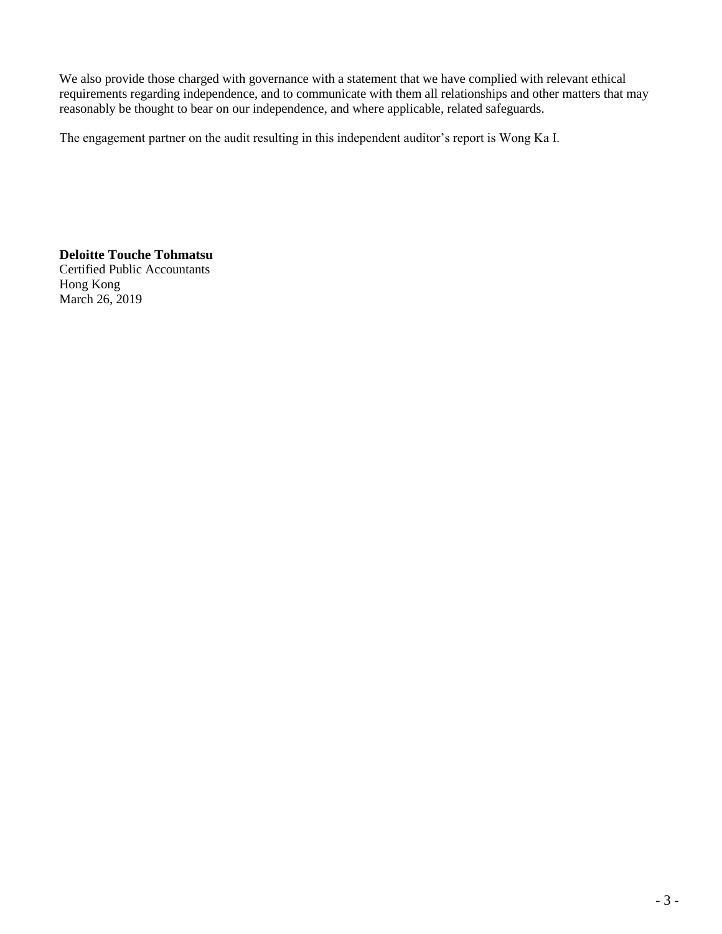We also provide those charged with governance with a statement that we have complied with relevant ethical requirements regarding independence, and to communicate with them all relationships and other matters that may reasonably be thought to bear on our independence, and where applicable, related safeguards.

The engagement partner on the audit resulting in this independent auditor's report is Wong Ka I.

**Deloitte Touche Tohmatsu**  Certified Public Accountants Hong Kong March 26, 2019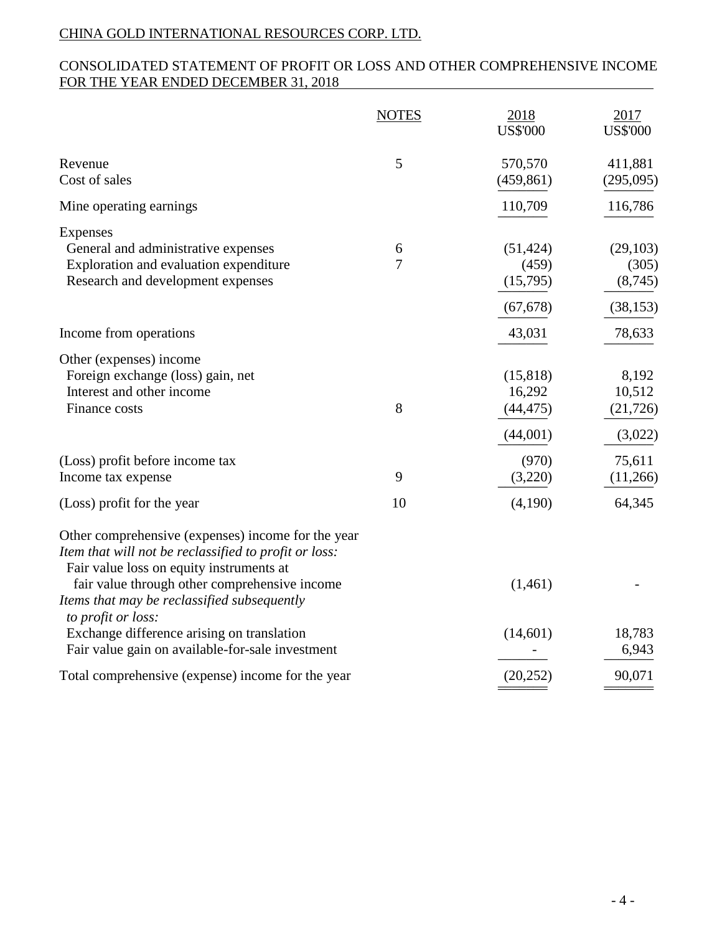# CONSOLIDATED STATEMENT OF PROFIT OR LOSS AND OTHER COMPREHENSIVE INCOME FOR THE YEAR ENDED DECEMBER 31, 2018

| <b>NOTES</b>        | 2018<br><b>US\$'000</b>                                                                                 | 2017<br><b>US\$'000</b>                    |
|---------------------|---------------------------------------------------------------------------------------------------------|--------------------------------------------|
| 5                   | 570,570<br>(459, 861)                                                                                   | 411,881<br>(295,095)                       |
|                     | 110,709                                                                                                 | 116,786                                    |
| 6<br>$\overline{7}$ | (51, 424)<br>(459)<br>(15,795)<br>(67, 678)                                                             | (29, 103)<br>(305)<br>(8,745)<br>(38, 153) |
|                     | 43,031                                                                                                  | 78,633                                     |
| 8                   | (15, 818)<br>16,292<br>(44, 475)<br>(44,001)                                                            | 8,192<br>10,512<br>(21, 726)<br>(3,022)    |
| 9                   | (970)<br>(3,220)                                                                                        | 75,611<br>(11,266)                         |
| 10                  | (4,190)                                                                                                 | 64,345                                     |
|                     | (1,461)<br>(14,601)                                                                                     | 18,783<br>6,943                            |
|                     | (20, 252)                                                                                               | 90,071                                     |
|                     | Other comprehensive (expenses) income for the year<br>Total comprehensive (expense) income for the year |                                            |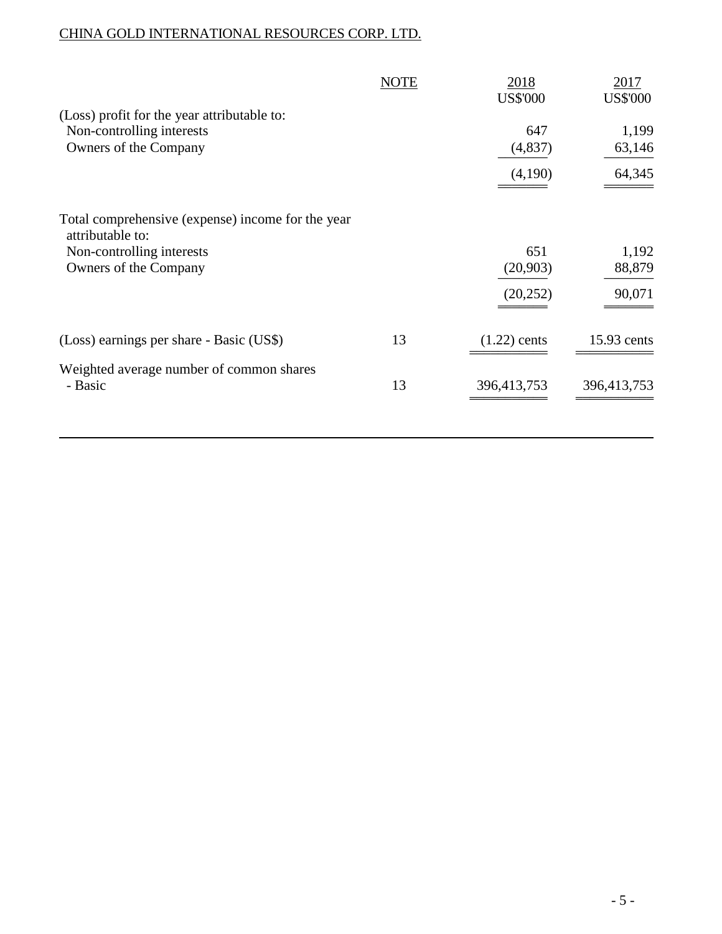|                                                                                                   | NOTE | 2018<br><b>US\$'000</b> | 2017<br><b>US\$'000</b> |
|---------------------------------------------------------------------------------------------------|------|-------------------------|-------------------------|
| (Loss) profit for the year attributable to:<br>Non-controlling interests<br>Owners of the Company |      | 647<br>(4,837)          | 1,199<br>63,146         |
|                                                                                                   |      | (4,190)                 | 64,345                  |
| Total comprehensive (expense) income for the year<br>attributable to:                             |      |                         |                         |
| Non-controlling interests<br>Owners of the Company                                                |      | 651<br>(20,903)         | 1,192<br>88,879         |
|                                                                                                   |      | (20, 252)               | 90,071                  |
| (Loss) earnings per share - Basic (US\$)                                                          | 13   | $(1.22)$ cents          | 15.93 cents             |
| Weighted average number of common shares<br>- Basic                                               | 13   | 396,413,753             | 396,413,753             |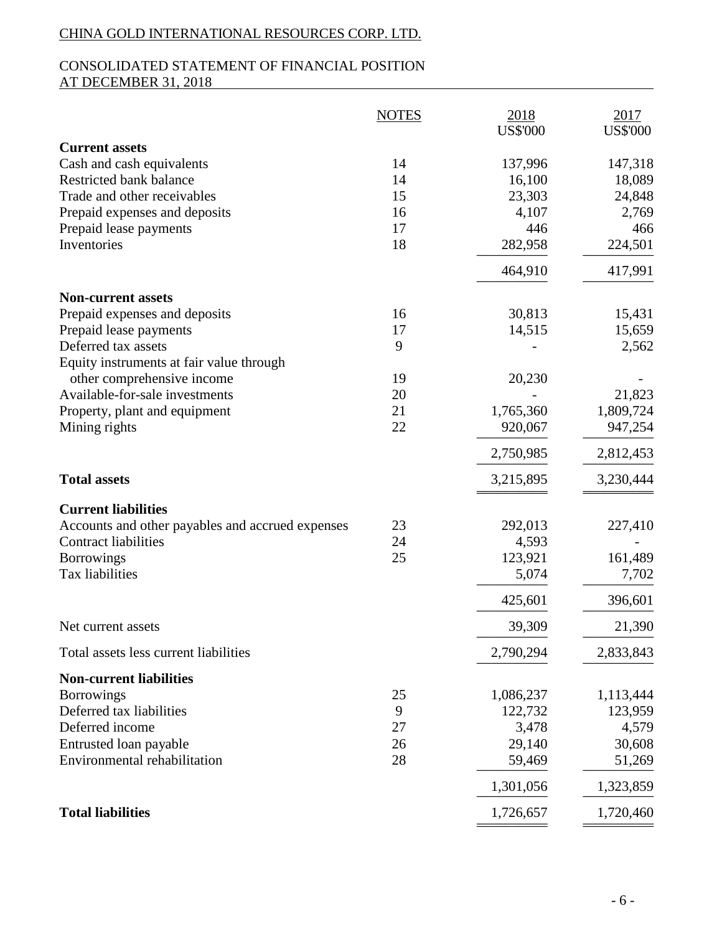# CONSOLIDATED STATEMENT OF FINANCIAL POSITION AT DECEMBER 31, 2018

|                                                  | <b>NOTES</b> | 2018<br><b>US\$'000</b> | 2017<br><b>US\$'000</b> |
|--------------------------------------------------|--------------|-------------------------|-------------------------|
| <b>Current assets</b>                            |              |                         |                         |
| Cash and cash equivalents                        | 14           | 137,996                 | 147,318                 |
| Restricted bank balance                          | 14           | 16,100                  | 18,089                  |
| Trade and other receivables                      | 15           | 23,303                  | 24,848                  |
| Prepaid expenses and deposits                    | 16           | 4,107                   | 2,769                   |
| Prepaid lease payments                           | 17           | 446                     | 466                     |
| Inventories                                      | 18           | 282,958                 | 224,501                 |
|                                                  |              | 464,910                 | 417,991                 |
| <b>Non-current assets</b>                        |              |                         |                         |
| Prepaid expenses and deposits                    | 16           | 30,813                  | 15,431                  |
| Prepaid lease payments                           | 17           | 14,515                  | 15,659                  |
| Deferred tax assets                              | 9            |                         | 2,562                   |
| Equity instruments at fair value through         |              |                         |                         |
| other comprehensive income                       | 19           | 20,230                  |                         |
| Available-for-sale investments                   | 20           |                         | 21,823                  |
| Property, plant and equipment                    | 21           | 1,765,360               | 1,809,724               |
| Mining rights                                    | 22           | 920,067                 | 947,254                 |
|                                                  |              | 2,750,985               | 2,812,453               |
| <b>Total assets</b>                              |              | 3,215,895               | 3,230,444               |
| <b>Current liabilities</b>                       |              |                         |                         |
| Accounts and other payables and accrued expenses | 23           | 292,013                 | 227,410                 |
| <b>Contract liabilities</b>                      | 24           | 4,593                   |                         |
| <b>Borrowings</b>                                | 25           | 123,921                 | 161,489                 |
| Tax liabilities                                  |              | 5,074                   | 7,702                   |
|                                                  |              | 425,601                 | 396,601                 |
| Net current assets                               |              | 39,309                  | 21,390                  |
| Total assets less current liabilities            |              | 2,790,294               | 2,833,843               |
| <b>Non-current liabilities</b>                   |              |                         |                         |
| <b>Borrowings</b>                                | 25           | 1,086,237               | 1,113,444               |
| Deferred tax liabilities                         | 9            | 122,732                 | 123,959                 |
| Deferred income                                  | 27           | 3,478                   | 4,579                   |
| Entrusted loan payable                           | 26           | 29,140                  | 30,608                  |
| Environmental rehabilitation                     | 28           | 59,469                  | 51,269                  |
|                                                  |              | 1,301,056               | 1,323,859               |
| <b>Total liabilities</b>                         |              | 1,726,657               | 1,720,460               |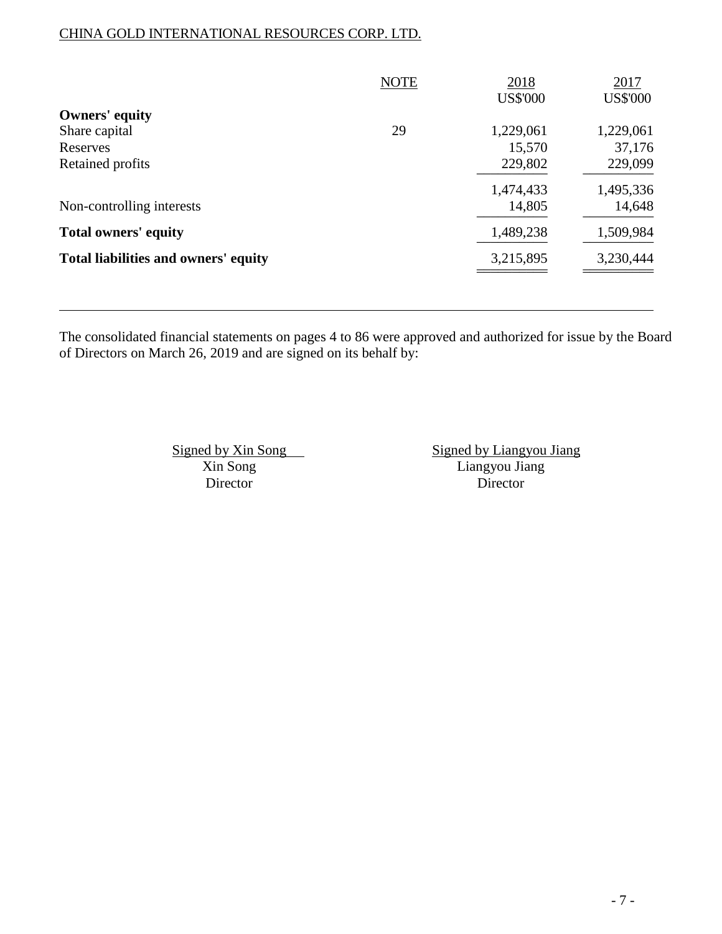|                                      | <b>NOTE</b> | 2018            | 2017            |
|--------------------------------------|-------------|-----------------|-----------------|
| <b>Owners' equity</b>                |             | <b>US\$'000</b> | <b>US\$'000</b> |
| Share capital                        | 29          | 1,229,061       | 1,229,061       |
| Reserves                             |             | 15,570          | 37,176          |
| Retained profits                     |             | 229,802         | 229,099         |
|                                      |             | 1,474,433       | 1,495,336       |
| Non-controlling interests            |             | 14,805          | 14,648          |
| <b>Total owners' equity</b>          |             | 1,489,238       | 1,509,984       |
| Total liabilities and owners' equity |             | 3,215,895       | 3,230,444       |
|                                      |             |                 |                 |

The consolidated financial statements on pages 4 to 86 were approved and authorized for issue by the Board of Directors on March 26, 2019 and are signed on its behalf by:

Director Director

Signed by Xin Song<br>
Xin Song<br>
Signed by Liangyou Jiang<br>
Liangyou Jiang<br>
Liangyou Jiang<br>
Signed by Liangyou Jiang<br>
Liangyou Jiang<br>
Liangyou Jiang<br>
Liangyou Jiang<br>
Liangyou Jiang<br>
Liangyou Jiang<br>
Liangyou Jiang<br>
Liangyou Jia Xin Song Liangyou Jiang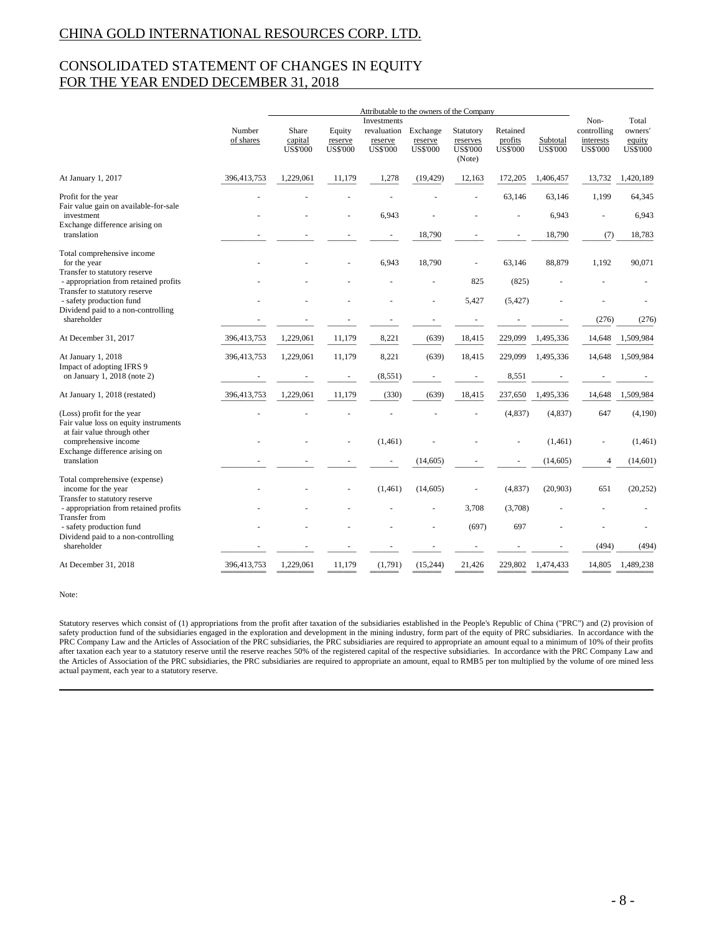### CONSOLIDATED STATEMENT OF CHANGES IN EQUITY FOR THE YEAR ENDED DECEMBER 31, 2018

|                                                                                       |                     | Attributable to the owners of the Company |                                      |                                                          |                                        |                                                    |                                        |                             |                                                     |                                               |
|---------------------------------------------------------------------------------------|---------------------|-------------------------------------------|--------------------------------------|----------------------------------------------------------|----------------------------------------|----------------------------------------------------|----------------------------------------|-----------------------------|-----------------------------------------------------|-----------------------------------------------|
|                                                                                       | Number<br>of shares | Share<br>capital<br><b>US\$'000</b>       | Equity<br>reserve<br><b>US\$'000</b> | Investments<br>revaluation<br>reserve<br><b>US\$'000</b> | Exchange<br>reserve<br><b>US\$'000</b> | Statutory<br>reserves<br><b>US\$'000</b><br>(Note) | Retained<br>profits<br><b>US\$'000</b> | Subtotal<br><b>US\$'000</b> | Non-<br>controlling<br>interests<br><b>US\$'000</b> | Total<br>owners'<br>equity<br><b>US\$'000</b> |
| At January 1, 2017                                                                    | 396,413,753         | 1,229,061                                 | 11,179                               | 1,278                                                    | (19, 429)                              | 12,163                                             | 172,205                                | 1,406,457                   | 13,732                                              | 1,420,189                                     |
| Profit for the year<br>Fair value gain on available-for-sale                          |                     |                                           |                                      |                                                          |                                        |                                                    | 63,146                                 | 63.146                      | 1,199                                               | 64,345                                        |
| investment<br>Exchange difference arising on<br>translation                           |                     |                                           |                                      | 6,943                                                    | 18.790                                 |                                                    |                                        | 6,943<br>18,790             | ä,<br>(7)                                           | 6,943<br>18,783                               |
| Total comprehensive income                                                            |                     |                                           |                                      |                                                          |                                        |                                                    |                                        |                             |                                                     |                                               |
| for the year<br>Transfer to statutory reserve                                         |                     |                                           |                                      | 6,943                                                    | 18,790                                 | ä,                                                 | 63,146                                 | 88,879                      | 1,192                                               | 90,071                                        |
| - appropriation from retained profits<br>Transfer to statutory reserve                |                     |                                           |                                      |                                                          |                                        | 825                                                | (825)                                  |                             |                                                     |                                               |
| - safety production fund<br>Dividend paid to a non-controlling                        |                     |                                           |                                      |                                                          |                                        | 5,427                                              | (5, 427)                               |                             |                                                     |                                               |
| shareholder                                                                           |                     |                                           |                                      |                                                          |                                        | $\blacksquare$                                     |                                        | $\overline{\phantom{a}}$    | (276)                                               | (276)                                         |
| At December 31, 2017                                                                  | 396,413,753         | 1,229,061                                 | 11,179                               | 8,221                                                    | (639)                                  | 18,415                                             | 229,099                                | 1,495,336                   | 14,648                                              | 1,509,984                                     |
| At January 1, 2018<br>Impact of adopting IFRS 9                                       | 396,413,753         | 1,229,061                                 | 11,179                               | 8,221                                                    | (639)                                  | 18,415                                             | 229,099                                | 1,495,336                   | 14,648                                              | 1,509,984                                     |
| on January 1, 2018 (note 2)                                                           |                     |                                           | $\overline{\phantom{a}}$             | (8, 551)                                                 |                                        | $\overline{\phantom{a}}$                           | 8,551                                  | $\overline{\phantom{a}}$    | $\overline{\phantom{a}}$                            |                                               |
| At January 1, 2018 (restated)                                                         | 396,413,753         | 1,229,061                                 | 11,179                               | (330)                                                    | (639)                                  | 18,415                                             | 237,650                                | 1,495,336                   | 14,648                                              | 1,509,984                                     |
| (Loss) profit for the year<br>Fair value loss on equity instruments                   |                     |                                           |                                      |                                                          |                                        |                                                    | (4, 837)                               | (4, 837)                    | 647                                                 | (4,190)                                       |
| at fair value through other<br>comprehensive income                                   |                     |                                           |                                      | (1, 461)                                                 |                                        |                                                    |                                        | (1,461)                     | ä,                                                  | (1, 461)                                      |
| Exchange difference arising on<br>translation                                         |                     |                                           |                                      |                                                          | (14, 605)                              |                                                    |                                        | (14, 605)                   | $\overline{4}$                                      | (14,601)                                      |
| Total comprehensive (expense)<br>income for the year<br>Transfer to statutory reserve |                     |                                           |                                      | (1, 461)                                                 | (14, 605)                              | $\sim$                                             | (4, 837)                               | (20, 903)                   | 651                                                 | (20, 252)                                     |
| - appropriation from retained profits<br>Transfer from                                |                     |                                           |                                      |                                                          |                                        | 3,708                                              | (3,708)                                |                             |                                                     |                                               |
| - safety production fund<br>Dividend paid to a non-controlling                        |                     |                                           |                                      |                                                          |                                        | (697)                                              | 697                                    |                             |                                                     |                                               |
| shareholder                                                                           |                     |                                           |                                      |                                                          |                                        | $\overline{\phantom{a}}$                           |                                        |                             | (494)                                               | (494)                                         |
| At December 31, 2018                                                                  | 396,413,753         | 1,229,061                                 | 11,179                               | (1,791)                                                  | (15,244)                               | 21,426                                             | 229,802                                | 1,474,433                   | 14,805                                              | 1,489,238                                     |

Note:

Statutory reserves which consist of (1) appropriations from the profit after taxation of the subsidiaries established in the People's Republic of China ("PRC") and (2) provision of safety production fund of the subsidiaries engaged in the exploration and development in the mining industry, form part of the equity of PRC subsidiaries. In accordance with the PRC Company Law and the Articles of Association of the PRC subsidiaries, the PRC subsidiaries are required to appropriate an amount equal to a minimum of 10% of their profits after taxation each year to a statutory reserve until the reserve reaches 50% of the registered capital of the respective subsidiaries. In accordance with the PRC Company Law and the Articles of Association of the PRC subsidiaries, the PRC subsidiaries are required to appropriate an amount, equal to RMB5 per ton multiplied by the volume of ore mined less actual payment, each year to a statutory reserve.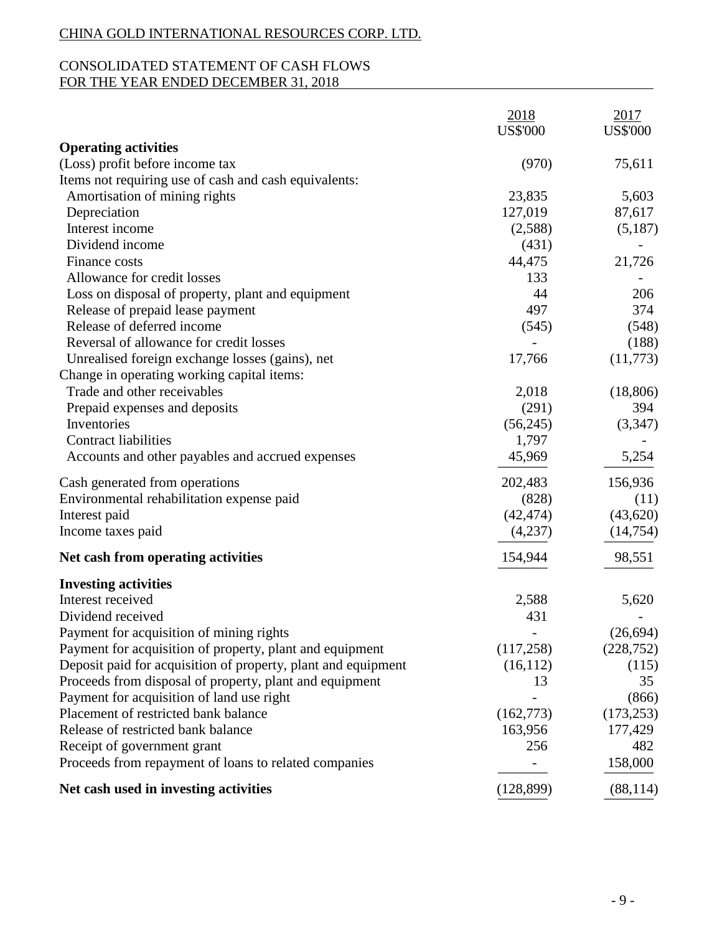# CONSOLIDATED STATEMENT OF CASH FLOWS FOR THE YEAR ENDED DECEMBER 31, 2018

|                                                               | 2018            | 2017            |
|---------------------------------------------------------------|-----------------|-----------------|
|                                                               | <b>US\$'000</b> | <b>US\$'000</b> |
| <b>Operating activities</b>                                   |                 |                 |
| (Loss) profit before income tax                               | (970)           | 75,611          |
| Items not requiring use of cash and cash equivalents:         |                 |                 |
| Amortisation of mining rights                                 | 23,835          | 5,603           |
| Depreciation                                                  | 127,019         | 87,617          |
| Interest income                                               | (2,588)         | (5,187)         |
| Dividend income                                               | (431)           |                 |
| Finance costs                                                 | 44,475          | 21,726          |
| Allowance for credit losses                                   | 133             |                 |
| Loss on disposal of property, plant and equipment             | 44              | 206             |
| Release of prepaid lease payment                              | 497             | 374             |
| Release of deferred income                                    | (545)           | (548)           |
| Reversal of allowance for credit losses                       |                 | (188)           |
| Unrealised foreign exchange losses (gains), net               | 17,766          | (11,773)        |
| Change in operating working capital items:                    |                 |                 |
| Trade and other receivables                                   | 2,018           | (18, 806)       |
| Prepaid expenses and deposits                                 | (291)           | 394             |
| Inventories                                                   | (56,245)        | (3, 347)        |
| <b>Contract liabilities</b>                                   | 1,797           |                 |
| Accounts and other payables and accrued expenses              | 45,969          | 5,254           |
| Cash generated from operations                                | 202,483         | 156,936         |
| Environmental rehabilitation expense paid                     | (828)           | (11)            |
| Interest paid                                                 | (42, 474)       | (43,620)        |
| Income taxes paid                                             | (4,237)         | (14, 754)       |
| Net cash from operating activities                            | 154,944         | 98,551          |
| <b>Investing activities</b>                                   |                 |                 |
| Interest received                                             | 2,588           | 5,620           |
| Dividend received                                             | 431             |                 |
| Payment for acquisition of mining rights                      |                 | (26, 694)       |
| Payment for acquisition of property, plant and equipment      | (117,258)       | (228, 752)      |
| Deposit paid for acquisition of property, plant and equipment | (16, 112)       | (115)           |
| Proceeds from disposal of property, plant and equipment       | 13              | 35              |
| Payment for acquisition of land use right                     |                 | (866)           |
| Placement of restricted bank balance                          | (162,773)       | (173, 253)      |
| Release of restricted bank balance                            | 163,956         | 177,429         |
| Receipt of government grant                                   | 256             | 482             |
| Proceeds from repayment of loans to related companies         |                 | 158,000         |
| Net cash used in investing activities                         | (128, 899)      | (88, 114)       |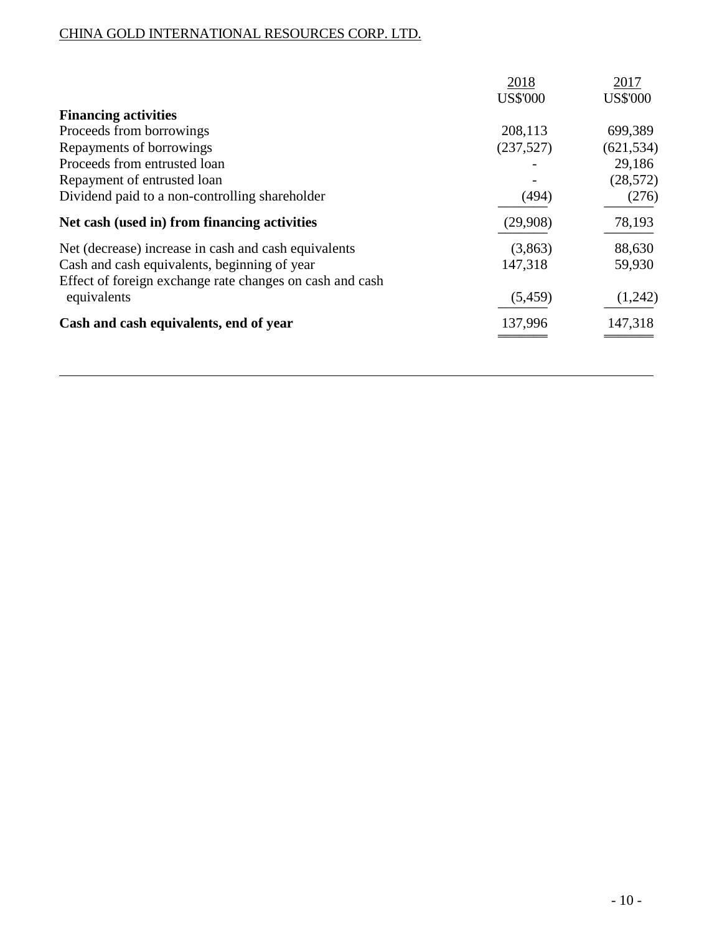|                                                          | 2018            | 2017            |
|----------------------------------------------------------|-----------------|-----------------|
|                                                          | <b>US\$'000</b> | <b>US\$'000</b> |
| <b>Financing activities</b>                              |                 |                 |
| Proceeds from borrowings                                 | 208,113         | 699,389         |
| Repayments of borrowings                                 | (237,527)       | (621, 534)      |
| Proceeds from entrusted loan                             |                 | 29,186          |
| Repayment of entrusted loan                              |                 | (28, 572)       |
| Dividend paid to a non-controlling shareholder           | (494)           | (276)           |
| Net cash (used in) from financing activities             | (29,908)        | 78,193          |
| Net (decrease) increase in cash and cash equivalents     | (3,863)         | 88,630          |
| Cash and cash equivalents, beginning of year             | 147,318         | 59,930          |
| Effect of foreign exchange rate changes on cash and cash |                 |                 |
| equivalents                                              | (5, 459)        | (1,242)         |
| Cash and cash equivalents, end of year                   | 137,996         | 147,318         |
|                                                          |                 |                 |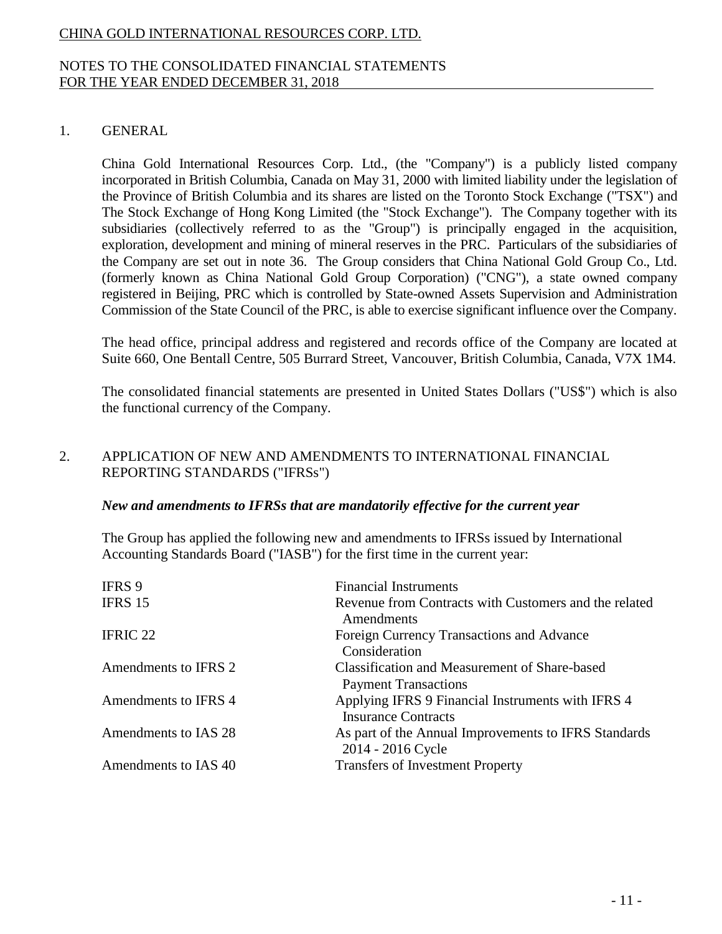### NOTES TO THE CONSOLIDATED FINANCIAL STATEMENTS FOR THE YEAR ENDED DECEMBER 31, 2018

### 1. GENERAL

China Gold International Resources Corp. Ltd., (the "Company") is a publicly listed company incorporated in British Columbia, Canada on May 31, 2000 with limited liability under the legislation of the Province of British Columbia and its shares are listed on the Toronto Stock Exchange ("TSX") and The Stock Exchange of Hong Kong Limited (the "Stock Exchange"). The Company together with its subsidiaries (collectively referred to as the "Group") is principally engaged in the acquisition, exploration, development and mining of mineral reserves in the PRC. Particulars of the subsidiaries of the Company are set out in note 36. The Group considers that China National Gold Group Co., Ltd. (formerly known as China National Gold Group Corporation) ("CNG"), a state owned company registered in Beijing, PRC which is controlled by State-owned Assets Supervision and Administration Commission of the State Council of the PRC, is able to exercise significant influence over the Company.

The head office, principal address and registered and records office of the Company are located at Suite 660, One Bentall Centre, 505 Burrard Street, Vancouver, British Columbia, Canada, V7X 1M4.

The consolidated financial statements are presented in United States Dollars ("US\$") which is also the functional currency of the Company.

### 2. APPLICATION OF NEW AND AMENDMENTS TO INTERNATIONAL FINANCIAL REPORTING STANDARDS ("IFRSs")

### *New and amendments to IFRSs that are mandatorily effective for the current year*

The Group has applied the following new and amendments to IFRSs issued by International Accounting Standards Board ("IASB") for the first time in the current year:

| IFRS 9               | <b>Financial Instruments</b>                                                        |
|----------------------|-------------------------------------------------------------------------------------|
| IFRS 15              | Revenue from Contracts with Customers and the related<br>Amendments                 |
| <b>IFRIC 22</b>      | Foreign Currency Transactions and Advance<br>Consideration                          |
| Amendments to IFRS 2 | <b>Classification and Measurement of Share-based</b><br><b>Payment Transactions</b> |
| Amendments to IFRS 4 | Applying IFRS 9 Financial Instruments with IFRS 4<br><b>Insurance Contracts</b>     |
| Amendments to IAS 28 | As part of the Annual Improvements to IFRS Standards<br>2014 - 2016 Cycle           |
| Amendments to IAS 40 | <b>Transfers of Investment Property</b>                                             |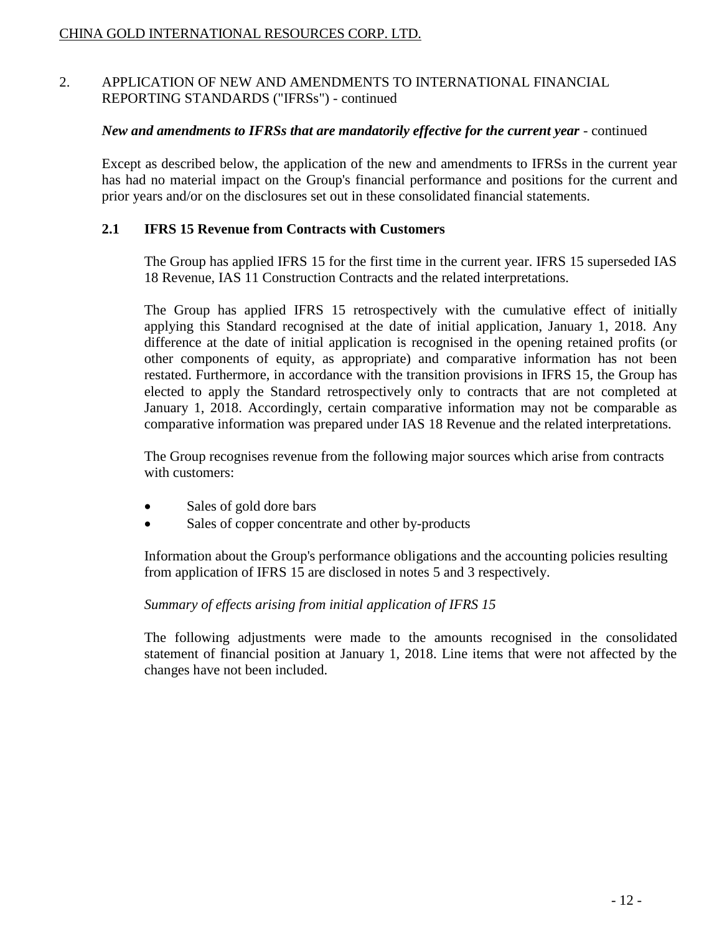# 2. APPLICATION OF NEW AND AMENDMENTS TO INTERNATIONAL FINANCIAL REPORTING STANDARDS ("IFRSs") - continued

### *New and amendments to IFRSs that are mandatorily effective for the current year* - continued

Except as described below, the application of the new and amendments to IFRSs in the current year has had no material impact on the Group's financial performance and positions for the current and prior years and/or on the disclosures set out in these consolidated financial statements.

### **2.1 IFRS 15 Revenue from Contracts with Customers**

The Group has applied IFRS 15 for the first time in the current year. IFRS 15 superseded IAS 18 Revenue, IAS 11 Construction Contracts and the related interpretations.

The Group has applied IFRS 15 retrospectively with the cumulative effect of initially applying this Standard recognised at the date of initial application, January 1, 2018. Any difference at the date of initial application is recognised in the opening retained profits (or other components of equity, as appropriate) and comparative information has not been restated. Furthermore, in accordance with the transition provisions in IFRS 15, the Group has elected to apply the Standard retrospectively only to contracts that are not completed at January 1, 2018. Accordingly, certain comparative information may not be comparable as comparative information was prepared under IAS 18 Revenue and the related interpretations.

The Group recognises revenue from the following major sources which arise from contracts with customers:

- Sales of gold dore bars
- Sales of copper concentrate and other by-products

Information about the Group's performance obligations and the accounting policies resulting from application of IFRS 15 are disclosed in notes 5 and 3 respectively.

# *Summary of effects arising from initial application of IFRS 15*

The following adjustments were made to the amounts recognised in the consolidated statement of financial position at January 1, 2018. Line items that were not affected by the changes have not been included.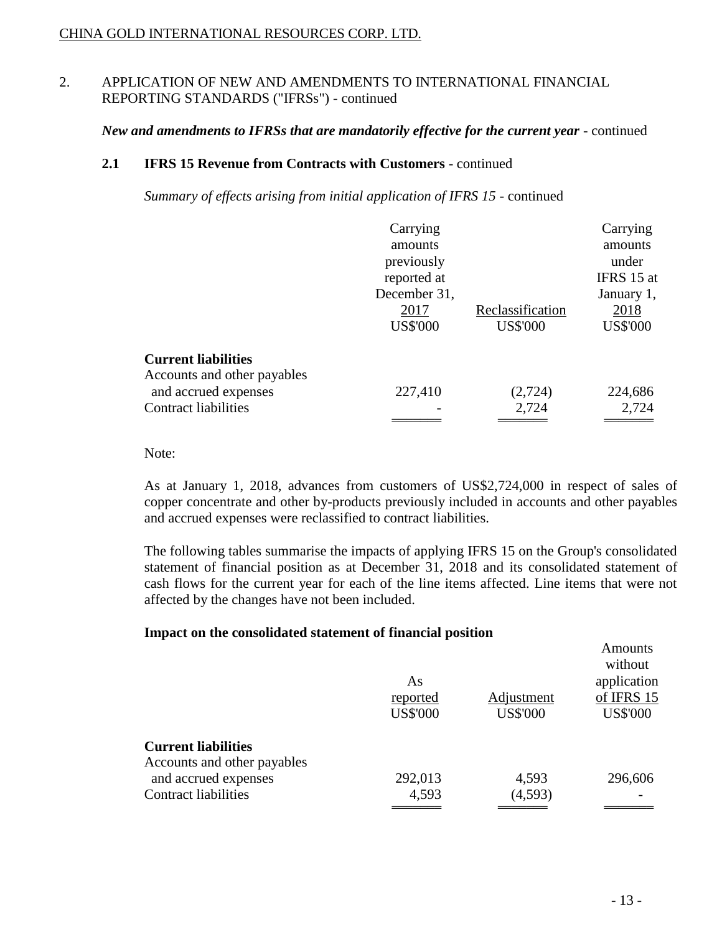# 2. APPLICATION OF NEW AND AMENDMENTS TO INTERNATIONAL FINANCIAL REPORTING STANDARDS ("IFRSs") - continued

### *New and amendments to IFRSs that are mandatorily effective for the current year* - continued

### **2.1 IFRS 15 Revenue from Contracts with Customers** - continued

*Summary of effects arising from initial application of IFRS 15* - continued

|                             | Carrying        |                  | Carrying        |
|-----------------------------|-----------------|------------------|-----------------|
|                             | amounts         |                  | amounts         |
|                             | previously      |                  | under           |
|                             | reported at     |                  | IFRS 15 at      |
|                             | December 31,    |                  | January 1,      |
|                             | 2017            | Reclassification | 2018            |
|                             | <b>US\$'000</b> | <b>US\$'000</b>  | <b>US\$'000</b> |
| <b>Current liabilities</b>  |                 |                  |                 |
| Accounts and other payables |                 |                  |                 |
| and accrued expenses        | 227,410         | (2,724)          | 224,686         |
| <b>Contract liabilities</b> |                 | 2,724            | 2,724           |
|                             |                 |                  |                 |

Note:

As at January 1, 2018, advances from customers of US\$2,724,000 in respect of sales of copper concentrate and other by-products previously included in accounts and other payables and accrued expenses were reclassified to contract liabilities.

The following tables summarise the impacts of applying IFRS 15 on the Group's consolidated statement of financial position as at December 31, 2018 and its consolidated statement of cash flows for the current year for each of the line items affected. Line items that were not affected by the changes have not been included.

### **Impact on the consolidated statement of financial position**

|                             | As<br>reported<br><b>US\$'000</b> | Adjustment<br><b>US\$'000</b> | Amounts<br>without<br>application<br>of IFRS 15<br><b>US\$'000</b> |
|-----------------------------|-----------------------------------|-------------------------------|--------------------------------------------------------------------|
| <b>Current liabilities</b>  |                                   |                               |                                                                    |
| Accounts and other payables |                                   |                               |                                                                    |
| and accrued expenses        | 292,013                           | 4,593                         | 296,606                                                            |
| <b>Contract liabilities</b> | 4,593                             | (4, 593)                      |                                                                    |
|                             |                                   |                               |                                                                    |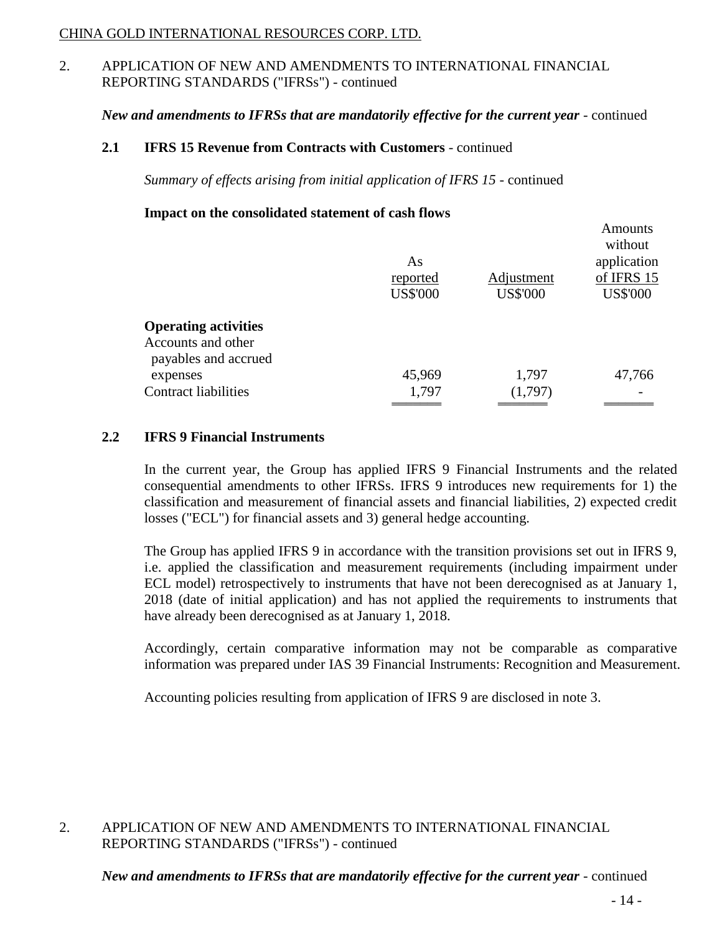## 2. APPLICATION OF NEW AND AMENDMENTS TO INTERNATIONAL FINANCIAL REPORTING STANDARDS ("IFRSs") - continued

*New and amendments to IFRSs that are mandatorily effective for the current year* - continued

### **2.1 IFRS 15 Revenue from Contracts with Customers** - continued

*Summary of effects arising from initial application of IFRS 15* - continued

### **Impact on the consolidated statement of cash flows**

|                                            | As<br>reported<br><b>US\$'000</b> | Adjustment<br><b>US\$'000</b> | Amounts<br>without<br>application<br>of IFRS 15<br><b>US\$'000</b> |
|--------------------------------------------|-----------------------------------|-------------------------------|--------------------------------------------------------------------|
| <b>Operating activities</b>                |                                   |                               |                                                                    |
| Accounts and other<br>payables and accrued |                                   |                               |                                                                    |
| expenses                                   | 45,969                            | 1,797                         | 47,766                                                             |
| <b>Contract liabilities</b>                | 1,797                             | (1,797)                       |                                                                    |
|                                            |                                   |                               |                                                                    |

### **2.2 IFRS 9 Financial Instruments**

In the current year, the Group has applied IFRS 9 Financial Instruments and the related consequential amendments to other IFRSs. IFRS 9 introduces new requirements for 1) the classification and measurement of financial assets and financial liabilities, 2) expected credit losses ("ECL") for financial assets and 3) general hedge accounting.

The Group has applied IFRS 9 in accordance with the transition provisions set out in IFRS 9, i.e. applied the classification and measurement requirements (including impairment under ECL model) retrospectively to instruments that have not been derecognised as at January 1, 2018 (date of initial application) and has not applied the requirements to instruments that have already been derecognised as at January 1, 2018.

Accordingly, certain comparative information may not be comparable as comparative information was prepared under IAS 39 Financial Instruments: Recognition and Measurement.

Accounting policies resulting from application of IFRS 9 are disclosed in note 3.

### 2. APPLICATION OF NEW AND AMENDMENTS TO INTERNATIONAL FINANCIAL REPORTING STANDARDS ("IFRSs") - continued

*New and amendments to IFRSs that are mandatorily effective for the current year* - continued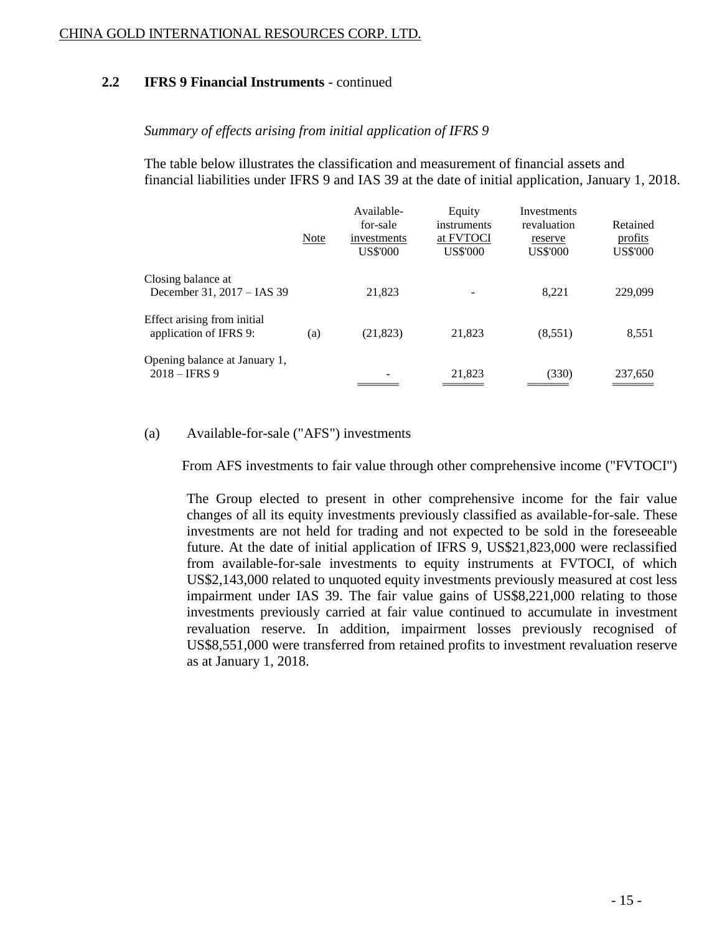### **2.2 IFRS 9 Financial Instruments** - continued

### *Summary of effects arising from initial application of IFRS 9*

The table below illustrates the classification and measurement of financial assets and financial liabilities under IFRS 9 and IAS 39 at the date of initial application, January 1, 2018.

|                                                       | Note | Available-<br>for-sale<br>investments<br><b>US\$'000</b> | Equity<br>instruments<br>at FVTOCI<br><b>US\$'000</b> | Investments<br>revaluation<br>reserve<br><b>US\$'000</b> | Retained<br>profits<br><b>US\$'000</b> |
|-------------------------------------------------------|------|----------------------------------------------------------|-------------------------------------------------------|----------------------------------------------------------|----------------------------------------|
| Closing balance at<br>December 31, 2017 – IAS 39      |      | 21,823                                                   |                                                       | 8.221                                                    | 229,099                                |
| Effect arising from initial<br>application of IFRS 9: | (a)  | (21, 823)                                                | 21,823                                                | (8,551)                                                  | 8,551                                  |
| Opening balance at January 1,<br>$2018 - IFRS$ 9      |      |                                                          | 21,823                                                | (330)                                                    | 237,650                                |

### (a) Available-for-sale ("AFS") investments

From AFS investments to fair value through other comprehensive income ("FVTOCI")

The Group elected to present in other comprehensive income for the fair value changes of all its equity investments previously classified as available-for-sale. These investments are not held for trading and not expected to be sold in the foreseeable future. At the date of initial application of IFRS 9, US\$21,823,000 were reclassified from available-for-sale investments to equity instruments at FVTOCI, of which US\$2,143,000 related to unquoted equity investments previously measured at cost less impairment under IAS 39. The fair value gains of US\$8,221,000 relating to those investments previously carried at fair value continued to accumulate in investment revaluation reserve. In addition, impairment losses previously recognised of US\$8,551,000 were transferred from retained profits to investment revaluation reserve as at January 1, 2018.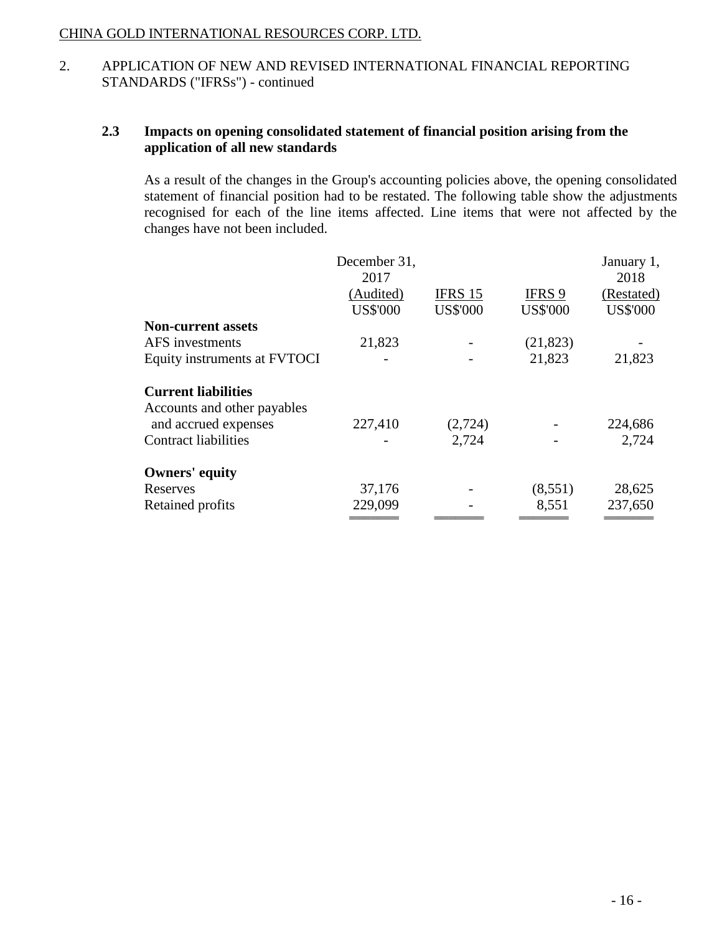# 2. APPLICATION OF NEW AND REVISED INTERNATIONAL FINANCIAL REPORTING STANDARDS ("IFRSs") - continued

# **2.3 Impacts on opening consolidated statement of financial position arising from the application of all new standards**

As a result of the changes in the Group's accounting policies above, the opening consolidated statement of financial position had to be restated. The following table show the adjustments recognised for each of the line items affected. Line items that were not affected by the changes have not been included.

|                              | December 31,    |                 |                 | January 1,      |
|------------------------------|-----------------|-----------------|-----------------|-----------------|
|                              | 2017            |                 |                 | 2018            |
|                              | (Audited)       | IFRS 15         | IFRS 9          | (Restated)      |
|                              | <b>US\$'000</b> | <b>US\$'000</b> | <b>US\$'000</b> | <b>US\$'000</b> |
| <b>Non-current assets</b>    |                 |                 |                 |                 |
| AFS investments              | 21,823          |                 | (21, 823)       |                 |
| Equity instruments at FVTOCI |                 |                 | 21,823          | 21,823          |
| <b>Current liabilities</b>   |                 |                 |                 |                 |
| Accounts and other payables  |                 |                 |                 |                 |
| and accrued expenses         | 227,410         | (2,724)         |                 | 224,686         |
| <b>Contract liabilities</b>  |                 | 2,724           |                 | 2,724           |
| <b>Owners' equity</b>        |                 |                 |                 |                 |
| Reserves                     | 37,176          |                 | (8,551)         | 28,625          |
| Retained profits             | 229,099         |                 | 8,551           | 237,650         |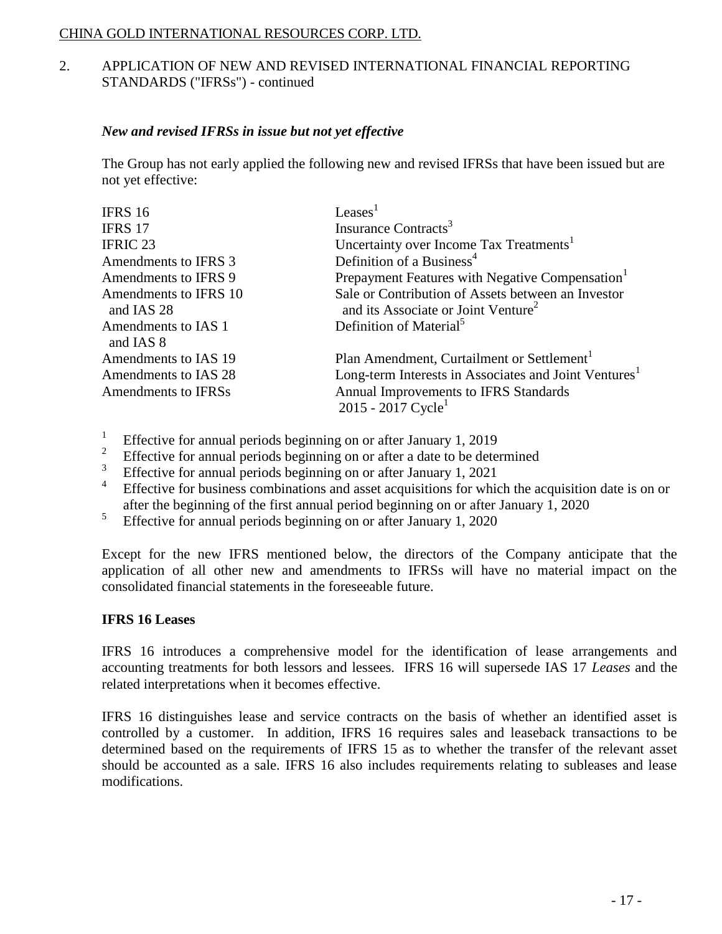# 2. APPLICATION OF NEW AND REVISED INTERNATIONAL FINANCIAL REPORTING STANDARDS ("IFRSs") - continued

# *New and revised IFRSs in issue but not yet effective*

The Group has not early applied the following new and revised IFRSs that have been issued but are not yet effective:

| IFRS 16                             | Leases $1$                                                                                            |
|-------------------------------------|-------------------------------------------------------------------------------------------------------|
| IFRS 17                             | Insurance Contracts <sup>3</sup>                                                                      |
| IFRIC <sub>23</sub>                 | Uncertainty over Income Tax Treatments <sup>1</sup>                                                   |
| Amendments to IFRS 3                | Definition of a Business <sup>4</sup>                                                                 |
| Amendments to IFRS 9                | Prepayment Features with Negative Compensation <sup>1</sup>                                           |
| Amendments to IFRS 10<br>and IAS 28 | Sale or Contribution of Assets between an Investor<br>and its Associate or Joint Venture <sup>2</sup> |
| Amendments to IAS 1<br>and IAS 8    | Definition of Material <sup>5</sup>                                                                   |
| Amendments to IAS 19                | Plan Amendment, Curtailment or Settlement <sup>1</sup>                                                |
| Amendments to IAS 28                | Long-term Interests in Associates and Joint Ventures <sup>1</sup>                                     |
| Amendments to IFRSs                 | Annual Improvements to IFRS Standards<br>$2015 - 2017$ Cycle <sup>1</sup>                             |

- 1 Effective for annual periods beginning on or after January 1, 2019
- 2 Effective for annual periods beginning on or after a date to be determined
- 3 Effective for annual periods beginning on or after January 1, 2021
- 4 Effective for business combinations and asset acquisitions for which the acquisition date is on or after the beginning of the first annual period beginning on or after January 1, 2020
- 5 Effective for annual periods beginning on or after January 1, 2020

Except for the new IFRS mentioned below, the directors of the Company anticipate that the application of all other new and amendments to IFRSs will have no material impact on the consolidated financial statements in the foreseeable future.

# **IFRS 16 Leases**

IFRS 16 introduces a comprehensive model for the identification of lease arrangements and accounting treatments for both lessors and lessees. IFRS 16 will supersede IAS 17 *Leases* and the related interpretations when it becomes effective.

IFRS 16 distinguishes lease and service contracts on the basis of whether an identified asset is controlled by a customer. In addition, IFRS 16 requires sales and leaseback transactions to be determined based on the requirements of IFRS 15 as to whether the transfer of the relevant asset should be accounted as a sale. IFRS 16 also includes requirements relating to subleases and lease modifications.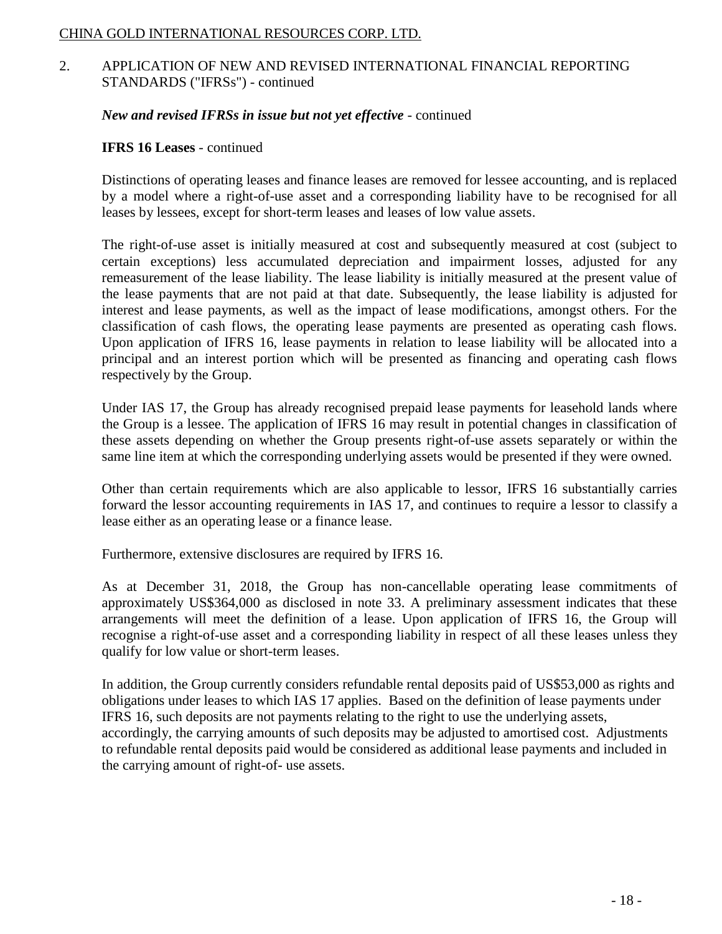# 2. APPLICATION OF NEW AND REVISED INTERNATIONAL FINANCIAL REPORTING STANDARDS ("IFRSs") - continued

### *New and revised IFRSs in issue but not yet effective* - continued

# **IFRS 16 Leases** - continued

Distinctions of operating leases and finance leases are removed for lessee accounting, and is replaced by a model where a right-of-use asset and a corresponding liability have to be recognised for all leases by lessees, except for short-term leases and leases of low value assets.

The right-of-use asset is initially measured at cost and subsequently measured at cost (subject to certain exceptions) less accumulated depreciation and impairment losses, adjusted for any remeasurement of the lease liability. The lease liability is initially measured at the present value of the lease payments that are not paid at that date. Subsequently, the lease liability is adjusted for interest and lease payments, as well as the impact of lease modifications, amongst others. For the classification of cash flows, the operating lease payments are presented as operating cash flows. Upon application of IFRS 16, lease payments in relation to lease liability will be allocated into a principal and an interest portion which will be presented as financing and operating cash flows respectively by the Group.

Under IAS 17, the Group has already recognised prepaid lease payments for leasehold lands where the Group is a lessee. The application of IFRS 16 may result in potential changes in classification of these assets depending on whether the Group presents right-of-use assets separately or within the same line item at which the corresponding underlying assets would be presented if they were owned.

Other than certain requirements which are also applicable to lessor, IFRS 16 substantially carries forward the lessor accounting requirements in IAS 17, and continues to require a lessor to classify a lease either as an operating lease or a finance lease.

Furthermore, extensive disclosures are required by IFRS 16.

As at December 31, 2018, the Group has non-cancellable operating lease commitments of approximately US\$364,000 as disclosed in note 33. A preliminary assessment indicates that these arrangements will meet the definition of a lease. Upon application of IFRS 16, the Group will recognise a right-of-use asset and a corresponding liability in respect of all these leases unless they qualify for low value or short-term leases.

In addition, the Group currently considers refundable rental deposits paid of US\$53,000 as rights and obligations under leases to which IAS 17 applies. Based on the definition of lease payments under IFRS 16, such deposits are not payments relating to the right to use the underlying assets, accordingly, the carrying amounts of such deposits may be adjusted to amortised cost. Adjustments to refundable rental deposits paid would be considered as additional lease payments and included in the carrying amount of right-of- use assets.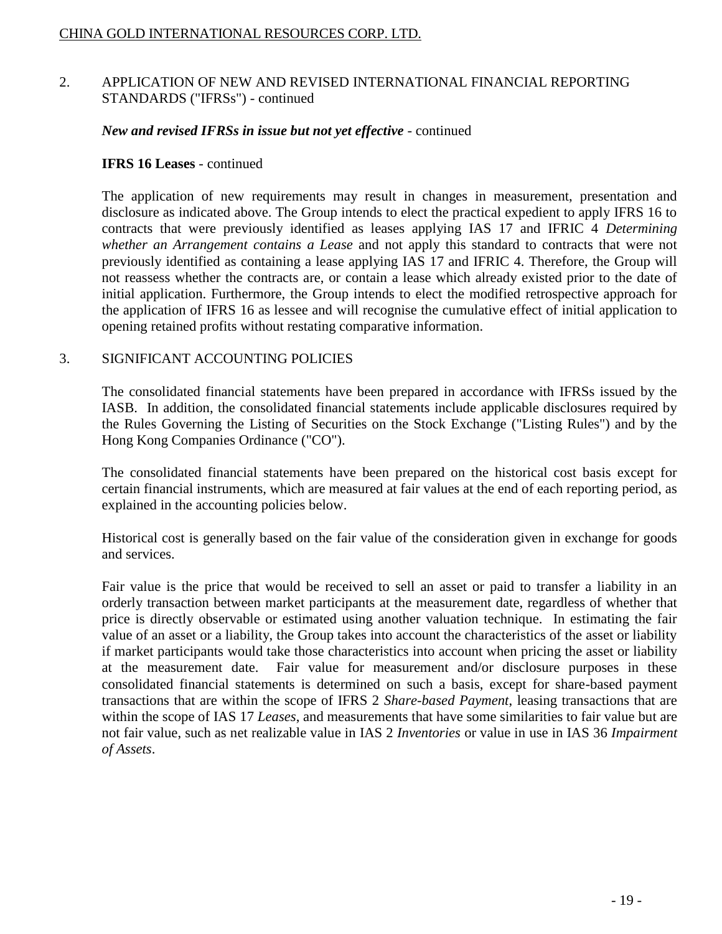# 2. APPLICATION OF NEW AND REVISED INTERNATIONAL FINANCIAL REPORTING STANDARDS ("IFRSs") - continued

### *New and revised IFRSs in issue but not yet effective* - continued

# **IFRS 16 Leases** - continued

The application of new requirements may result in changes in measurement, presentation and disclosure as indicated above. The Group intends to elect the practical expedient to apply IFRS 16 to contracts that were previously identified as leases applying IAS 17 and IFRIC 4 *Determining whether an Arrangement contains a Lease* and not apply this standard to contracts that were not previously identified as containing a lease applying IAS 17 and IFRIC 4. Therefore, the Group will not reassess whether the contracts are, or contain a lease which already existed prior to the date of initial application. Furthermore, the Group intends to elect the modified retrospective approach for the application of IFRS 16 as lessee and will recognise the cumulative effect of initial application to opening retained profits without restating comparative information.

# 3. SIGNIFICANT ACCOUNTING POLICIES

The consolidated financial statements have been prepared in accordance with IFRSs issued by the IASB. In addition, the consolidated financial statements include applicable disclosures required by the Rules Governing the Listing of Securities on the Stock Exchange ("Listing Rules") and by the Hong Kong Companies Ordinance ("CO").

The consolidated financial statements have been prepared on the historical cost basis except for certain financial instruments, which are measured at fair values at the end of each reporting period, as explained in the accounting policies below.

Historical cost is generally based on the fair value of the consideration given in exchange for goods and services.

Fair value is the price that would be received to sell an asset or paid to transfer a liability in an orderly transaction between market participants at the measurement date, regardless of whether that price is directly observable or estimated using another valuation technique. In estimating the fair value of an asset or a liability, the Group takes into account the characteristics of the asset or liability if market participants would take those characteristics into account when pricing the asset or liability at the measurement date. Fair value for measurement and/or disclosure purposes in these consolidated financial statements is determined on such a basis, except for share-based payment transactions that are within the scope of IFRS 2 *Share-based Payment*, leasing transactions that are within the scope of IAS 17 *Leases*, and measurements that have some similarities to fair value but are not fair value, such as net realizable value in IAS 2 *Inventories* or value in use in IAS 36 *Impairment of Assets*.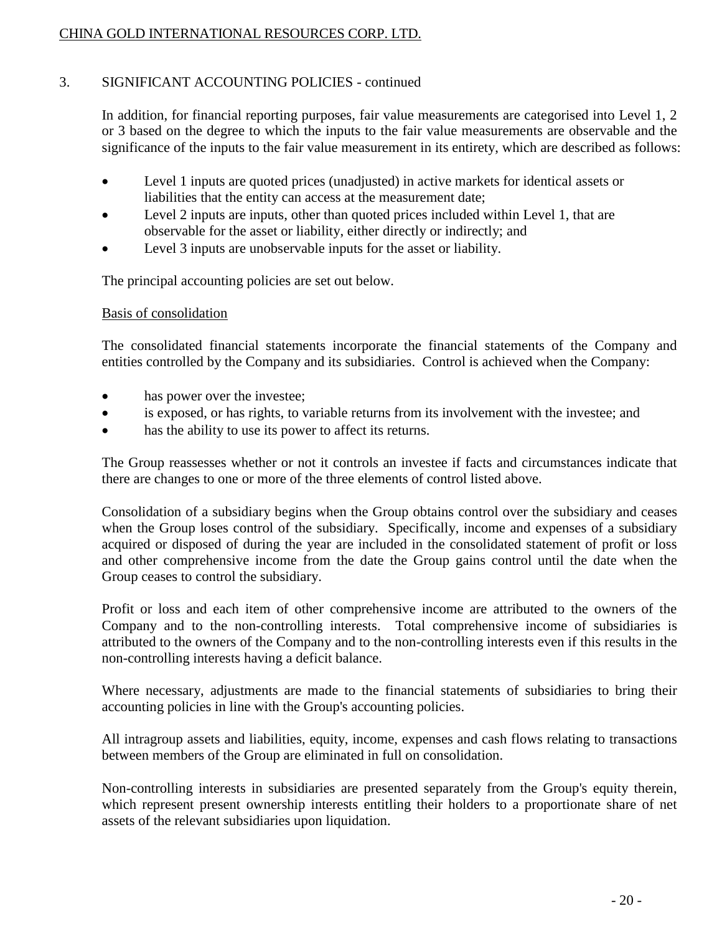# 3. SIGNIFICANT ACCOUNTING POLICIES - continued

In addition, for financial reporting purposes, fair value measurements are categorised into Level 1, 2 or 3 based on the degree to which the inputs to the fair value measurements are observable and the significance of the inputs to the fair value measurement in its entirety, which are described as follows:

- Level 1 inputs are quoted prices (unadjusted) in active markets for identical assets or liabilities that the entity can access at the measurement date;
- Level 2 inputs are inputs, other than quoted prices included within Level 1, that are observable for the asset or liability, either directly or indirectly; and
- Level 3 inputs are unobservable inputs for the asset or liability.

The principal accounting policies are set out below.

#### Basis of consolidation

The consolidated financial statements incorporate the financial statements of the Company and entities controlled by the Company and its subsidiaries. Control is achieved when the Company:

- has power over the investee;
- is exposed, or has rights, to variable returns from its involvement with the investee; and
- has the ability to use its power to affect its returns.

The Group reassesses whether or not it controls an investee if facts and circumstances indicate that there are changes to one or more of the three elements of control listed above.

Consolidation of a subsidiary begins when the Group obtains control over the subsidiary and ceases when the Group loses control of the subsidiary. Specifically, income and expenses of a subsidiary acquired or disposed of during the year are included in the consolidated statement of profit or loss and other comprehensive income from the date the Group gains control until the date when the Group ceases to control the subsidiary.

Profit or loss and each item of other comprehensive income are attributed to the owners of the Company and to the non-controlling interests. Total comprehensive income of subsidiaries is attributed to the owners of the Company and to the non-controlling interests even if this results in the non-controlling interests having a deficit balance.

Where necessary, adjustments are made to the financial statements of subsidiaries to bring their accounting policies in line with the Group's accounting policies.

All intragroup assets and liabilities, equity, income, expenses and cash flows relating to transactions between members of the Group are eliminated in full on consolidation.

Non-controlling interests in subsidiaries are presented separately from the Group's equity therein, which represent present ownership interests entitling their holders to a proportionate share of net assets of the relevant subsidiaries upon liquidation.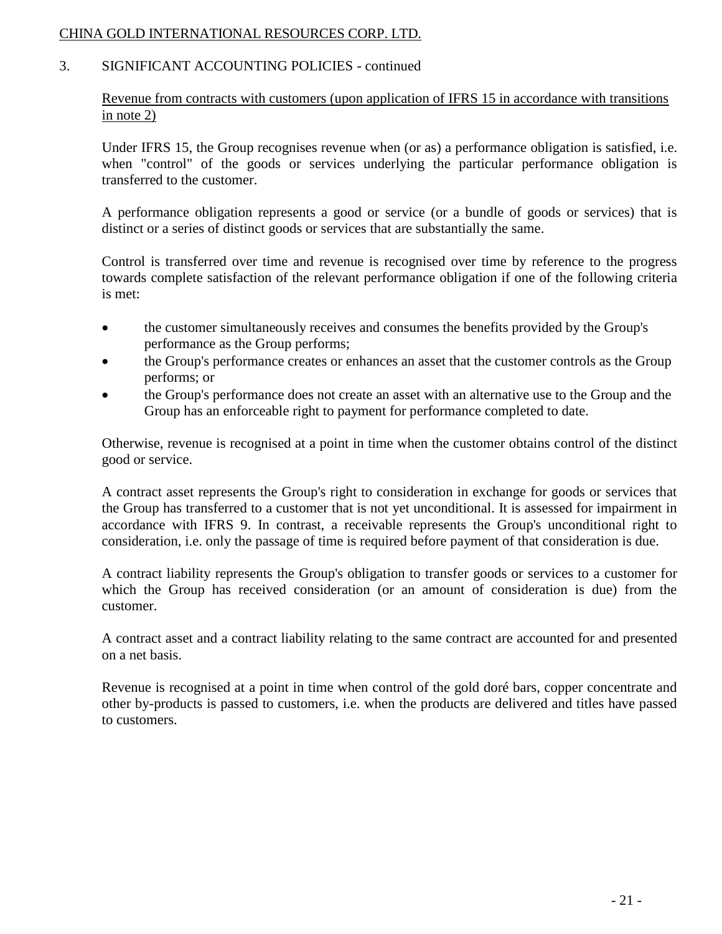# 3. SIGNIFICANT ACCOUNTING POLICIES - continued

Revenue from contracts with customers (upon application of IFRS 15 in accordance with transitions in note 2)

Under IFRS 15, the Group recognises revenue when (or as) a performance obligation is satisfied, i.e. when "control" of the goods or services underlying the particular performance obligation is transferred to the customer.

A performance obligation represents a good or service (or a bundle of goods or services) that is distinct or a series of distinct goods or services that are substantially the same.

Control is transferred over time and revenue is recognised over time by reference to the progress towards complete satisfaction of the relevant performance obligation if one of the following criteria is met:

- the customer simultaneously receives and consumes the benefits provided by the Group's performance as the Group performs;
- the Group's performance creates or enhances an asset that the customer controls as the Group performs; or
- the Group's performance does not create an asset with an alternative use to the Group and the Group has an enforceable right to payment for performance completed to date.

Otherwise, revenue is recognised at a point in time when the customer obtains control of the distinct good or service.

A contract asset represents the Group's right to consideration in exchange for goods or services that the Group has transferred to a customer that is not yet unconditional. It is assessed for impairment in accordance with IFRS 9. In contrast, a receivable represents the Group's unconditional right to consideration, i.e. only the passage of time is required before payment of that consideration is due.

A contract liability represents the Group's obligation to transfer goods or services to a customer for which the Group has received consideration (or an amount of consideration is due) from the customer.

A contract asset and a contract liability relating to the same contract are accounted for and presented on a net basis.

Revenue is recognised at a point in time when control of the gold doré bars, copper concentrate and other by-products is passed to customers, i.e. when the products are delivered and titles have passed to customers.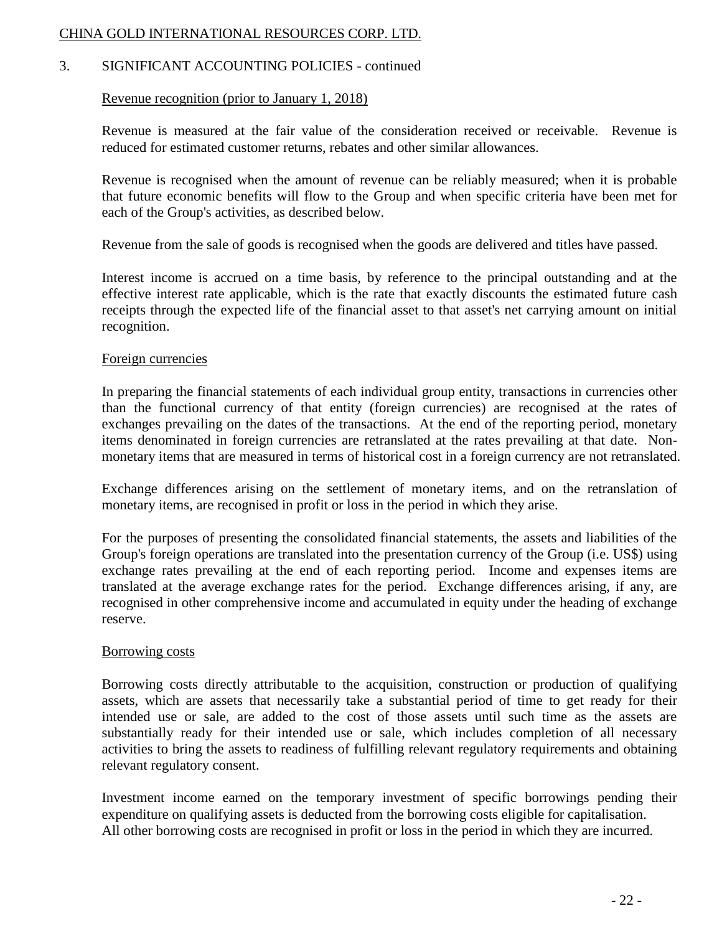# 3. SIGNIFICANT ACCOUNTING POLICIES - continued

### Revenue recognition (prior to January 1, 2018)

Revenue is measured at the fair value of the consideration received or receivable. Revenue is reduced for estimated customer returns, rebates and other similar allowances.

Revenue is recognised when the amount of revenue can be reliably measured; when it is probable that future economic benefits will flow to the Group and when specific criteria have been met for each of the Group's activities, as described below.

Revenue from the sale of goods is recognised when the goods are delivered and titles have passed.

Interest income is accrued on a time basis, by reference to the principal outstanding and at the effective interest rate applicable, which is the rate that exactly discounts the estimated future cash receipts through the expected life of the financial asset to that asset's net carrying amount on initial recognition.

#### Foreign currencies

In preparing the financial statements of each individual group entity, transactions in currencies other than the functional currency of that entity (foreign currencies) are recognised at the rates of exchanges prevailing on the dates of the transactions. At the end of the reporting period, monetary items denominated in foreign currencies are retranslated at the rates prevailing at that date. Nonmonetary items that are measured in terms of historical cost in a foreign currency are not retranslated.

Exchange differences arising on the settlement of monetary items, and on the retranslation of monetary items, are recognised in profit or loss in the period in which they arise.

For the purposes of presenting the consolidated financial statements, the assets and liabilities of the Group's foreign operations are translated into the presentation currency of the Group (i.e. US\$) using exchange rates prevailing at the end of each reporting period. Income and expenses items are translated at the average exchange rates for the period. Exchange differences arising, if any, are recognised in other comprehensive income and accumulated in equity under the heading of exchange reserve.

#### Borrowing costs

Borrowing costs directly attributable to the acquisition, construction or production of qualifying assets, which are assets that necessarily take a substantial period of time to get ready for their intended use or sale, are added to the cost of those assets until such time as the assets are substantially ready for their intended use or sale, which includes completion of all necessary activities to bring the assets to readiness of fulfilling relevant regulatory requirements and obtaining relevant regulatory consent.

Investment income earned on the temporary investment of specific borrowings pending their expenditure on qualifying assets is deducted from the borrowing costs eligible for capitalisation. All other borrowing costs are recognised in profit or loss in the period in which they are incurred.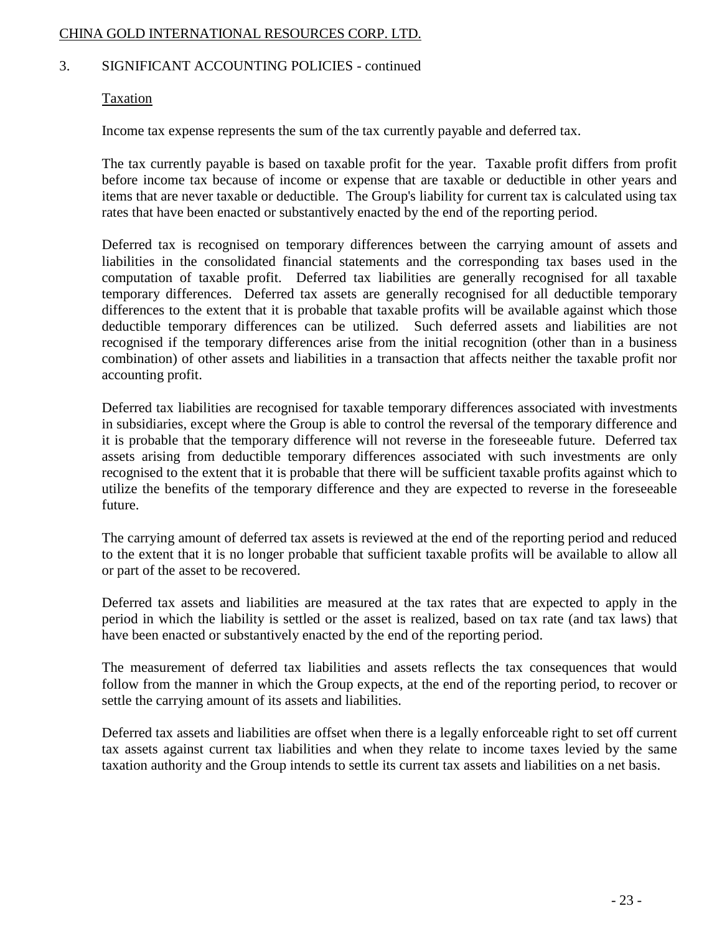# 3. SIGNIFICANT ACCOUNTING POLICIES - continued

#### Taxation

Income tax expense represents the sum of the tax currently payable and deferred tax.

The tax currently payable is based on taxable profit for the year. Taxable profit differs from profit before income tax because of income or expense that are taxable or deductible in other years and items that are never taxable or deductible. The Group's liability for current tax is calculated using tax rates that have been enacted or substantively enacted by the end of the reporting period.

Deferred tax is recognised on temporary differences between the carrying amount of assets and liabilities in the consolidated financial statements and the corresponding tax bases used in the computation of taxable profit. Deferred tax liabilities are generally recognised for all taxable temporary differences. Deferred tax assets are generally recognised for all deductible temporary differences to the extent that it is probable that taxable profits will be available against which those deductible temporary differences can be utilized. Such deferred assets and liabilities are not recognised if the temporary differences arise from the initial recognition (other than in a business combination) of other assets and liabilities in a transaction that affects neither the taxable profit nor accounting profit.

Deferred tax liabilities are recognised for taxable temporary differences associated with investments in subsidiaries, except where the Group is able to control the reversal of the temporary difference and it is probable that the temporary difference will not reverse in the foreseeable future. Deferred tax assets arising from deductible temporary differences associated with such investments are only recognised to the extent that it is probable that there will be sufficient taxable profits against which to utilize the benefits of the temporary difference and they are expected to reverse in the foreseeable future.

The carrying amount of deferred tax assets is reviewed at the end of the reporting period and reduced to the extent that it is no longer probable that sufficient taxable profits will be available to allow all or part of the asset to be recovered.

Deferred tax assets and liabilities are measured at the tax rates that are expected to apply in the period in which the liability is settled or the asset is realized, based on tax rate (and tax laws) that have been enacted or substantively enacted by the end of the reporting period.

The measurement of deferred tax liabilities and assets reflects the tax consequences that would follow from the manner in which the Group expects, at the end of the reporting period, to recover or settle the carrying amount of its assets and liabilities.

Deferred tax assets and liabilities are offset when there is a legally enforceable right to set off current tax assets against current tax liabilities and when they relate to income taxes levied by the same taxation authority and the Group intends to settle its current tax assets and liabilities on a net basis.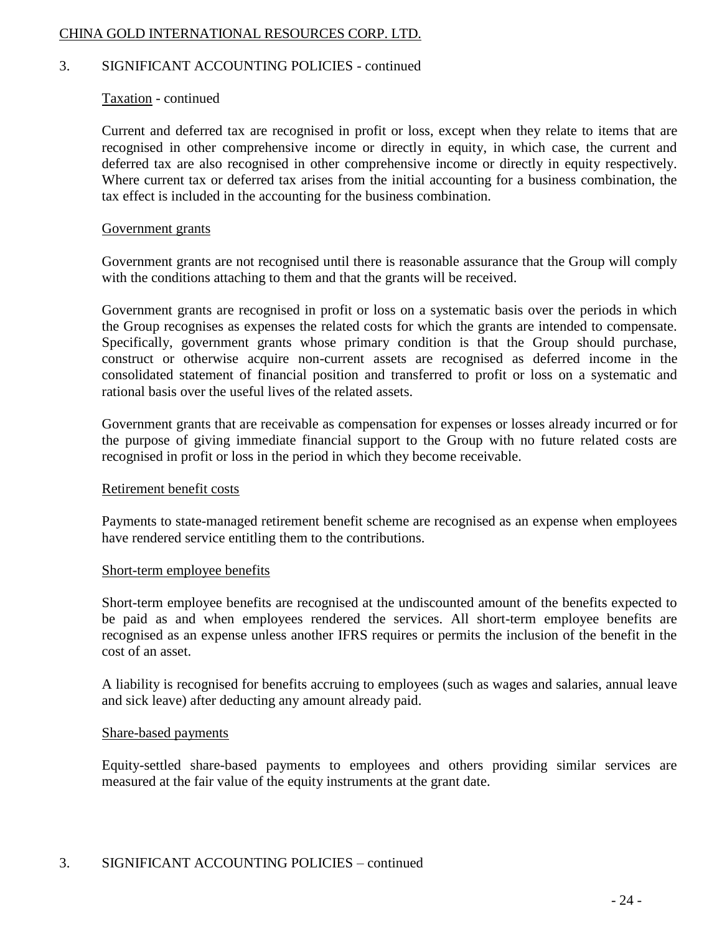## 3. SIGNIFICANT ACCOUNTING POLICIES - continued

#### Taxation - continued

Current and deferred tax are recognised in profit or loss, except when they relate to items that are recognised in other comprehensive income or directly in equity, in which case, the current and deferred tax are also recognised in other comprehensive income or directly in equity respectively. Where current tax or deferred tax arises from the initial accounting for a business combination, the tax effect is included in the accounting for the business combination.

#### Government grants

Government grants are not recognised until there is reasonable assurance that the Group will comply with the conditions attaching to them and that the grants will be received.

Government grants are recognised in profit or loss on a systematic basis over the periods in which the Group recognises as expenses the related costs for which the grants are intended to compensate. Specifically, government grants whose primary condition is that the Group should purchase, construct or otherwise acquire non-current assets are recognised as deferred income in the consolidated statement of financial position and transferred to profit or loss on a systematic and rational basis over the useful lives of the related assets.

Government grants that are receivable as compensation for expenses or losses already incurred or for the purpose of giving immediate financial support to the Group with no future related costs are recognised in profit or loss in the period in which they become receivable.

#### Retirement benefit costs

Payments to state-managed retirement benefit scheme are recognised as an expense when employees have rendered service entitling them to the contributions.

#### Short-term employee benefits

Short-term employee benefits are recognised at the undiscounted amount of the benefits expected to be paid as and when employees rendered the services. All short-term employee benefits are recognised as an expense unless another IFRS requires or permits the inclusion of the benefit in the cost of an asset.

A liability is recognised for benefits accruing to employees (such as wages and salaries, annual leave and sick leave) after deducting any amount already paid.

### Share-based payments

Equity-settled share-based payments to employees and others providing similar services are measured at the fair value of the equity instruments at the grant date.

### 3. SIGNIFICANT ACCOUNTING POLICIES – continued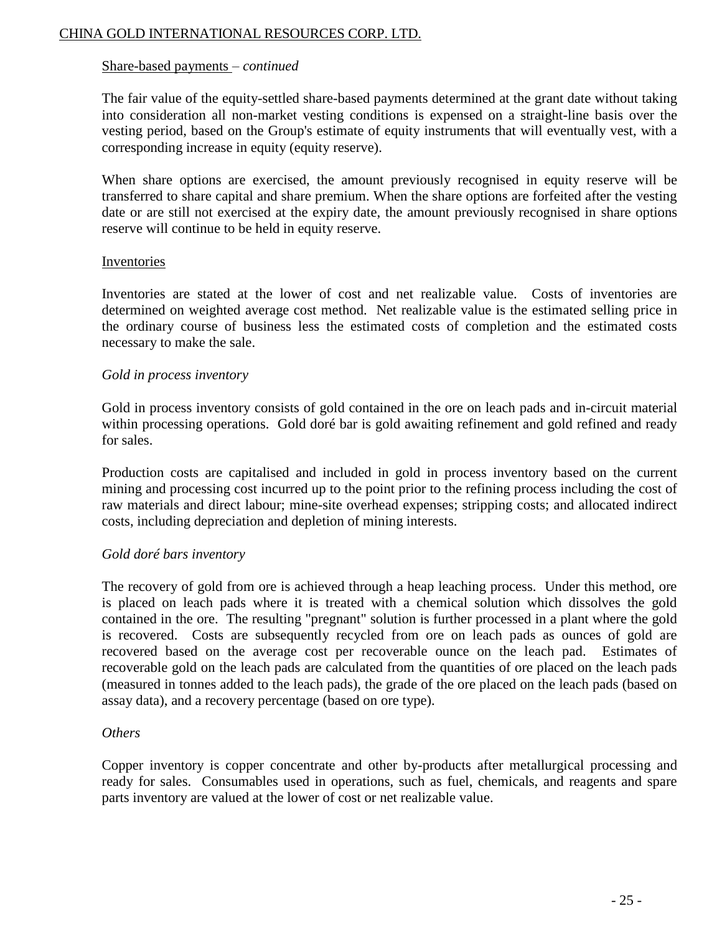# Share-based payments – *continued*

The fair value of the equity-settled share-based payments determined at the grant date without taking into consideration all non-market vesting conditions is expensed on a straight-line basis over the vesting period, based on the Group's estimate of equity instruments that will eventually vest, with a corresponding increase in equity (equity reserve).

When share options are exercised, the amount previously recognised in equity reserve will be transferred to share capital and share premium. When the share options are forfeited after the vesting date or are still not exercised at the expiry date, the amount previously recognised in share options reserve will continue to be held in equity reserve.

#### Inventories

Inventories are stated at the lower of cost and net realizable value. Costs of inventories are determined on weighted average cost method. Net realizable value is the estimated selling price in the ordinary course of business less the estimated costs of completion and the estimated costs necessary to make the sale.

#### *Gold in process inventory*

Gold in process inventory consists of gold contained in the ore on leach pads and in-circuit material within processing operations. Gold doré bar is gold awaiting refinement and gold refined and ready for sales.

Production costs are capitalised and included in gold in process inventory based on the current mining and processing cost incurred up to the point prior to the refining process including the cost of raw materials and direct labour; mine-site overhead expenses; stripping costs; and allocated indirect costs, including depreciation and depletion of mining interests.

### *Gold doré bars inventory*

The recovery of gold from ore is achieved through a heap leaching process. Under this method, ore is placed on leach pads where it is treated with a chemical solution which dissolves the gold contained in the ore. The resulting "pregnant" solution is further processed in a plant where the gold is recovered. Costs are subsequently recycled from ore on leach pads as ounces of gold are recovered based on the average cost per recoverable ounce on the leach pad. Estimates of recoverable gold on the leach pads are calculated from the quantities of ore placed on the leach pads (measured in tonnes added to the leach pads), the grade of the ore placed on the leach pads (based on assay data), and a recovery percentage (based on ore type).

### *Others*

Copper inventory is copper concentrate and other by-products after metallurgical processing and ready for sales. Consumables used in operations, such as fuel, chemicals, and reagents and spare parts inventory are valued at the lower of cost or net realizable value.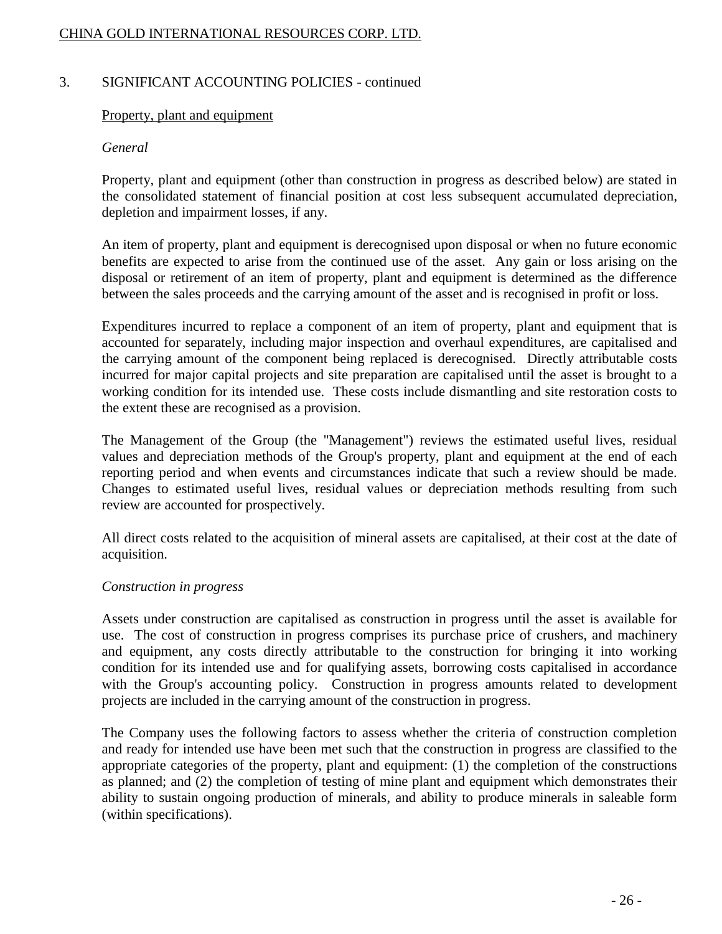# 3. SIGNIFICANT ACCOUNTING POLICIES - continued

# Property, plant and equipment

# *General*

Property, plant and equipment (other than construction in progress as described below) are stated in the consolidated statement of financial position at cost less subsequent accumulated depreciation, depletion and impairment losses, if any.

An item of property, plant and equipment is derecognised upon disposal or when no future economic benefits are expected to arise from the continued use of the asset. Any gain or loss arising on the disposal or retirement of an item of property, plant and equipment is determined as the difference between the sales proceeds and the carrying amount of the asset and is recognised in profit or loss.

Expenditures incurred to replace a component of an item of property, plant and equipment that is accounted for separately, including major inspection and overhaul expenditures, are capitalised and the carrying amount of the component being replaced is derecognised. Directly attributable costs incurred for major capital projects and site preparation are capitalised until the asset is brought to a working condition for its intended use. These costs include dismantling and site restoration costs to the extent these are recognised as a provision.

The Management of the Group (the "Management") reviews the estimated useful lives, residual values and depreciation methods of the Group's property, plant and equipment at the end of each reporting period and when events and circumstances indicate that such a review should be made. Changes to estimated useful lives, residual values or depreciation methods resulting from such review are accounted for prospectively.

All direct costs related to the acquisition of mineral assets are capitalised, at their cost at the date of acquisition.

### *Construction in progress*

Assets under construction are capitalised as construction in progress until the asset is available for use. The cost of construction in progress comprises its purchase price of crushers, and machinery and equipment, any costs directly attributable to the construction for bringing it into working condition for its intended use and for qualifying assets, borrowing costs capitalised in accordance with the Group's accounting policy. Construction in progress amounts related to development projects are included in the carrying amount of the construction in progress.

The Company uses the following factors to assess whether the criteria of construction completion and ready for intended use have been met such that the construction in progress are classified to the appropriate categories of the property, plant and equipment: (1) the completion of the constructions as planned; and (2) the completion of testing of mine plant and equipment which demonstrates their ability to sustain ongoing production of minerals, and ability to produce minerals in saleable form (within specifications).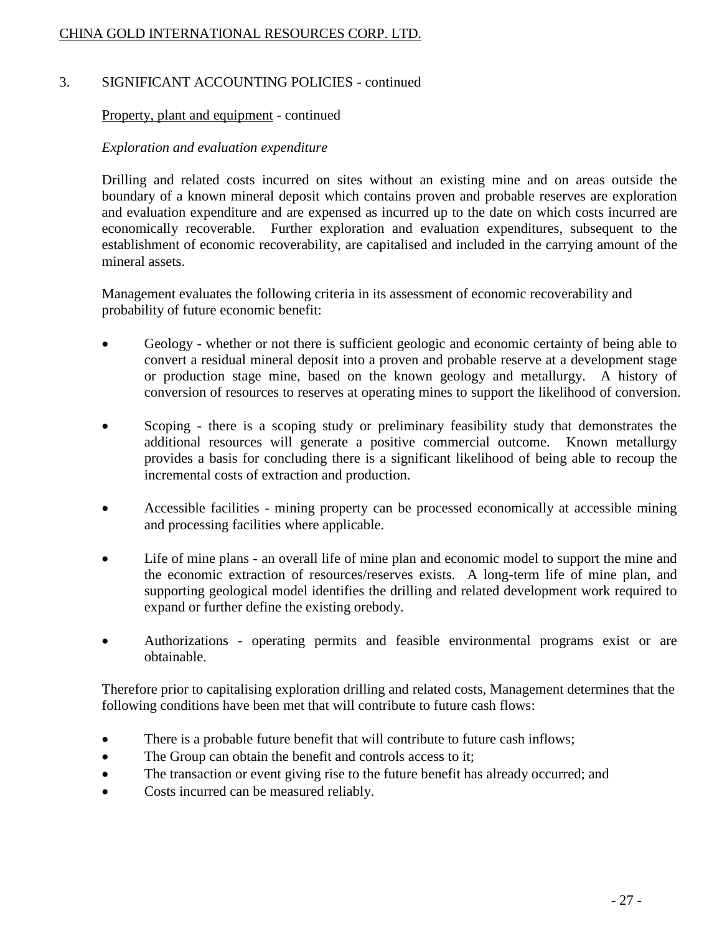# 3. SIGNIFICANT ACCOUNTING POLICIES - continued

### Property, plant and equipment - continued

# *Exploration and evaluation expenditure*

Drilling and related costs incurred on sites without an existing mine and on areas outside the boundary of a known mineral deposit which contains proven and probable reserves are exploration and evaluation expenditure and are expensed as incurred up to the date on which costs incurred are economically recoverable. Further exploration and evaluation expenditures, subsequent to the establishment of economic recoverability, are capitalised and included in the carrying amount of the mineral assets.

Management evaluates the following criteria in its assessment of economic recoverability and probability of future economic benefit:

- Geology whether or not there is sufficient geologic and economic certainty of being able to convert a residual mineral deposit into a proven and probable reserve at a development stage or production stage mine, based on the known geology and metallurgy. A history of conversion of resources to reserves at operating mines to support the likelihood of conversion.
- Scoping there is a scoping study or preliminary feasibility study that demonstrates the additional resources will generate a positive commercial outcome. Known metallurgy provides a basis for concluding there is a significant likelihood of being able to recoup the incremental costs of extraction and production.
- Accessible facilities mining property can be processed economically at accessible mining and processing facilities where applicable.
- Life of mine plans an overall life of mine plan and economic model to support the mine and the economic extraction of resources/reserves exists. A long-term life of mine plan, and supporting geological model identifies the drilling and related development work required to expand or further define the existing orebody.
- Authorizations operating permits and feasible environmental programs exist or are obtainable.

Therefore prior to capitalising exploration drilling and related costs, Management determines that the following conditions have been met that will contribute to future cash flows:

- There is a probable future benefit that will contribute to future cash inflows;
- The Group can obtain the benefit and controls access to it;
- The transaction or event giving rise to the future benefit has already occurred; and
- Costs incurred can be measured reliably.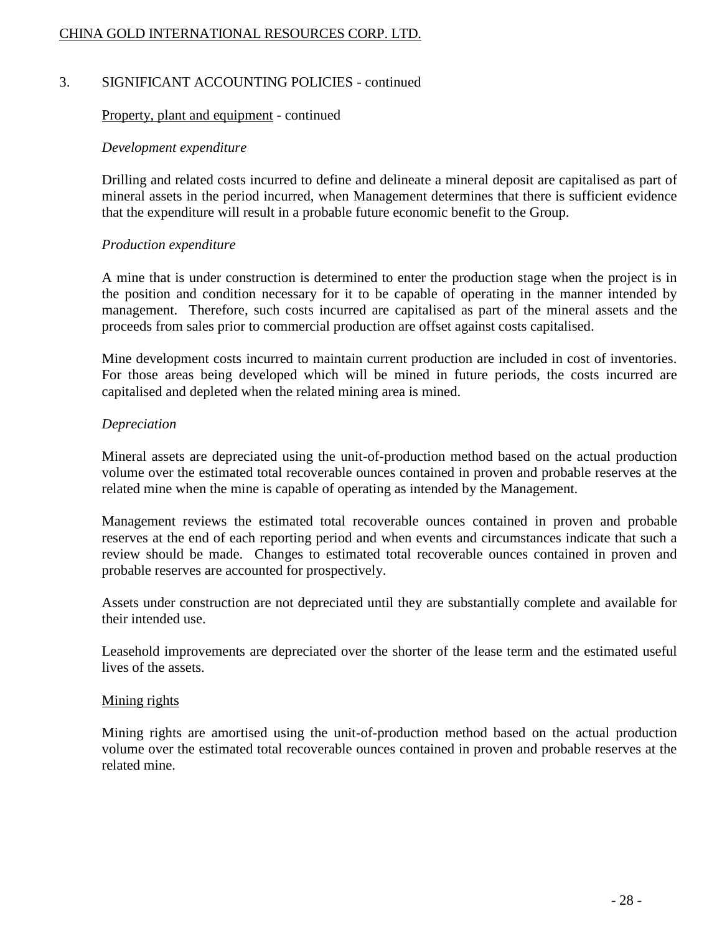# 3. SIGNIFICANT ACCOUNTING POLICIES - continued

### Property, plant and equipment - continued

### *Development expenditure*

Drilling and related costs incurred to define and delineate a mineral deposit are capitalised as part of mineral assets in the period incurred, when Management determines that there is sufficient evidence that the expenditure will result in a probable future economic benefit to the Group.

### *Production expenditure*

A mine that is under construction is determined to enter the production stage when the project is in the position and condition necessary for it to be capable of operating in the manner intended by management. Therefore, such costs incurred are capitalised as part of the mineral assets and the proceeds from sales prior to commercial production are offset against costs capitalised.

Mine development costs incurred to maintain current production are included in cost of inventories. For those areas being developed which will be mined in future periods, the costs incurred are capitalised and depleted when the related mining area is mined.

# *Depreciation*

Mineral assets are depreciated using the unit-of-production method based on the actual production volume over the estimated total recoverable ounces contained in proven and probable reserves at the related mine when the mine is capable of operating as intended by the Management.

Management reviews the estimated total recoverable ounces contained in proven and probable reserves at the end of each reporting period and when events and circumstances indicate that such a review should be made. Changes to estimated total recoverable ounces contained in proven and probable reserves are accounted for prospectively.

Assets under construction are not depreciated until they are substantially complete and available for their intended use.

Leasehold improvements are depreciated over the shorter of the lease term and the estimated useful lives of the assets.

### Mining rights

Mining rights are amortised using the unit-of-production method based on the actual production volume over the estimated total recoverable ounces contained in proven and probable reserves at the related mine.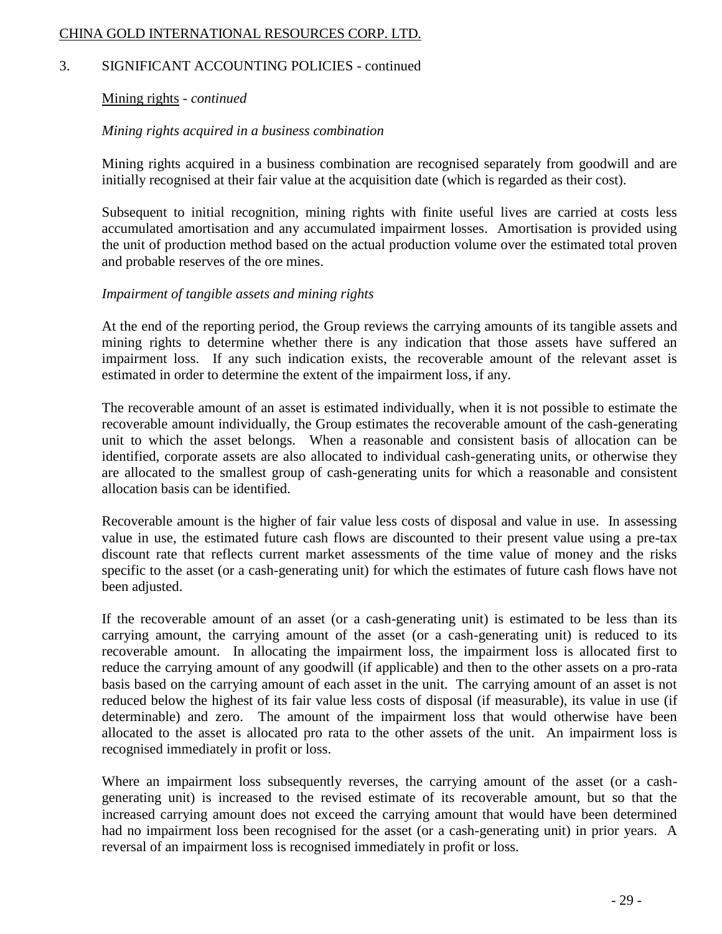# 3. SIGNIFICANT ACCOUNTING POLICIES - continued

Mining rights - *continued*

#### *Mining rights acquired in a business combination*

Mining rights acquired in a business combination are recognised separately from goodwill and are initially recognised at their fair value at the acquisition date (which is regarded as their cost).

Subsequent to initial recognition, mining rights with finite useful lives are carried at costs less accumulated amortisation and any accumulated impairment losses. Amortisation is provided using the unit of production method based on the actual production volume over the estimated total proven and probable reserves of the ore mines.

### *Impairment of tangible assets and mining rights*

At the end of the reporting period, the Group reviews the carrying amounts of its tangible assets and mining rights to determine whether there is any indication that those assets have suffered an impairment loss. If any such indication exists, the recoverable amount of the relevant asset is estimated in order to determine the extent of the impairment loss, if any.

The recoverable amount of an asset is estimated individually, when it is not possible to estimate the recoverable amount individually, the Group estimates the recoverable amount of the cash-generating unit to which the asset belongs. When a reasonable and consistent basis of allocation can be identified, corporate assets are also allocated to individual cash-generating units, or otherwise they are allocated to the smallest group of cash-generating units for which a reasonable and consistent allocation basis can be identified.

Recoverable amount is the higher of fair value less costs of disposal and value in use. In assessing value in use, the estimated future cash flows are discounted to their present value using a pre-tax discount rate that reflects current market assessments of the time value of money and the risks specific to the asset (or a cash-generating unit) for which the estimates of future cash flows have not been adjusted.

If the recoverable amount of an asset (or a cash-generating unit) is estimated to be less than its carrying amount, the carrying amount of the asset (or a cash-generating unit) is reduced to its recoverable amount. In allocating the impairment loss, the impairment loss is allocated first to reduce the carrying amount of any goodwill (if applicable) and then to the other assets on a pro-rata basis based on the carrying amount of each asset in the unit. The carrying amount of an asset is not reduced below the highest of its fair value less costs of disposal (if measurable), its value in use (if determinable) and zero. The amount of the impairment loss that would otherwise have been allocated to the asset is allocated pro rata to the other assets of the unit. An impairment loss is recognised immediately in profit or loss.

Where an impairment loss subsequently reverses, the carrying amount of the asset (or a cashgenerating unit) is increased to the revised estimate of its recoverable amount, but so that the increased carrying amount does not exceed the carrying amount that would have been determined had no impairment loss been recognised for the asset (or a cash-generating unit) in prior years. A reversal of an impairment loss is recognised immediately in profit or loss.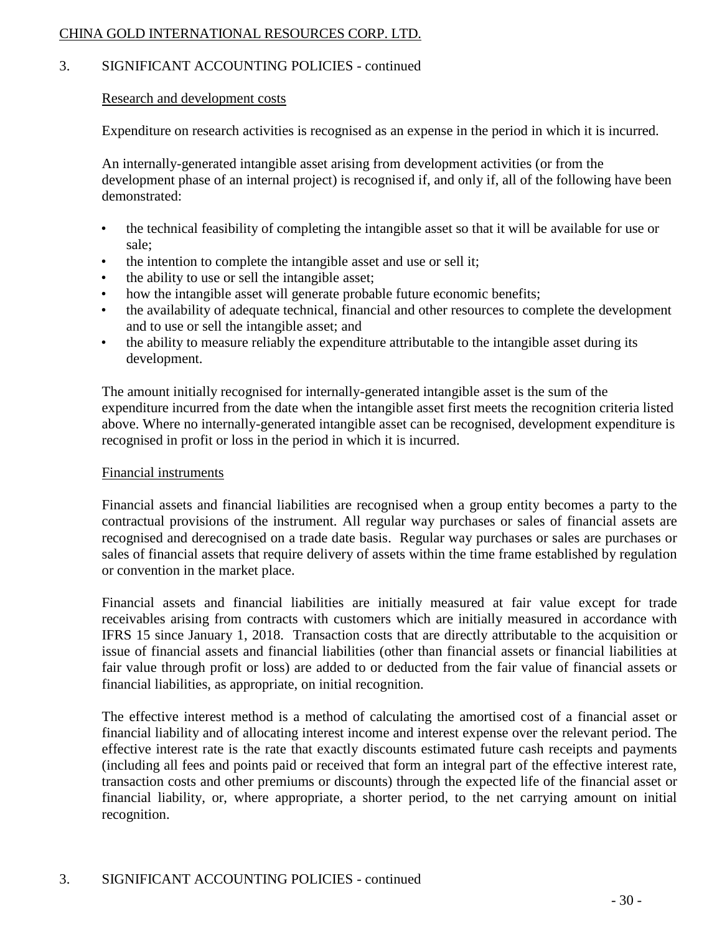# 3. SIGNIFICANT ACCOUNTING POLICIES - continued

#### Research and development costs

Expenditure on research activities is recognised as an expense in the period in which it is incurred.

An internally-generated intangible asset arising from development activities (or from the development phase of an internal project) is recognised if, and only if, all of the following have been demonstrated:

- the technical feasibility of completing the intangible asset so that it will be available for use or sale;
- the intention to complete the intangible asset and use or sell it;
- the ability to use or sell the intangible asset;
- how the intangible asset will generate probable future economic benefits;
- the availability of adequate technical, financial and other resources to complete the development and to use or sell the intangible asset; and
- the ability to measure reliably the expenditure attributable to the intangible asset during its development.

The amount initially recognised for internally-generated intangible asset is the sum of the expenditure incurred from the date when the intangible asset first meets the recognition criteria listed above. Where no internally-generated intangible asset can be recognised, development expenditure is recognised in profit or loss in the period in which it is incurred.

#### Financial instruments

Financial assets and financial liabilities are recognised when a group entity becomes a party to the contractual provisions of the instrument. All regular way purchases or sales of financial assets are recognised and derecognised on a trade date basis. Regular way purchases or sales are purchases or sales of financial assets that require delivery of assets within the time frame established by regulation or convention in the market place.

Financial assets and financial liabilities are initially measured at fair value except for trade receivables arising from contracts with customers which are initially measured in accordance with IFRS 15 since January 1, 2018. Transaction costs that are directly attributable to the acquisition or issue of financial assets and financial liabilities (other than financial assets or financial liabilities at fair value through profit or loss) are added to or deducted from the fair value of financial assets or financial liabilities, as appropriate, on initial recognition.

The effective interest method is a method of calculating the amortised cost of a financial asset or financial liability and of allocating interest income and interest expense over the relevant period. The effective interest rate is the rate that exactly discounts estimated future cash receipts and payments (including all fees and points paid or received that form an integral part of the effective interest rate, transaction costs and other premiums or discounts) through the expected life of the financial asset or financial liability, or, where appropriate, a shorter period, to the net carrying amount on initial recognition.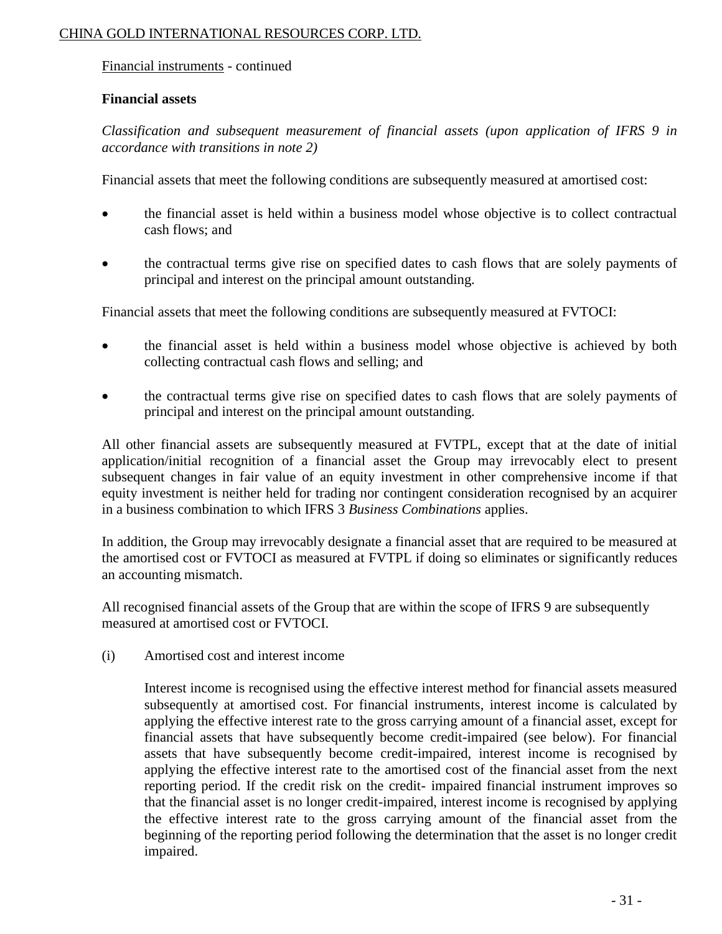### Financial instruments - continued

# **Financial assets**

*Classification and subsequent measurement of financial assets (upon application of IFRS 9 in accordance with transitions in note 2)*

Financial assets that meet the following conditions are subsequently measured at amortised cost:

- the financial asset is held within a business model whose objective is to collect contractual cash flows; and
- the contractual terms give rise on specified dates to cash flows that are solely payments of principal and interest on the principal amount outstanding.

Financial assets that meet the following conditions are subsequently measured at FVTOCI:

- the financial asset is held within a business model whose objective is achieved by both collecting contractual cash flows and selling; and
- the contractual terms give rise on specified dates to cash flows that are solely payments of principal and interest on the principal amount outstanding.

All other financial assets are subsequently measured at FVTPL, except that at the date of initial application/initial recognition of a financial asset the Group may irrevocably elect to present subsequent changes in fair value of an equity investment in other comprehensive income if that equity investment is neither held for trading nor contingent consideration recognised by an acquirer in a business combination to which IFRS 3 *Business Combinations* applies.

In addition, the Group may irrevocably designate a financial asset that are required to be measured at the amortised cost or FVTOCI as measured at FVTPL if doing so eliminates or significantly reduces an accounting mismatch.

All recognised financial assets of the Group that are within the scope of IFRS 9 are subsequently measured at amortised cost or FVTOCI.

(i) Amortised cost and interest income

Interest income is recognised using the effective interest method for financial assets measured subsequently at amortised cost. For financial instruments, interest income is calculated by applying the effective interest rate to the gross carrying amount of a financial asset, except for financial assets that have subsequently become credit-impaired (see below). For financial assets that have subsequently become credit-impaired, interest income is recognised by applying the effective interest rate to the amortised cost of the financial asset from the next reporting period. If the credit risk on the credit- impaired financial instrument improves so that the financial asset is no longer credit-impaired, interest income is recognised by applying the effective interest rate to the gross carrying amount of the financial asset from the beginning of the reporting period following the determination that the asset is no longer credit impaired.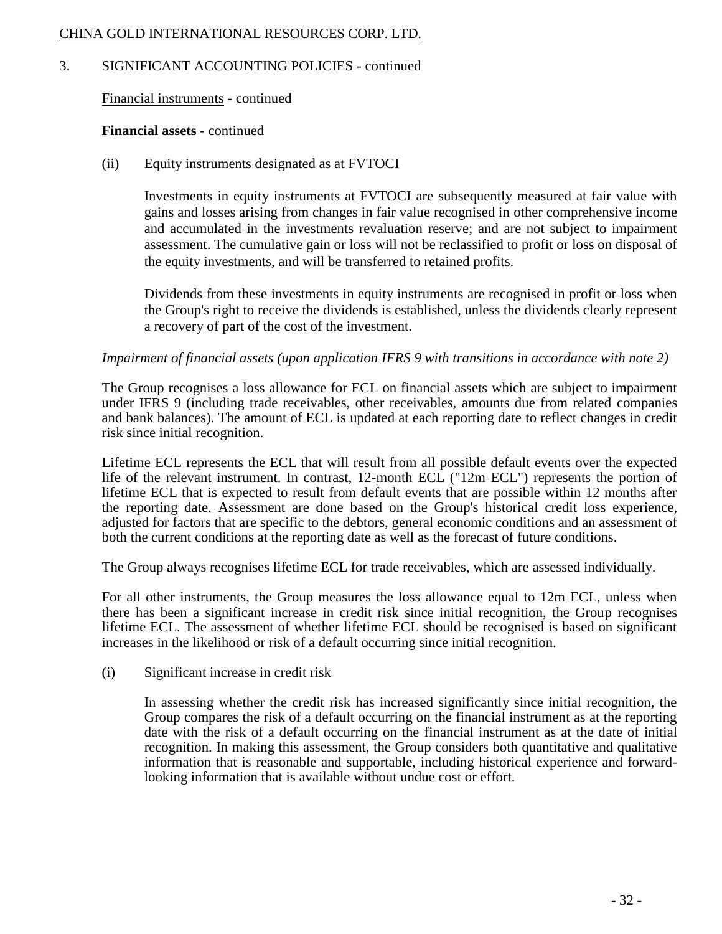# 3. SIGNIFICANT ACCOUNTING POLICIES - continued

Financial instruments - continued

#### **Financial assets** - continued

(ii) Equity instruments designated as at FVTOCI

Investments in equity instruments at FVTOCI are subsequently measured at fair value with gains and losses arising from changes in fair value recognised in other comprehensive income and accumulated in the investments revaluation reserve; and are not subject to impairment assessment. The cumulative gain or loss will not be reclassified to profit or loss on disposal of the equity investments, and will be transferred to retained profits.

Dividends from these investments in equity instruments are recognised in profit or loss when the Group's right to receive the dividends is established, unless the dividends clearly represent a recovery of part of the cost of the investment.

#### *Impairment of financial assets (upon application IFRS 9 with transitions in accordance with note 2)*

The Group recognises a loss allowance for ECL on financial assets which are subject to impairment under IFRS 9 (including trade receivables, other receivables, amounts due from related companies and bank balances). The amount of ECL is updated at each reporting date to reflect changes in credit risk since initial recognition.

Lifetime ECL represents the ECL that will result from all possible default events over the expected life of the relevant instrument. In contrast, 12-month ECL ("12m ECL") represents the portion of lifetime ECL that is expected to result from default events that are possible within 12 months after the reporting date. Assessment are done based on the Group's historical credit loss experience, adjusted for factors that are specific to the debtors, general economic conditions and an assessment of both the current conditions at the reporting date as well as the forecast of future conditions.

The Group always recognises lifetime ECL for trade receivables, which are assessed individually.

For all other instruments, the Group measures the loss allowance equal to 12m ECL, unless when there has been a significant increase in credit risk since initial recognition, the Group recognises lifetime ECL. The assessment of whether lifetime ECL should be recognised is based on significant increases in the likelihood or risk of a default occurring since initial recognition.

(i) Significant increase in credit risk

In assessing whether the credit risk has increased significantly since initial recognition, the Group compares the risk of a default occurring on the financial instrument as at the reporting date with the risk of a default occurring on the financial instrument as at the date of initial recognition. In making this assessment, the Group considers both quantitative and qualitative information that is reasonable and supportable, including historical experience and forwardlooking information that is available without undue cost or effort.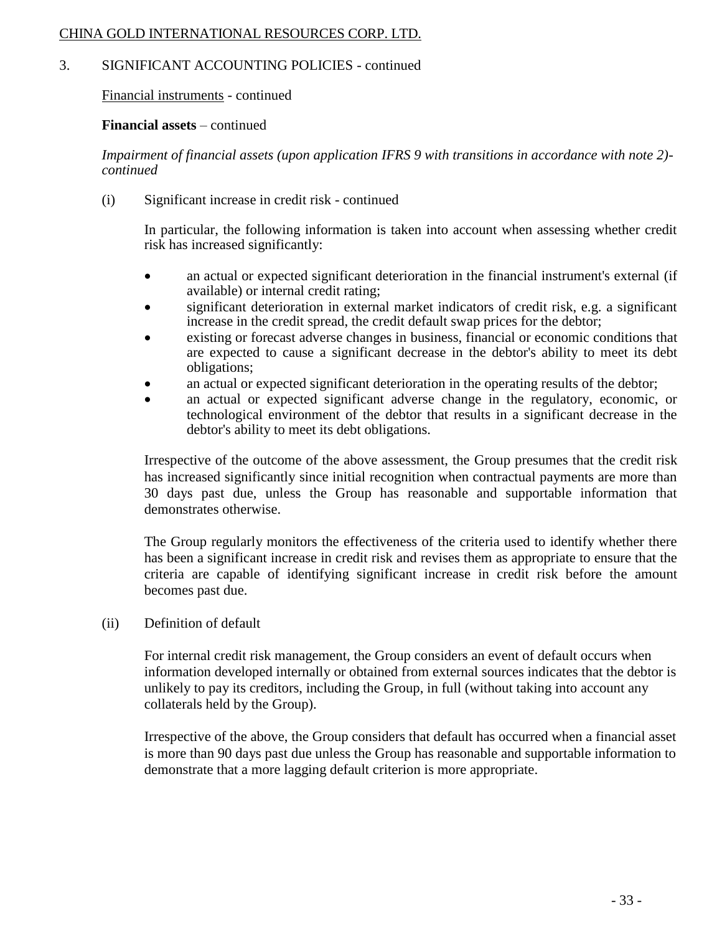# 3. SIGNIFICANT ACCOUNTING POLICIES - continued

### Financial instruments - continued

### **Financial assets** – continued

*Impairment of financial assets (upon application IFRS 9 with transitions in accordance with note 2) continued*

(i) Significant increase in credit risk - continued

In particular, the following information is taken into account when assessing whether credit risk has increased significantly:

- an actual or expected significant deterioration in the financial instrument's external (if available) or internal credit rating;
- significant deterioration in external market indicators of credit risk, e.g. a significant increase in the credit spread, the credit default swap prices for the debtor;
- existing or forecast adverse changes in business, financial or economic conditions that are expected to cause a significant decrease in the debtor's ability to meet its debt obligations;
- an actual or expected significant deterioration in the operating results of the debtor;
- an actual or expected significant adverse change in the regulatory, economic, or technological environment of the debtor that results in a significant decrease in the debtor's ability to meet its debt obligations.

Irrespective of the outcome of the above assessment, the Group presumes that the credit risk has increased significantly since initial recognition when contractual payments are more than 30 days past due, unless the Group has reasonable and supportable information that demonstrates otherwise.

The Group regularly monitors the effectiveness of the criteria used to identify whether there has been a significant increase in credit risk and revises them as appropriate to ensure that the criteria are capable of identifying significant increase in credit risk before the amount becomes past due.

(ii) Definition of default

For internal credit risk management, the Group considers an event of default occurs when information developed internally or obtained from external sources indicates that the debtor is unlikely to pay its creditors, including the Group, in full (without taking into account any collaterals held by the Group).

Irrespective of the above, the Group considers that default has occurred when a financial asset is more than 90 days past due unless the Group has reasonable and supportable information to demonstrate that a more lagging default criterion is more appropriate.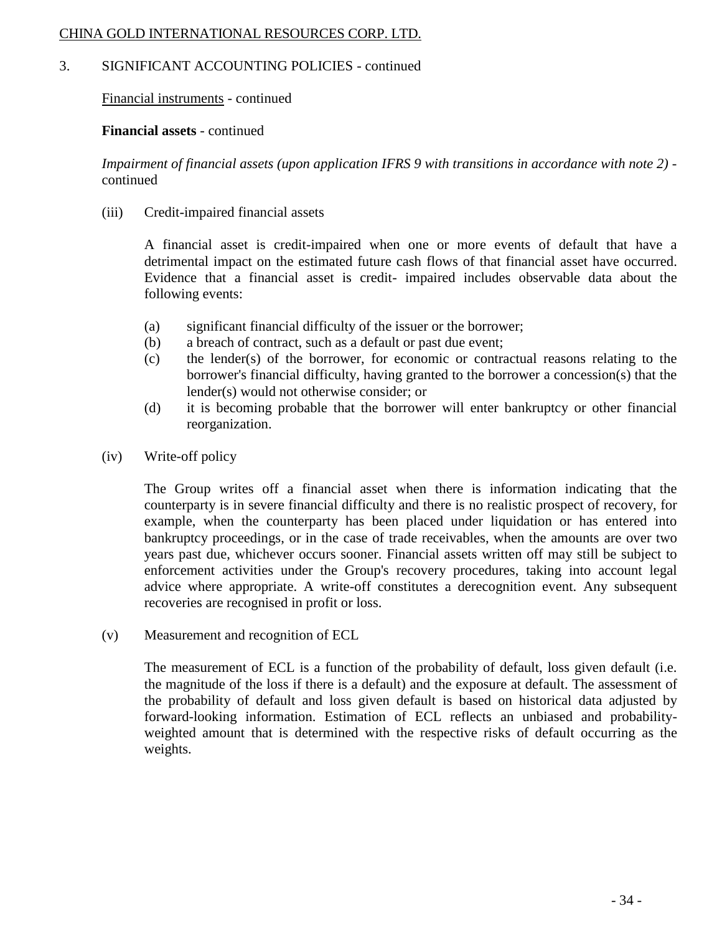# 3. SIGNIFICANT ACCOUNTING POLICIES - continued

#### Financial instruments - continued

#### **Financial assets** - continued

*Impairment of financial assets (upon application IFRS 9 with transitions in accordance with note 2)* continued

(iii) Credit-impaired financial assets

A financial asset is credit-impaired when one or more events of default that have a detrimental impact on the estimated future cash flows of that financial asset have occurred. Evidence that a financial asset is credit- impaired includes observable data about the following events:

- (a) significant financial difficulty of the issuer or the borrower;
- (b) a breach of contract, such as a default or past due event;
- (c) the lender(s) of the borrower, for economic or contractual reasons relating to the borrower's financial difficulty, having granted to the borrower a concession(s) that the lender(s) would not otherwise consider; or
- (d) it is becoming probable that the borrower will enter bankruptcy or other financial reorganization.
- (iv) Write-off policy

The Group writes off a financial asset when there is information indicating that the counterparty is in severe financial difficulty and there is no realistic prospect of recovery, for example, when the counterparty has been placed under liquidation or has entered into bankruptcy proceedings, or in the case of trade receivables, when the amounts are over two years past due, whichever occurs sooner. Financial assets written off may still be subject to enforcement activities under the Group's recovery procedures, taking into account legal advice where appropriate. A write-off constitutes a derecognition event. Any subsequent recoveries are recognised in profit or loss.

(v) Measurement and recognition of ECL

The measurement of ECL is a function of the probability of default, loss given default (i.e. the magnitude of the loss if there is a default) and the exposure at default. The assessment of the probability of default and loss given default is based on historical data adjusted by forward-looking information. Estimation of ECL reflects an unbiased and probabilityweighted amount that is determined with the respective risks of default occurring as the weights.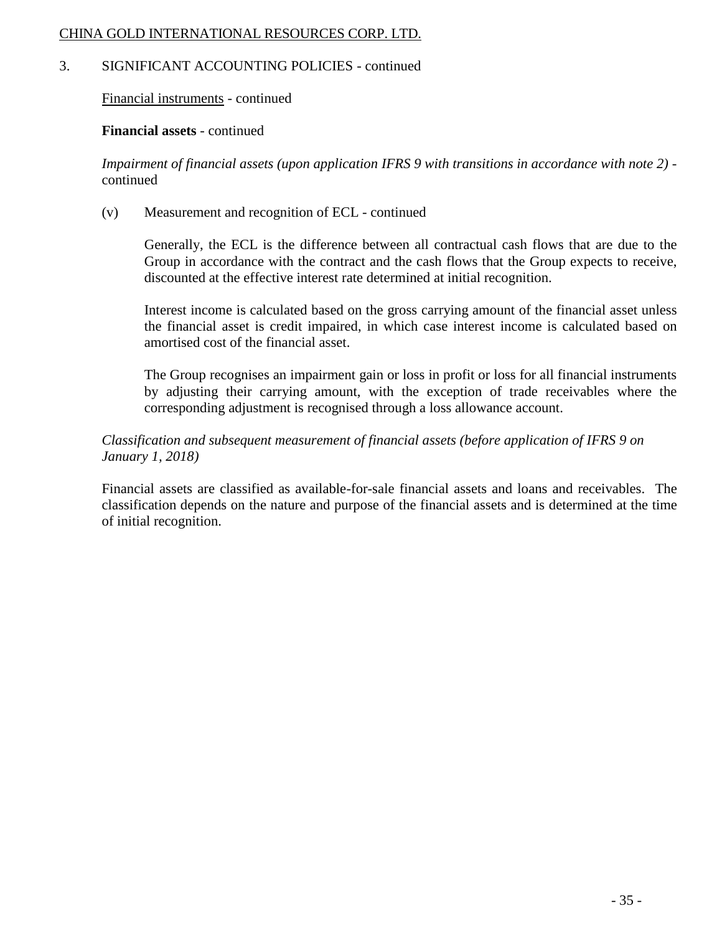# 3. SIGNIFICANT ACCOUNTING POLICIES - continued

Financial instruments - continued

#### **Financial assets** - continued

*Impairment of financial assets (upon application IFRS 9 with transitions in accordance with note 2)* continued

### (v) Measurement and recognition of ECL - continued

Generally, the ECL is the difference between all contractual cash flows that are due to the Group in accordance with the contract and the cash flows that the Group expects to receive, discounted at the effective interest rate determined at initial recognition.

Interest income is calculated based on the gross carrying amount of the financial asset unless the financial asset is credit impaired, in which case interest income is calculated based on amortised cost of the financial asset.

The Group recognises an impairment gain or loss in profit or loss for all financial instruments by adjusting their carrying amount, with the exception of trade receivables where the corresponding adjustment is recognised through a loss allowance account.

*Classification and subsequent measurement of financial assets (before application of IFRS 9 on January 1, 2018)*

Financial assets are classified as available-for-sale financial assets and loans and receivables. The classification depends on the nature and purpose of the financial assets and is determined at the time of initial recognition.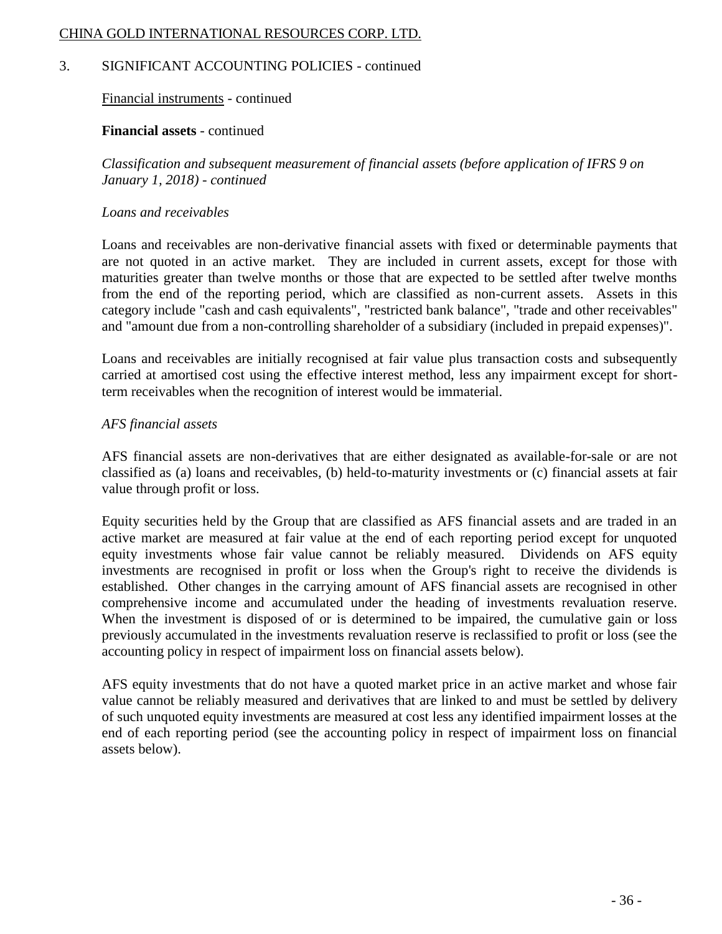# 3. SIGNIFICANT ACCOUNTING POLICIES - continued

#### Financial instruments - continued

#### **Financial assets** - continued

*Classification and subsequent measurement of financial assets (before application of IFRS 9 on January 1, 2018) - continued*

#### *Loans and receivables*

Loans and receivables are non-derivative financial assets with fixed or determinable payments that are not quoted in an active market. They are included in current assets, except for those with maturities greater than twelve months or those that are expected to be settled after twelve months from the end of the reporting period, which are classified as non-current assets. Assets in this category include "cash and cash equivalents", "restricted bank balance", "trade and other receivables" and "amount due from a non-controlling shareholder of a subsidiary (included in prepaid expenses)".

Loans and receivables are initially recognised at fair value plus transaction costs and subsequently carried at amortised cost using the effective interest method, less any impairment except for shortterm receivables when the recognition of interest would be immaterial.

### *AFS financial assets*

AFS financial assets are non-derivatives that are either designated as available-for-sale or are not classified as (a) loans and receivables, (b) held-to-maturity investments or (c) financial assets at fair value through profit or loss.

Equity securities held by the Group that are classified as AFS financial assets and are traded in an active market are measured at fair value at the end of each reporting period except for unquoted equity investments whose fair value cannot be reliably measured. Dividends on AFS equity investments are recognised in profit or loss when the Group's right to receive the dividends is established. Other changes in the carrying amount of AFS financial assets are recognised in other comprehensive income and accumulated under the heading of investments revaluation reserve. When the investment is disposed of or is determined to be impaired, the cumulative gain or loss previously accumulated in the investments revaluation reserve is reclassified to profit or loss (see the accounting policy in respect of impairment loss on financial assets below).

AFS equity investments that do not have a quoted market price in an active market and whose fair value cannot be reliably measured and derivatives that are linked to and must be settled by delivery of such unquoted equity investments are measured at cost less any identified impairment losses at the end of each reporting period (see the accounting policy in respect of impairment loss on financial assets below).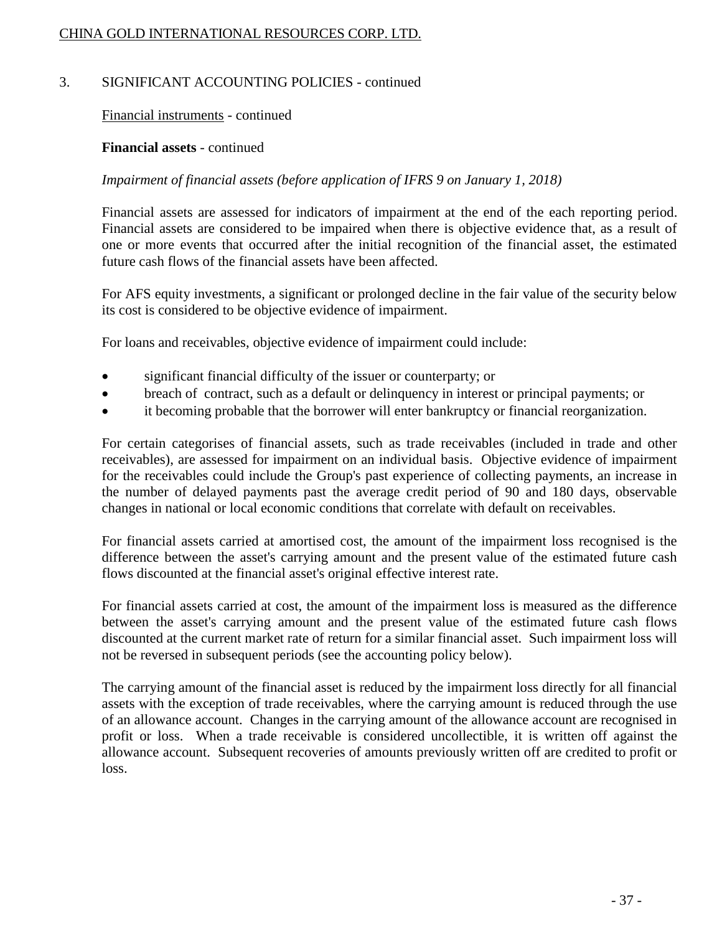# 3. SIGNIFICANT ACCOUNTING POLICIES - continued

# Financial instruments - continued

# **Financial assets** - continued

# *Impairment of financial assets (before application of IFRS 9 on January 1, 2018)*

Financial assets are assessed for indicators of impairment at the end of the each reporting period. Financial assets are considered to be impaired when there is objective evidence that, as a result of one or more events that occurred after the initial recognition of the financial asset, the estimated future cash flows of the financial assets have been affected.

For AFS equity investments, a significant or prolonged decline in the fair value of the security below its cost is considered to be objective evidence of impairment.

For loans and receivables, objective evidence of impairment could include:

- significant financial difficulty of the issuer or counterparty; or
- breach of contract, such as a default or delinquency in interest or principal payments; or
- it becoming probable that the borrower will enter bankruptcy or financial reorganization.

For certain categorises of financial assets, such as trade receivables (included in trade and other receivables), are assessed for impairment on an individual basis. Objective evidence of impairment for the receivables could include the Group's past experience of collecting payments, an increase in the number of delayed payments past the average credit period of 90 and 180 days, observable changes in national or local economic conditions that correlate with default on receivables.

For financial assets carried at amortised cost, the amount of the impairment loss recognised is the difference between the asset's carrying amount and the present value of the estimated future cash flows discounted at the financial asset's original effective interest rate.

For financial assets carried at cost, the amount of the impairment loss is measured as the difference between the asset's carrying amount and the present value of the estimated future cash flows discounted at the current market rate of return for a similar financial asset. Such impairment loss will not be reversed in subsequent periods (see the accounting policy below).

The carrying amount of the financial asset is reduced by the impairment loss directly for all financial assets with the exception of trade receivables, where the carrying amount is reduced through the use of an allowance account. Changes in the carrying amount of the allowance account are recognised in profit or loss. When a trade receivable is considered uncollectible, it is written off against the allowance account. Subsequent recoveries of amounts previously written off are credited to profit or loss.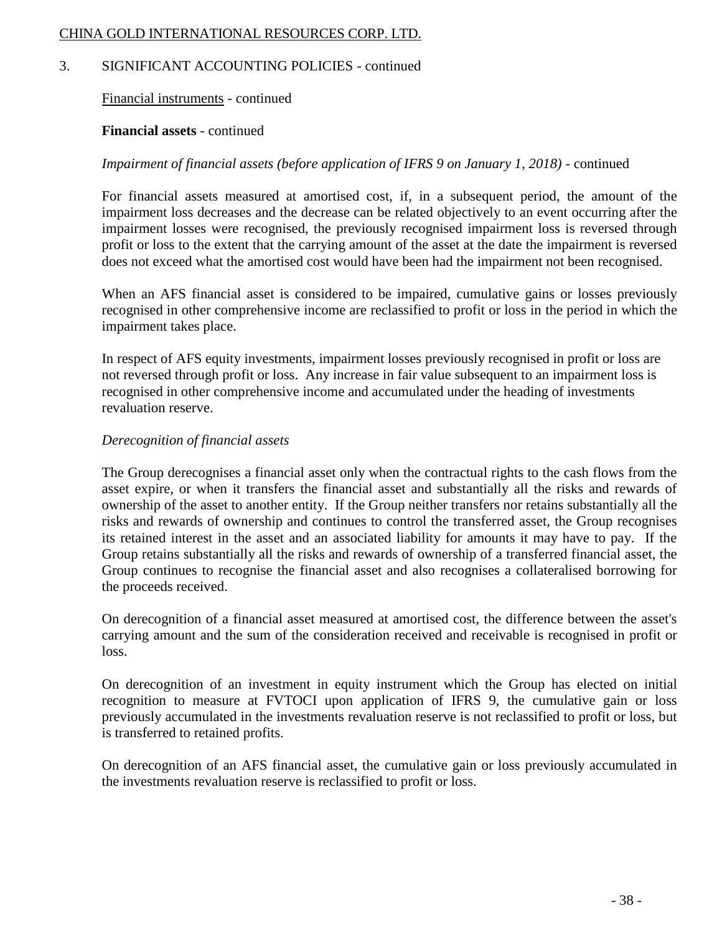# 3. SIGNIFICANT ACCOUNTING POLICIES - continued

Financial instruments - continued

#### **Financial assets** - continued

### *Impairment of financial assets (before application of IFRS 9 on January 1, 2018)* - continued

For financial assets measured at amortised cost, if, in a subsequent period, the amount of the impairment loss decreases and the decrease can be related objectively to an event occurring after the impairment losses were recognised, the previously recognised impairment loss is reversed through profit or loss to the extent that the carrying amount of the asset at the date the impairment is reversed does not exceed what the amortised cost would have been had the impairment not been recognised.

When an AFS financial asset is considered to be impaired, cumulative gains or losses previously recognised in other comprehensive income are reclassified to profit or loss in the period in which the impairment takes place.

In respect of AFS equity investments, impairment losses previously recognised in profit or loss are not reversed through profit or loss. Any increase in fair value subsequent to an impairment loss is recognised in other comprehensive income and accumulated under the heading of investments revaluation reserve.

### *Derecognition of financial assets*

The Group derecognises a financial asset only when the contractual rights to the cash flows from the asset expire, or when it transfers the financial asset and substantially all the risks and rewards of ownership of the asset to another entity. If the Group neither transfers nor retains substantially all the risks and rewards of ownership and continues to control the transferred asset, the Group recognises its retained interest in the asset and an associated liability for amounts it may have to pay. If the Group retains substantially all the risks and rewards of ownership of a transferred financial asset, the Group continues to recognise the financial asset and also recognises a collateralised borrowing for the proceeds received.

On derecognition of a financial asset measured at amortised cost, the difference between the asset's carrying amount and the sum of the consideration received and receivable is recognised in profit or loss.

On derecognition of an investment in equity instrument which the Group has elected on initial recognition to measure at FVTOCI upon application of IFRS 9, the cumulative gain or loss previously accumulated in the investments revaluation reserve is not reclassified to profit or loss, but is transferred to retained profits.

On derecognition of an AFS financial asset, the cumulative gain or loss previously accumulated in the investments revaluation reserve is reclassified to profit or loss.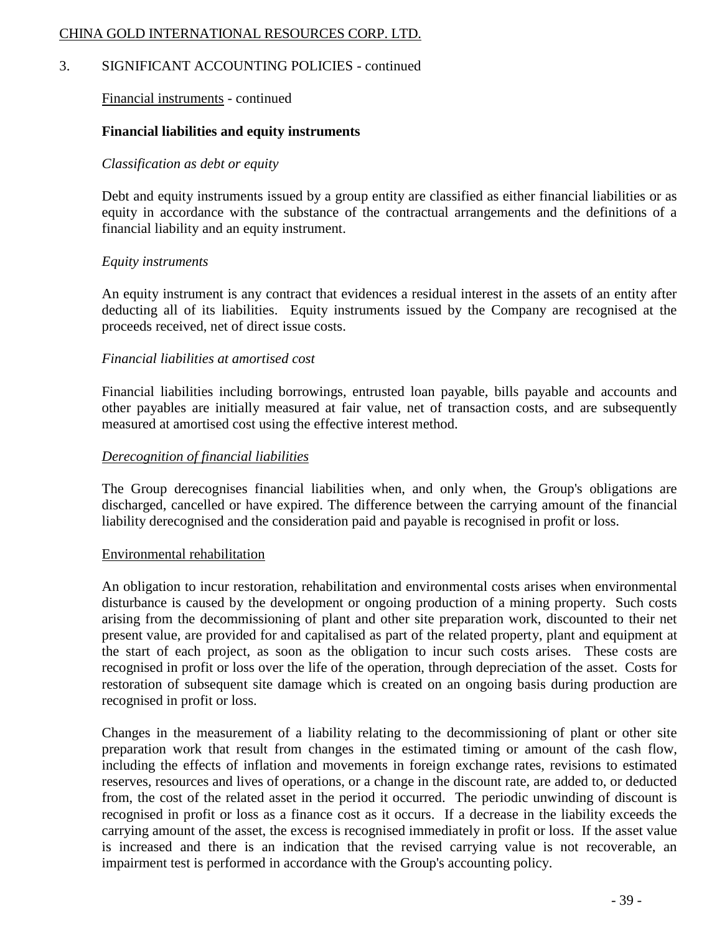# 3. SIGNIFICANT ACCOUNTING POLICIES - continued

# Financial instruments - continued

# **Financial liabilities and equity instruments**

# *Classification as debt or equity*

Debt and equity instruments issued by a group entity are classified as either financial liabilities or as equity in accordance with the substance of the contractual arrangements and the definitions of a financial liability and an equity instrument.

### *Equity instruments*

An equity instrument is any contract that evidences a residual interest in the assets of an entity after deducting all of its liabilities. Equity instruments issued by the Company are recognised at the proceeds received, net of direct issue costs.

### *Financial liabilities at amortised cost*

Financial liabilities including borrowings, entrusted loan payable, bills payable and accounts and other payables are initially measured at fair value, net of transaction costs, and are subsequently measured at amortised cost using the effective interest method.

### *Derecognition of financial liabilities*

The Group derecognises financial liabilities when, and only when, the Group's obligations are discharged, cancelled or have expired. The difference between the carrying amount of the financial liability derecognised and the consideration paid and payable is recognised in profit or loss.

### Environmental rehabilitation

An obligation to incur restoration, rehabilitation and environmental costs arises when environmental disturbance is caused by the development or ongoing production of a mining property. Such costs arising from the decommissioning of plant and other site preparation work, discounted to their net present value, are provided for and capitalised as part of the related property, plant and equipment at the start of each project, as soon as the obligation to incur such costs arises. These costs are recognised in profit or loss over the life of the operation, through depreciation of the asset. Costs for restoration of subsequent site damage which is created on an ongoing basis during production are recognised in profit or loss.

Changes in the measurement of a liability relating to the decommissioning of plant or other site preparation work that result from changes in the estimated timing or amount of the cash flow, including the effects of inflation and movements in foreign exchange rates, revisions to estimated reserves, resources and lives of operations, or a change in the discount rate, are added to, or deducted from, the cost of the related asset in the period it occurred. The periodic unwinding of discount is recognised in profit or loss as a finance cost as it occurs. If a decrease in the liability exceeds the carrying amount of the asset, the excess is recognised immediately in profit or loss. If the asset value is increased and there is an indication that the revised carrying value is not recoverable, an impairment test is performed in accordance with the Group's accounting policy.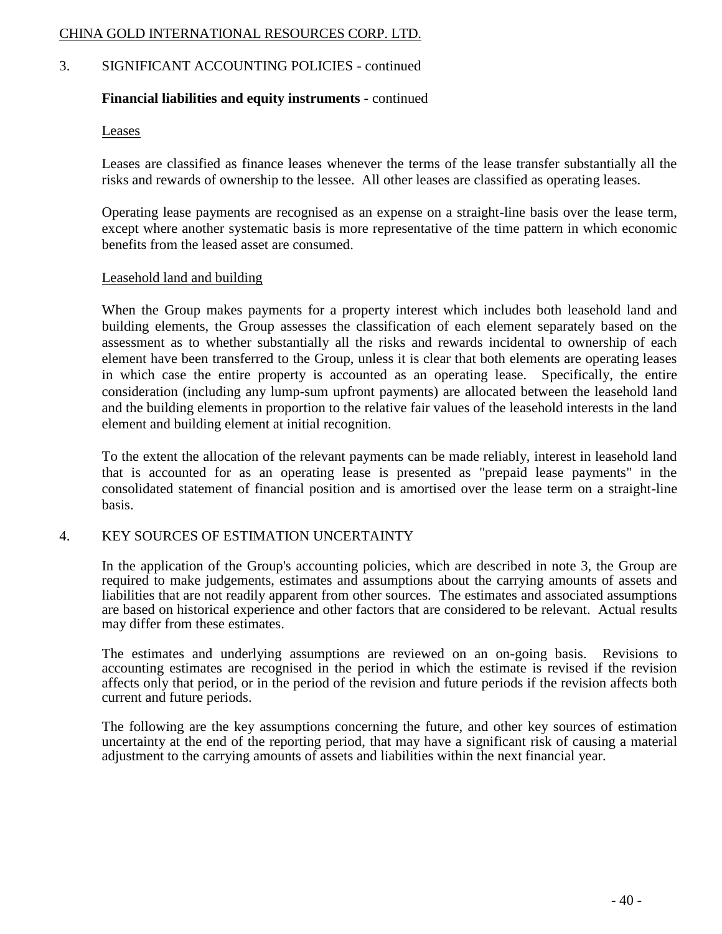# 3. SIGNIFICANT ACCOUNTING POLICIES - continued

### **Financial liabilities and equity instruments -** continued

#### Leases

Leases are classified as finance leases whenever the terms of the lease transfer substantially all the risks and rewards of ownership to the lessee. All other leases are classified as operating leases.

Operating lease payments are recognised as an expense on a straight-line basis over the lease term, except where another systematic basis is more representative of the time pattern in which economic benefits from the leased asset are consumed.

#### Leasehold land and building

When the Group makes payments for a property interest which includes both leasehold land and building elements, the Group assesses the classification of each element separately based on the assessment as to whether substantially all the risks and rewards incidental to ownership of each element have been transferred to the Group, unless it is clear that both elements are operating leases in which case the entire property is accounted as an operating lease. Specifically, the entire consideration (including any lump-sum upfront payments) are allocated between the leasehold land and the building elements in proportion to the relative fair values of the leasehold interests in the land element and building element at initial recognition.

To the extent the allocation of the relevant payments can be made reliably, interest in leasehold land that is accounted for as an operating lease is presented as "prepaid lease payments" in the consolidated statement of financial position and is amortised over the lease term on a straight-line basis.

### 4. KEY SOURCES OF ESTIMATION UNCERTAINTY

In the application of the Group's accounting policies, which are described in note 3, the Group are required to make judgements, estimates and assumptions about the carrying amounts of assets and liabilities that are not readily apparent from other sources. The estimates and associated assumptions are based on historical experience and other factors that are considered to be relevant. Actual results may differ from these estimates.

The estimates and underlying assumptions are reviewed on an on-going basis. Revisions to accounting estimates are recognised in the period in which the estimate is revised if the revision affects only that period, or in the period of the revision and future periods if the revision affects both current and future periods.

The following are the key assumptions concerning the future, and other key sources of estimation uncertainty at the end of the reporting period, that may have a significant risk of causing a material adjustment to the carrying amounts of assets and liabilities within the next financial year.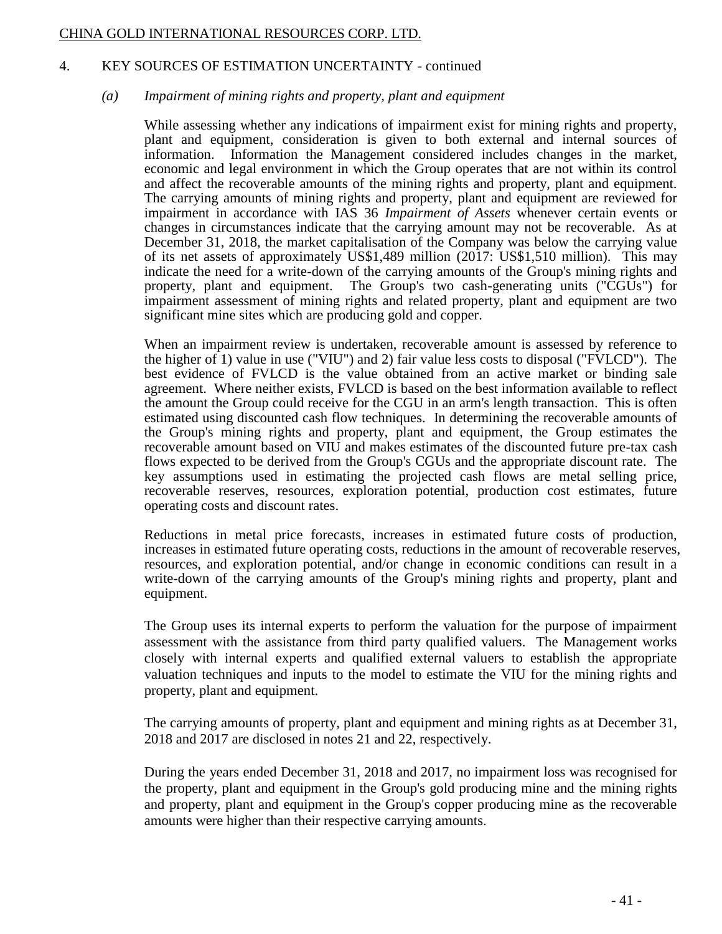#### 4. KEY SOURCES OF ESTIMATION UNCERTAINTY - continued

#### *(a) Impairment of mining rights and property, plant and equipment*

While assessing whether any indications of impairment exist for mining rights and property, plant and equipment, consideration is given to both external and internal sources of information. Information the Management considered includes changes in the market, economic and legal environment in which the Group operates that are not within its control and affect the recoverable amounts of the mining rights and property, plant and equipment. The carrying amounts of mining rights and property, plant and equipment are reviewed for impairment in accordance with IAS 36 *Impairment of Assets* whenever certain events or changes in circumstances indicate that the carrying amount may not be recoverable. As at December 31, 2018, the market capitalisation of the Company was below the carrying value of its net assets of approximately US\$1,489 million (2017: US\$1,510 million). This may indicate the need for a write-down of the carrying amounts of the Group's mining rights and property, plant and equipment. The Group's two cash-generating units ("CGUs") for impairment assessment of mining rights and related property, plant and equipment are two significant mine sites which are producing gold and copper.

When an impairment review is undertaken, recoverable amount is assessed by reference to the higher of 1) value in use ("VIU") and 2) fair value less costs to disposal ("FVLCD"). The best evidence of FVLCD is the value obtained from an active market or binding sale agreement. Where neither exists, FVLCD is based on the best information available to reflect the amount the Group could receive for the CGU in an arm's length transaction. This is often estimated using discounted cash flow techniques. In determining the recoverable amounts of the Group's mining rights and property, plant and equipment, the Group estimates the recoverable amount based on VIU and makes estimates of the discounted future pre-tax cash flows expected to be derived from the Group's CGUs and the appropriate discount rate. The key assumptions used in estimating the projected cash flows are metal selling price, recoverable reserves, resources, exploration potential, production cost estimates, future operating costs and discount rates.

Reductions in metal price forecasts, increases in estimated future costs of production, increases in estimated future operating costs, reductions in the amount of recoverable reserves, resources, and exploration potential, and/or change in economic conditions can result in a write-down of the carrying amounts of the Group's mining rights and property, plant and equipment.

The Group uses its internal experts to perform the valuation for the purpose of impairment assessment with the assistance from third party qualified valuers. The Management works closely with internal experts and qualified external valuers to establish the appropriate valuation techniques and inputs to the model to estimate the VIU for the mining rights and property, plant and equipment.

The carrying amounts of property, plant and equipment and mining rights as at December 31, 2018 and 2017 are disclosed in notes 21 and 22, respectively.

During the years ended December 31, 2018 and 2017, no impairment loss was recognised for the property, plant and equipment in the Group's gold producing mine and the mining rights and property, plant and equipment in the Group's copper producing mine as the recoverable amounts were higher than their respective carrying amounts.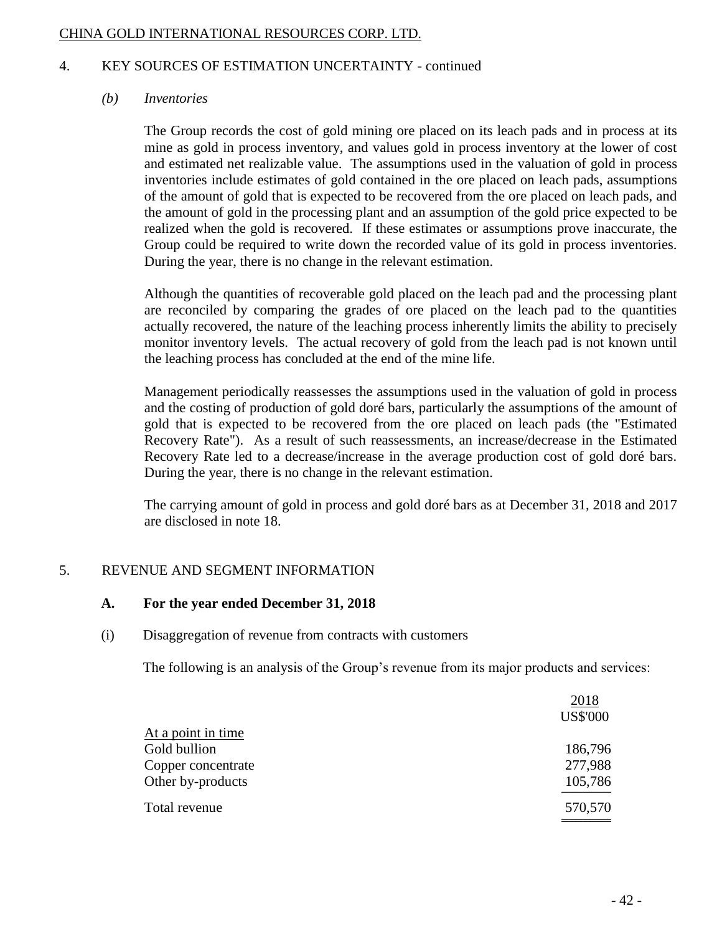# 4. KEY SOURCES OF ESTIMATION UNCERTAINTY - continued

## *(b) Inventories*

The Group records the cost of gold mining ore placed on its leach pads and in process at its mine as gold in process inventory, and values gold in process inventory at the lower of cost and estimated net realizable value. The assumptions used in the valuation of gold in process inventories include estimates of gold contained in the ore placed on leach pads, assumptions of the amount of gold that is expected to be recovered from the ore placed on leach pads, and the amount of gold in the processing plant and an assumption of the gold price expected to be realized when the gold is recovered. If these estimates or assumptions prove inaccurate, the Group could be required to write down the recorded value of its gold in process inventories. During the year, there is no change in the relevant estimation.

Although the quantities of recoverable gold placed on the leach pad and the processing plant are reconciled by comparing the grades of ore placed on the leach pad to the quantities actually recovered, the nature of the leaching process inherently limits the ability to precisely monitor inventory levels. The actual recovery of gold from the leach pad is not known until the leaching process has concluded at the end of the mine life.

Management periodically reassesses the assumptions used in the valuation of gold in process and the costing of production of gold doré bars, particularly the assumptions of the amount of gold that is expected to be recovered from the ore placed on leach pads (the "Estimated Recovery Rate"). As a result of such reassessments, an increase/decrease in the Estimated Recovery Rate led to a decrease/increase in the average production cost of gold doré bars. During the year, there is no change in the relevant estimation.

The carrying amount of gold in process and gold doré bars as at December 31, 2018 and 2017 are disclosed in note 18.

# 5. REVENUE AND SEGMENT INFORMATION

## **A. For the year ended December 31, 2018**

(i) Disaggregation of revenue from contracts with customers

The following is an analysis of the Group's revenue from its major products and services:

|                    | 2018            |
|--------------------|-----------------|
|                    | <b>US\$'000</b> |
| At a point in time |                 |
| Gold bullion       | 186,796         |
| Copper concentrate | 277,988         |
| Other by-products  | 105,786         |
| Total revenue      | 570,570         |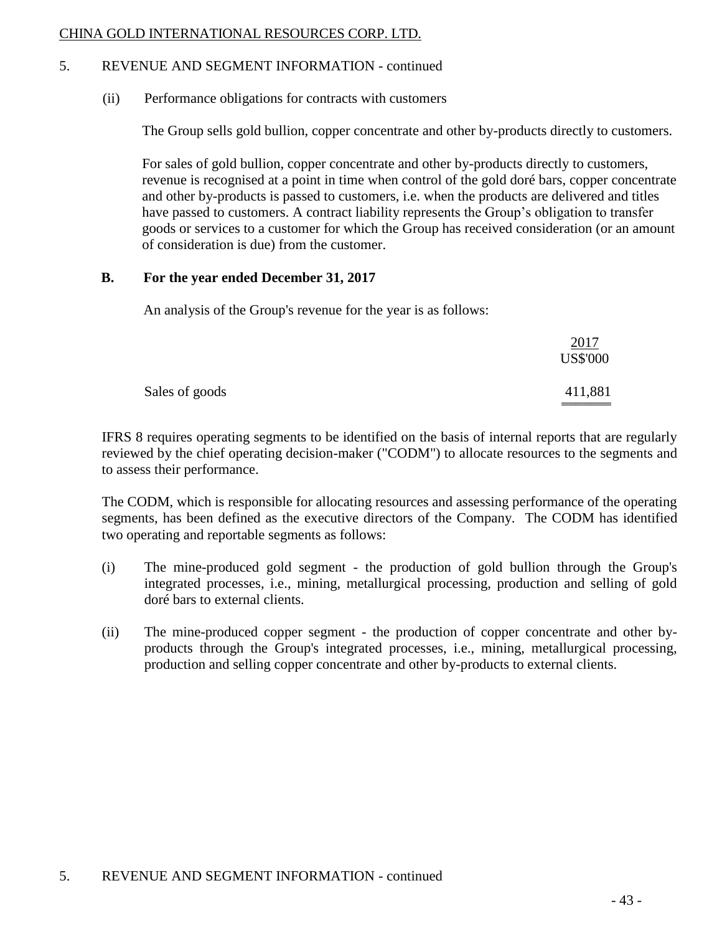# 5. REVENUE AND SEGMENT INFORMATION - continued

(ii) Performance obligations for contracts with customers

The Group sells gold bullion, copper concentrate and other by-products directly to customers.

For sales of gold bullion, copper concentrate and other by-products directly to customers, revenue is recognised at a point in time when control of the gold doré bars, copper concentrate and other by-products is passed to customers, i.e. when the products are delivered and titles have passed to customers. A contract liability represents the Group's obligation to transfer goods or services to a customer for which the Group has received consideration (or an amount of consideration is due) from the customer.

### **B. For the year ended December 31, 2017**

An analysis of the Group's revenue for the year is as follows:

| 2017<br><b>US\$'000</b> |
|-------------------------|
| 411,881                 |
|                         |

IFRS 8 requires operating segments to be identified on the basis of internal reports that are regularly reviewed by the chief operating decision-maker ("CODM") to allocate resources to the segments and to assess their performance.

The CODM, which is responsible for allocating resources and assessing performance of the operating segments, has been defined as the executive directors of the Company. The CODM has identified two operating and reportable segments as follows:

- (i) The mine-produced gold segment the production of gold bullion through the Group's integrated processes, i.e., mining, metallurgical processing, production and selling of gold doré bars to external clients.
- (ii) The mine-produced copper segment the production of copper concentrate and other byproducts through the Group's integrated processes, i.e., mining, metallurgical processing, production and selling copper concentrate and other by-products to external clients.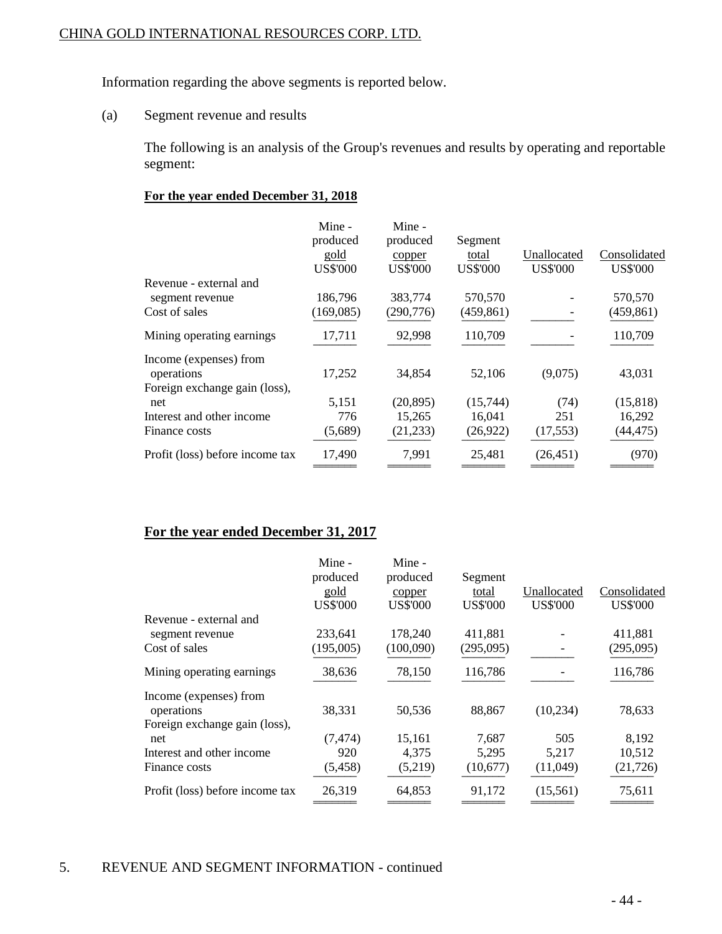Information regarding the above segments is reported below.

(a) Segment revenue and results

The following is an analysis of the Group's revenues and results by operating and reportable segment:

# **For the year ended December 31, 2018**

|                                 | Mine -          | Mine -          |                 |                 |                 |
|---------------------------------|-----------------|-----------------|-----------------|-----------------|-----------------|
|                                 | produced        | produced        | Segment         |                 |                 |
|                                 | gold            | copper          | total           | Unallocated     | Consolidated    |
|                                 | <b>US\$'000</b> | <b>US\$'000</b> | <b>US\$'000</b> | <b>US\$'000</b> | <b>US\$'000</b> |
| Revenue - external and          |                 |                 |                 |                 |                 |
| segment revenue                 | 186,796         | 383,774         | 570,570         |                 | 570,570         |
| Cost of sales                   | (169, 085)      | (290, 776)      | (459, 861)      |                 | (459, 861)      |
| Mining operating earnings       | 17,711          | 92,998          | 110,709         |                 | 110,709         |
| Income (expenses) from          |                 |                 |                 |                 |                 |
| operations                      | 17,252          | 34,854          | 52,106          | (9,075)         | 43,031          |
| Foreign exchange gain (loss),   |                 |                 |                 |                 |                 |
| net                             | 5,151           | (20, 895)       | (15,744)        | (74)            | (15, 818)       |
| Interest and other income       | 776             | 15,265          | 16,041          | 251             | 16,292          |
| Finance costs                   | (5,689)         | (21, 233)       | (26, 922)       | (17, 553)       | (44, 475)       |
| Profit (loss) before income tax | 17,490          | 7,991           | 25,481          | (26, 451)       | (970)           |
|                                 |                 |                 |                 |                 |                 |

# **For the year ended December 31, 2017**

| Mine -          | Mine -                                |                                         |                                       |                                 |
|-----------------|---------------------------------------|-----------------------------------------|---------------------------------------|---------------------------------|
|                 |                                       |                                         |                                       |                                 |
| <b>US\$'000</b> | <b>US\$'000</b>                       | <b>US\$'000</b>                         | <b>US\$'000</b>                       | Consolidated<br><b>US\$'000</b> |
|                 |                                       |                                         |                                       |                                 |
| (195,005)       | (100,090)                             | (295,095)                               |                                       | 411,881<br>(295,095)            |
| 38,636          | 78,150                                | 116,786                                 |                                       | 116,786                         |
|                 |                                       |                                         |                                       |                                 |
|                 |                                       |                                         |                                       | 78,633                          |
|                 |                                       |                                         |                                       |                                 |
| (7, 474)        | 15,161                                | 7,687                                   | 505                                   | 8,192                           |
| 920             | 4.375                                 | 5,295                                   | 5,217                                 | 10,512                          |
| (5, 458)        | (5,219)                               | (10,677)                                | (11,049)                              | (21, 726)                       |
| 26,319          | 64,853                                | 91,172                                  | (15,561)                              | 75,611                          |
|                 | produced<br>gold<br>233,641<br>38,331 | produced<br>copper<br>178,240<br>50,536 | Segment<br>total<br>411,881<br>88,867 | Unallocated<br>(10, 234)        |

### 5. REVENUE AND SEGMENT INFORMATION - continued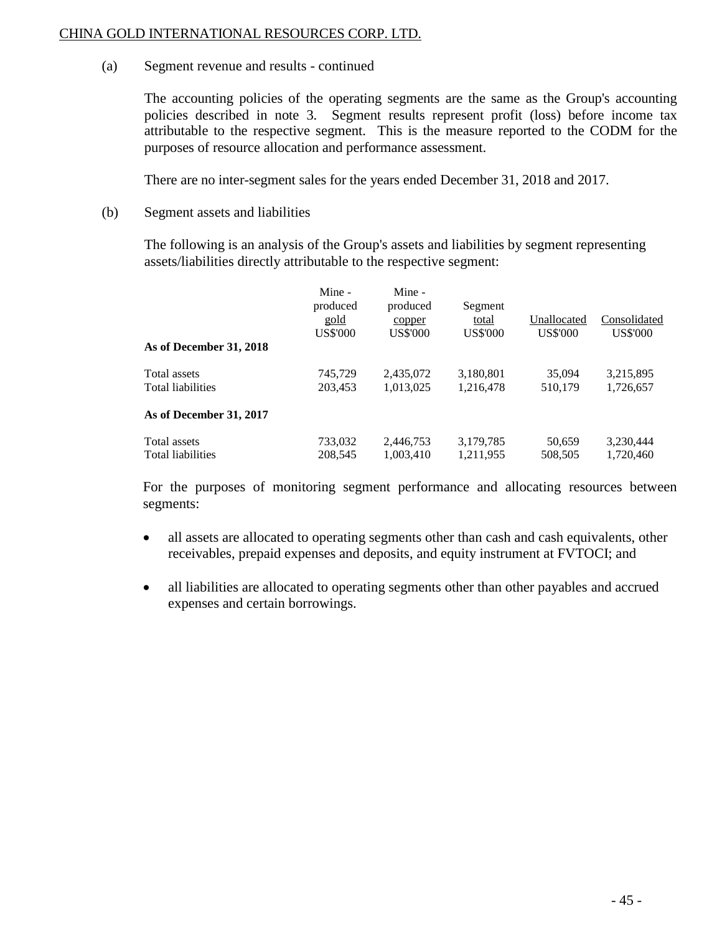#### (a) Segment revenue and results - continued

The accounting policies of the operating segments are the same as the Group's accounting policies described in note 3. Segment results represent profit (loss) before income tax attributable to the respective segment. This is the measure reported to the CODM for the purposes of resource allocation and performance assessment.

There are no inter-segment sales for the years ended December 31, 2018 and 2017.

(b) Segment assets and liabilities

The following is an analysis of the Group's assets and liabilities by segment representing assets/liabilities directly attributable to the respective segment:

|                          | Mine -<br>produced<br>gold | Mine -<br>produced<br>copper | Segment<br>total | Unallocated     | Consolidated    |
|--------------------------|----------------------------|------------------------------|------------------|-----------------|-----------------|
|                          | <b>US\$'000</b>            | <b>US\$'000</b>              | <b>US\$'000</b>  | <b>US\$'000</b> | <b>US\$'000</b> |
| As of December 31, 2018  |                            |                              |                  |                 |                 |
| Total assets             | 745,729                    | 2,435,072                    | 3,180,801        | 35,094          | 3,215,895       |
| <b>Total liabilities</b> | 203,453                    | 1,013,025                    | 1,216,478        | 510,179         | 1,726,657       |
| As of December 31, 2017  |                            |                              |                  |                 |                 |
| Total assets             | 733,032                    | 2,446,753                    | 3,179,785        | 50,659          | 3,230,444       |
| <b>Total liabilities</b> | 208,545                    | 1,003,410                    | 1,211,955        | 508,505         | 1,720,460       |

For the purposes of monitoring segment performance and allocating resources between segments:

- all assets are allocated to operating segments other than cash and cash equivalents, other receivables, prepaid expenses and deposits, and equity instrument at FVTOCI; and
- all liabilities are allocated to operating segments other than other payables and accrued expenses and certain borrowings.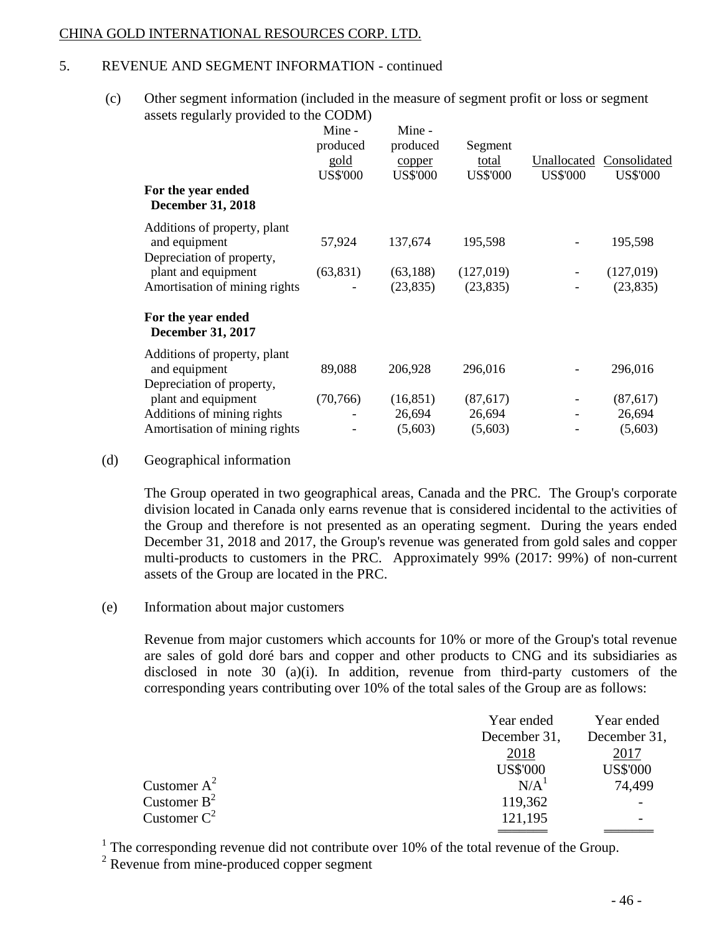### 5. REVENUE AND SEGMENT INFORMATION - continued

(c) Other segment information (included in the measure of segment profit or loss or segment assets regularly provided to the CODM)

|                                                | Mine -           | Mine -             |                  |                 |                 |
|------------------------------------------------|------------------|--------------------|------------------|-----------------|-----------------|
|                                                | produced<br>gold | produced<br>copper | Segment<br>total | Unallocated     | Consolidated    |
| For the year ended<br><b>December 31, 2018</b> | <b>US\$'000</b>  | <b>US\$'000</b>    | <b>US\$'000</b>  | <b>US\$'000</b> | <b>US\$'000</b> |
| Additions of property, plant                   |                  |                    |                  |                 |                 |
| and equipment                                  | 57,924           | 137,674            | 195,598          |                 | 195,598         |
| Depreciation of property,                      |                  |                    |                  |                 |                 |
| plant and equipment                            | (63, 831)        | (63, 188)          | (127,019)        |                 | (127,019)       |
| Amortisation of mining rights                  |                  | (23, 835)          | (23, 835)        |                 | (23, 835)       |
| For the year ended<br>December 31, 2017        |                  |                    |                  |                 |                 |
| Additions of property, plant                   |                  |                    |                  |                 |                 |
| and equipment                                  | 89,088           | 206,928            | 296,016          |                 | 296,016         |
| Depreciation of property,                      |                  |                    |                  |                 |                 |
| plant and equipment                            | (70, 766)        | (16, 851)          | (87, 617)        |                 | (87,617)        |
| Additions of mining rights                     |                  | 26,694             | 26,694           |                 | 26,694          |
| Amortisation of mining rights                  |                  | (5,603)            | (5,603)          |                 | (5,603)         |

#### (d) Geographical information

The Group operated in two geographical areas, Canada and the PRC. The Group's corporate division located in Canada only earns revenue that is considered incidental to the activities of the Group and therefore is not presented as an operating segment. During the years ended December 31, 2018 and 2017, the Group's revenue was generated from gold sales and copper multi-products to customers in the PRC. Approximately 99% (2017: 99%) of non-current assets of the Group are located in the PRC.

### (e) Information about major customers

Revenue from major customers which accounts for 10% or more of the Group's total revenue are sales of gold doré bars and copper and other products to CNG and its subsidiaries as disclosed in note 30 (a)(i). In addition, revenue from third-party customers of the corresponding years contributing over 10% of the total sales of the Group are as follows:

|                | Year ended       | Year ended      |
|----------------|------------------|-----------------|
|                | December 31,     | December 31,    |
|                | 2018             | 2017            |
|                | <b>US\$'000</b>  | <b>US\$'000</b> |
| Customer $A^2$ | N/A <sup>1</sup> | 74,499          |
| Customer $B^2$ | 119,362          |                 |
| Customer $C^2$ | 121,195          |                 |
|                |                  |                 |

<sup>1</sup> The corresponding revenue did not contribute over 10% of the total revenue of the Group.

<sup>2</sup> Revenue from mine-produced copper segment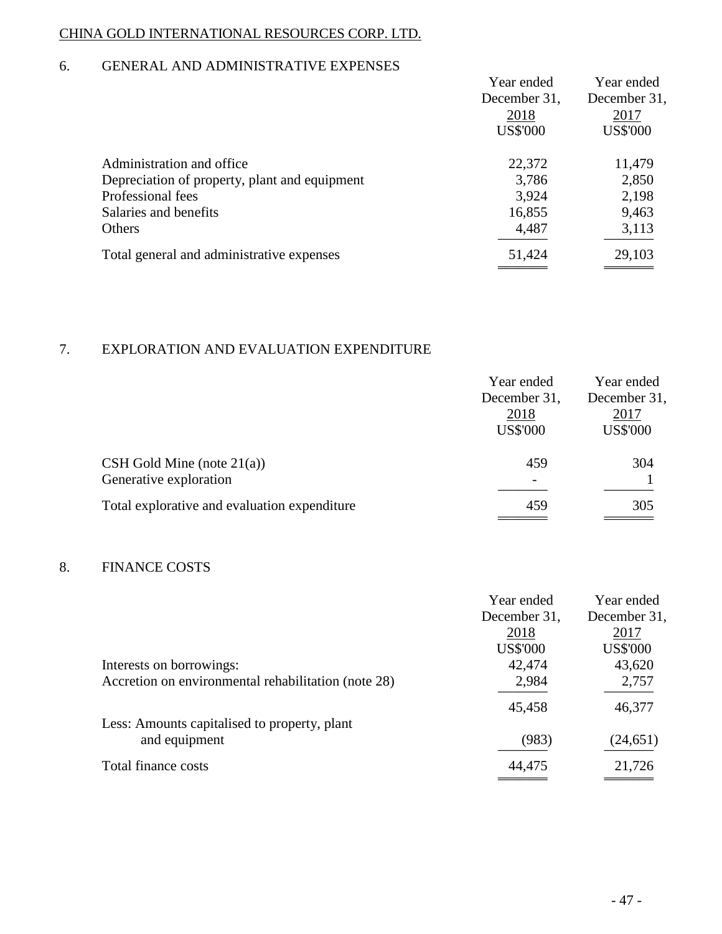# 6. GENERAL AND ADMINISTRATIVE EXPENSES

|                                               | Year ended      | Year ended      |
|-----------------------------------------------|-----------------|-----------------|
|                                               | December 31,    | December 31,    |
|                                               | 2018            | 2017            |
|                                               | <b>US\$'000</b> | <b>US\$'000</b> |
| Administration and office.                    | 22,372          | 11,479          |
| Depreciation of property, plant and equipment | 3,786           | 2,850           |
| Professional fees                             | 3,924           | 2,198           |
| Salaries and benefits                         | 16,855          | 9,463           |
| <b>Others</b>                                 | 4,487           | 3,113           |
| Total general and administrative expenses     | 51,424          | 29,103          |
|                                               |                 |                 |

# 7. EXPLORATION AND EVALUATION EXPENDITURE

|                                                         | Year ended<br>December 31,<br>2018<br><b>US\$'000</b> | Year ended<br>December 31,<br>2017<br><b>US\$'000</b> |
|---------------------------------------------------------|-------------------------------------------------------|-------------------------------------------------------|
| CSH Gold Mine (note $21(a)$ )<br>Generative exploration | 459<br>$\overline{\phantom{0}}$                       | 304                                                   |
| Total explorative and evaluation expenditure            | 459                                                   | 305                                                   |

# 8. FINANCE COSTS

|                                                     | Year ended      | Year ended      |
|-----------------------------------------------------|-----------------|-----------------|
|                                                     | December 31,    | December 31,    |
|                                                     | 2018            | 2017            |
|                                                     | <b>US\$'000</b> | <b>US\$'000</b> |
| Interests on borrowings:                            | 42,474          | 43,620          |
| Accretion on environmental rehabilitation (note 28) | 2,984           | 2,757           |
|                                                     | 45,458          | 46,377          |
| Less: Amounts capitalised to property, plant        |                 |                 |
| and equipment                                       | (983)           | (24, 651)       |
| Total finance costs                                 | 44,475          | 21,726          |
|                                                     |                 |                 |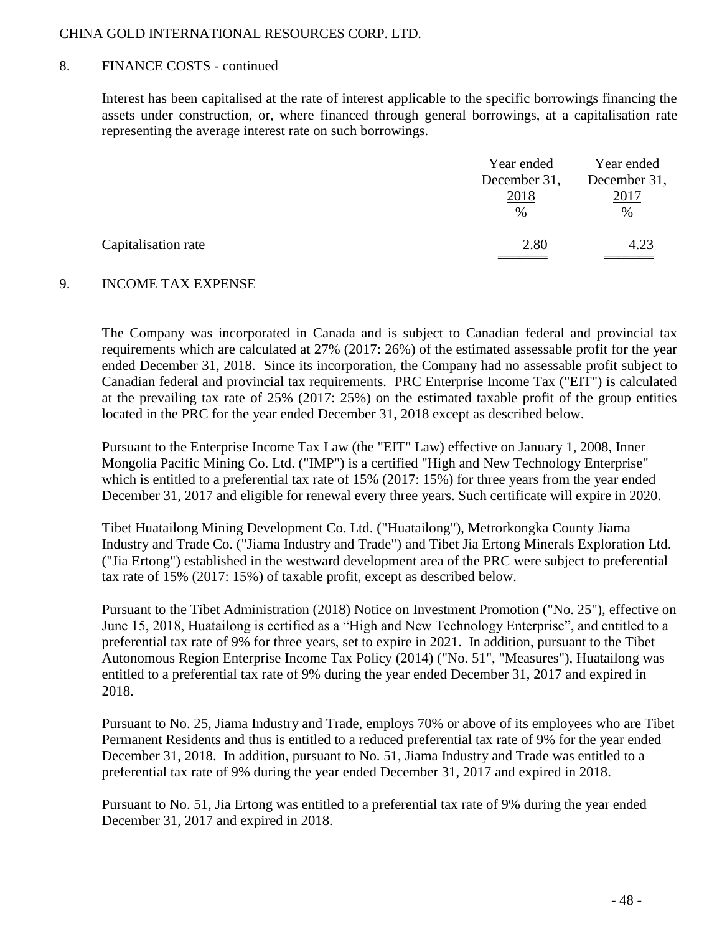### 8. FINANCE COSTS - continued

Interest has been capitalised at the rate of interest applicable to the specific borrowings financing the assets under construction, or, where financed through general borrowings, at a capitalisation rate representing the average interest rate on such borrowings.

|                     | Year ended   | Year ended   |
|---------------------|--------------|--------------|
|                     | December 31, | December 31, |
|                     | 2018         | 2017         |
|                     | $\%$         | $\%$         |
| Capitalisation rate | 2.80         | 4.23         |
|                     |              |              |

#### 9. INCOME TAX EXPENSE

The Company was incorporated in Canada and is subject to Canadian federal and provincial tax requirements which are calculated at 27% (2017: 26%) of the estimated assessable profit for the year ended December 31, 2018. Since its incorporation, the Company had no assessable profit subject to Canadian federal and provincial tax requirements. PRC Enterprise Income Tax ("EIT") is calculated at the prevailing tax rate of 25% (2017: 25%) on the estimated taxable profit of the group entities located in the PRC for the year ended December 31, 2018 except as described below.

Pursuant to the Enterprise Income Tax Law (the "EIT" Law) effective on January 1, 2008, Inner Mongolia Pacific Mining Co. Ltd. ("IMP") is a certified "High and New Technology Enterprise" which is entitled to a preferential tax rate of 15% (2017: 15%) for three years from the year ended December 31, 2017 and eligible for renewal every three years. Such certificate will expire in 2020.

Tibet Huatailong Mining Development Co. Ltd. ("Huatailong"), Metrorkongka County Jiama Industry and Trade Co. ("Jiama Industry and Trade") and Tibet Jia Ertong Minerals Exploration Ltd. ("Jia Ertong") established in the westward development area of the PRC were subject to preferential tax rate of 15% (2017: 15%) of taxable profit, except as described below.

Pursuant to the Tibet Administration (2018) Notice on Investment Promotion ("No. 25"), effective on June 15, 2018, Huatailong is certified as a "High and New Technology Enterprise", and entitled to a preferential tax rate of 9% for three years, set to expire in 2021. In addition, pursuant to the Tibet Autonomous Region Enterprise Income Tax Policy (2014) ("No. 51", "Measures"), Huatailong was entitled to a preferential tax rate of 9% during the year ended December 31, 2017 and expired in 2018.

Pursuant to No. 25, Jiama Industry and Trade, employs 70% or above of its employees who are Tibet Permanent Residents and thus is entitled to a reduced preferential tax rate of 9% for the year ended December 31, 2018. In addition, pursuant to No. 51, Jiama Industry and Trade was entitled to a preferential tax rate of 9% during the year ended December 31, 2017 and expired in 2018.

Pursuant to No. 51, Jia Ertong was entitled to a preferential tax rate of 9% during the year ended December 31, 2017 and expired in 2018.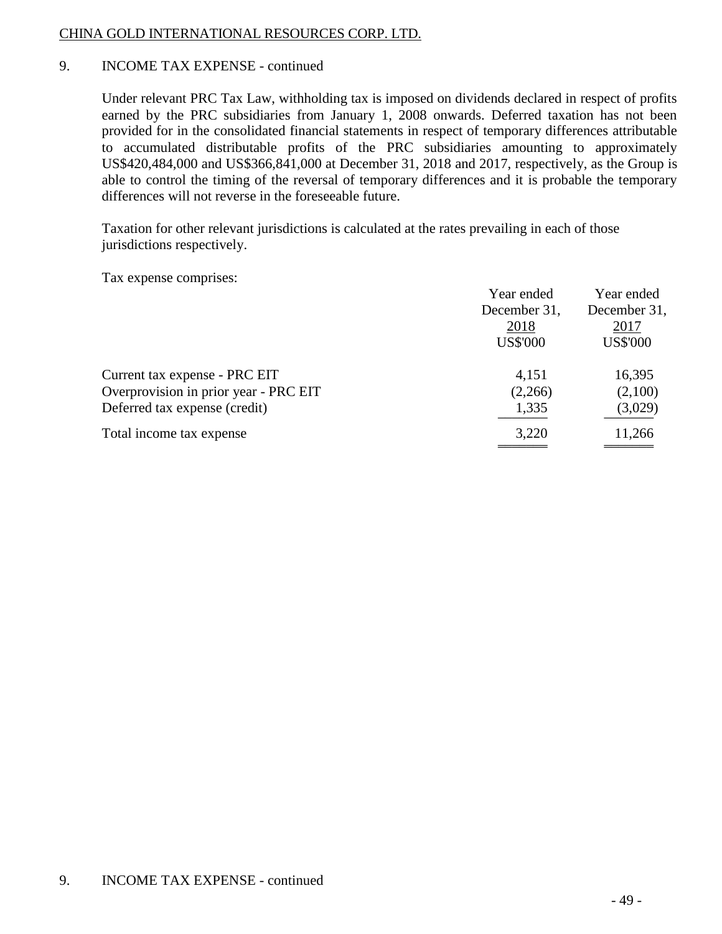### 9. INCOME TAX EXPENSE - continued

Under relevant PRC Tax Law, withholding tax is imposed on dividends declared in respect of profits earned by the PRC subsidiaries from January 1, 2008 onwards. Deferred taxation has not been provided for in the consolidated financial statements in respect of temporary differences attributable to accumulated distributable profits of the PRC subsidiaries amounting to approximately US\$420,484,000 and US\$366,841,000 at December 31, 2018 and 2017, respectively, as the Group is able to control the timing of the reversal of temporary differences and it is probable the temporary differences will not reverse in the foreseeable future.

Taxation for other relevant jurisdictions is calculated at the rates prevailing in each of those jurisdictions respectively.

Tax expense comprises:

| Year ended      | Year ended      |
|-----------------|-----------------|
| December 31,    | December 31,    |
| 2018            | 2017            |
| <b>US\$'000</b> | <b>US\$'000</b> |
| 4,151           | 16,395          |
| (2,266)         | (2,100)         |
| 1,335           | (3,029)         |
| 3,220           | 11,266          |
|                 |                 |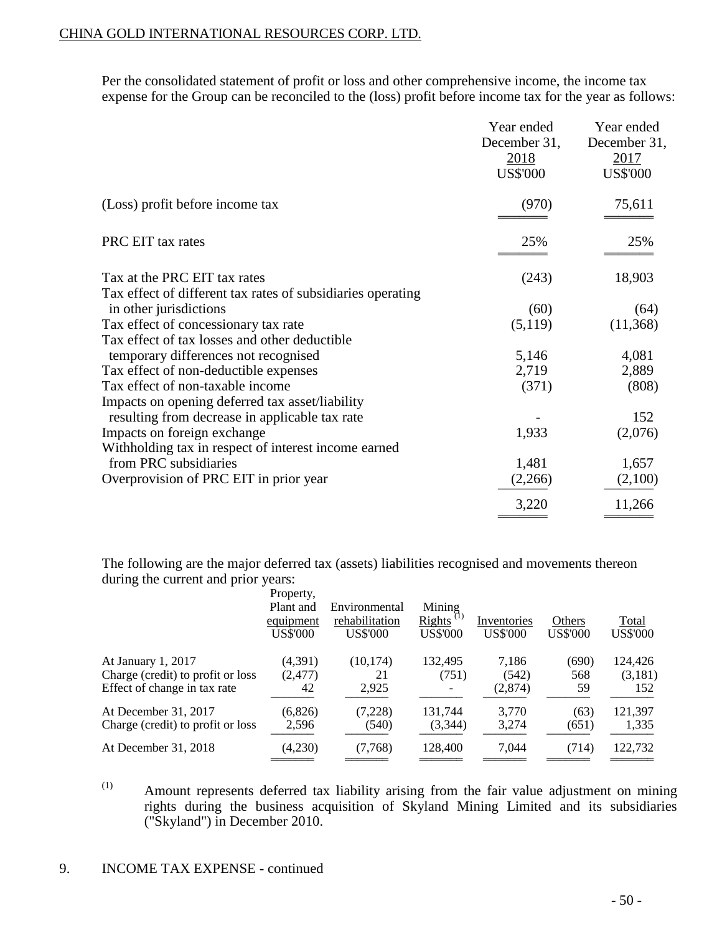Per the consolidated statement of profit or loss and other comprehensive income, the income tax expense for the Group can be reconciled to the (loss) profit before income tax for the year as follows:

|                                                                                       | Year ended<br>December 31,<br>2018<br><b>US\$'000</b> | Year ended<br>December 31,<br>2017<br><b>US\$'000</b> |
|---------------------------------------------------------------------------------------|-------------------------------------------------------|-------------------------------------------------------|
| (Loss) profit before income tax                                                       | (970)                                                 | 75,611                                                |
| PRC EIT tax rates                                                                     | 25%                                                   | 25%                                                   |
| Tax at the PRC EIT tax rates                                                          | (243)                                                 | 18,903                                                |
| Tax effect of different tax rates of subsidiaries operating<br>in other jurisdictions | (60)                                                  | (64)                                                  |
| Tax effect of concessionary tax rate                                                  | (5,119)                                               | (11,368)                                              |
| Tax effect of tax losses and other deductible                                         |                                                       |                                                       |
| temporary differences not recognised                                                  | 5,146                                                 | 4,081                                                 |
| Tax effect of non-deductible expenses                                                 | 2,719                                                 | 2,889                                                 |
| Tax effect of non-taxable income                                                      | (371)                                                 | (808)                                                 |
| Impacts on opening deferred tax asset/liability                                       |                                                       |                                                       |
| resulting from decrease in applicable tax rate                                        |                                                       | 152                                                   |
| Impacts on foreign exchange                                                           | 1,933                                                 | (2,076)                                               |
| Withholding tax in respect of interest income earned                                  |                                                       |                                                       |
| from PRC subsidiaries                                                                 | 1,481                                                 | 1,657                                                 |
| Overprovision of PRC EIT in prior year                                                | (2,266)                                               | (2,100)                                               |
|                                                                                       | 3,220                                                 | 11,266                                                |

The following are the major deferred tax (assets) liabilities recognised and movements thereon during the current and prior years:

|                                                                                         | Property,<br>Plant and<br>equipment<br><b>US\$'000</b> | Environmental<br>rehabilitation<br><b>US\$'000</b> | Mining<br><b>Rights</b><br><b>US\$'000</b> | Inventories<br><b>US\$'000</b> | Others<br><b>US\$'000</b> | Total<br><b>US\$'000</b>  |
|-----------------------------------------------------------------------------------------|--------------------------------------------------------|----------------------------------------------------|--------------------------------------------|--------------------------------|---------------------------|---------------------------|
| At January 1, 2017<br>Charge (credit) to profit or loss<br>Effect of change in tax rate | (4,391)<br>(2, 477)<br>42                              | (10, 174)<br>21<br>2,925                           | 132.495<br>(751)                           | 7,186<br>(542)<br>(2,874)      | (690)<br>568<br>59        | 124,426<br>(3,181)<br>152 |
| At December 31, 2017<br>Charge (credit) to profit or loss                               | (6, 826)<br>2,596                                      | (7,228)<br>(540)                                   | 131,744<br>(3, 344)                        | 3,770<br>3,274                 | (63)<br>(651)             | 121,397<br>1,335          |
| At December 31, 2018                                                                    | (4,230)                                                | (7,768)                                            | 128,400                                    | 7,044                          | (714)                     | 122,732                   |

(1) Amount represents deferred tax liability arising from the fair value adjustment on mining rights during the business acquisition of Skyland Mining Limited and its subsidiaries ("Skyland") in December 2010.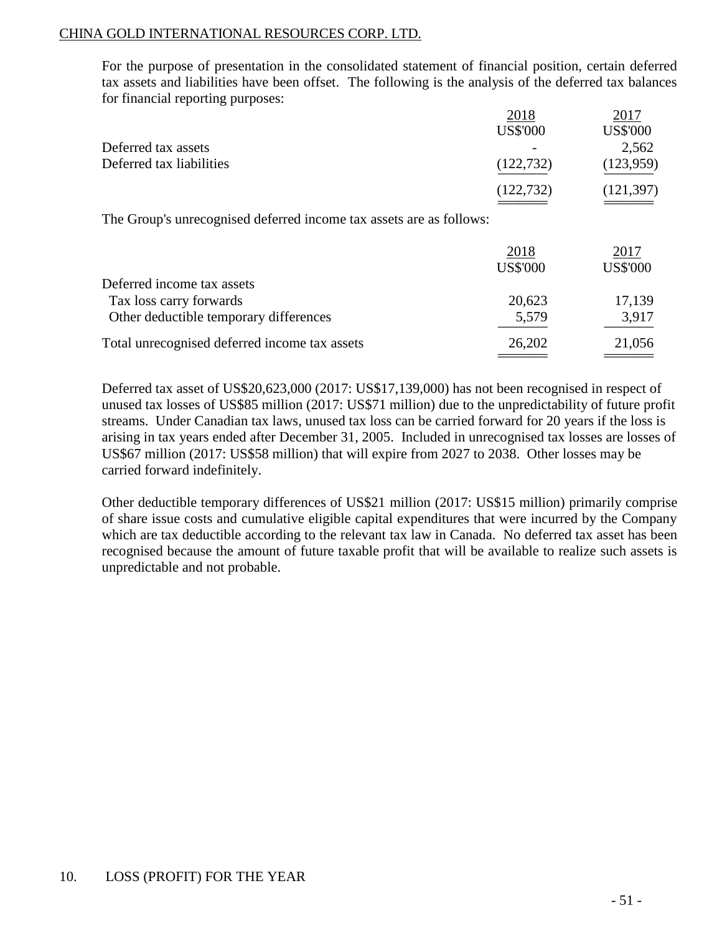For the purpose of presentation in the consolidated statement of financial position, certain deferred tax assets and liabilities have been offset. The following is the analysis of the deferred tax balances for financial reporting purposes:

|                          | 2018            | 2017            |
|--------------------------|-----------------|-----------------|
|                          | <b>US\$'000</b> | <b>US\$'000</b> |
| Deferred tax assets      |                 | 2,562           |
| Deferred tax liabilities | (122, 732)      | (123,959)       |
|                          | (122, 732)      | (121, 397)      |
|                          |                 |                 |

The Group's unrecognised deferred income tax assets are as follows:

| 2018   | 2017<br><b>US\$'000</b> |
|--------|-------------------------|
|        |                         |
| 20,623 | 17,139                  |
| 5,579  | 3,917                   |
| 26,202 | 21,056                  |
|        | <b>US\$'000</b>         |

Deferred tax asset of US\$20,623,000 (2017: US\$17,139,000) has not been recognised in respect of unused tax losses of US\$85 million (2017: US\$71 million) due to the unpredictability of future profit streams. Under Canadian tax laws, unused tax loss can be carried forward for 20 years if the loss is arising in tax years ended after December 31, 2005. Included in unrecognised tax losses are losses of US\$67 million (2017: US\$58 million) that will expire from 2027 to 2038. Other losses may be carried forward indefinitely.

Other deductible temporary differences of US\$21 million (2017: US\$15 million) primarily comprise of share issue costs and cumulative eligible capital expenditures that were incurred by the Company which are tax deductible according to the relevant tax law in Canada. No deferred tax asset has been recognised because the amount of future taxable profit that will be available to realize such assets is unpredictable and not probable.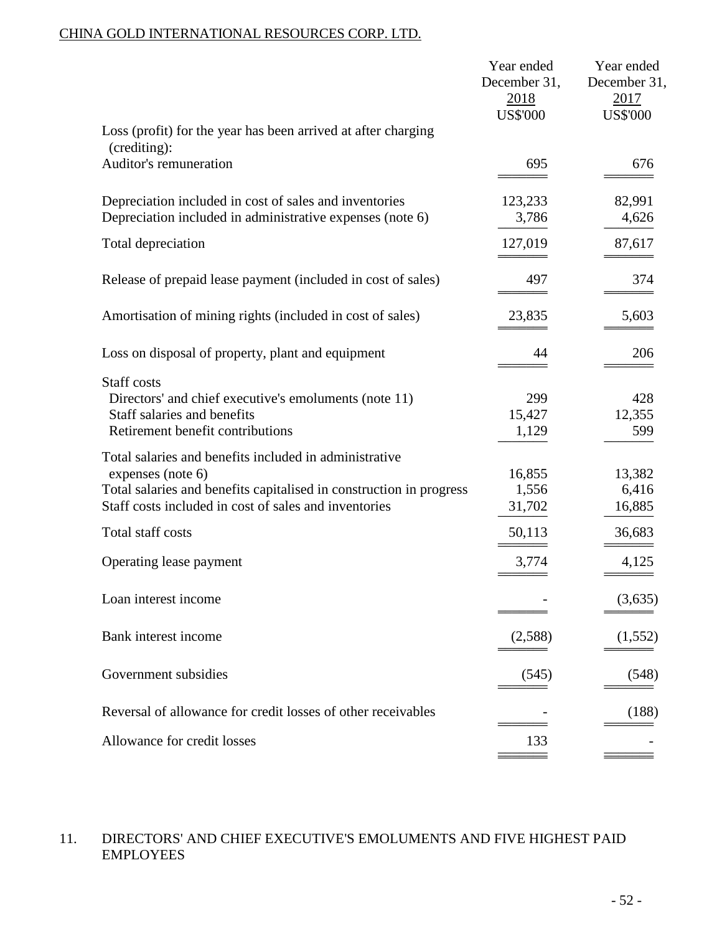|                                                                                                                                                                                                             | Year ended<br>December 31,<br>2018<br><b>US\$'000</b> | Year ended<br>December 31,<br>2017<br><b>US\$'000</b> |
|-------------------------------------------------------------------------------------------------------------------------------------------------------------------------------------------------------------|-------------------------------------------------------|-------------------------------------------------------|
| Loss (profit) for the year has been arrived at after charging<br>(crediting):                                                                                                                               |                                                       |                                                       |
| Auditor's remuneration                                                                                                                                                                                      | 695                                                   | 676                                                   |
| Depreciation included in cost of sales and inventories<br>Depreciation included in administrative expenses (note 6)                                                                                         | 123,233<br>3,786                                      | 82,991<br>4,626                                       |
| Total depreciation                                                                                                                                                                                          | 127,019                                               | 87,617                                                |
| Release of prepaid lease payment (included in cost of sales)                                                                                                                                                | 497                                                   | 374                                                   |
| Amortisation of mining rights (included in cost of sales)                                                                                                                                                   | 23,835                                                | 5,603                                                 |
| Loss on disposal of property, plant and equipment                                                                                                                                                           | 44                                                    | 206                                                   |
| Staff costs<br>Directors' and chief executive's emoluments (note 11)<br>Staff salaries and benefits<br>Retirement benefit contributions                                                                     | 299<br>15,427<br>1,129                                | 428<br>12,355<br>599                                  |
| Total salaries and benefits included in administrative<br>expenses (note 6)<br>Total salaries and benefits capitalised in construction in progress<br>Staff costs included in cost of sales and inventories | 16,855<br>1,556<br>31,702                             | 13,382<br>6,416<br>16,885                             |
| Total staff costs                                                                                                                                                                                           | 50,113                                                | 36,683                                                |
| Operating lease payment                                                                                                                                                                                     | 3,774                                                 | 4,125                                                 |
| Loan interest income                                                                                                                                                                                        |                                                       | (3,635)                                               |
| Bank interest income                                                                                                                                                                                        | (2,588)                                               | (1,552)                                               |
| Government subsidies                                                                                                                                                                                        | (545)                                                 | (548)                                                 |
| Reversal of allowance for credit losses of other receivables                                                                                                                                                |                                                       | (188)                                                 |
| Allowance for credit losses                                                                                                                                                                                 | 133                                                   |                                                       |
|                                                                                                                                                                                                             |                                                       |                                                       |

# 11. DIRECTORS' AND CHIEF EXECUTIVE'S EMOLUMENTS AND FIVE HIGHEST PAID EMPLOYEES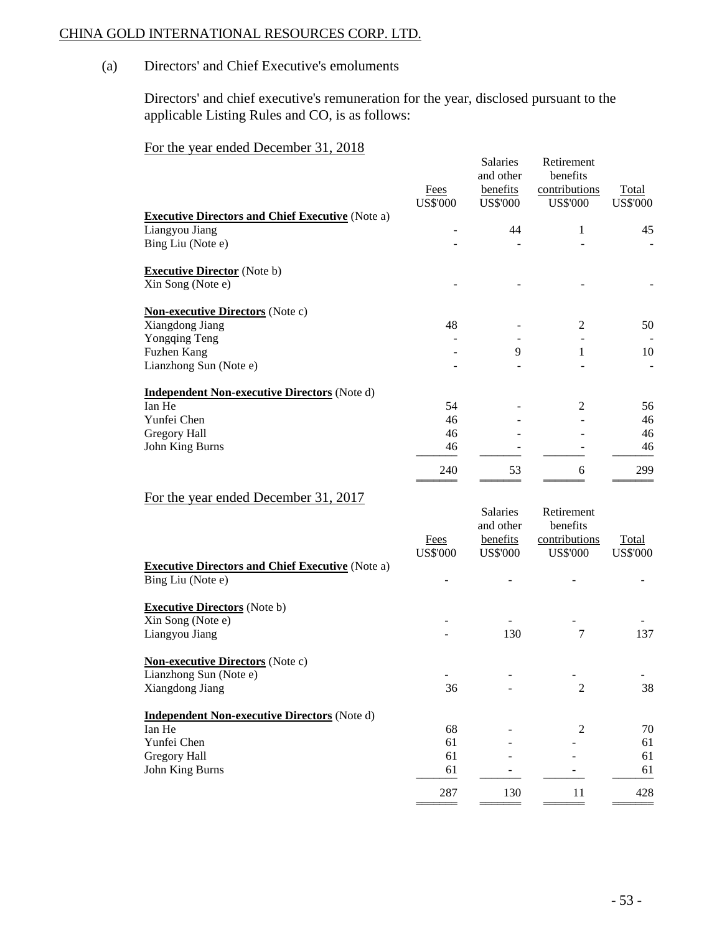# (a) Directors' and Chief Executive's emoluments

Directors' and chief executive's remuneration for the year, disclosed pursuant to the applicable Listing Rules and CO, is as follows:

## For the year ended December 31, 2018

|                                                         |                         | <b>Salaries</b><br>and other | Retirement<br>benefits |                          |
|---------------------------------------------------------|-------------------------|------------------------------|------------------------|--------------------------|
|                                                         | Fees                    | benefits                     | contributions          | Total                    |
|                                                         | <b>US\$'000</b>         | <b>US\$'000</b>              | <b>US\$'000</b>        | <b>US\$'000</b>          |
| <b>Executive Directors and Chief Executive (Note a)</b> |                         |                              |                        |                          |
| Liangyou Jiang                                          |                         | 44                           | 1                      | 45                       |
| Bing Liu (Note e)                                       |                         |                              |                        |                          |
|                                                         |                         |                              |                        |                          |
| <b>Executive Director</b> (Note b)                      |                         |                              |                        |                          |
| Xin Song (Note e)                                       |                         |                              |                        |                          |
|                                                         |                         |                              |                        |                          |
| <b>Non-executive Directors</b> (Note c)                 |                         |                              |                        |                          |
| Xiangdong Jiang                                         | 48                      |                              | 2                      | 50                       |
| Yongqing Teng                                           |                         |                              |                        |                          |
| Fuzhen Kang                                             |                         | 9                            | 1                      | 10                       |
| Lianzhong Sun (Note e)                                  |                         |                              |                        |                          |
|                                                         |                         |                              |                        |                          |
| <b>Independent Non-executive Directors</b> (Note d)     |                         |                              |                        |                          |
| Ian He                                                  | 54                      |                              | 2                      | 56                       |
| Yunfei Chen                                             | 46                      |                              |                        | 46                       |
| <b>Gregory Hall</b>                                     | 46                      |                              |                        | 46                       |
| John King Burns                                         | 46                      |                              |                        | 46                       |
|                                                         | 240                     | 53                           | 6                      | 299                      |
|                                                         |                         |                              |                        |                          |
| For the year ended December 31, 2017                    |                         |                              |                        |                          |
|                                                         |                         |                              |                        |                          |
|                                                         |                         | <b>Salaries</b>              | Retirement<br>benefits |                          |
|                                                         |                         | and other                    | contributions          |                          |
|                                                         | Fees<br><b>US\$'000</b> | benefits<br><b>US\$'000</b>  | <b>US\$'000</b>        | Total<br><b>US\$'000</b> |
| <b>Executive Directors and Chief Executive (Note a)</b> |                         |                              |                        |                          |
| Bing Liu (Note e)                                       |                         |                              |                        |                          |
|                                                         |                         |                              |                        |                          |
| <b>Executive Directors</b> (Note b)                     |                         |                              |                        |                          |
| Xin Song (Note e)                                       |                         |                              |                        |                          |
| Liangyou Jiang                                          |                         | 130                          | 7                      | 137                      |
|                                                         |                         |                              |                        |                          |
| <b>Non-executive Directors</b> (Note c)                 |                         |                              |                        |                          |
| Lianzhong Sun (Note e)                                  |                         |                              |                        |                          |
| Xiangdong Jiang                                         | 36                      |                              | $\overline{2}$         | 38                       |
|                                                         |                         |                              |                        |                          |
| <b>Independent Non-executive Directors</b> (Note d)     |                         |                              |                        |                          |
| Ian He                                                  | 68                      |                              | 2                      | 70                       |
| Yunfei Chen                                             | 61                      |                              |                        | 61                       |

Gregory Hall 61 - 61 - 61 John King Burns 61 and 1990 and 1991 and 1991 and 1991 and 1991 and 1991 and 1991 and 1991 and 1991 and 1991 and 1991 and 1991 and 1991 and 1991 and 1991 and 1991 and 1991 and 1991 and 1991 and 1991 and 1991 and 1991 and 1

287 130 11 428 \_\_\_\_\_\_\_ \_\_\_\_\_\_\_ \_\_\_\_\_\_\_ \_\_\_\_\_\_\_ \_\_\_\_\_\_\_ \_\_\_\_\_\_\_ \_\_\_\_\_\_\_ \_\_\_\_\_\_\_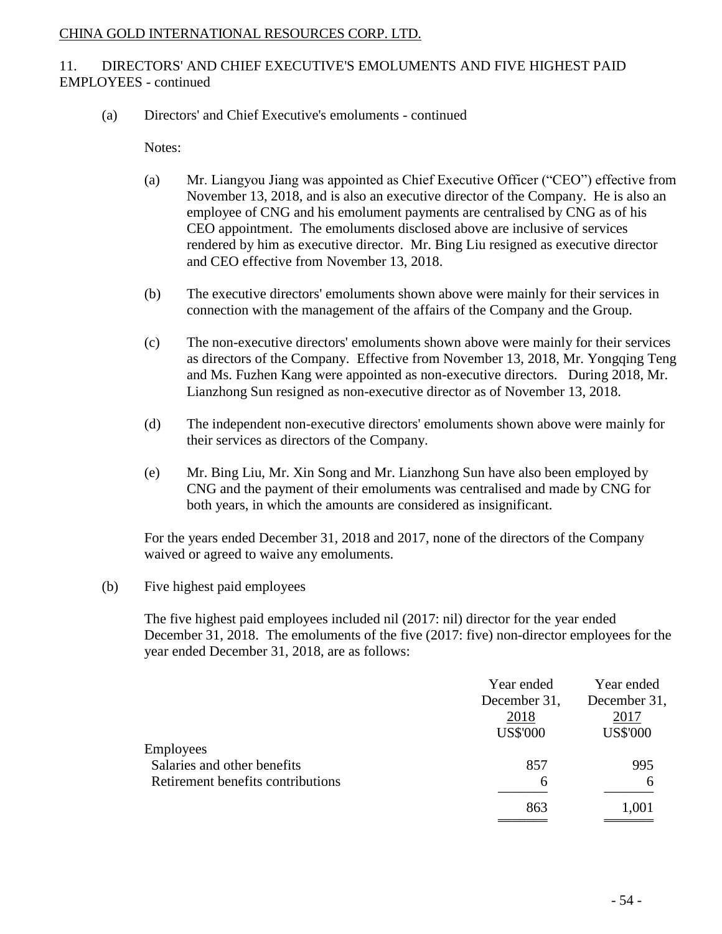## 11. DIRECTORS' AND CHIEF EXECUTIVE'S EMOLUMENTS AND FIVE HIGHEST PAID EMPLOYEES - continued

(a) Directors' and Chief Executive's emoluments - continued

Notes:

- (a) Mr. Liangyou Jiang was appointed as Chief Executive Officer ("CEO") effective from November 13, 2018, and is also an executive director of the Company. He is also an employee of CNG and his emolument payments are centralised by CNG as of his CEO appointment. The emoluments disclosed above are inclusive of services rendered by him as executive director. Mr. Bing Liu resigned as executive director and CEO effective from November 13, 2018.
- (b) The executive directors' emoluments shown above were mainly for their services in connection with the management of the affairs of the Company and the Group.
- (c) The non-executive directors' emoluments shown above were mainly for their services as directors of the Company. Effective from November 13, 2018, Mr. Yongqing Teng and Ms. Fuzhen Kang were appointed as non-executive directors. During 2018, Mr. Lianzhong Sun resigned as non-executive director as of November 13, 2018.
- (d) The independent non-executive directors' emoluments shown above were mainly for their services as directors of the Company.
- (e) Mr. Bing Liu, Mr. Xin Song and Mr. Lianzhong Sun have also been employed by CNG and the payment of their emoluments was centralised and made by CNG for both years, in which the amounts are considered as insignificant.

For the years ended December 31, 2018 and 2017, none of the directors of the Company waived or agreed to waive any emoluments.

(b) Five highest paid employees

The five highest paid employees included nil (2017: nil) director for the year ended December 31, 2018. The emoluments of the five (2017: five) non-director employees for the year ended December 31, 2018, are as follows:

|                                   | Year ended      | Year ended      |
|-----------------------------------|-----------------|-----------------|
|                                   | December 31,    | December 31,    |
|                                   | 2018            | 2017            |
|                                   | <b>US\$'000</b> | <b>US\$'000</b> |
| <b>Employees</b>                  |                 |                 |
| Salaries and other benefits       | 857             | 995             |
| Retirement benefits contributions | 6               | 6               |
|                                   | 863             | 1,001           |
|                                   |                 |                 |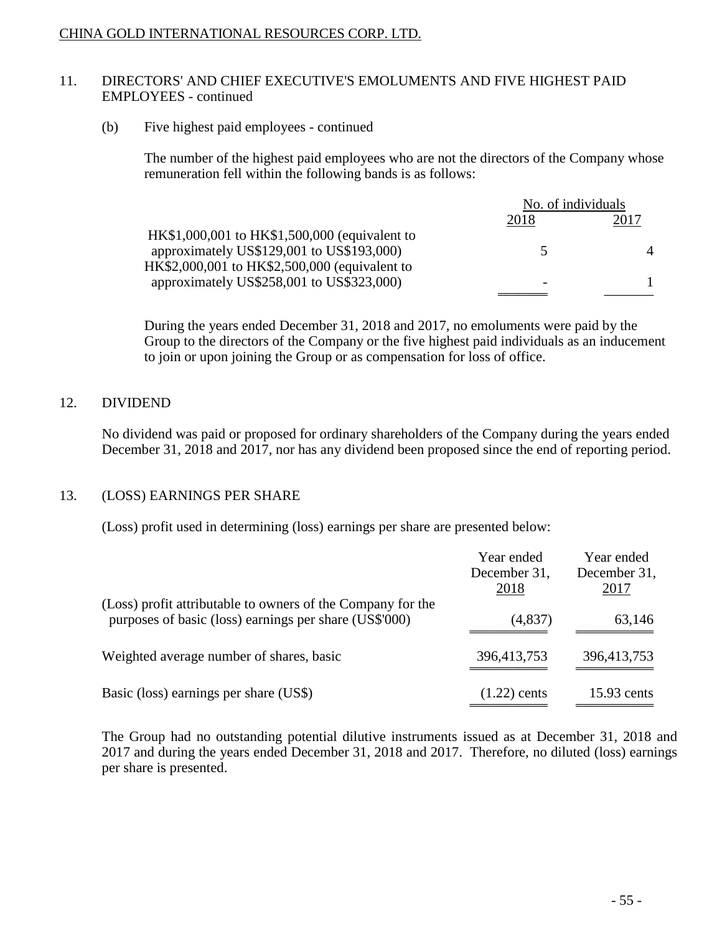#### 11. DIRECTORS' AND CHIEF EXECUTIVE'S EMOLUMENTS AND FIVE HIGHEST PAID EMPLOYEES - continued

(b) Five highest paid employees - continued

The number of the highest paid employees who are not the directors of the Company whose remuneration fell within the following bands is as follows:

|                                               | No. of individuals       |                |
|-----------------------------------------------|--------------------------|----------------|
|                                               | 2018                     | 2017           |
| HK\$1,000,001 to HK\$1,500,000 (equivalent to |                          |                |
| approximately US\$129,001 to US\$193,000)     | $\overline{\phantom{1}}$ | $\overline{4}$ |
| HK\$2,000,001 to HK\$2,500,000 (equivalent to |                          |                |
| approximately US\$258,001 to US\$323,000)     |                          |                |
|                                               |                          |                |

During the years ended December 31, 2018 and 2017, no emoluments were paid by the Group to the directors of the Company or the five highest paid individuals as an inducement to join or upon joining the Group or as compensation for loss of office.

#### 12. DIVIDEND

No dividend was paid or proposed for ordinary shareholders of the Company during the years ended December 31, 2018 and 2017, nor has any dividend been proposed since the end of reporting period.

#### 13. (LOSS) EARNINGS PER SHARE

(Loss) profit used in determining (loss) earnings per share are presented below:

|                                                                                                                       | Year ended<br>December 31,<br>2018 | Year ended<br>December 31,<br>2017 |
|-----------------------------------------------------------------------------------------------------------------------|------------------------------------|------------------------------------|
| (Loss) profit attributable to owners of the Company for the<br>purposes of basic (loss) earnings per share (US\$'000) | (4,837)                            | 63,146                             |
| Weighted average number of shares, basic                                                                              | 396,413,753                        | 396,413,753                        |
| Basic (loss) earnings per share (US\$)                                                                                | $(1.22)$ cents                     | 15.93 cents                        |

The Group had no outstanding potential dilutive instruments issued as at December 31, 2018 and 2017 and during the years ended December 31, 2018 and 2017. Therefore, no diluted (loss) earnings per share is presented.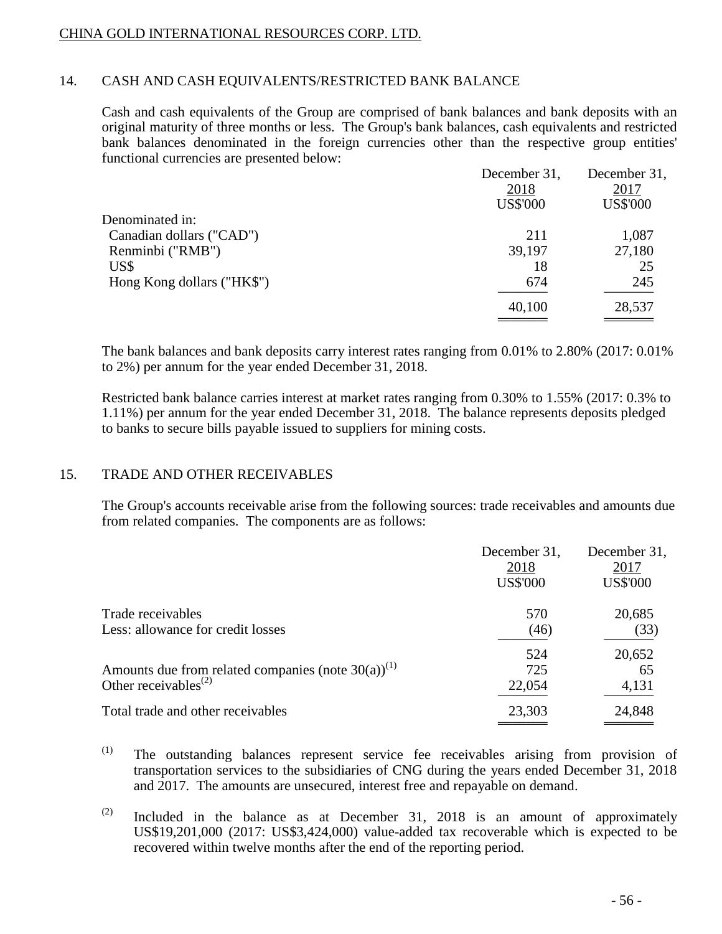# 14. CASH AND CASH EQUIVALENTS/RESTRICTED BANK BALANCE

Cash and cash equivalents of the Group are comprised of bank balances and bank deposits with an original maturity of three months or less. The Group's bank balances, cash equivalents and restricted bank balances denominated in the foreign currencies other than the respective group entities' functional currencies are presented below:

|                            | December 31,    | December 31,    |
|----------------------------|-----------------|-----------------|
|                            | 2018            | 2017            |
|                            | <b>US\$'000</b> | <b>US\$'000</b> |
| Denominated in:            |                 |                 |
| Canadian dollars ("CAD")   | 211             | 1,087           |
| Renminbi ("RMB")           | 39,197          | 27,180          |
| US\$                       | 18              | 25              |
| Hong Kong dollars ("HK\$") | 674             | 245             |
|                            | 40,100          | 28,537          |
|                            |                 |                 |

The bank balances and bank deposits carry interest rates ranging from 0.01% to 2.80% (2017: 0.01% to 2%) per annum for the year ended December 31, 2018.

Restricted bank balance carries interest at market rates ranging from 0.30% to 1.55% (2017: 0.3% to 1.11%) per annum for the year ended December 31, 2018. The balance represents deposits pledged to banks to secure bills payable issued to suppliers for mining costs.

#### 15. TRADE AND OTHER RECEIVABLES

The Group's accounts receivable arise from the following sources: trade receivables and amounts due from related companies. The components are as follows:

|                                                                                                                    | December 31,<br>2018<br><b>US\$'000</b> | December 31,<br>2017<br><b>US\$'000</b> |
|--------------------------------------------------------------------------------------------------------------------|-----------------------------------------|-----------------------------------------|
| Trade receivables<br>Less: allowance for credit losses                                                             | 570<br>(46)                             | 20,685<br>(33)                          |
| Amounts due from related companies (note $30(a)$ ) <sup>(1)</sup><br>Other receivables <sup><math>(2)</math></sup> | 524<br>725<br>22,054                    | 20,652<br>65<br>4,131                   |
| Total trade and other receivables                                                                                  | 23,303                                  | 24,848                                  |

- (1) The outstanding balances represent service fee receivables arising from provision of transportation services to the subsidiaries of CNG during the years ended December 31, 2018 and 2017. The amounts are unsecured, interest free and repayable on demand.
- (2) Included in the balance as at December 31, 2018 is an amount of approximately US\$19,201,000 (2017: US\$3,424,000) value-added tax recoverable which is expected to be recovered within twelve months after the end of the reporting period.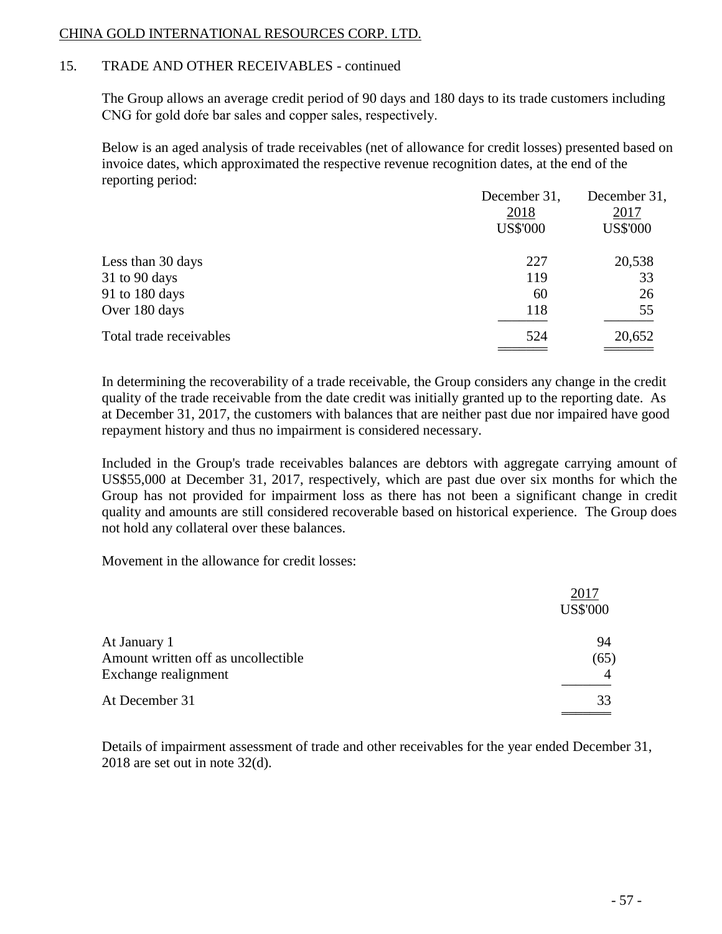# 15. TRADE AND OTHER RECEIVABLES - continued

The Group allows an average credit period of 90 days and 180 days to its trade customers including CNG for gold doŕe bar sales and copper sales, respectively.

Below is an aged analysis of trade receivables (net of allowance for credit losses) presented based on invoice dates, which approximated the respective revenue recognition dates, at the end of the reporting period:

|                         | December 31,    | December 31,    |
|-------------------------|-----------------|-----------------|
|                         | 2018            | 2017            |
|                         | <b>US\$'000</b> | <b>US\$'000</b> |
| Less than 30 days       | 227             | 20,538          |
| 31 to 90 days           | 119             | 33              |
| 91 to 180 days          | 60              | 26              |
| Over 180 days           | 118             | 55              |
| Total trade receivables | 524             | 20,652          |
|                         |                 |                 |

In determining the recoverability of a trade receivable, the Group considers any change in the credit quality of the trade receivable from the date credit was initially granted up to the reporting date. As at December 31, 2017, the customers with balances that are neither past due nor impaired have good repayment history and thus no impairment is considered necessary.

Included in the Group's trade receivables balances are debtors with aggregate carrying amount of US\$55,000 at December 31, 2017, respectively, which are past due over six months for which the Group has not provided for impairment loss as there has not been a significant change in credit quality and amounts are still considered recoverable based on historical experience. The Group does not hold any collateral over these balances.

Movement in the allowance for credit losses:

|                                     | 2017            |
|-------------------------------------|-----------------|
|                                     | <b>US\$'000</b> |
| At January 1                        | 94              |
| Amount written off as uncollectible | (65)            |
| Exchange realignment                |                 |
| At December 31                      | 33              |
|                                     |                 |

Details of impairment assessment of trade and other receivables for the year ended December 31, 2018 are set out in note 32(d).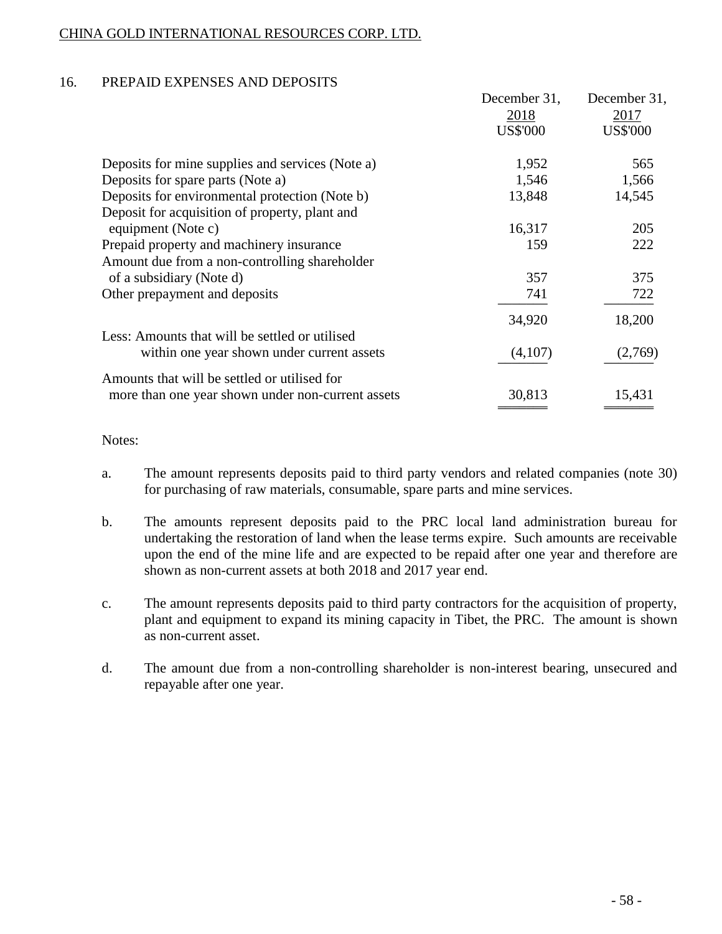#### 16. PREPAID EXPENSES AND DEPOSITS

|                                                   | December 31,    | December 31,    |
|---------------------------------------------------|-----------------|-----------------|
|                                                   | 2018            | 2017            |
|                                                   | <b>US\$'000</b> | <b>US\$'000</b> |
|                                                   |                 |                 |
| Deposits for mine supplies and services (Note a)  | 1,952           | 565             |
| Deposits for spare parts (Note a)                 | 1,546           | 1,566           |
| Deposits for environmental protection (Note b)    | 13,848          | 14,545          |
| Deposit for acquisition of property, plant and    |                 |                 |
| equipment (Note c)                                | 16,317          | 205             |
| Prepaid property and machinery insurance          | 159             | 222             |
| Amount due from a non-controlling shareholder     |                 |                 |
| of a subsidiary (Note d)                          | 357             | 375             |
| Other prepayment and deposits                     | 741             | 722             |
|                                                   | 34,920          | 18,200          |
| Less: Amounts that will be settled or utilised    |                 |                 |
| within one year shown under current assets        | (4,107)         | (2,769)         |
|                                                   |                 |                 |
| Amounts that will be settled or utilised for      |                 |                 |
| more than one year shown under non-current assets | 30,813          | 15,431          |
|                                                   |                 |                 |

#### Notes:

- a. The amount represents deposits paid to third party vendors and related companies (note 30) for purchasing of raw materials, consumable, spare parts and mine services.
- b. The amounts represent deposits paid to the PRC local land administration bureau for undertaking the restoration of land when the lease terms expire. Such amounts are receivable upon the end of the mine life and are expected to be repaid after one year and therefore are shown as non-current assets at both 2018 and 2017 year end.
- c. The amount represents deposits paid to third party contractors for the acquisition of property, plant and equipment to expand its mining capacity in Tibet, the PRC. The amount is shown as non-current asset.
- d. The amount due from a non-controlling shareholder is non-interest bearing, unsecured and repayable after one year.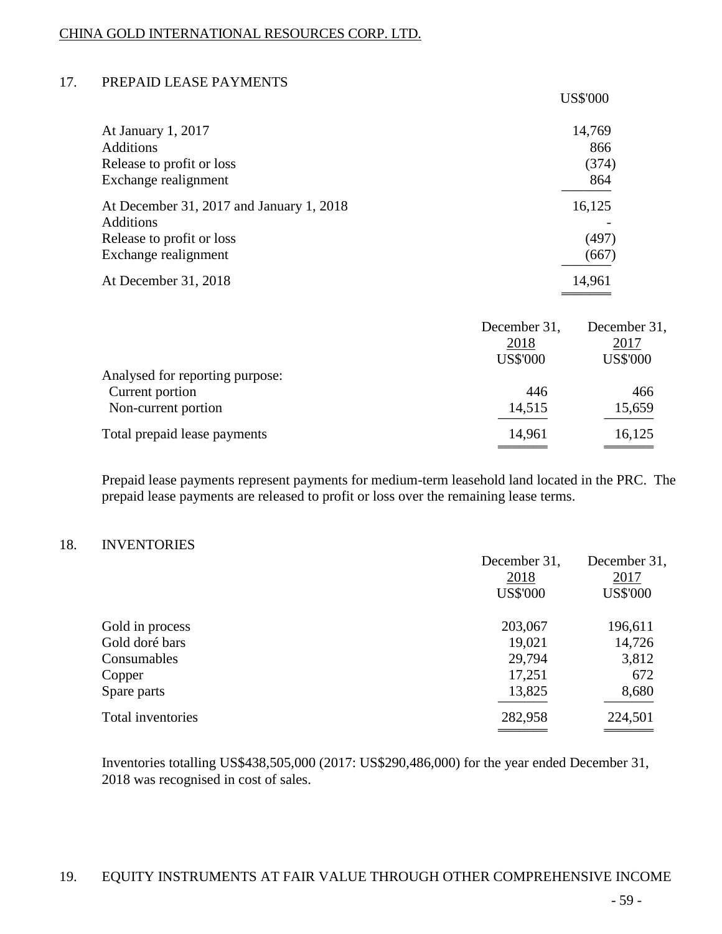#### 17. PREPAID LEASE PAYMENTS

|                                          | UND LOU |
|------------------------------------------|---------|
| At January 1, 2017                       | 14,769  |
| <b>Additions</b>                         | 866     |
| Release to profit or loss                | (374)   |
| Exchange realignment                     | 864     |
| At December 31, 2017 and January 1, 2018 | 16,125  |
| <b>Additions</b>                         |         |
| Release to profit or loss                | (497)   |
| Exchange realignment                     | (667)   |
| At December 31, 2018                     | 14,961  |
|                                          |         |

|                                 | December 31,<br>2018<br><b>US\$'000</b> | December 31,<br>2017<br><b>US\$'000</b> |
|---------------------------------|-----------------------------------------|-----------------------------------------|
| Analysed for reporting purpose: |                                         |                                         |
| Current portion                 | 446                                     | 466                                     |
| Non-current portion             | 14,515                                  | 15,659                                  |
| Total prepaid lease payments    | 14,961                                  | 16,125                                  |

Prepaid lease payments represent payments for medium-term leasehold land located in the PRC. The prepaid lease payments are released to profit or loss over the remaining lease terms.

#### 18. INVENTORIES

|                   | December 31,    | December 31,    |
|-------------------|-----------------|-----------------|
|                   | 2018            | 2017            |
|                   | <b>US\$'000</b> | <b>US\$'000</b> |
| Gold in process   | 203,067         | 196,611         |
| Gold doré bars    | 19,021          | 14,726          |
| Consumables       | 29,794          | 3,812           |
| Copper            | 17,251          | 672             |
| Spare parts       | 13,825          | 8,680           |
| Total inventories | 282,958         | 224,501         |
|                   |                 |                 |

Inventories totalling US\$438,505,000 (2017: US\$290,486,000) for the year ended December 31, 2018 was recognised in cost of sales.

US\$'000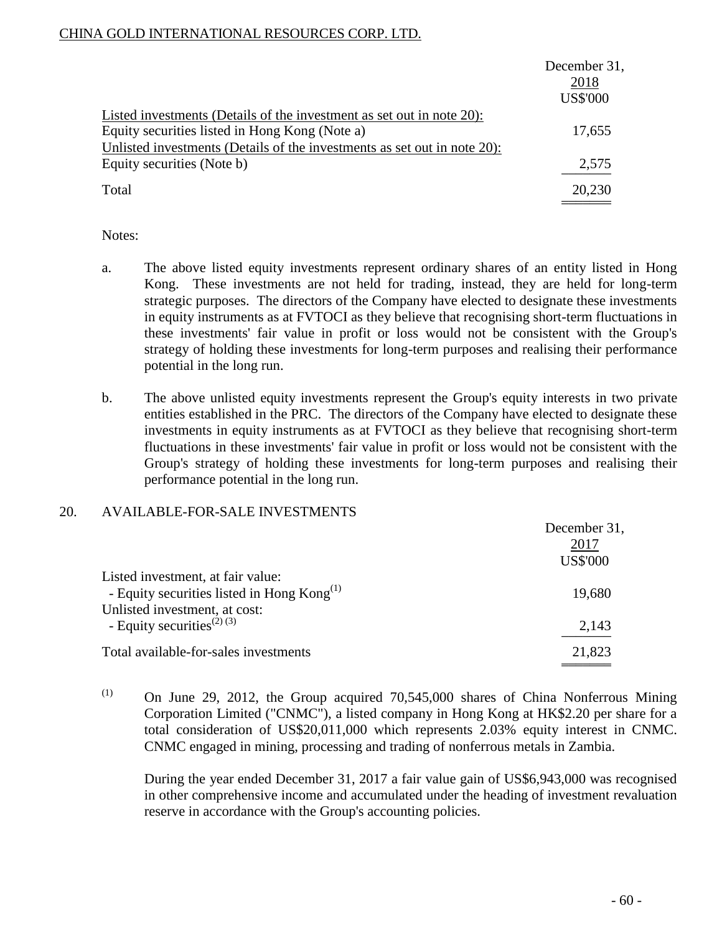|                                                                          | December 31,    |
|--------------------------------------------------------------------------|-----------------|
|                                                                          | 2018            |
|                                                                          | <b>US\$'000</b> |
| Listed investments (Details of the investment as set out in note 20):    |                 |
| Equity securities listed in Hong Kong (Note a)                           | 17,655          |
| Unlisted investments (Details of the investments as set out in note 20): |                 |
| Equity securities (Note b)                                               | 2,575           |
| Total                                                                    | 20,230          |

#### Notes:

- a. The above listed equity investments represent ordinary shares of an entity listed in Hong Kong. These investments are not held for trading, instead, they are held for long-term strategic purposes. The directors of the Company have elected to designate these investments in equity instruments as at FVTOCI as they believe that recognising short-term fluctuations in these investments' fair value in profit or loss would not be consistent with the Group's strategy of holding these investments for long-term purposes and realising their performance potential in the long run.
- b. The above unlisted equity investments represent the Group's equity interests in two private entities established in the PRC. The directors of the Company have elected to designate these investments in equity instruments as at FVTOCI as they believe that recognising short-term fluctuations in these investments' fair value in profit or loss would not be consistent with the Group's strategy of holding these investments for long-term purposes and realising their performance potential in the long run.

#### 20. AVAILABLE-FOR-SALE INVESTMENTS

|                                                        | December 31,    |
|--------------------------------------------------------|-----------------|
|                                                        | 2017            |
|                                                        | <b>US\$'000</b> |
| Listed investment, at fair value:                      |                 |
| - Equity securities listed in Hong $\text{Kong}^{(1)}$ | 19,680          |
| Unlisted investment, at cost:                          |                 |
| - Equity securities <sup>(2)(3)</sup>                  | 2,143           |
| Total available-for-sales investments                  | 21,823          |
|                                                        |                 |

 $(1)$  On June 29, 2012, the Group acquired 70,545,000 shares of China Nonferrous Mining Corporation Limited ("CNMC"), a listed company in Hong Kong at HK\$2.20 per share for a total consideration of US\$20,011,000 which represents 2.03% equity interest in CNMC. CNMC engaged in mining, processing and trading of nonferrous metals in Zambia.

During the year ended December 31, 2017 a fair value gain of US\$6,943,000 was recognised in other comprehensive income and accumulated under the heading of investment revaluation reserve in accordance with the Group's accounting policies.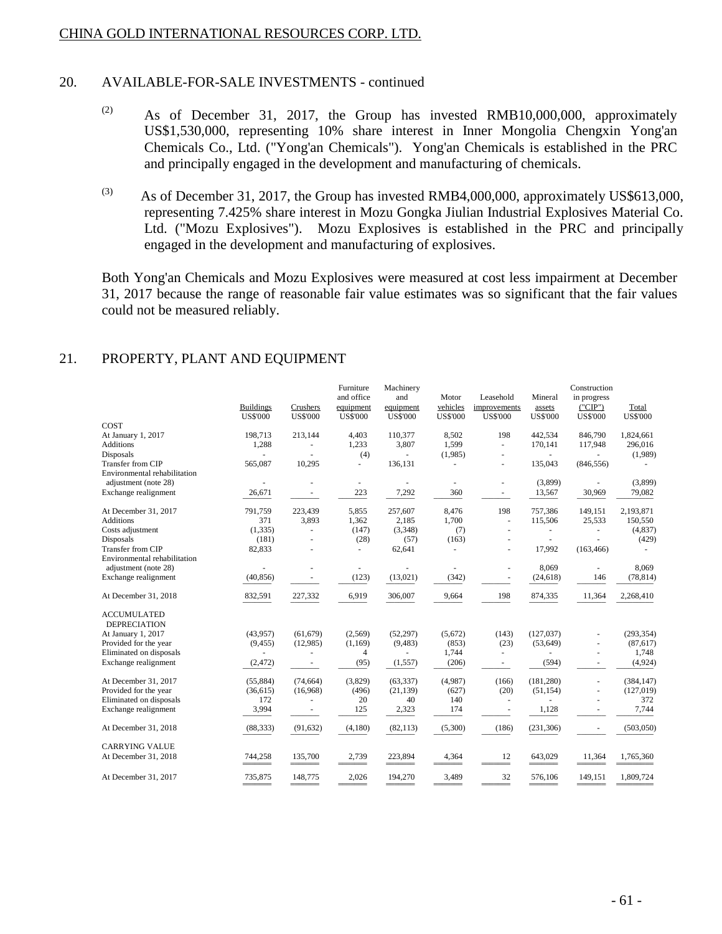#### 20. AVAILABLE-FOR-SALE INVESTMENTS - continued

- (2) As of December 31, 2017, the Group has invested RMB10,000,000, approximately US\$1,530,000, representing 10% share interest in Inner Mongolia Chengxin Yong'an Chemicals Co., Ltd. ("Yong'an Chemicals"). Yong'an Chemicals is established in the PRC and principally engaged in the development and manufacturing of chemicals.
- (3) As of December 31, 2017, the Group has invested RMB4,000,000, approximately US\$613,000, representing 7.425% share interest in Mozu Gongka Jiulian Industrial Explosives Material Co. Ltd. ("Mozu Explosives"). Mozu Explosives is established in the PRC and principally engaged in the development and manufacturing of explosives.

Both Yong'an Chemicals and Mozu Explosives were measured at cost less impairment at December 31, 2017 because the range of reasonable fair value estimates was so significant that the fair values could not be measured reliably.

## 21. PROPERTY, PLANT AND EQUIPMENT

|                              | <b>Buildings</b><br><b>US\$'000</b> | Crushers<br><b>US\$'000</b> | Furniture<br>and office<br>equipment<br><b>US\$'000</b> | Machinery<br>and<br>equipment<br><b>US\$'000</b> | Motor<br>vehicles<br><b>US\$'000</b> | Leasehold<br>improvements<br><b>US\$'000</b> | Mineral<br>assets<br><b>US\$'000</b> | Construction<br>in progress<br>("CIP")<br><b>US\$'000</b> | Total<br><b>US\$'000</b> |
|------------------------------|-------------------------------------|-----------------------------|---------------------------------------------------------|--------------------------------------------------|--------------------------------------|----------------------------------------------|--------------------------------------|-----------------------------------------------------------|--------------------------|
| COST                         |                                     |                             |                                                         |                                                  |                                      |                                              |                                      |                                                           |                          |
| At January 1, 2017           | 198,713                             | 213,144                     | 4,403                                                   | 110,377                                          | 8,502                                | 198                                          | 442,534                              | 846,790                                                   | 1,824,661                |
| <b>Additions</b>             | 1,288                               |                             | 1,233                                                   | 3,807                                            | 1,599                                | ÷.                                           | 170,141                              | 117,948                                                   | 296.016                  |
| Disposals                    | ÷.                                  |                             | (4)                                                     | $\omega$                                         | (1,985)                              | ٠                                            | ÷.                                   | $\sim$                                                    | (1,989)                  |
| <b>Transfer from CIP</b>     | 565,087                             | 10,295                      | $\blacksquare$                                          | 136,131                                          |                                      | $\overline{\phantom{a}}$                     | 135,043                              | (846, 556)                                                |                          |
| Environmental rehabilitation |                                     |                             |                                                         |                                                  |                                      |                                              |                                      |                                                           |                          |
| adjustment (note 28)         |                                     |                             | $\overline{\phantom{a}}$                                | $\sim$                                           | ÷,                                   | ٠                                            | (3,899)                              |                                                           | (3,899)                  |
| Exchange realignment         | 26,671                              |                             | 223                                                     | 7,292                                            | 360                                  | $\blacksquare$                               | 13,567                               | 30,969                                                    | 79,082                   |
| At December 31, 2017         | 791,759                             | 223,439                     | 5,855                                                   | 257,607                                          | 8,476                                | 198                                          | 757,386                              | 149,151                                                   | 2,193,871                |
| Additions                    | 371                                 | 3,893                       | 1,362                                                   | 2,185                                            | 1,700                                | $\sim$                                       | 115,506                              | 25,533                                                    | 150,550                  |
| Costs adjustment             | (1, 335)                            |                             | (147)                                                   | (3,348)                                          | (7)                                  | $\sim$                                       | $\sim$                               | $\sim$                                                    | (4,837)                  |
| Disposals                    | (181)                               |                             | (28)                                                    | (57)                                             | (163)                                |                                              | $\overline{\phantom{a}}$             |                                                           | (429)                    |
| <b>Transfer from CIP</b>     | 82,833                              |                             | ÷.                                                      | 62,641                                           |                                      |                                              | 17,992                               | (163, 466)                                                |                          |
| Environmental rehabilitation |                                     |                             |                                                         |                                                  |                                      |                                              |                                      |                                                           |                          |
| adjustment (note 28)         | $\sim$                              |                             | $\sim$                                                  | ÷.                                               | $\sim$                               |                                              | 8.069                                | $\overline{\phantom{a}}$                                  | 8,069                    |
| Exchange realignment         | (40, 856)                           |                             | (123)                                                   | (13,021)                                         | (342)                                |                                              | (24, 618)                            | 146                                                       | (78, 814)                |
| At December 31, 2018         | 832,591                             | 227,332                     | 6,919                                                   | 306,007                                          | 9,664                                | 198                                          | 874,335                              | 11,364                                                    | 2,268,410                |
| <b>ACCUMULATED</b>           |                                     |                             |                                                         |                                                  |                                      |                                              |                                      |                                                           |                          |
| <b>DEPRECIATION</b>          |                                     |                             |                                                         |                                                  |                                      |                                              |                                      |                                                           |                          |
| At January 1, 2017           | (43,957)                            | (61, 679)                   | (2,569)                                                 | (52, 297)                                        | (5,672)                              | (143)                                        | (127, 037)                           |                                                           | (293, 354)               |
| Provided for the year        | (9, 455)                            | (12,985)                    | (1,169)                                                 | (9, 483)                                         | (853)                                | (23)                                         | (53, 649)                            |                                                           | (87, 617)                |
| Eliminated on disposals      | ä,                                  | ÷,                          | $\overline{4}$                                          | $\overline{\phantom{a}}$                         | 1,744                                | $\overline{\phantom{a}}$                     | ÷.                                   |                                                           | 1,748                    |
| Exchange realignment         | (2, 472)                            | $\overline{\phantom{a}}$    | (95)                                                    | (1, 557)                                         | (206)                                | $\overline{\phantom{a}}$                     | (594)                                | $\sim$                                                    | (4,924)                  |
| At December 31, 2017         | (55,884)                            | (74, 664)                   | (3,829)                                                 | (63, 337)                                        | (4,987)                              | (166)                                        | (181, 280)                           |                                                           | (384, 147)               |
| Provided for the year        | (36, 615)                           | (16,968)                    | (496)                                                   | (21, 139)                                        | (627)                                | (20)                                         | (51, 154)                            |                                                           | (127, 019)               |
| Eliminated on disposals      | 172                                 |                             | 20                                                      | 40                                               | 140                                  | ٠                                            |                                      |                                                           | 372                      |
| Exchange realignment         | 3,994                               |                             | 125                                                     | 2,323                                            | 174                                  | $\sim$                                       | 1,128                                |                                                           | 7,744                    |
| At December 31, 2018         | (88, 333)                           | (91, 632)                   | (4,180)                                                 | (82, 113)                                        | (5,300)                              | (186)                                        | (231, 306)                           |                                                           | (503, 050)               |
| <b>CARRYING VALUE</b>        |                                     |                             |                                                         |                                                  |                                      |                                              |                                      |                                                           |                          |
| At December 31, 2018         | 744,258                             | 135,700                     | 2,739                                                   | 223,894                                          | 4,364                                | 12<br>--                                     | 643,029                              | 11,364                                                    | 1,765,360                |
| At December 31, 2017         | 735,875                             | 148,775                     | 2,026                                                   | 194,270                                          | 3,489                                | 32                                           | 576,106                              | 149,151                                                   | 1,809,724                |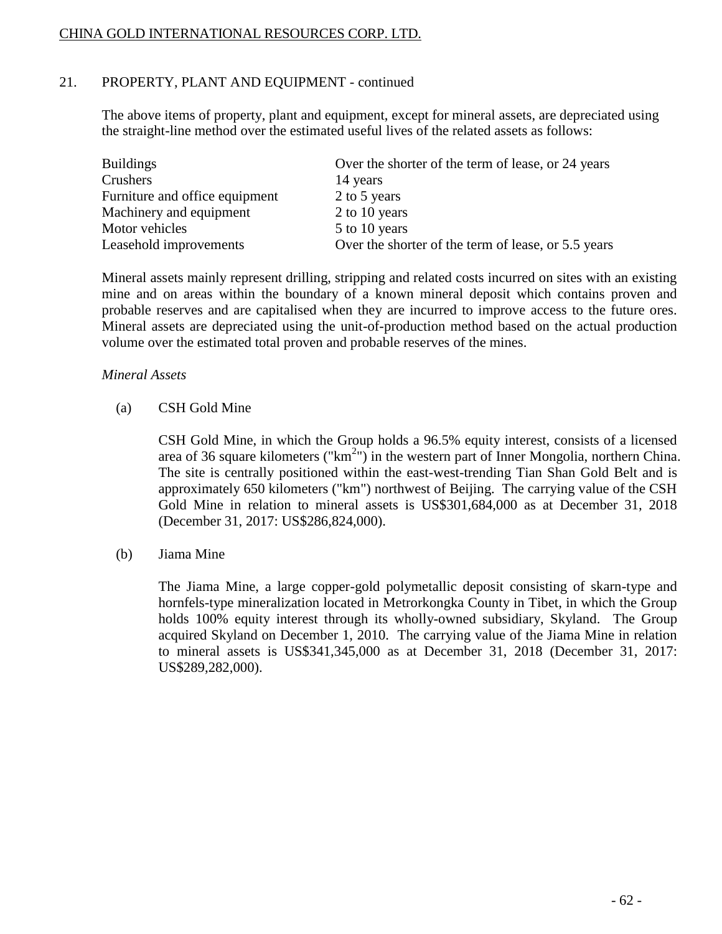## 21. PROPERTY, PLANT AND EQUIPMENT - continued

The above items of property, plant and equipment, except for mineral assets, are depreciated using the straight-line method over the estimated useful lives of the related assets as follows:

| <b>Buildings</b>               | Over the shorter of the term of lease, or 24 years  |
|--------------------------------|-----------------------------------------------------|
| Crushers                       | 14 years                                            |
| Furniture and office equipment | 2 to 5 years                                        |
| Machinery and equipment        | 2 to 10 years                                       |
| Motor vehicles                 | 5 to 10 years                                       |
| Leasehold improvements         | Over the shorter of the term of lease, or 5.5 years |

Mineral assets mainly represent drilling, stripping and related costs incurred on sites with an existing mine and on areas within the boundary of a known mineral deposit which contains proven and probable reserves and are capitalised when they are incurred to improve access to the future ores. Mineral assets are depreciated using the unit-of-production method based on the actual production volume over the estimated total proven and probable reserves of the mines.

#### *Mineral Assets*

(a) CSH Gold Mine

CSH Gold Mine, in which the Group holds a 96.5% equity interest, consists of a licensed area of 36 square kilometers (" $km<sup>2</sup>$ ") in the western part of Inner Mongolia, northern China. The site is centrally positioned within the east-west-trending Tian Shan Gold Belt and is approximately 650 kilometers ("km") northwest of Beijing. The carrying value of the CSH Gold Mine in relation to mineral assets is US\$301,684,000 as at December 31, 2018 (December 31, 2017: US\$286,824,000).

(b) Jiama Mine

The Jiama Mine, a large copper-gold polymetallic deposit consisting of skarn-type and hornfels-type mineralization located in Metrorkongka County in Tibet, in which the Group holds 100% equity interest through its wholly-owned subsidiary, Skyland. The Group acquired Skyland on December 1, 2010. The carrying value of the Jiama Mine in relation to mineral assets is US\$341,345,000 as at December 31, 2018 (December 31, 2017: US\$289,282,000).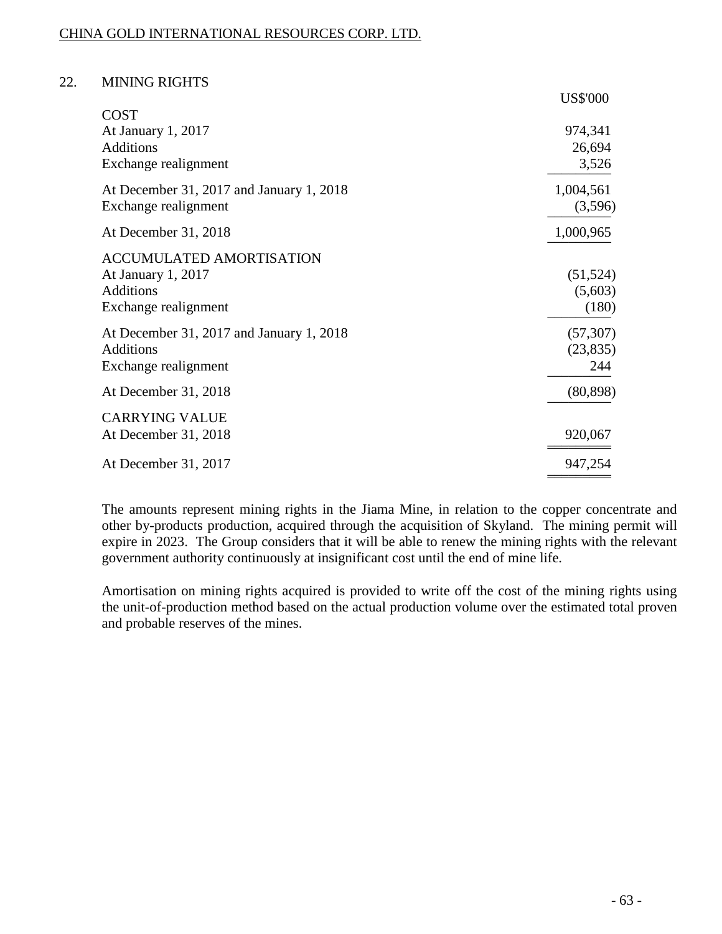#### 22. MINING RIGHTS

|                                                                                            | <b>US\$'000</b>               |
|--------------------------------------------------------------------------------------------|-------------------------------|
| <b>COST</b><br>At January 1, 2017<br>Additions<br>Exchange realignment                     | 974,341<br>26,694<br>3,526    |
| At December 31, 2017 and January 1, 2018<br>Exchange realignment                           | 1,004,561<br>(3,596)          |
| At December 31, 2018                                                                       | 1,000,965                     |
| <b>ACCUMULATED AMORTISATION</b><br>At January 1, 2017<br>Additions<br>Exchange realignment | (51, 524)<br>(5,603)<br>(180) |
| At December 31, 2017 and January 1, 2018<br>Additions<br>Exchange realignment              | (57, 307)<br>(23, 835)<br>244 |
| At December 31, 2018                                                                       | (80, 898)                     |
| <b>CARRYING VALUE</b><br>At December 31, 2018                                              | 920,067                       |
| At December 31, 2017                                                                       | 947,254                       |

The amounts represent mining rights in the Jiama Mine, in relation to the copper concentrate and other by-products production, acquired through the acquisition of Skyland. The mining permit will expire in 2023. The Group considers that it will be able to renew the mining rights with the relevant government authority continuously at insignificant cost until the end of mine life.

Amortisation on mining rights acquired is provided to write off the cost of the mining rights using the unit-of-production method based on the actual production volume over the estimated total proven and probable reserves of the mines.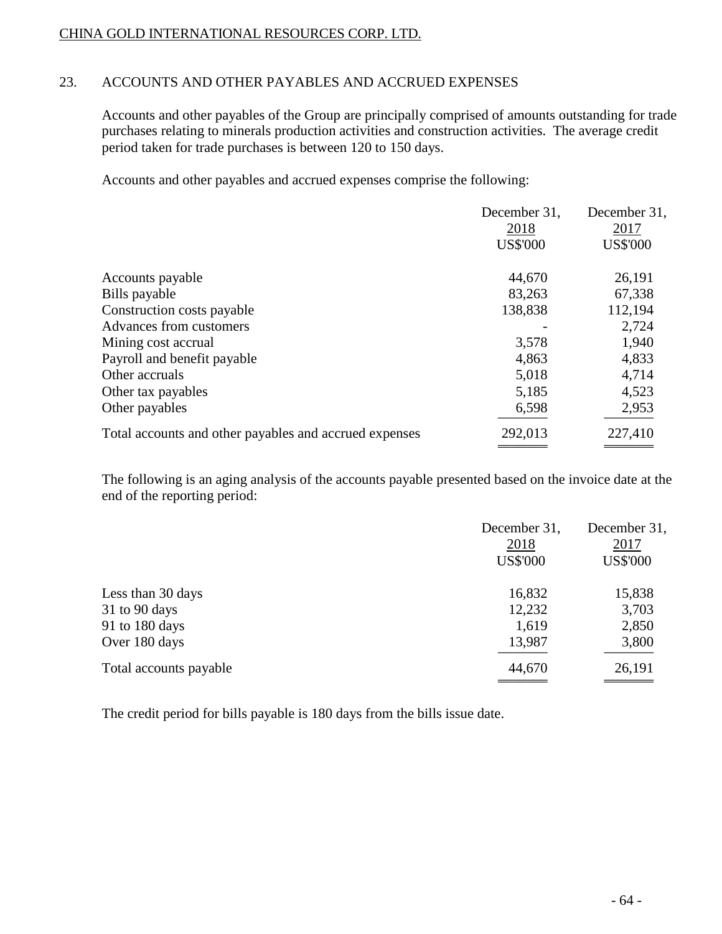# 23. ACCOUNTS AND OTHER PAYABLES AND ACCRUED EXPENSES

Accounts and other payables of the Group are principally comprised of amounts outstanding for trade purchases relating to minerals production activities and construction activities. The average credit period taken for trade purchases is between 120 to 150 days.

Accounts and other payables and accrued expenses comprise the following:

|                                                        | December 31,    | December 31,    |
|--------------------------------------------------------|-----------------|-----------------|
|                                                        | 2018            | 2017            |
|                                                        | <b>US\$'000</b> | <b>US\$'000</b> |
| Accounts payable                                       | 44,670          | 26,191          |
| Bills payable                                          | 83,263          | 67,338          |
| Construction costs payable                             | 138,838         | 112,194         |
| Advances from customers                                |                 | 2,724           |
| Mining cost accrual                                    | 3,578           | 1,940           |
| Payroll and benefit payable                            | 4,863           | 4,833           |
| Other accruals                                         | 5,018           | 4,714           |
| Other tax payables                                     | 5,185           | 4,523           |
| Other payables                                         | 6,598           | 2,953           |
| Total accounts and other payables and accrued expenses | 292,013         | 227,410         |
|                                                        |                 |                 |

The following is an aging analysis of the accounts payable presented based on the invoice date at the end of the reporting period:

|                        | December 31,<br>2018<br><b>US\$'000</b> | December 31,<br>2017<br><b>US\$'000</b> |
|------------------------|-----------------------------------------|-----------------------------------------|
| Less than 30 days      | 16,832                                  | 15,838                                  |
| $31$ to 90 days        | 12,232                                  | 3,703                                   |
| 91 to 180 days         | 1,619                                   | 2,850                                   |
| Over 180 days          | 13,987                                  | 3,800                                   |
| Total accounts payable | 44,670                                  | 26,191                                  |
|                        |                                         |                                         |

The credit period for bills payable is 180 days from the bills issue date.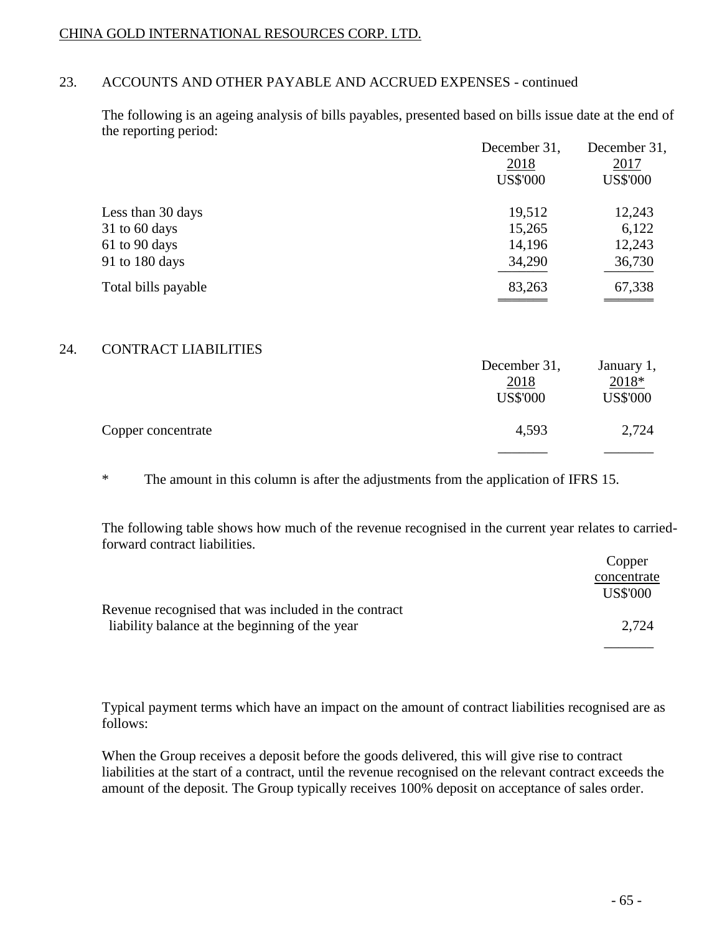## 23. ACCOUNTS AND OTHER PAYABLE AND ACCRUED EXPENSES - continued

The following is an ageing analysis of bills payables, presented based on bills issue date at the end of the reporting period:

|                     | December 31,    | December 31,    |
|---------------------|-----------------|-----------------|
|                     | 2018            | 2017            |
|                     | <b>US\$'000</b> | <b>US\$'000</b> |
| Less than 30 days   | 19,512          | 12,243          |
| $31$ to 60 days     | 15,265          | 6,122           |
| 61 to 90 days       | 14,196          | 12,243          |
| 91 to 180 days      | 34,290          | 36,730          |
| Total bills payable | 83,263          | 67,338          |
|                     |                 |                 |

#### 24. CONTRACT LIABILITIES

|                    | December 31,<br>2018<br><b>US\$'000</b> | January 1,<br>2018*<br><b>US\$'000</b> |
|--------------------|-----------------------------------------|----------------------------------------|
| Copper concentrate | 4,593                                   | 2,724                                  |

\* The amount in this column is after the adjustments from the application of IFRS 15.

The following table shows how much of the revenue recognised in the current year relates to carriedforward contract liabilities.

|                                                      | Copper          |
|------------------------------------------------------|-----------------|
|                                                      | concentrate     |
|                                                      | <b>US\$'000</b> |
| Revenue recognised that was included in the contract |                 |
| liability balance at the beginning of the year       | 2.724           |
|                                                      |                 |

Typical payment terms which have an impact on the amount of contract liabilities recognised are as follows:

When the Group receives a deposit before the goods delivered, this will give rise to contract liabilities at the start of a contract, until the revenue recognised on the relevant contract exceeds the amount of the deposit. The Group typically receives 100% deposit on acceptance of sales order.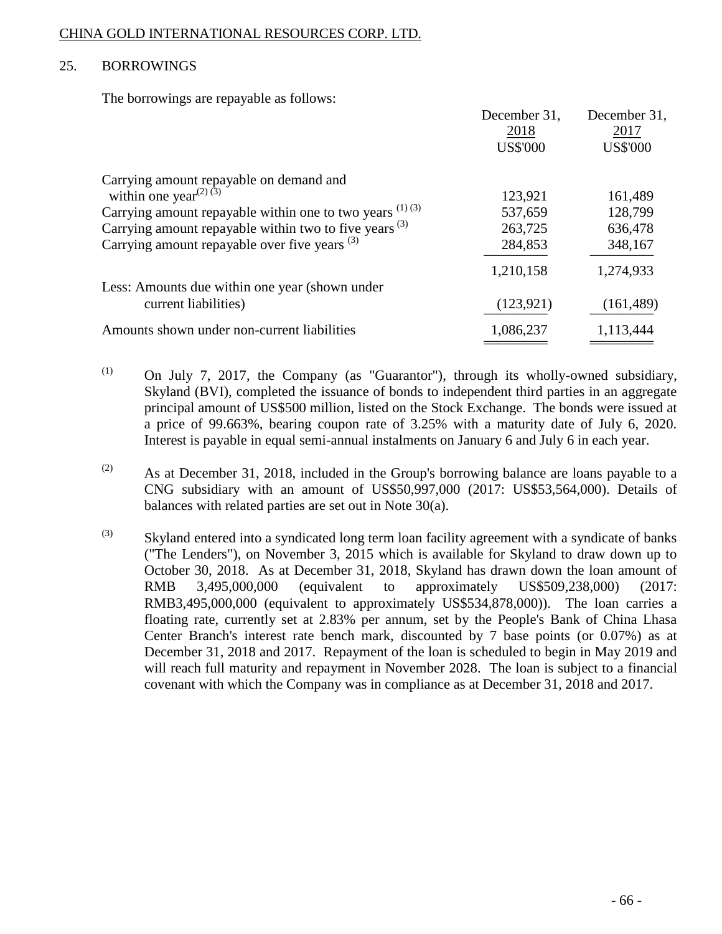#### 25. BORROWINGS

The borrowings are repayable as follows:

| December 31.<br>2018 | December 31,<br>2017 |
|----------------------|----------------------|
| <b>US\$'000</b>      | <b>US\$'000</b>      |
|                      |                      |
| 123,921              | 161,489              |
| 537,659              | 128,799              |
| 263,725              | 636,478              |
| 284,853              | 348,167              |
| 1,210,158            | 1,274,933            |
|                      |                      |
| (123, 921)           | (161, 489)           |
| 1,086,237            | 1,113,444            |
|                      |                      |

- $(1)$  On July 7, 2017, the Company (as "Guarantor"), through its wholly-owned subsidiary, Skyland (BVI), completed the issuance of bonds to independent third parties in an aggregate principal amount of US\$500 million, listed on the Stock Exchange. The bonds were issued at a price of 99.663%, bearing coupon rate of 3.25% with a maturity date of July 6, 2020. Interest is payable in equal semi-annual instalments on January 6 and July 6 in each year.
- $\alpha$  As at December 31, 2018, included in the Group's borrowing balance are loans payable to a CNG subsidiary with an amount of US\$50,997,000 (2017: US\$53,564,000). Details of balances with related parties are set out in Note 30(a).
- (3) Skyland entered into a syndicated long term loan facility agreement with a syndicate of banks ("The Lenders"), on November 3, 2015 which is available for Skyland to draw down up to October 30, 2018. As at December 31, 2018, Skyland has drawn down the loan amount of RMB 3,495,000,000 (equivalent to approximately US\$509,238,000) (2017: RMB3,495,000,000 (equivalent to approximately US\$534,878,000)). The loan carries a floating rate, currently set at 2.83% per annum, set by the People's Bank of China Lhasa Center Branch's interest rate bench mark, discounted by 7 base points (or 0.07%) as at December 31, 2018 and 2017. Repayment of the loan is scheduled to begin in May 2019 and will reach full maturity and repayment in November 2028. The loan is subject to a financial covenant with which the Company was in compliance as at December 31, 2018 and 2017.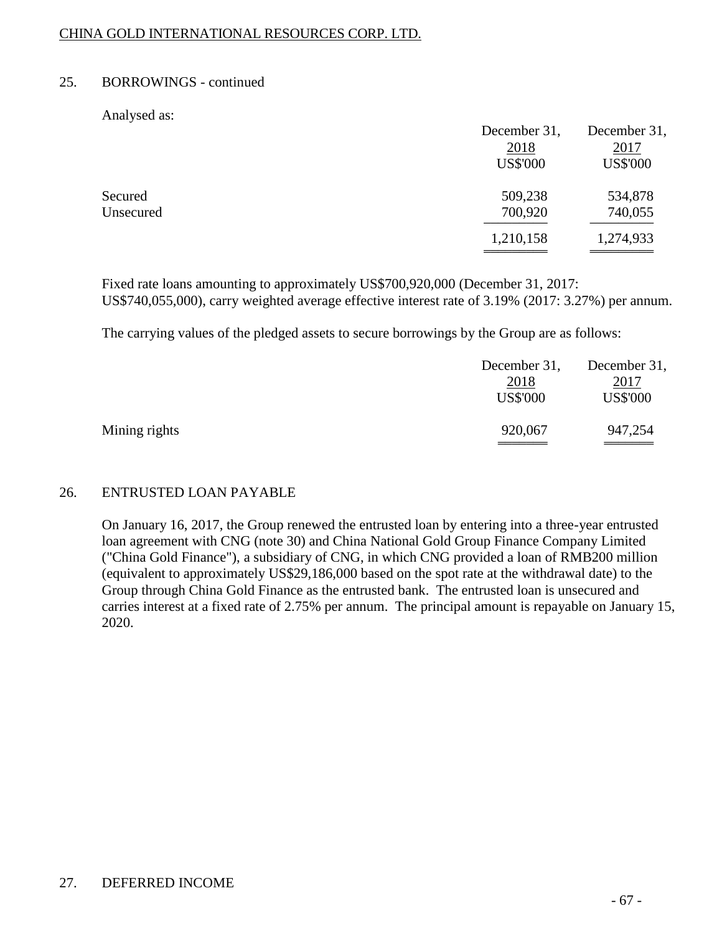## 25. BORROWINGS - continued

|  |  | Analysed as: |  |
|--|--|--------------|--|
|--|--|--------------|--|

|           | December 31,    | December 31,    |
|-----------|-----------------|-----------------|
|           | 2018            | 2017            |
|           | <b>US\$'000</b> | <b>US\$'000</b> |
| Secured   | 509,238         | 534,878         |
| Unsecured | 700,920         | 740,055         |
|           | 1,210,158       | 1,274,933       |
|           |                 |                 |

Fixed rate loans amounting to approximately US\$700,920,000 (December 31, 2017: US\$740,055,000), carry weighted average effective interest rate of 3.19% (2017: 3.27%) per annum.

The carrying values of the pledged assets to secure borrowings by the Group are as follows:

|               | December 31,            | December 31,                   |
|---------------|-------------------------|--------------------------------|
|               | 2018<br><b>US\$'000</b> | <u>2017</u><br><b>US\$'000</b> |
| Mining rights | 920,067                 | 947,254                        |

# 26. ENTRUSTED LOAN PAYABLE

On January 16, 2017, the Group renewed the entrusted loan by entering into a three-year entrusted loan agreement with CNG (note 30) and China National Gold Group Finance Company Limited ("China Gold Finance"), a subsidiary of CNG, in which CNG provided a loan of RMB200 million (equivalent to approximately US\$29,186,000 based on the spot rate at the withdrawal date) to the Group through China Gold Finance as the entrusted bank. The entrusted loan is unsecured and carries interest at a fixed rate of 2.75% per annum. The principal amount is repayable on January 15, 2020.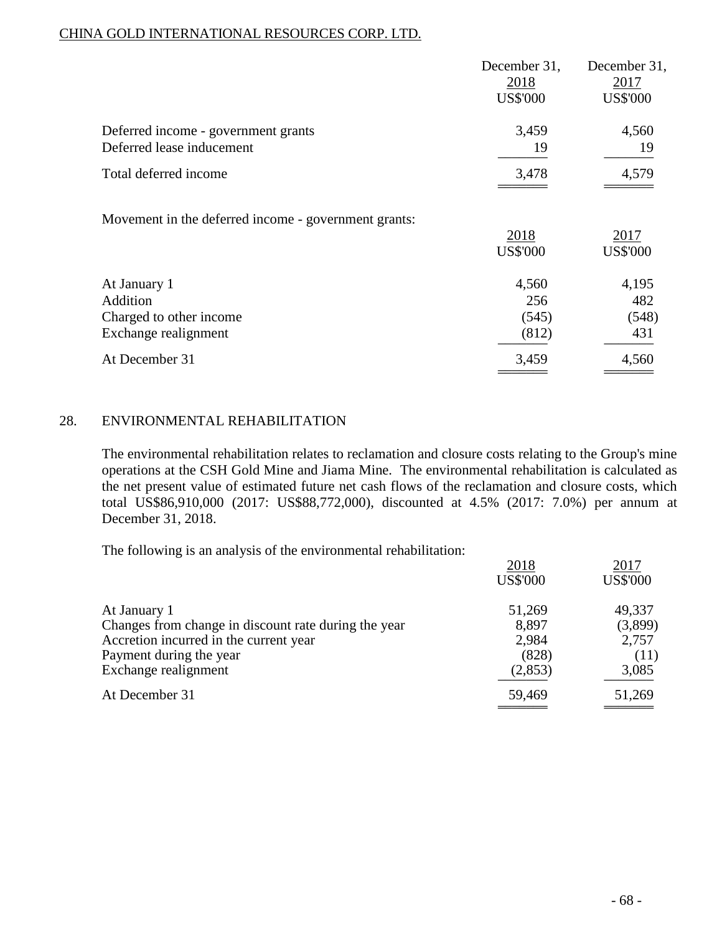|                                                                             | December 31,<br>2018<br><b>US\$'000</b> | December 31,<br>2017<br><b>US\$'000</b> |
|-----------------------------------------------------------------------------|-----------------------------------------|-----------------------------------------|
| Deferred income - government grants<br>Deferred lease inducement            | 3,459<br>19                             | 4,560<br>19                             |
| Total deferred income                                                       | 3,478                                   | 4,579                                   |
| Movement in the deferred income - government grants:                        | 2018<br><b>US\$'000</b>                 | 2017<br><b>US\$'000</b>                 |
| At January 1<br>Addition<br>Charged to other income<br>Exchange realignment | 4,560<br>256<br>(545)<br>(812)          | 4,195<br>482<br>(548)<br>431            |
| At December 31                                                              | 3,459                                   | 4,560                                   |

#### 28. ENVIRONMENTAL REHABILITATION

The environmental rehabilitation relates to reclamation and closure costs relating to the Group's mine operations at the CSH Gold Mine and Jiama Mine. The environmental rehabilitation is calculated as the net present value of estimated future net cash flows of the reclamation and closure costs, which total US\$86,910,000 (2017: US\$88,772,000), discounted at 4.5% (2017: 7.0%) per annum at December 31, 2018.

The following is an analysis of the environmental rehabilitation:

|                                                      | 2018            | 2017            |
|------------------------------------------------------|-----------------|-----------------|
|                                                      | <b>US\$'000</b> | <b>US\$'000</b> |
| At January 1                                         | 51,269          | 49,337          |
| Changes from change in discount rate during the year | 8,897           | (3,899)         |
| Accretion incurred in the current year               | 2,984           | 2,757           |
| Payment during the year                              | (828)           | (11)            |
| Exchange realignment                                 | (2,853)         | 3,085           |
| At December 31                                       | 59,469          | 51,269          |
|                                                      |                 |                 |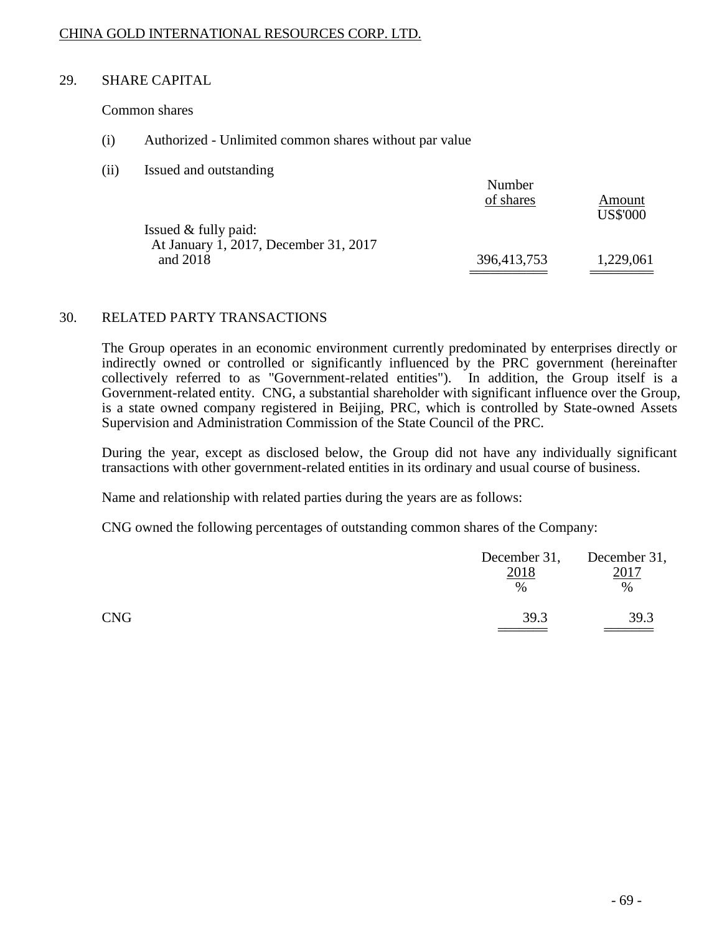#### 29. SHARE CAPITAL

Common shares

- (i) Authorized Unlimited common shares without par value
- (ii) Issued and outstanding

|                                       | Number      |                 |
|---------------------------------------|-------------|-----------------|
|                                       | of shares   | Amount          |
|                                       |             | <b>US\$'000</b> |
| Issued $&$ fully paid:                |             |                 |
| At January 1, 2017, December 31, 2017 |             |                 |
| and 2018                              | 396,413,753 | 1,229,061       |
|                                       |             |                 |

#### 30. RELATED PARTY TRANSACTIONS

The Group operates in an economic environment currently predominated by enterprises directly or indirectly owned or controlled or significantly influenced by the PRC government (hereinafter collectively referred to as "Government-related entities"). In addition, the Group itself is a Government-related entity. CNG, a substantial shareholder with significant influence over the Group, is a state owned company registered in Beijing, PRC, which is controlled by State-owned Assets Supervision and Administration Commission of the State Council of the PRC.

During the year, except as disclosed below, the Group did not have any individually significant transactions with other government-related entities in its ordinary and usual course of business.

Name and relationship with related parties during the years are as follows:

CNG owned the following percentages of outstanding common shares of the Company:

|            | December 31,<br>2018<br>$\%$ | December 31,<br>2017<br>$\%$ |
|------------|------------------------------|------------------------------|
| <b>CNG</b> | 39.3                         | 39.3                         |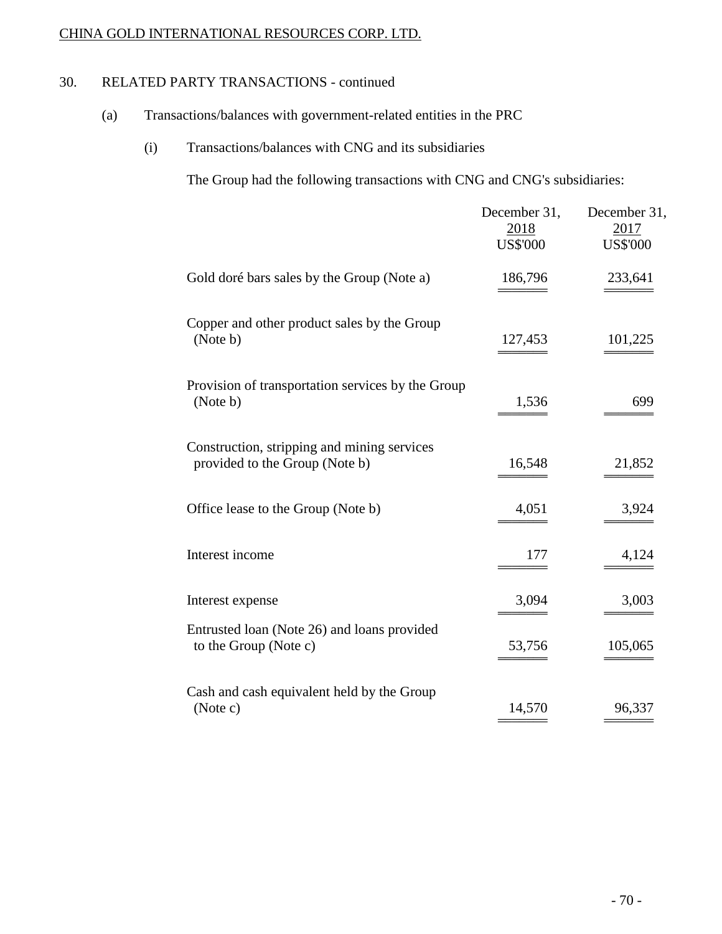# 30. RELATED PARTY TRANSACTIONS - continued

- (a) Transactions/balances with government-related entities in the PRC
	- (i) Transactions/balances with CNG and its subsidiaries

The Group had the following transactions with CNG and CNG's subsidiaries:

|                                                                               | December 31,<br>2018<br><b>US\$'000</b> | December 31,<br>2017<br><b>US\$'000</b> |
|-------------------------------------------------------------------------------|-----------------------------------------|-----------------------------------------|
| Gold doré bars sales by the Group (Note a)                                    | 186,796                                 | 233,641                                 |
| Copper and other product sales by the Group<br>(Note b)                       | 127,453                                 | 101,225                                 |
| Provision of transportation services by the Group<br>(Note b)                 | 1,536                                   | 699                                     |
| Construction, stripping and mining services<br>provided to the Group (Note b) | 16,548                                  | 21,852                                  |
| Office lease to the Group (Note b)                                            | 4,051                                   | 3,924                                   |
| Interest income                                                               | 177                                     | 4,124                                   |
| Interest expense                                                              | 3,094                                   | 3,003                                   |
| Entrusted loan (Note 26) and loans provided<br>to the Group (Note c)          | 53,756                                  | 105,065                                 |
| Cash and cash equivalent held by the Group<br>(Note c)                        | 14,570                                  | 96,337                                  |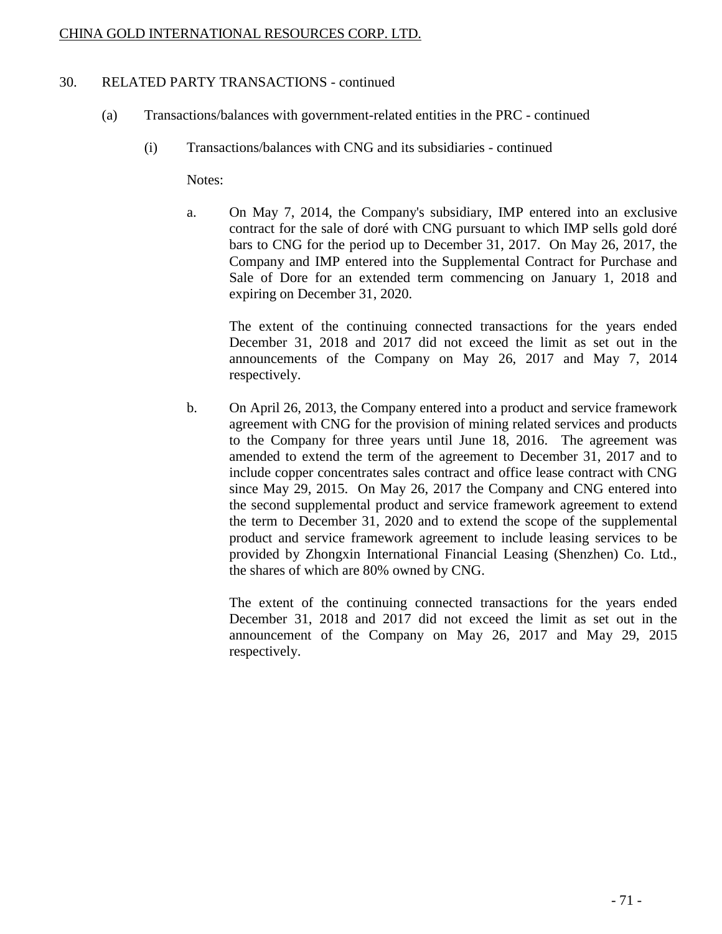#### 30. RELATED PARTY TRANSACTIONS - continued

- (a) Transactions/balances with government-related entities in the PRC continued
	- (i) Transactions/balances with CNG and its subsidiaries continued

Notes:

a. On May 7, 2014, the Company's subsidiary, IMP entered into an exclusive contract for the sale of doré with CNG pursuant to which IMP sells gold doré bars to CNG for the period up to December 31, 2017. On May 26, 2017, the Company and IMP entered into the Supplemental Contract for Purchase and Sale of Dore for an extended term commencing on January 1, 2018 and expiring on December 31, 2020.

The extent of the continuing connected transactions for the years ended December 31, 2018 and 2017 did not exceed the limit as set out in the announcements of the Company on May 26, 2017 and May 7, 2014 respectively.

b. On April 26, 2013, the Company entered into a product and service framework agreement with CNG for the provision of mining related services and products to the Company for three years until June 18, 2016. The agreement was amended to extend the term of the agreement to December 31, 2017 and to include copper concentrates sales contract and office lease contract with CNG since May 29, 2015. On May 26, 2017 the Company and CNG entered into the second supplemental product and service framework agreement to extend the term to December 31, 2020 and to extend the scope of the supplemental product and service framework agreement to include leasing services to be provided by Zhongxin International Financial Leasing (Shenzhen) Co. Ltd., the shares of which are 80% owned by CNG.

The extent of the continuing connected transactions for the years ended December 31, 2018 and 2017 did not exceed the limit as set out in the announcement of the Company on May 26, 2017 and May 29, 2015 respectively.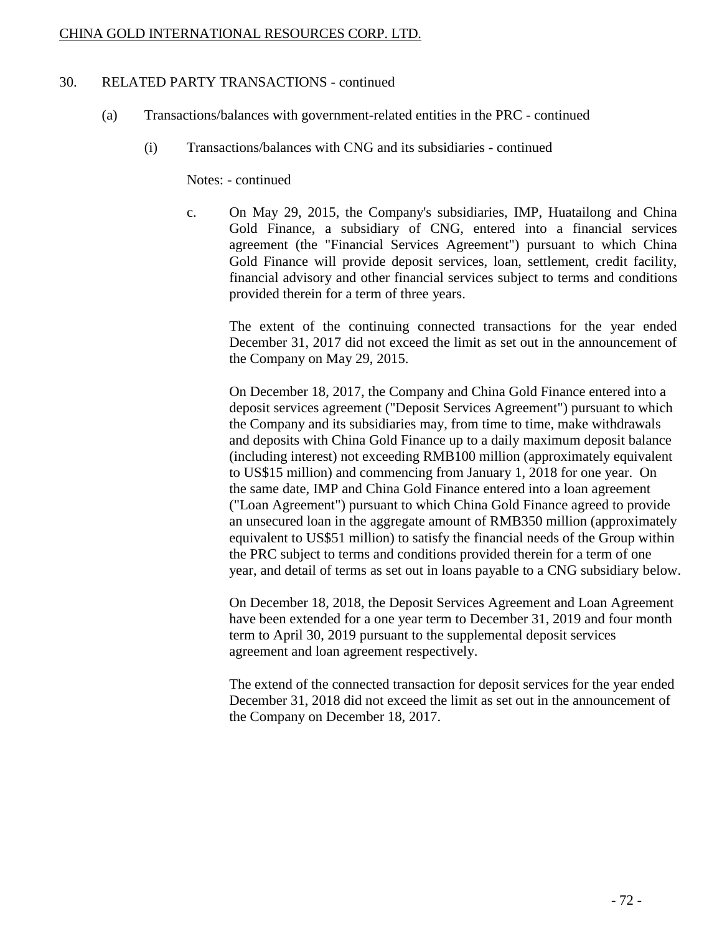## 30. RELATED PARTY TRANSACTIONS - continued

- (a) Transactions/balances with government-related entities in the PRC continued
	- (i) Transactions/balances with CNG and its subsidiaries continued

Notes: - continued

c. On May 29, 2015, the Company's subsidiaries, IMP, Huatailong and China Gold Finance, a subsidiary of CNG, entered into a financial services agreement (the "Financial Services Agreement") pursuant to which China Gold Finance will provide deposit services, loan, settlement, credit facility, financial advisory and other financial services subject to terms and conditions provided therein for a term of three years.

The extent of the continuing connected transactions for the year ended December 31, 2017 did not exceed the limit as set out in the announcement of the Company on May 29, 2015.

On December 18, 2017, the Company and China Gold Finance entered into a deposit services agreement ("Deposit Services Agreement") pursuant to which the Company and its subsidiaries may, from time to time, make withdrawals and deposits with China Gold Finance up to a daily maximum deposit balance (including interest) not exceeding RMB100 million (approximately equivalent to US\$15 million) and commencing from January 1, 2018 for one year. On the same date, IMP and China Gold Finance entered into a loan agreement ("Loan Agreement") pursuant to which China Gold Finance agreed to provide an unsecured loan in the aggregate amount of RMB350 million (approximately equivalent to US\$51 million) to satisfy the financial needs of the Group within the PRC subject to terms and conditions provided therein for a term of one year, and detail of terms as set out in loans payable to a CNG subsidiary below.

On December 18, 2018, the Deposit Services Agreement and Loan Agreement have been extended for a one year term to December 31, 2019 and four month term to April 30, 2019 pursuant to the supplemental deposit services agreement and loan agreement respectively.

The extend of the connected transaction for deposit services for the year ended December 31, 2018 did not exceed the limit as set out in the announcement of the Company on December 18, 2017.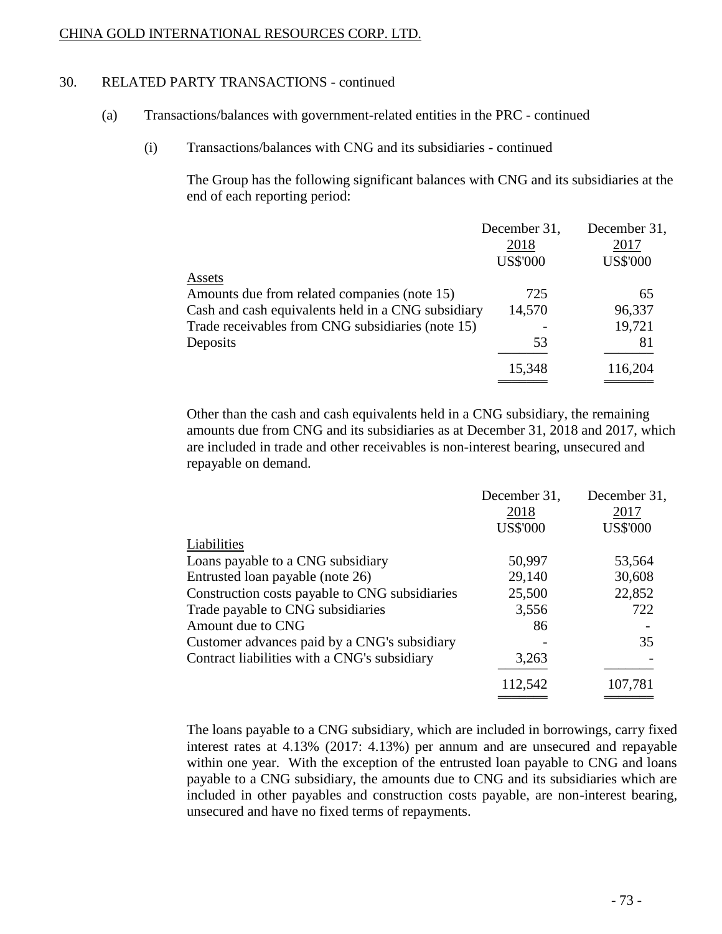#### 30. RELATED PARTY TRANSACTIONS - continued

- (a) Transactions/balances with government-related entities in the PRC continued
	- (i) Transactions/balances with CNG and its subsidiaries continued

The Group has the following significant balances with CNG and its subsidiaries at the end of each reporting period:

|                                                    | December 31,    | December 31,    |
|----------------------------------------------------|-----------------|-----------------|
|                                                    | 2018            | 2017            |
|                                                    | <b>US\$'000</b> | <b>US\$'000</b> |
| Assets                                             |                 |                 |
| Amounts due from related companies (note 15)       | 725             | 65              |
| Cash and cash equivalents held in a CNG subsidiary | 14,570          | 96,337          |
| Trade receivables from CNG subsidiaries (note 15)  |                 | 19,721          |
| Deposits                                           | 53              | 81              |
|                                                    | 15,348          | 116,204         |
|                                                    |                 |                 |

Other than the cash and cash equivalents held in a CNG subsidiary, the remaining amounts due from CNG and its subsidiaries as at December 31, 2018 and 2017, which are included in trade and other receivables is non-interest bearing, unsecured and repayable on demand.

|                                                | December 31,    | December 31,    |
|------------------------------------------------|-----------------|-----------------|
|                                                | 2018            | 2017            |
|                                                | <b>US\$'000</b> | <b>US\$'000</b> |
| Liabilities                                    |                 |                 |
| Loans payable to a CNG subsidiary              | 50,997          | 53,564          |
| Entrusted loan payable (note 26)               | 29,140          | 30,608          |
| Construction costs payable to CNG subsidiaries | 25,500          | 22,852          |
| Trade payable to CNG subsidiaries              | 3,556           | 722             |
| Amount due to CNG                              | 86              |                 |
| Customer advances paid by a CNG's subsidiary   |                 | 35              |
| Contract liabilities with a CNG's subsidiary   | 3,263           |                 |
|                                                | 112,542         | 107,781         |
|                                                |                 |                 |

The loans payable to a CNG subsidiary, which are included in borrowings, carry fixed interest rates at 4.13% (2017: 4.13%) per annum and are unsecured and repayable within one year. With the exception of the entrusted loan payable to CNG and loans payable to a CNG subsidiary, the amounts due to CNG and its subsidiaries which are included in other payables and construction costs payable, are non-interest bearing, unsecured and have no fixed terms of repayments.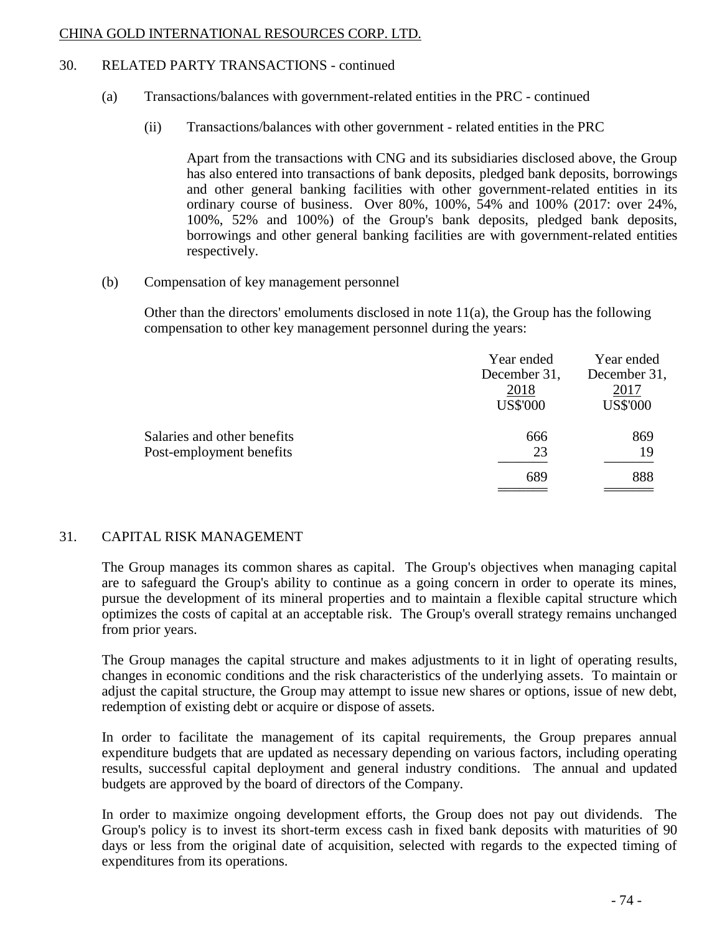## 30. RELATED PARTY TRANSACTIONS - continued

- (a) Transactions/balances with government-related entities in the PRC continued
	- (ii) Transactions/balances with other government related entities in the PRC

Apart from the transactions with CNG and its subsidiaries disclosed above, the Group has also entered into transactions of bank deposits, pledged bank deposits, borrowings and other general banking facilities with other government-related entities in its ordinary course of business. Over 80%, 100%, 54% and 100% (2017: over 24%, 100%, 52% and 100%) of the Group's bank deposits, pledged bank deposits, borrowings and other general banking facilities are with government-related entities respectively.

(b) Compensation of key management personnel

Other than the directors' emoluments disclosed in note  $11(a)$ , the Group has the following compensation to other key management personnel during the years:

|                                                         | Year ended<br>December 31,<br>2018<br><b>US\$'000</b> | Year ended<br>December 31,<br>2017<br><b>US\$'000</b> |
|---------------------------------------------------------|-------------------------------------------------------|-------------------------------------------------------|
| Salaries and other benefits<br>Post-employment benefits | 666<br>23                                             | 869<br>19                                             |
|                                                         | 689                                                   | 888                                                   |

#### 31. CAPITAL RISK MANAGEMENT

The Group manages its common shares as capital. The Group's objectives when managing capital are to safeguard the Group's ability to continue as a going concern in order to operate its mines, pursue the development of its mineral properties and to maintain a flexible capital structure which optimizes the costs of capital at an acceptable risk. The Group's overall strategy remains unchanged from prior years.

The Group manages the capital structure and makes adjustments to it in light of operating results, changes in economic conditions and the risk characteristics of the underlying assets. To maintain or adjust the capital structure, the Group may attempt to issue new shares or options, issue of new debt, redemption of existing debt or acquire or dispose of assets.

In order to facilitate the management of its capital requirements, the Group prepares annual expenditure budgets that are updated as necessary depending on various factors, including operating results, successful capital deployment and general industry conditions. The annual and updated budgets are approved by the board of directors of the Company.

In order to maximize ongoing development efforts, the Group does not pay out dividends. The Group's policy is to invest its short-term excess cash in fixed bank deposits with maturities of 90 days or less from the original date of acquisition, selected with regards to the expected timing of expenditures from its operations.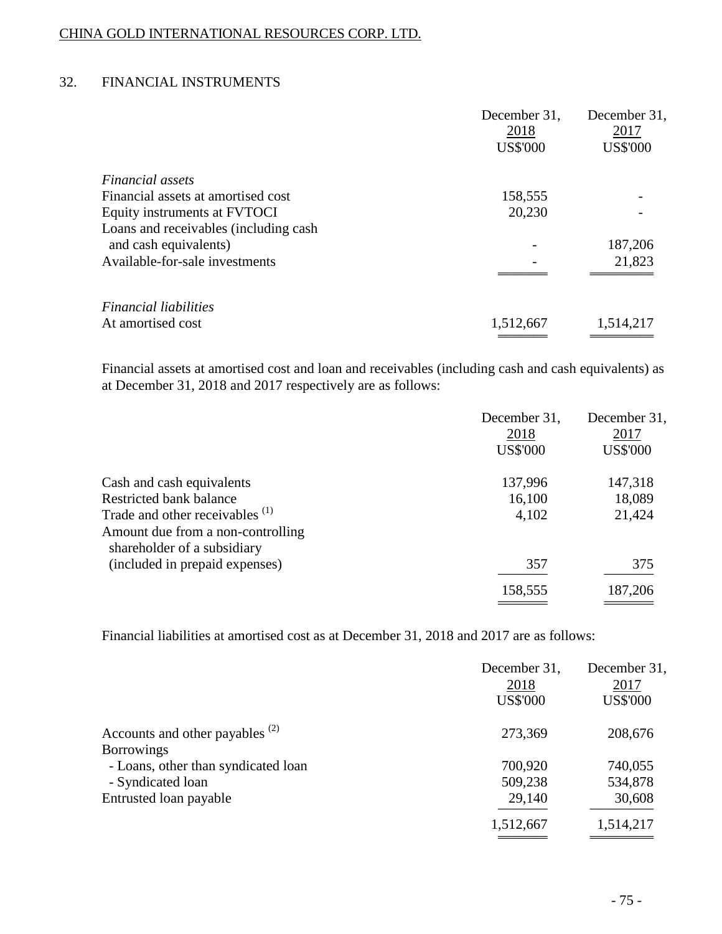# 32. FINANCIAL INSTRUMENTS

|                                       | December 31,<br>2018<br><b>US\$'000</b> | December 31,<br>2017<br><b>US\$'000</b> |
|---------------------------------------|-----------------------------------------|-----------------------------------------|
| <i>Financial assets</i>               |                                         |                                         |
| Financial assets at amortised cost    | 158,555                                 |                                         |
| Equity instruments at FVTOCI          | 20,230                                  |                                         |
| Loans and receivables (including cash |                                         |                                         |
| and cash equivalents)                 |                                         | 187,206                                 |
| Available-for-sale investments        |                                         | 21,823                                  |
|                                       |                                         |                                         |
| <b>Financial liabilities</b>          |                                         |                                         |
| At amortised cost                     | 1,512,667                               | 1,514,217                               |
|                                       |                                         |                                         |

Financial assets at amortised cost and loan and receivables (including cash and cash equivalents) as at December 31, 2018 and 2017 respectively are as follows:

|                                                                  | December 31,<br>2018<br><b>US\$'000</b> | December 31,<br>2017<br><b>US\$'000</b> |
|------------------------------------------------------------------|-----------------------------------------|-----------------------------------------|
| Cash and cash equivalents                                        | 137,996                                 | 147,318                                 |
| Restricted bank balance                                          | 16,100                                  | 18,089                                  |
| Trade and other receivables <sup>(1)</sup>                       | 4,102                                   | 21,424                                  |
| Amount due from a non-controlling<br>shareholder of a subsidiary |                                         |                                         |
| (included in prepaid expenses)                                   | 357                                     | 375                                     |
|                                                                  | 158,555                                 | 187,206                                 |
|                                                                  |                                         |                                         |

Financial liabilities at amortised cost as at December 31, 2018 and 2017 are as follows:

|                                            | December 31,<br>2018<br><b>US\$'000</b> | December 31,<br>2017<br><b>US\$'000</b> |
|--------------------------------------------|-----------------------------------------|-----------------------------------------|
| Accounts and other payables <sup>(2)</sup> | 273,369                                 | 208,676                                 |
| <b>Borrowings</b>                          |                                         |                                         |
| - Loans, other than syndicated loan        | 700,920                                 | 740,055                                 |
| - Syndicated loan                          | 509,238                                 | 534,878                                 |
| Entrusted loan payable                     | 29,140                                  | 30,608                                  |
|                                            | 1,512,667                               | 1,514,217                               |
|                                            |                                         |                                         |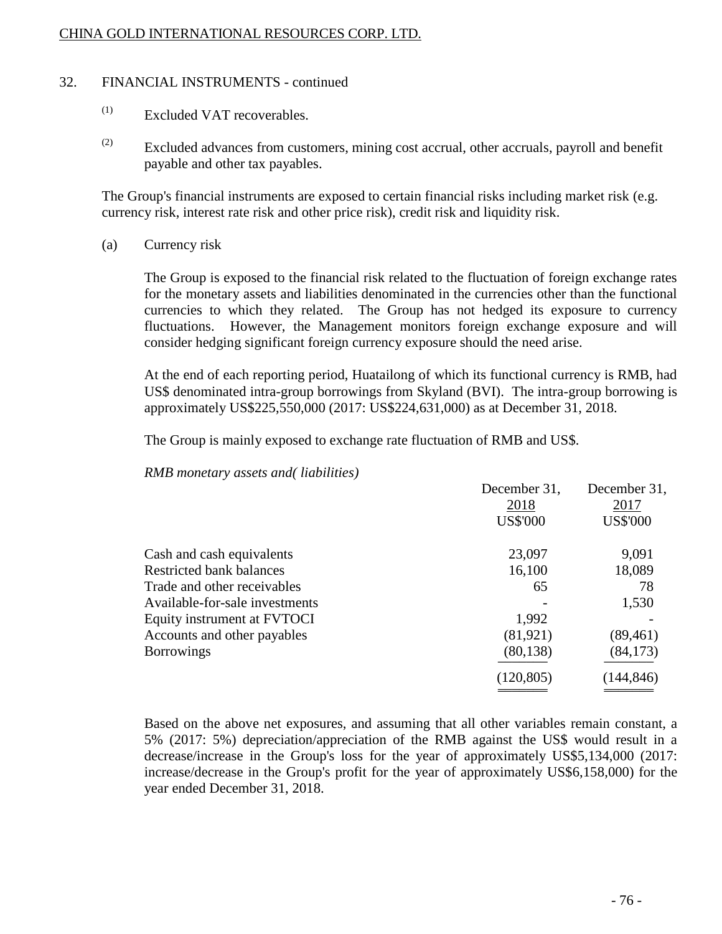#### 32. FINANCIAL INSTRUMENTS - continued

- (1) Excluded VAT recoverables.
- $(2)$  Excluded advances from customers, mining cost accrual, other accruals, payroll and benefit payable and other tax payables.

The Group's financial instruments are exposed to certain financial risks including market risk (e.g. currency risk, interest rate risk and other price risk), credit risk and liquidity risk.

(a) Currency risk

The Group is exposed to the financial risk related to the fluctuation of foreign exchange rates for the monetary assets and liabilities denominated in the currencies other than the functional currencies to which they related. The Group has not hedged its exposure to currency fluctuations. However, the Management monitors foreign exchange exposure and will consider hedging significant foreign currency exposure should the need arise.

At the end of each reporting period, Huatailong of which its functional currency is RMB, had US\$ denominated intra-group borrowings from Skyland (BVI). The intra-group borrowing is approximately US\$225,550,000 (2017: US\$224,631,000) as at December 31, 2018.

The Group is mainly exposed to exchange rate fluctuation of RMB and US\$.

*RMB monetary assets and( liabilities)*

|                                | December 31,    | December 31,    |
|--------------------------------|-----------------|-----------------|
|                                | 2018            | 2017            |
|                                | <b>US\$'000</b> | <b>US\$'000</b> |
| Cash and cash equivalents      | 23,097          | 9,091           |
| Restricted bank balances       | 16,100          | 18,089          |
| Trade and other receivables    | 65              | 78              |
| Available-for-sale investments |                 | 1,530           |
| Equity instrument at FVTOCI    | 1,992           |                 |
| Accounts and other payables    | (81, 921)       | (89, 461)       |
| <b>Borrowings</b>              | (80, 138)       | (84, 173)       |
|                                | (120, 805)      | (144, 846)      |
|                                |                 |                 |

Based on the above net exposures, and assuming that all other variables remain constant, a 5% (2017: 5%) depreciation/appreciation of the RMB against the US\$ would result in a decrease/increase in the Group's loss for the year of approximately US\$5,134,000 (2017: increase/decrease in the Group's profit for the year of approximately US\$6,158,000) for the year ended December 31, 2018.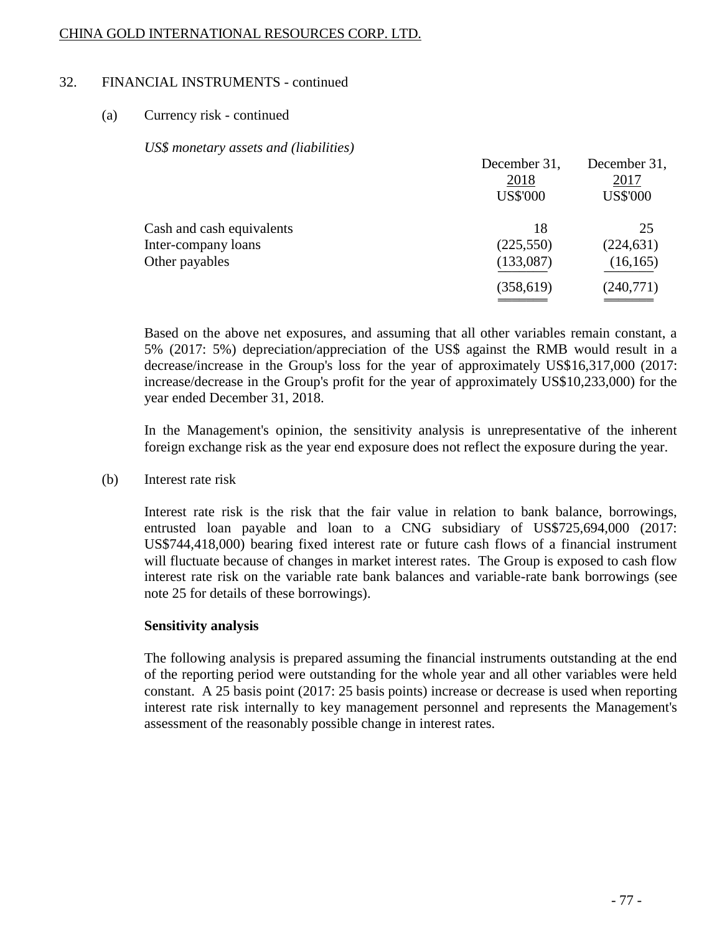#### 32. FINANCIAL INSTRUMENTS - continued

#### (a) Currency risk - continued

#### *US\$ monetary assets and (liabilities)*

|                           | December 31,    | December 31,    |
|---------------------------|-----------------|-----------------|
|                           | 2018            | 2017            |
|                           | <b>US\$'000</b> | <b>US\$'000</b> |
| Cash and cash equivalents | 18              | 25              |
| Inter-company loans       | (225,550)       | (224, 631)      |
| Other payables            | (133,087)       | (16, 165)       |
|                           | (358, 619)      | (240,771)       |
|                           |                 |                 |

Based on the above net exposures, and assuming that all other variables remain constant, a 5% (2017: 5%) depreciation/appreciation of the US\$ against the RMB would result in a decrease/increase in the Group's loss for the year of approximately US\$16,317,000 (2017: increase/decrease in the Group's profit for the year of approximately US\$10,233,000) for the year ended December 31, 2018.

In the Management's opinion, the sensitivity analysis is unrepresentative of the inherent foreign exchange risk as the year end exposure does not reflect the exposure during the year.

(b) Interest rate risk

Interest rate risk is the risk that the fair value in relation to bank balance, borrowings, entrusted loan payable and loan to a CNG subsidiary of US\$725,694,000 (2017: US\$744,418,000) bearing fixed interest rate or future cash flows of a financial instrument will fluctuate because of changes in market interest rates. The Group is exposed to cash flow interest rate risk on the variable rate bank balances and variable-rate bank borrowings (see note 25 for details of these borrowings).

#### **Sensitivity analysis**

The following analysis is prepared assuming the financial instruments outstanding at the end of the reporting period were outstanding for the whole year and all other variables were held constant. A 25 basis point (2017: 25 basis points) increase or decrease is used when reporting interest rate risk internally to key management personnel and represents the Management's assessment of the reasonably possible change in interest rates.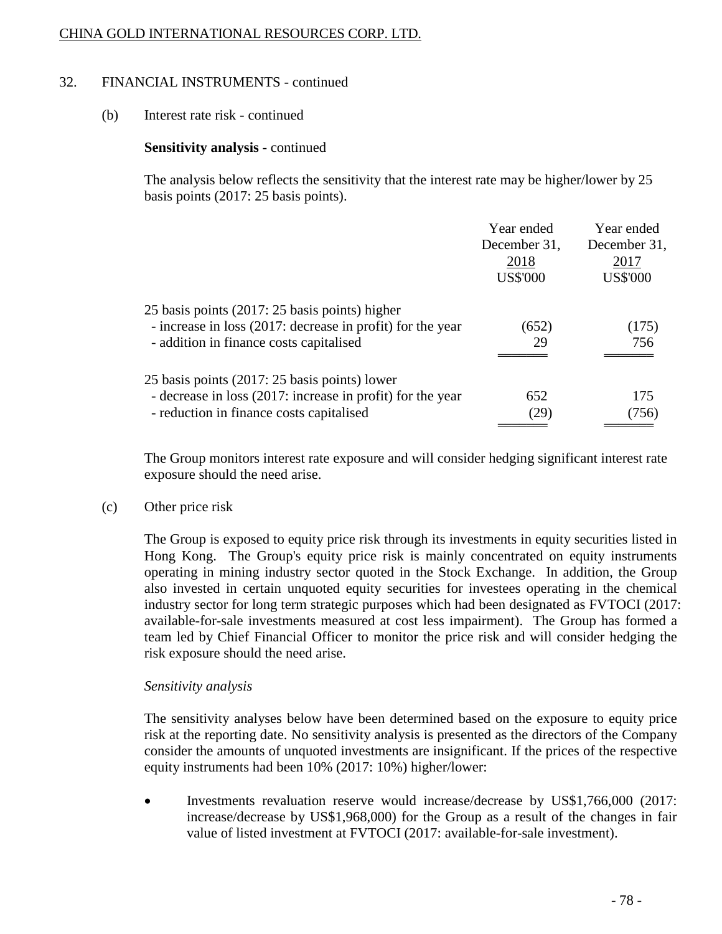#### 32. FINANCIAL INSTRUMENTS - continued

#### (b) Interest rate risk - continued

#### **Sensitivity analysis** - continued

The analysis below reflects the sensitivity that the interest rate may be higher/lower by 25 basis points (2017: 25 basis points).

|                                                            | Year ended      | Year ended      |
|------------------------------------------------------------|-----------------|-----------------|
|                                                            | December 31,    | December 31,    |
|                                                            | 2018            | 2017            |
|                                                            | <b>US\$'000</b> | <b>US\$'000</b> |
| 25 basis points (2017: 25 basis points) higher             |                 |                 |
| - increase in loss (2017: decrease in profit) for the year | (652)           | (175)           |
| - addition in finance costs capitalised                    | 29              | 756             |
|                                                            |                 |                 |
| 25 basis points (2017: 25 basis points) lower              |                 |                 |
| - decrease in loss (2017: increase in profit) for the year | 652             | 175             |
| - reduction in finance costs capitalised                   | (29)            | (756)           |
|                                                            |                 |                 |

The Group monitors interest rate exposure and will consider hedging significant interest rate exposure should the need arise.

#### (c) Other price risk

The Group is exposed to equity price risk through its investments in equity securities listed in Hong Kong. The Group's equity price risk is mainly concentrated on equity instruments operating in mining industry sector quoted in the Stock Exchange. In addition, the Group also invested in certain unquoted equity securities for investees operating in the chemical industry sector for long term strategic purposes which had been designated as FVTOCI (2017: available-for-sale investments measured at cost less impairment). The Group has formed a team led by Chief Financial Officer to monitor the price risk and will consider hedging the risk exposure should the need arise.

#### *Sensitivity analysis*

The sensitivity analyses below have been determined based on the exposure to equity price risk at the reporting date. No sensitivity analysis is presented as the directors of the Company consider the amounts of unquoted investments are insignificant. If the prices of the respective equity instruments had been 10% (2017: 10%) higher/lower:

 Investments revaluation reserve would increase/decrease by US\$1,766,000 (2017: increase/decrease by US\$1,968,000) for the Group as a result of the changes in fair value of listed investment at FVTOCI (2017: available-for-sale investment).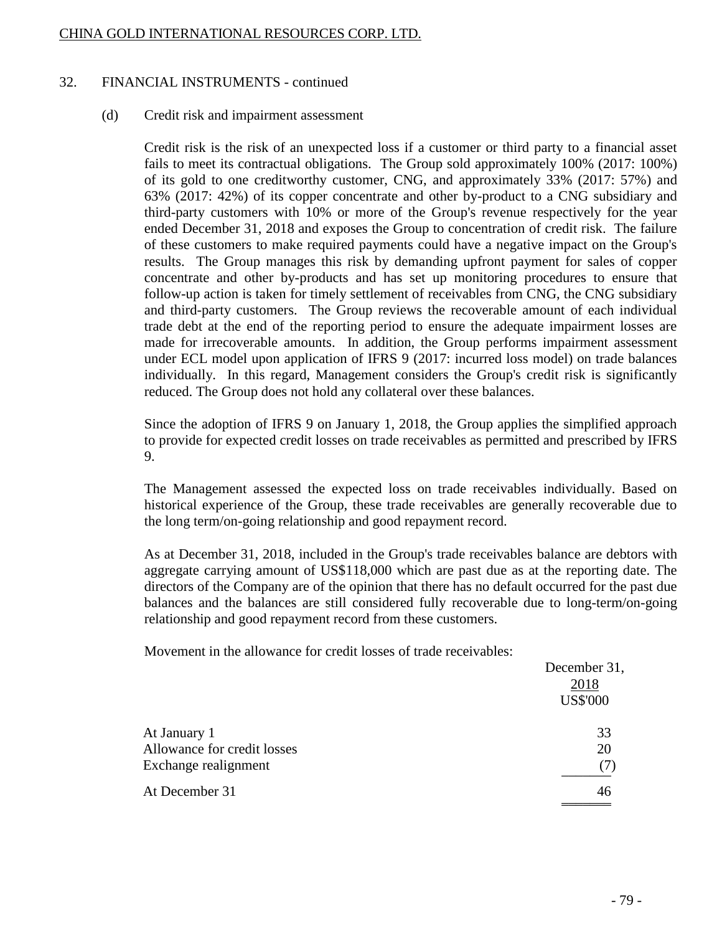#### 32. FINANCIAL INSTRUMENTS - continued

#### (d) Credit risk and impairment assessment

Credit risk is the risk of an unexpected loss if a customer or third party to a financial asset fails to meet its contractual obligations. The Group sold approximately 100% (2017: 100%) of its gold to one creditworthy customer, CNG, and approximately 33% (2017: 57%) and 63% (2017: 42%) of its copper concentrate and other by-product to a CNG subsidiary and third-party customers with 10% or more of the Group's revenue respectively for the year ended December 31, 2018 and exposes the Group to concentration of credit risk. The failure of these customers to make required payments could have a negative impact on the Group's results. The Group manages this risk by demanding upfront payment for sales of copper concentrate and other by-products and has set up monitoring procedures to ensure that follow-up action is taken for timely settlement of receivables from CNG, the CNG subsidiary and third-party customers. The Group reviews the recoverable amount of each individual trade debt at the end of the reporting period to ensure the adequate impairment losses are made for irrecoverable amounts. In addition, the Group performs impairment assessment under ECL model upon application of IFRS 9 (2017: incurred loss model) on trade balances individually. In this regard, Management considers the Group's credit risk is significantly reduced. The Group does not hold any collateral over these balances.

Since the adoption of IFRS 9 on January 1, 2018, the Group applies the simplified approach to provide for expected credit losses on trade receivables as permitted and prescribed by IFRS 9.

The Management assessed the expected loss on trade receivables individually. Based on historical experience of the Group, these trade receivables are generally recoverable due to the long term/on-going relationship and good repayment record.

As at December 31, 2018, included in the Group's trade receivables balance are debtors with aggregate carrying amount of US\$118,000 which are past due as at the reporting date. The directors of the Company are of the opinion that there has no default occurred for the past due balances and the balances are still considered fully recoverable due to long-term/on-going relationship and good repayment record from these customers.

Movement in the allowance for credit losses of trade receivables:

|                             | December 31,<br>2018<br><b>US\$'000</b> |
|-----------------------------|-----------------------------------------|
| At January 1                | 33                                      |
| Allowance for credit losses | 20                                      |
| Exchange realignment        | (7)                                     |
| At December 31              | 46                                      |
|                             |                                         |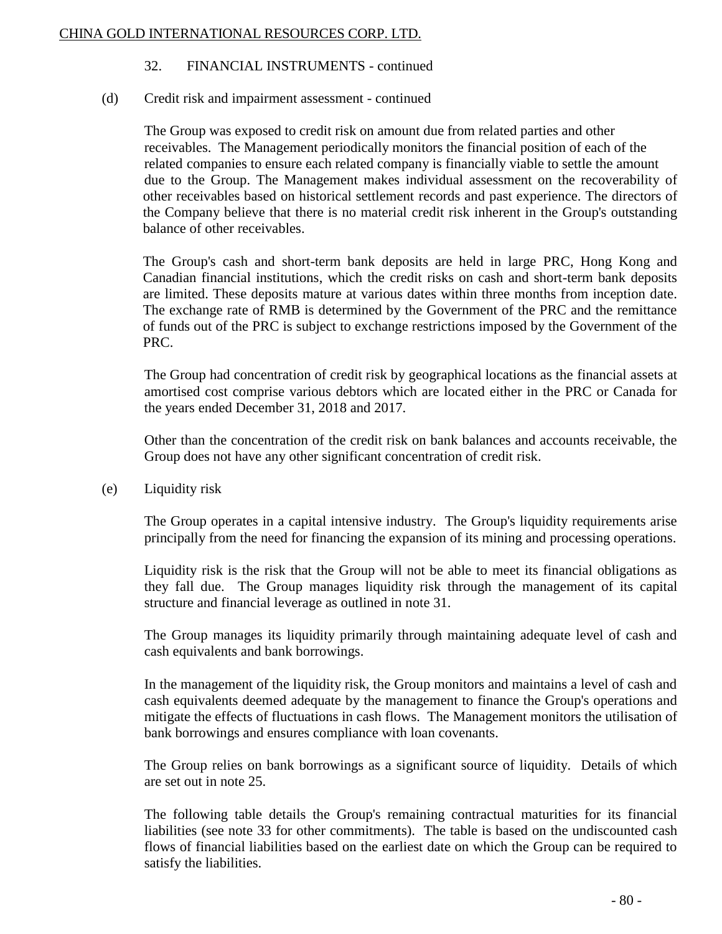## 32. FINANCIAL INSTRUMENTS - continued

#### (d) Credit risk and impairment assessment - continued

The Group was exposed to credit risk on amount due from related parties and other receivables. The Management periodically monitors the financial position of each of the related companies to ensure each related company is financially viable to settle the amount due to the Group. The Management makes individual assessment on the recoverability of other receivables based on historical settlement records and past experience. The directors of the Company believe that there is no material credit risk inherent in the Group's outstanding balance of other receivables.

The Group's cash and short-term bank deposits are held in large PRC, Hong Kong and Canadian financial institutions, which the credit risks on cash and short-term bank deposits are limited. These deposits mature at various dates within three months from inception date. The exchange rate of RMB is determined by the Government of the PRC and the remittance of funds out of the PRC is subject to exchange restrictions imposed by the Government of the PRC.

The Group had concentration of credit risk by geographical locations as the financial assets at amortised cost comprise various debtors which are located either in the PRC or Canada for the years ended December 31, 2018 and 2017.

Other than the concentration of the credit risk on bank balances and accounts receivable, the Group does not have any other significant concentration of credit risk.

(e) Liquidity risk

The Group operates in a capital intensive industry. The Group's liquidity requirements arise principally from the need for financing the expansion of its mining and processing operations.

Liquidity risk is the risk that the Group will not be able to meet its financial obligations as they fall due. The Group manages liquidity risk through the management of its capital structure and financial leverage as outlined in note 31.

The Group manages its liquidity primarily through maintaining adequate level of cash and cash equivalents and bank borrowings.

In the management of the liquidity risk, the Group monitors and maintains a level of cash and cash equivalents deemed adequate by the management to finance the Group's operations and mitigate the effects of fluctuations in cash flows. The Management monitors the utilisation of bank borrowings and ensures compliance with loan covenants.

The Group relies on bank borrowings as a significant source of liquidity. Details of which are set out in note 25.

The following table details the Group's remaining contractual maturities for its financial liabilities (see note 33 for other commitments). The table is based on the undiscounted cash flows of financial liabilities based on the earliest date on which the Group can be required to satisfy the liabilities.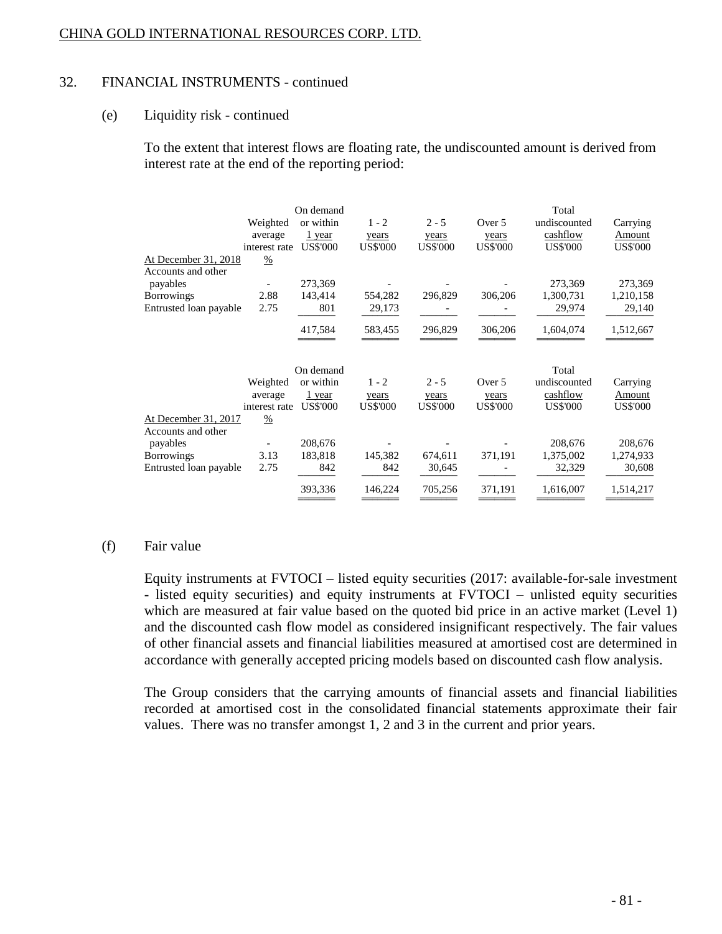#### 32. FINANCIAL INSTRUMENTS - continued

#### (e) Liquidity risk - continued

To the extent that interest flows are floating rate, the undiscounted amount is derived from interest rate at the end of the reporting period:

|                                            | Weighted<br>average<br>interest rate | On demand<br>or within<br>1 year<br><b>US\$'000</b> | $1 - 2$<br>years<br><b>US\$'000</b> | $2 - 5$<br>years<br><b>US\$'000</b> | Over 5<br>years<br><b>US\$'000</b> | Total<br>undiscounted<br>cashflow<br><b>US\$'000</b> | Carrying<br>Amount<br><b>US\$'000</b> |
|--------------------------------------------|--------------------------------------|-----------------------------------------------------|-------------------------------------|-------------------------------------|------------------------------------|------------------------------------------------------|---------------------------------------|
| At December 31, 2018                       | $\%$                                 |                                                     |                                     |                                     |                                    |                                                      |                                       |
| Accounts and other                         |                                      |                                                     |                                     |                                     |                                    |                                                      |                                       |
| payables                                   |                                      | 273,369                                             |                                     |                                     |                                    | 273,369                                              | 273,369                               |
| <b>Borrowings</b>                          | 2.88                                 | 143,414                                             | 554,282                             | 296,829                             | 306,206                            | 1,300,731                                            | 1,210,158                             |
| Entrusted loan payable                     | 2.75                                 | 801                                                 | 29,173                              |                                     |                                    | 29,974                                               | 29,140                                |
|                                            |                                      | 417,584                                             | 583,455                             | 296,829                             | 306,206                            | 1,604,074                                            | 1,512,667                             |
|                                            | Weighted                             | On demand<br>or within                              | $1 - 2$                             | $2 - 5$                             | Over 5                             | Total<br>undiscounted                                | Carrying                              |
|                                            | average                              | 1 year                                              | years                               | years                               | years                              | cashflow                                             | Amount                                |
|                                            | interest rate                        | <b>US\$'000</b>                                     | <b>US\$'000</b>                     | <b>US\$'000</b>                     | <b>US\$'000</b>                    | <b>US\$'000</b>                                      | <b>US\$'000</b>                       |
| At December 31, 2017<br>Accounts and other | $\frac{0}{0}$                        |                                                     |                                     |                                     |                                    |                                                      |                                       |
| payables                                   |                                      | 208,676                                             |                                     |                                     |                                    | 208,676                                              | 208,676                               |
| <b>Borrowings</b>                          | 3.13                                 | 183,818                                             | 145,382                             | 674,611                             | 371,191                            | 1,375,002                                            | 1,274,933                             |
| Entrusted loan payable                     | 2.75                                 | 842                                                 | 842                                 | 30,645                              |                                    | 32,329                                               | 30,608                                |
|                                            |                                      | 393,336                                             | 146,224                             | 705,256                             | 371,191                            | 1,616,007                                            | 1,514,217                             |

#### (f) Fair value

Equity instruments at FVTOCI – listed equity securities (2017: available-for-sale investment - listed equity securities) and equity instruments at FVTOCI – unlisted equity securities which are measured at fair value based on the quoted bid price in an active market (Level 1) and the discounted cash flow model as considered insignificant respectively. The fair values of other financial assets and financial liabilities measured at amortised cost are determined in accordance with generally accepted pricing models based on discounted cash flow analysis.

The Group considers that the carrying amounts of financial assets and financial liabilities recorded at amortised cost in the consolidated financial statements approximate their fair values. There was no transfer amongst 1, 2 and 3 in the current and prior years.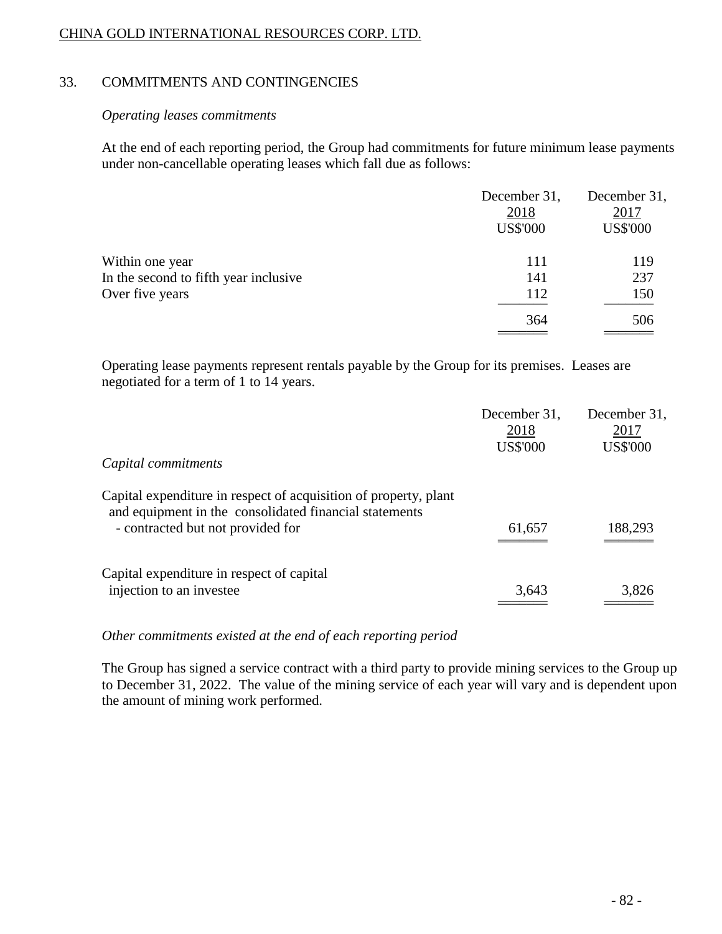## 33. COMMITMENTS AND CONTINGENCIES

#### *Operating leases commitments*

At the end of each reporting period, the Group had commitments for future minimum lease payments under non-cancellable operating leases which fall due as follows:

|                                       | December 31,<br>2018<br><b>US\$'000</b> | December 31,<br>2017<br><b>US\$'000</b> |
|---------------------------------------|-----------------------------------------|-----------------------------------------|
| Within one year                       | 111                                     | 119                                     |
| In the second to fifth year inclusive | 141                                     | 237                                     |
| Over five years                       | 112                                     | 150                                     |
|                                       | 364                                     | 506                                     |

Operating lease payments represent rentals payable by the Group for its premises. Leases are negotiated for a term of 1 to 14 years.

|                                                                                                                                                                 | December 31,    | December 31,    |
|-----------------------------------------------------------------------------------------------------------------------------------------------------------------|-----------------|-----------------|
|                                                                                                                                                                 | 2018            | 2017            |
|                                                                                                                                                                 | <b>US\$'000</b> | <b>US\$'000</b> |
| Capital commitments                                                                                                                                             |                 |                 |
| Capital expenditure in respect of acquisition of property, plant<br>and equipment in the consolidated financial statements<br>- contracted but not provided for | 61,657          | 188,293         |
| Capital expenditure in respect of capital                                                                                                                       |                 |                 |
| injection to an investee                                                                                                                                        | 3,643           | 3,826           |

#### *Other commitments existed at the end of each reporting period*

The Group has signed a service contract with a third party to provide mining services to the Group up to December 31, 2022. The value of the mining service of each year will vary and is dependent upon the amount of mining work performed.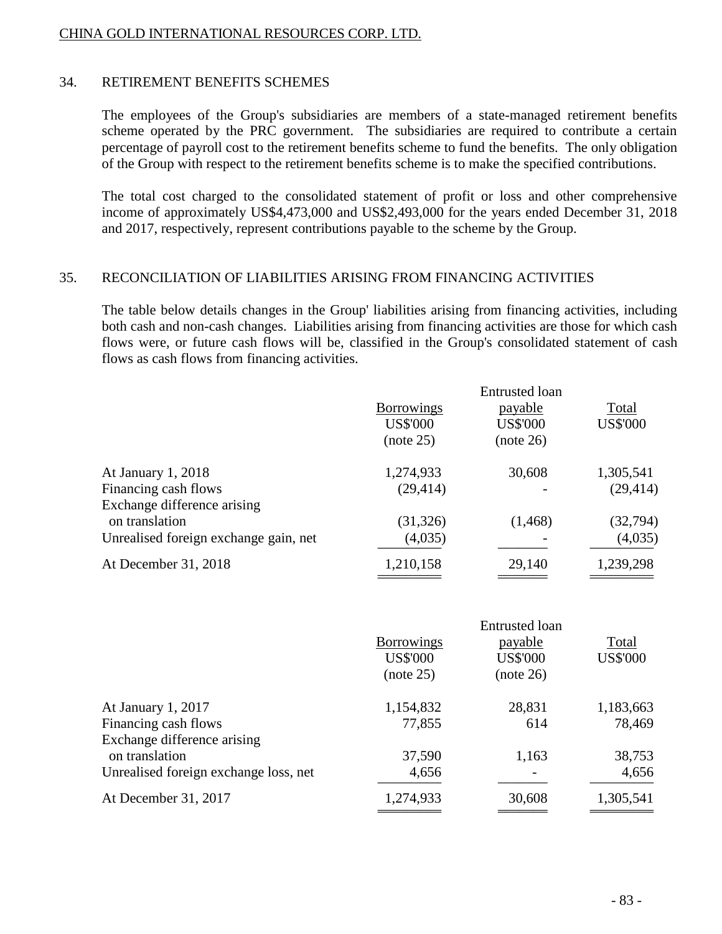#### 34. RETIREMENT BENEFITS SCHEMES

The employees of the Group's subsidiaries are members of a state-managed retirement benefits scheme operated by the PRC government. The subsidiaries are required to contribute a certain percentage of payroll cost to the retirement benefits scheme to fund the benefits. The only obligation of the Group with respect to the retirement benefits scheme is to make the specified contributions.

The total cost charged to the consolidated statement of profit or loss and other comprehensive income of approximately US\$4,473,000 and US\$2,493,000 for the years ended December 31, 2018 and 2017, respectively, represent contributions payable to the scheme by the Group.

#### 35. RECONCILIATION OF LIABILITIES ARISING FROM FINANCING ACTIVITIES

The table below details changes in the Group' liabilities arising from financing activities, including both cash and non-cash changes. Liabilities arising from financing activities are those for which cash flows were, or future cash flows will be, classified in the Group's consolidated statement of cash flows as cash flows from financing activities.

|                                       | <b>Entrusted</b> loan |                 |                 |  |
|---------------------------------------|-----------------------|-----------------|-----------------|--|
|                                       | <b>Borrowings</b>     | payable         | Total           |  |
|                                       | <b>US\$'000</b>       | <b>US\$'000</b> | <b>US\$'000</b> |  |
|                                       | (note 25)             | (note 26)       |                 |  |
| At January 1, 2018                    | 1,274,933             | 30,608          | 1,305,541       |  |
| Financing cash flows                  | (29, 414)             |                 | (29, 414)       |  |
| Exchange difference arising           |                       |                 |                 |  |
| on translation                        | (31, 326)             | (1, 468)        | (32, 794)       |  |
| Unrealised foreign exchange gain, net | (4,035)               |                 | (4,035)         |  |
| At December 31, 2018                  | 1,210,158             | 29,140          | 1,239,298       |  |

|                                       | <b>Entrusted</b> loan |                 |                 |  |
|---------------------------------------|-----------------------|-----------------|-----------------|--|
|                                       | <b>Borrowings</b>     | payable         | Total           |  |
|                                       | <b>US\$'000</b>       | <b>US\$'000</b> | <b>US\$'000</b> |  |
|                                       | (note 25)             | (note 26)       |                 |  |
| At January 1, 2017                    | 1,154,832             | 28,831          | 1,183,663       |  |
| Financing cash flows                  | 77,855                | 614             | 78,469          |  |
| Exchange difference arising           |                       |                 |                 |  |
| on translation                        | 37,590                | 1,163           | 38,753          |  |
| Unrealised foreign exchange loss, net | 4,656                 |                 | 4,656           |  |
| At December 31, 2017                  | 1,274,933             | 30,608          | 1,305,541       |  |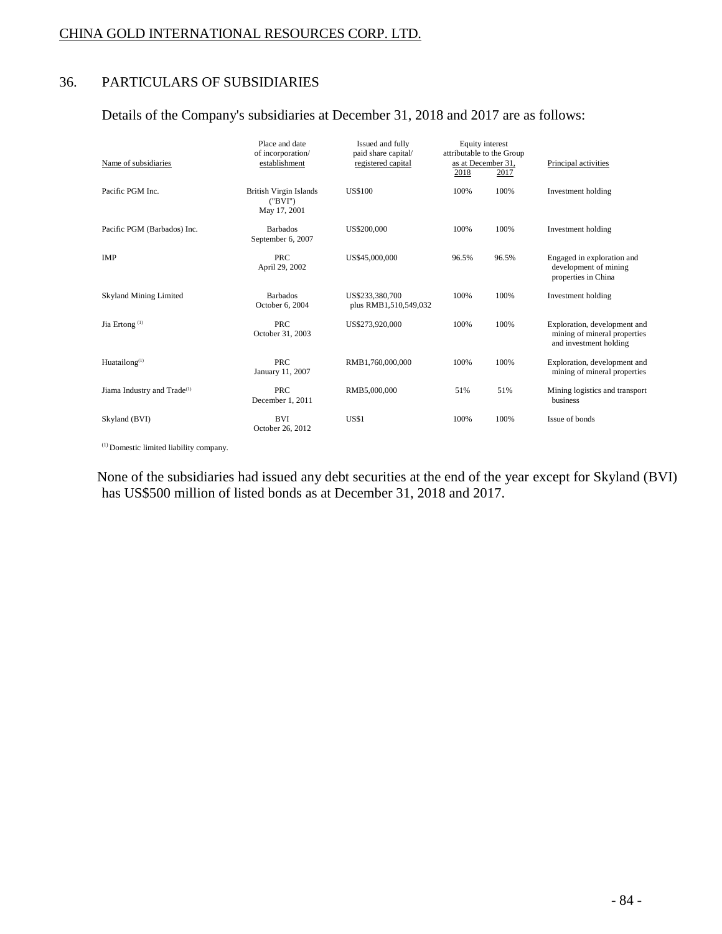# 36. PARTICULARS OF SUBSIDIARIES

| Name of subsidiaries                    | Place and date<br>of incorporation/<br>establishment     | Issued and fully<br>paid share capital/<br>registered capital | 2018  | Equity interest<br>attributable to the Group<br>as at December 31,<br>2017 | Principal activities                                                                   |
|-----------------------------------------|----------------------------------------------------------|---------------------------------------------------------------|-------|----------------------------------------------------------------------------|----------------------------------------------------------------------------------------|
| Pacific PGM Inc.                        | <b>British Virgin Islands</b><br>("BVI")<br>May 17, 2001 | <b>US\$100</b>                                                | 100%  | 100%                                                                       | Investment holding                                                                     |
| Pacific PGM (Barbados) Inc.             | <b>Barbados</b><br>September 6, 2007                     | US\$200,000                                                   | 100%  | 100%                                                                       | Investment holding                                                                     |
| <b>IMP</b>                              | <b>PRC</b><br>April 29, 2002                             | US\$45,000,000                                                | 96.5% | 96.5%                                                                      | Engaged in exploration and<br>development of mining<br>properties in China             |
| <b>Skyland Mining Limited</b>           | <b>Barbados</b><br>October 6, 2004                       | US\$233,380,700<br>plus RMB1,510,549,032                      | 100%  | 100%                                                                       | Investment holding                                                                     |
| Jia Ertong <sup>(1)</sup>               | <b>PRC</b><br>October 31, 2003                           | US\$273,920,000                                               | 100%  | 100%                                                                       | Exploration, development and<br>mining of mineral properties<br>and investment holding |
| Huatailong <sup>(1)</sup>               | <b>PRC</b><br>January 11, 2007                           | RMB1,760,000,000                                              | 100%  | 100%                                                                       | Exploration, development and<br>mining of mineral properties                           |
| Jiama Industry and Trade <sup>(1)</sup> | PRC<br>December 1, 2011                                  | RMB5,000,000                                                  | 51%   | 51%                                                                        | Mining logistics and transport<br>business                                             |
| Skyland (BVI)                           | <b>BVI</b><br>October 26, 2012                           | <b>US\$1</b>                                                  | 100%  | 100%                                                                       | Issue of bonds                                                                         |

# Details of the Company's subsidiaries at December 31, 2018 and 2017 are as follows:

(1) Domestic limited liability company.

None of the subsidiaries had issued any debt securities at the end of the year except for Skyland (BVI) has US\$500 million of listed bonds as at December 31, 2018 and 2017.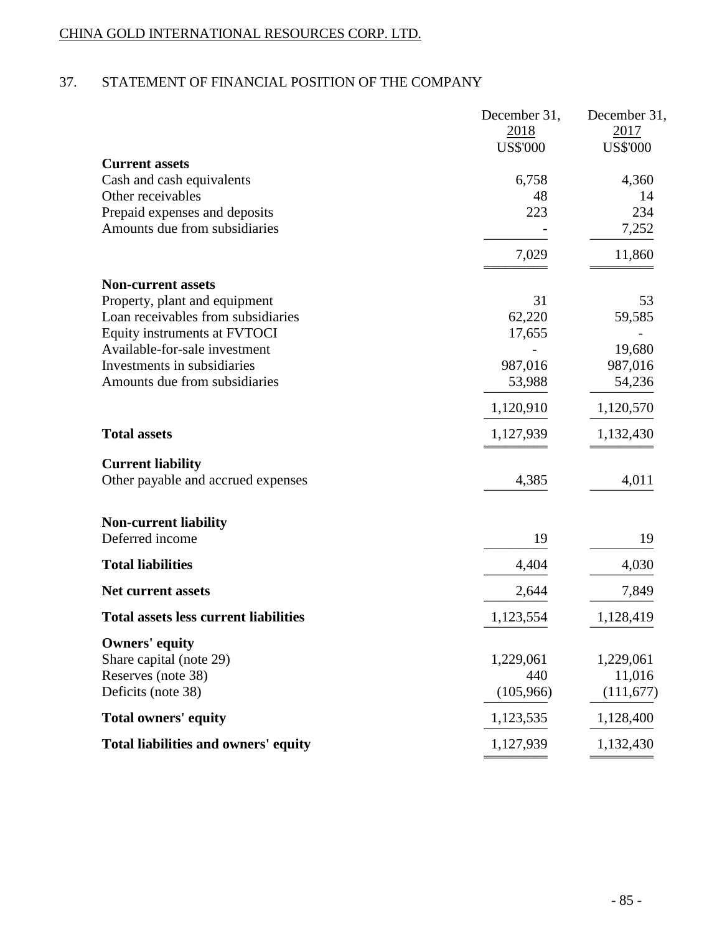# 37. STATEMENT OF FINANCIAL POSITION OF THE COMPANY

|                                              | December 31,    | December 31,    |
|----------------------------------------------|-----------------|-----------------|
|                                              | 2018            | 2017            |
|                                              | <b>US\$'000</b> | <b>US\$'000</b> |
| <b>Current assets</b>                        |                 |                 |
| Cash and cash equivalents                    | 6,758           | 4,360           |
| Other receivables                            | 48              | 14              |
| Prepaid expenses and deposits                | 223             | 234             |
| Amounts due from subsidiaries                |                 | 7,252           |
|                                              | 7,029           | 11,860          |
| <b>Non-current assets</b>                    |                 |                 |
| Property, plant and equipment                | 31              | 53              |
| Loan receivables from subsidiaries           | 62,220          | 59,585          |
| Equity instruments at FVTOCI                 | 17,655          |                 |
| Available-for-sale investment                |                 | 19,680          |
| Investments in subsidiaries                  | 987,016         | 987,016         |
| Amounts due from subsidiaries                | 53,988          | 54,236          |
|                                              | 1,120,910       | 1,120,570       |
| <b>Total assets</b>                          | 1,127,939       | 1,132,430       |
| <b>Current liability</b>                     |                 |                 |
| Other payable and accrued expenses           | 4,385           | 4,011           |
| <b>Non-current liability</b>                 |                 |                 |
| Deferred income                              | 19              | 19              |
| <b>Total liabilities</b>                     | 4,404           | 4,030           |
|                                              |                 |                 |
| <b>Net current assets</b>                    | 2,644           | 7,849           |
| <b>Total assets less current liabilities</b> | 1,123,554       | 1,128,419       |
| <b>Owners' equity</b>                        |                 |                 |
| Share capital (note 29)                      | 1,229,061       | 1,229,061       |
| Reserves (note 38)                           | 440             | 11,016          |
| Deficits (note 38)                           | (105,966)       | (111, 677)      |
| <b>Total owners' equity</b>                  | 1,123,535       | 1,128,400       |
| Total liabilities and owners' equity         | 1,127,939       | 1,132,430       |
|                                              |                 |                 |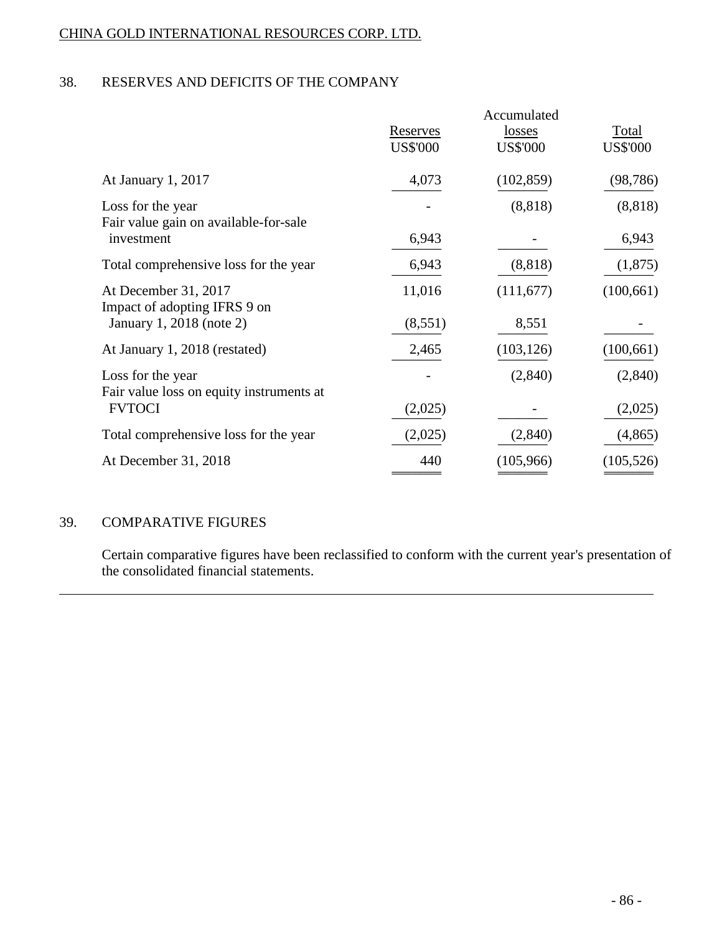# 38. RESERVES AND DEFICITS OF THE COMPANY

|                                                               | <b>Reserves</b><br><b>US\$'000</b> | Accumulated<br><u>losses</u><br><b>US\$'000</b> | <b>Total</b><br><b>US\$'000</b> |
|---------------------------------------------------------------|------------------------------------|-------------------------------------------------|---------------------------------|
| At January 1, 2017                                            | 4,073                              | (102, 859)                                      | (98, 786)                       |
| Loss for the year<br>Fair value gain on available-for-sale    |                                    | (8, 818)                                        | (8, 818)                        |
| investment                                                    | 6,943                              |                                                 | 6,943                           |
| Total comprehensive loss for the year                         | 6,943                              | (8, 818)                                        | (1,875)                         |
| At December 31, 2017<br>Impact of adopting IFRS 9 on          | 11,016                             | (111,677)                                       | (100, 661)                      |
| January 1, 2018 (note 2)                                      | (8,551)                            | 8,551                                           |                                 |
| At January 1, 2018 (restated)                                 | 2,465                              | (103, 126)                                      | (100, 661)                      |
| Loss for the year<br>Fair value loss on equity instruments at |                                    | (2,840)                                         | (2,840)                         |
| <b>FVTOCI</b>                                                 | (2,025)                            |                                                 | (2,025)                         |
| Total comprehensive loss for the year                         | (2,025)                            | (2,840)                                         | (4,865)                         |
| At December 31, 2018                                          | 440                                | (105,966)                                       | (105, 526)                      |
|                                                               |                                    |                                                 |                                 |

# 39. COMPARATIVE FIGURES

Certain comparative figures have been reclassified to conform with the current year's presentation of the consolidated financial statements.